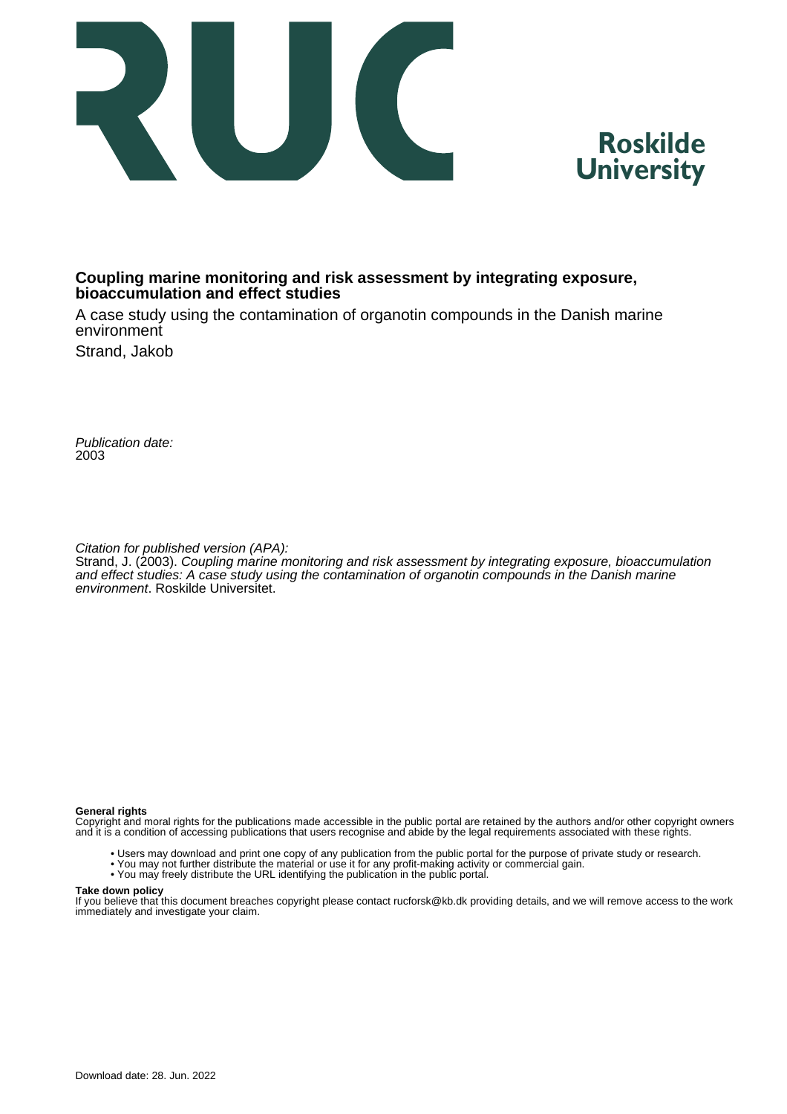



## **Coupling marine monitoring and risk assessment by integrating exposure, bioaccumulation and effect studies**

A case study using the contamination of organotin compounds in the Danish marine environment

Strand, Jakob

Publication date: 2003

Citation for published version (APA):

Strand, J. (2003). Coupling marine monitoring and risk assessment by integrating exposure, bioaccumulation and effect studies: A case study using the contamination of organotin compounds in the Danish marine environment. Roskilde Universitet.

#### **General rights**

Copyright and moral rights for the publications made accessible in the public portal are retained by the authors and/or other copyright owners and it is a condition of accessing publications that users recognise and abide by the legal requirements associated with these rights.

- Users may download and print one copy of any publication from the public portal for the purpose of private study or research.
- You may not further distribute the material or use it for any profit-making activity or commercial gain.
- You may freely distribute the URL identifying the publication in the public portal.

#### **Take down policy**

If you believe that this document breaches copyright please contact rucforsk@kb.dk providing details, and we will remove access to the work immediately and investigate your claim.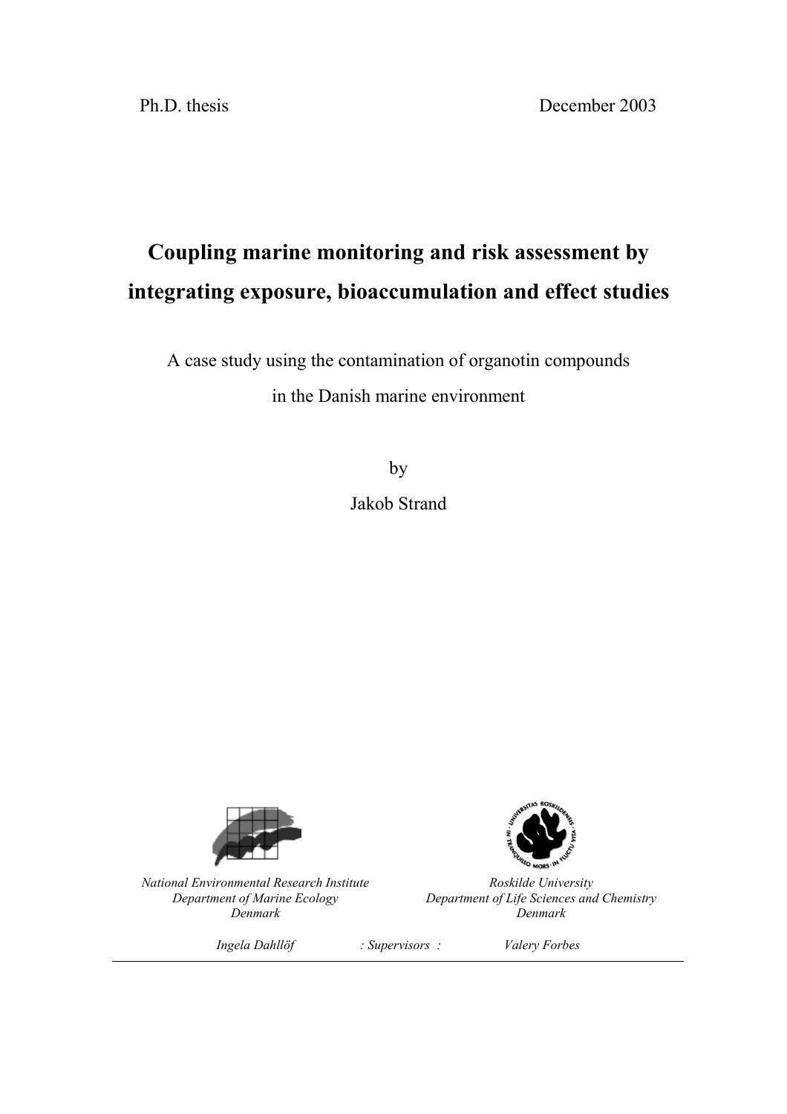Ph.D. thesis December 2003

# **Coupling marine monitoring and risk assessment by integrating exposure, bioaccumulation and effect studies**

A case study using the contamination of organotin compounds

in the Danish marine environment

by Jakob Strand



*National Environmental Research Institute Department of Marine Ecology Denmark*



*Roskilde University Department of Life Sciences and Chemistry Denmark*

*Ingela Dahllˆf : Supervisors : Valery Forbes*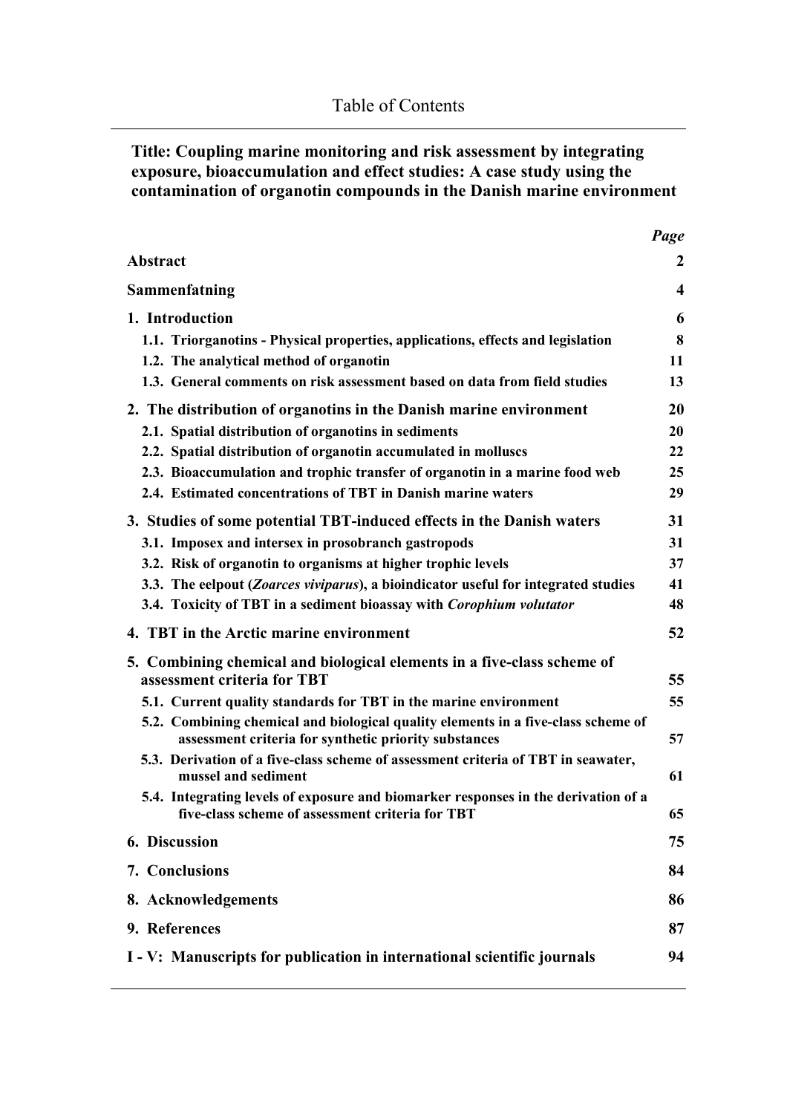**Title: Coupling marine monitoring and risk assessment by integrating exposure, bioaccumulation and effect studies: A case study using the contamination of organotin compounds in the Danish marine environment**

|                                                                                                                                            | Page                    |
|--------------------------------------------------------------------------------------------------------------------------------------------|-------------------------|
| <b>Abstract</b>                                                                                                                            | 2                       |
| Sammenfatning                                                                                                                              | $\overline{\mathbf{4}}$ |
| 1. Introduction                                                                                                                            | 6                       |
| 1.1. Triorganotins - Physical properties, applications, effects and legislation                                                            | 8                       |
| 1.2. The analytical method of organotin                                                                                                    | 11                      |
| 1.3. General comments on risk assessment based on data from field studies                                                                  | 13                      |
| 2. The distribution of organotins in the Danish marine environment                                                                         | 20                      |
| 2.1. Spatial distribution of organotins in sediments                                                                                       | 20                      |
| 2.2. Spatial distribution of organotin accumulated in molluscs                                                                             | 22                      |
| 2.3. Bioaccumulation and trophic transfer of organotin in a marine food web                                                                | 25                      |
| 2.4. Estimated concentrations of TBT in Danish marine waters                                                                               | 29                      |
| 3. Studies of some potential TBT-induced effects in the Danish waters                                                                      | 31                      |
| 3.1. Imposex and intersex in prosobranch gastropods                                                                                        | 31                      |
| 3.2. Risk of organotin to organisms at higher trophic levels                                                                               | 37                      |
| 3.3. The eelpout (Zoarces viviparus), a bioindicator useful for integrated studies                                                         | 41                      |
| 3.4. Toxicity of TBT in a sediment bioassay with Corophium volutator                                                                       | 48                      |
| 4. TBT in the Arctic marine environment                                                                                                    | 52                      |
| 5. Combining chemical and biological elements in a five-class scheme of<br>assessment criteria for TBT                                     | 55                      |
| 5.1. Current quality standards for TBT in the marine environment                                                                           | 55                      |
| 5.2. Combining chemical and biological quality elements in a five-class scheme of<br>assessment criteria for synthetic priority substances | 57                      |
| 5.3. Derivation of a five-class scheme of assessment criteria of TBT in seawater,<br>mussel and sediment                                   | 61                      |
| 5.4. Integrating levels of exposure and biomarker responses in the derivation of a<br>five-class scheme of assessment criteria for TBT     | 65                      |
| 6. Discussion                                                                                                                              | 75                      |
| 7. Conclusions                                                                                                                             | 84                      |
| 8. Acknowledgements                                                                                                                        | 86                      |
| 9. References                                                                                                                              | 87                      |
| I - V: Manuscripts for publication in international scientific journals                                                                    | 94                      |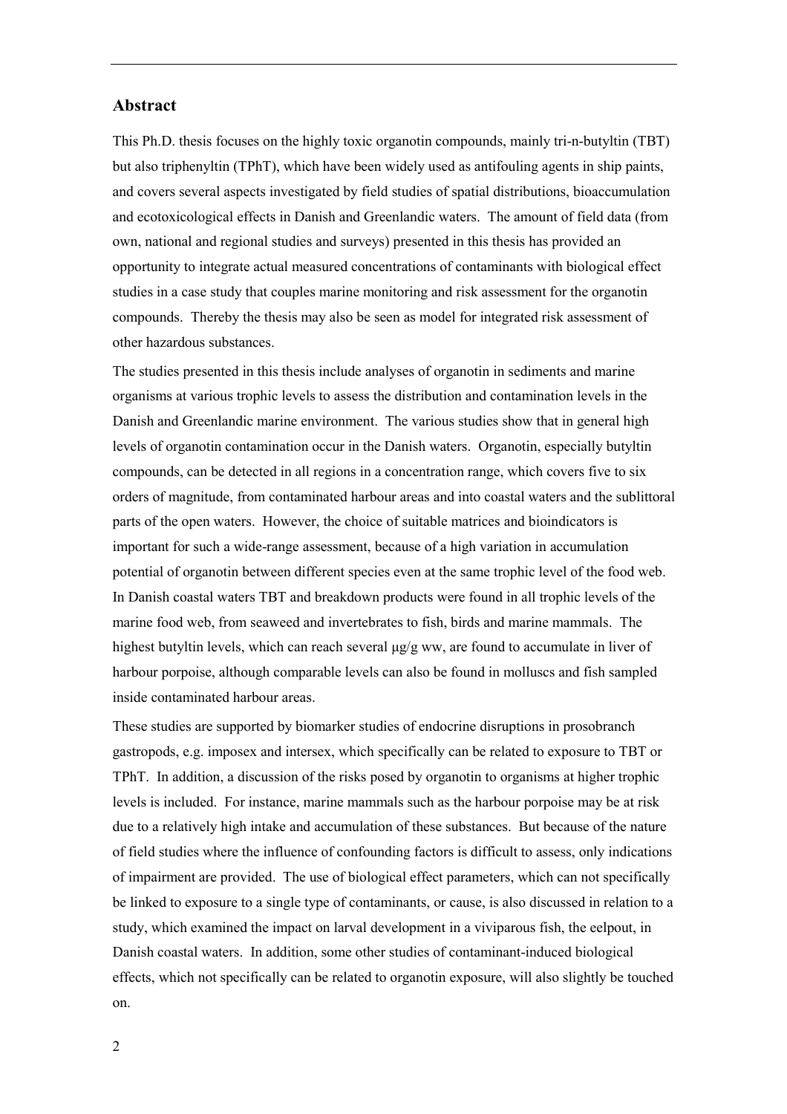### **Abstract**

This Ph.D. thesis focuses on the highly toxic organotin compounds, mainly tri-n-butyltin (TBT) but also triphenyltin (TPhT), which have been widely used as antifouling agents in ship paints, and covers several aspects investigated by field studies of spatial distributions, bioaccumulation and ecotoxicological effects in Danish and Greenlandic waters. The amount of field data (from own, national and regional studies and surveys) presented in this thesis has provided an opportunity to integrate actual measured concentrations of contaminants with biological effect studies in a case study that couples marine monitoring and risk assessment for the organotin compounds. Thereby the thesis may also be seen as model for integrated risk assessment of other hazardous substances.

The studies presented in this thesis include analyses of organotin in sediments and marine organisms at various trophic levels to assess the distribution and contamination levels in the Danish and Greenlandic marine environment. The various studies show that in general high levels of organotin contamination occur in the Danish waters. Organotin, especially butyltin compounds, can be detected in all regions in a concentration range, which covers five to six orders of magnitude, from contaminated harbour areas and into coastal waters and the sublittoral parts of the open waters. However, the choice of suitable matrices and bioindicators is important for such a wide-range assessment, because of a high variation in accumulation potential of organotin between different species even at the same trophic level of the food web. In Danish coastal waters TBT and breakdown products were found in all trophic levels of the marine food web, from seaweed and invertebrates to fish, birds and marine mammals. The highest butyltin levels, which can reach several  $\mu$ g/g ww, are found to accumulate in liver of harbour porpoise, although comparable levels can also be found in molluscs and fish sampled inside contaminated harbour areas.

These studies are supported by biomarker studies of endocrine disruptions in prosobranch gastropods, e.g. imposex and intersex, which specifically can be related to exposure to TBT or TPhT. In addition, a discussion of the risks posed by organotin to organisms at higher trophic levels is included. For instance, marine mammals such as the harbour porpoise may be at risk due to a relatively high intake and accumulation of these substances. But because of the nature of field studies where the influence of confounding factors is difficult to assess, only indications of impairment are provided. The use of biological effect parameters, which can not specifically be linked to exposure to a single type of contaminants, or cause, is also discussed in relation to a study, which examined the impact on larval development in a viviparous fish, the eelpout, in Danish coastal waters. In addition, some other studies of contaminant-induced biological effects, which not specifically can be related to organotin exposure, will also slightly be touched on.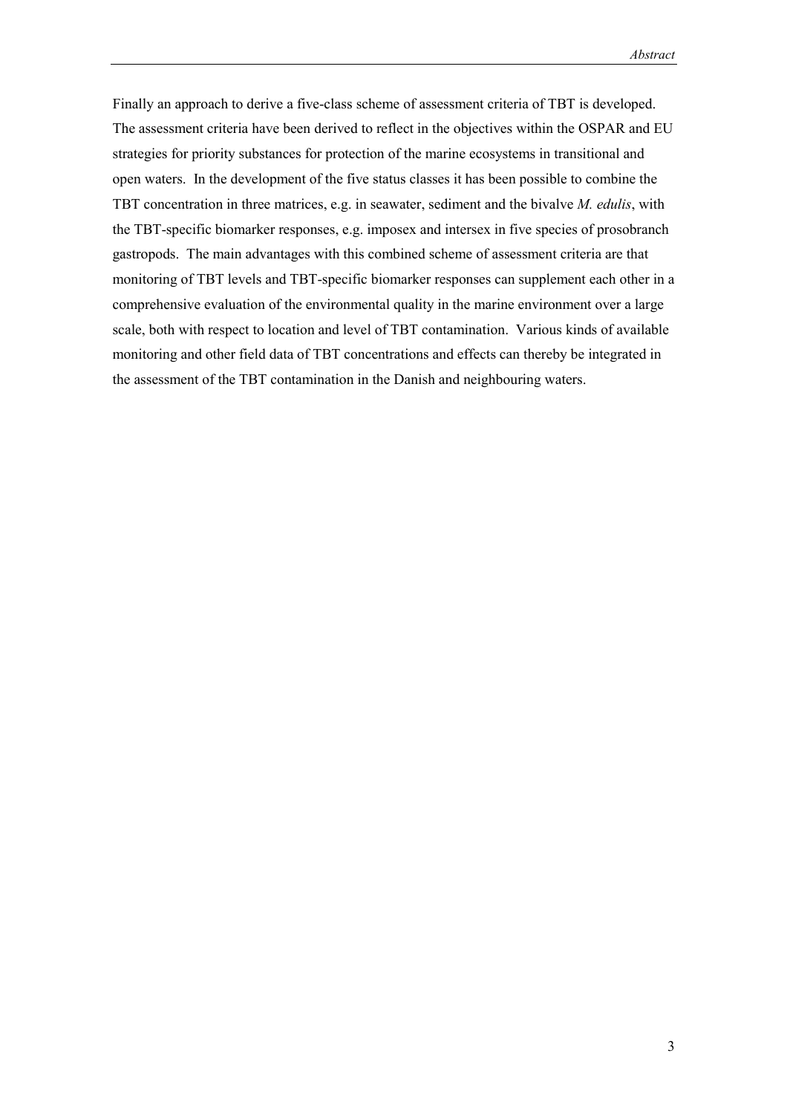Finally an approach to derive a five-class scheme of assessment criteria of TBT is developed. The assessment criteria have been derived to reflect in the objectives within the OSPAR and EU strategies for priority substances for protection of the marine ecosystems in transitional and open waters. In the development of the five status classes it has been possible to combine the TBT concentration in three matrices, e.g. in seawater, sediment and the bivalve *M. edulis*, with the TBT-specific biomarker responses, e.g. imposex and intersex in five species of prosobranch gastropods. The main advantages with this combined scheme of assessment criteria are that monitoring of TBT levels and TBT-specific biomarker responses can supplement each other in a comprehensive evaluation of the environmental quality in the marine environment over a large scale, both with respect to location and level of TBT contamination. Various kinds of available monitoring and other field data of TBT concentrations and effects can thereby be integrated in the assessment of the TBT contamination in the Danish and neighbouring waters.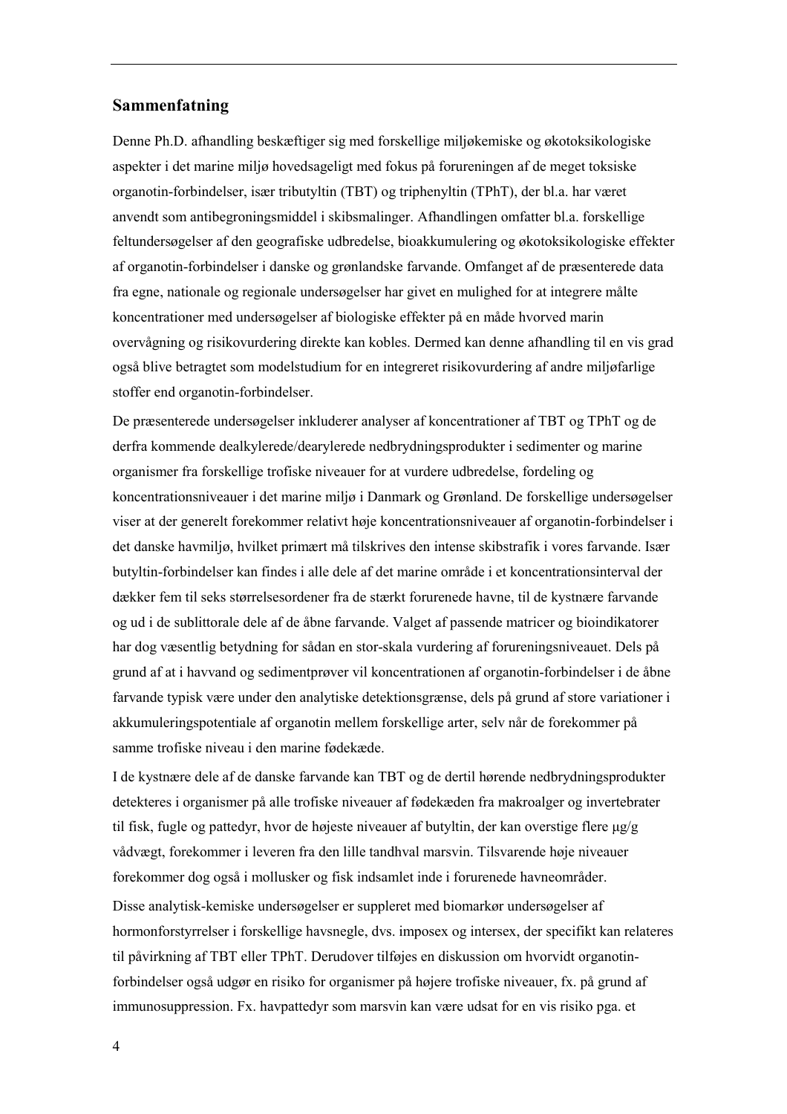### **Sammenfatning**

Denne Ph.D. afhandling beskæftiger sig med forskellige miljøkemiske og økotoksikologiske aspekter i det marine miljø hovedsageligt med fokus på forureningen af de meget toksiske organotin-forbindelser, især tributyltin (TBT) og triphenyltin (TPhT), der bl.a. har været anvendt som antibegroningsmiddel i skibsmalinger. Afhandlingen omfatter bl.a. forskellige feltundersøgelser af den geografiske udbredelse, bioakkumulering og økotoksikologiske effekter af organotin-forbindelser i danske og grønlandske farvande. Omfanget af de præsenterede data fra egne, nationale og regionale undersøgelser har givet en mulighed for at integrere målte koncentrationer med undersøgelser af biologiske effekter på en måde hvorved marin overvÂgning og risikovurdering direkte kan kobles. Dermed kan denne afhandling til en vis grad også blive betragtet som modelstudium for en integreret risikovurdering af andre miljøfarlige stoffer end organotin-forbindelser.

De præsenterede undersøgelser inkluderer analyser af koncentrationer af TBT og TPhT og de derfra kommende dealkylerede/dearylerede nedbrydningsprodukter i sedimenter og marine organismer fra forskellige trofiske niveauer for at vurdere udbredelse, fordeling og koncentrationsniveauer i det marine miljø i Danmark og Grønland. De forskellige undersøgelser viser at der generelt forekommer relativt høje koncentrationsniveauer af organotin-forbindelser i det danske havmiljø, hvilket primært må tilskrives den intense skibstrafik i vores farvande. Især butyltin-forbindelser kan findes i alle dele af det marine omrÂde i et koncentrationsinterval der dækker fem til seks størrelsesordener fra de stærkt forurenede havne, til de kystnære farvande og ud i de sublittorale dele af de Âbne farvande. Valget af passende matricer og bioindikatorer har dog væsentlig betydning for sådan en stor-skala vurdering af forureningsniveauet. Dels på grund af at i havvand og sedimentprøver vil koncentrationen af organotin-forbindelser i de åbne farvande typisk være under den analytiske detektionsgrænse, dels på grund af store variationer i akkumuleringspotentiale af organotin mellem forskellige arter, selv nÂr de forekommer pÂ samme trofiske niveau i den marine fødekæde.

I de kystnære dele af de danske farvande kan TBT og de dertil hørende nedbrydningsprodukter detekteres i organismer på alle trofiske niveauer af fødekæden fra makroalger og invertebrater til fisk, fugle og pattedyr, hvor de højeste niveauer af butyltin, der kan overstige flere  $\mu$ g/g vådvægt, forekommer i leveren fra den lille tandhval marsvin. Tilsvarende høje niveauer forekommer dog også i mollusker og fisk indsamlet inde i forurenede havneområder. Disse analytisk-kemiske undersøgelser er suppleret med biomarkør undersøgelser af hormonforstyrrelser i forskellige havsnegle, dvs. imposex og intersex, der specifikt kan relateres til påvirkning af TBT eller TPhT. Derudover tilføjes en diskussion om hvorvidt organotinforbindelser også udgør en risiko for organismer på højere trofiske niveauer, fx. på grund af immunosuppression. Fx. havpattedyr som marsvin kan være udsat for en vis risiko pga. et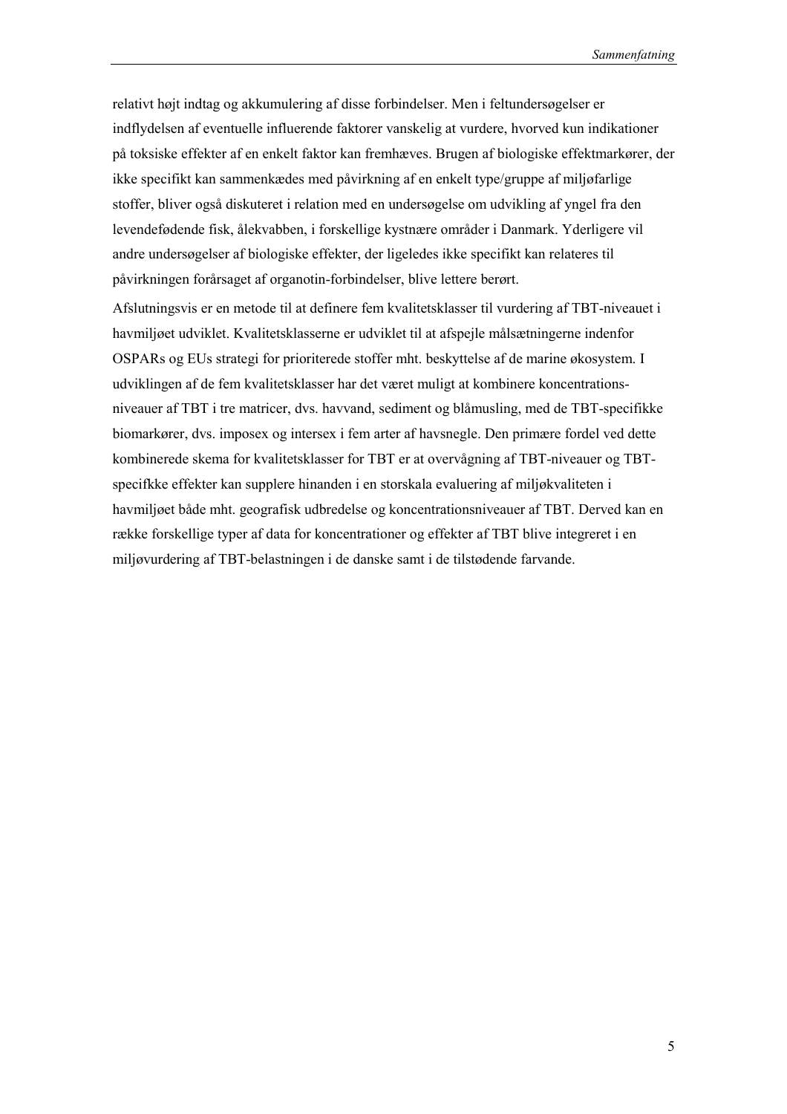relativt højt indtag og akkumulering af disse forbindelser. Men i feltundersøgelser er indflydelsen af eventuelle influerende faktorer vanskelig at vurdere, hvorved kun indikationer på toksiske effekter af en enkelt faktor kan fremhæves. Brugen af biologiske effektmarkører, der ikke specifikt kan sammenkædes med påvirkning af en enkelt type/gruppe af miljøfarlige stoffer, bliver også diskuteret i relation med en undersøgelse om udvikling af yngel fra den levendefødende fisk, ålekvabben, i forskellige kystnære områder i Danmark. Yderligere vil andre undersøgelser af biologiske effekter, der ligeledes ikke specifikt kan relateres til påvirkningen forårsaget af organotin-forbindelser, blive lettere berørt.

Afslutningsvis er en metode til at definere fem kvalitetsklasser til vurdering af TBT-niveauet i havmiljøet udviklet. Kvalitetsklasserne er udviklet til at afspejle målsætningerne indenfor OSPARs og EUs strategi for prioriterede stoffer mht. beskyttelse af de marine økosystem. I udviklingen af de fem kvalitetsklasser har det været muligt at kombinere koncentrationsniveauer af TBT i tre matricer, dvs. havvand, sediment og blÂmusling, med de TBT-specifikke biomarkører, dvs. imposex og intersex i fem arter af havsnegle. Den primære fordel ved dette kombinerede skema for kvalitetsklasser for TBT er at overvågning af TBT-niveauer og TBTspecifkke effekter kan supplere hinanden i en storskala evaluering af miljøkvaliteten i havmiljøet både mht. geografisk udbredelse og koncentrationsniveauer af TBT. Derved kan en række forskellige typer af data for koncentrationer og effekter af TBT blive integreret i en miljøvurdering af TBT-belastningen i de danske samt i de tilstødende farvande.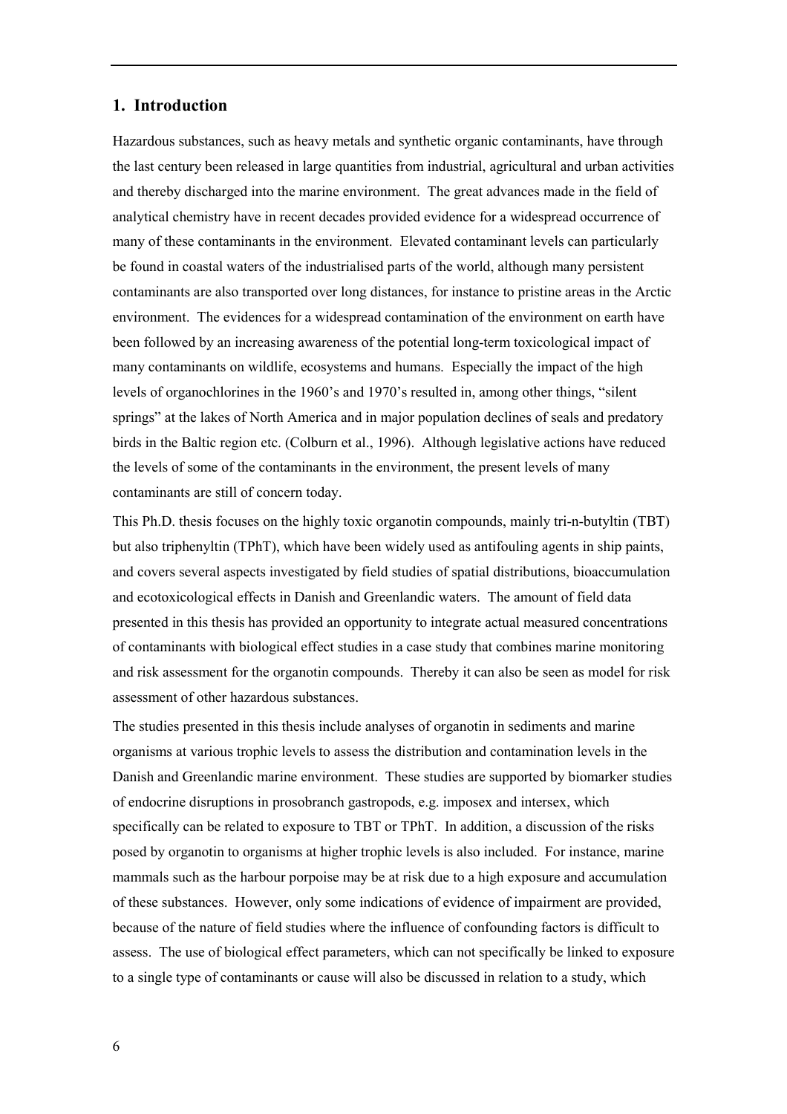# **1. Introduction**

Hazardous substances, such as heavy metals and synthetic organic contaminants, have through the last century been released in large quantities from industrial, agricultural and urban activities and thereby discharged into the marine environment. The great advances made in the field of analytical chemistry have in recent decades provided evidence for a widespread occurrence of many of these contaminants in the environment. Elevated contaminant levels can particularly be found in coastal waters of the industrialised parts of the world, although many persistent contaminants are also transported over long distances, for instance to pristine areas in the Arctic environment. The evidences for a widespread contamination of the environment on earth have been followed by an increasing awareness of the potential long-term toxicological impact of many contaminants on wildlife, ecosystems and humans. Especially the impact of the high levels of organochlorines in the 1960's and 1970's resulted in, among other things, "silent" springs" at the lakes of North America and in major population declines of seals and predatory birds in the Baltic region etc. (Colburn et al., 1996). Although legislative actions have reduced the levels of some of the contaminants in the environment, the present levels of many contaminants are still of concern today.

This Ph.D. thesis focuses on the highly toxic organotin compounds, mainly tri-n-butyltin (TBT) but also triphenyltin (TPhT), which have been widely used as antifouling agents in ship paints, and covers several aspects investigated by field studies of spatial distributions, bioaccumulation and ecotoxicological effects in Danish and Greenlandic waters. The amount of field data presented in this thesis has provided an opportunity to integrate actual measured concentrations of contaminants with biological effect studies in a case study that combines marine monitoring and risk assessment for the organotin compounds. Thereby it can also be seen as model for risk assessment of other hazardous substances.

The studies presented in this thesis include analyses of organotin in sediments and marine organisms at various trophic levels to assess the distribution and contamination levels in the Danish and Greenlandic marine environment. These studies are supported by biomarker studies of endocrine disruptions in prosobranch gastropods, e.g. imposex and intersex, which specifically can be related to exposure to TBT or TPhT. In addition, a discussion of the risks posed by organotin to organisms at higher trophic levels is also included. For instance, marine mammals such as the harbour porpoise may be at risk due to a high exposure and accumulation of these substances. However, only some indications of evidence of impairment are provided, because of the nature of field studies where the influence of confounding factors is difficult to assess. The use of biological effect parameters, which can not specifically be linked to exposure to a single type of contaminants or cause will also be discussed in relation to a study, which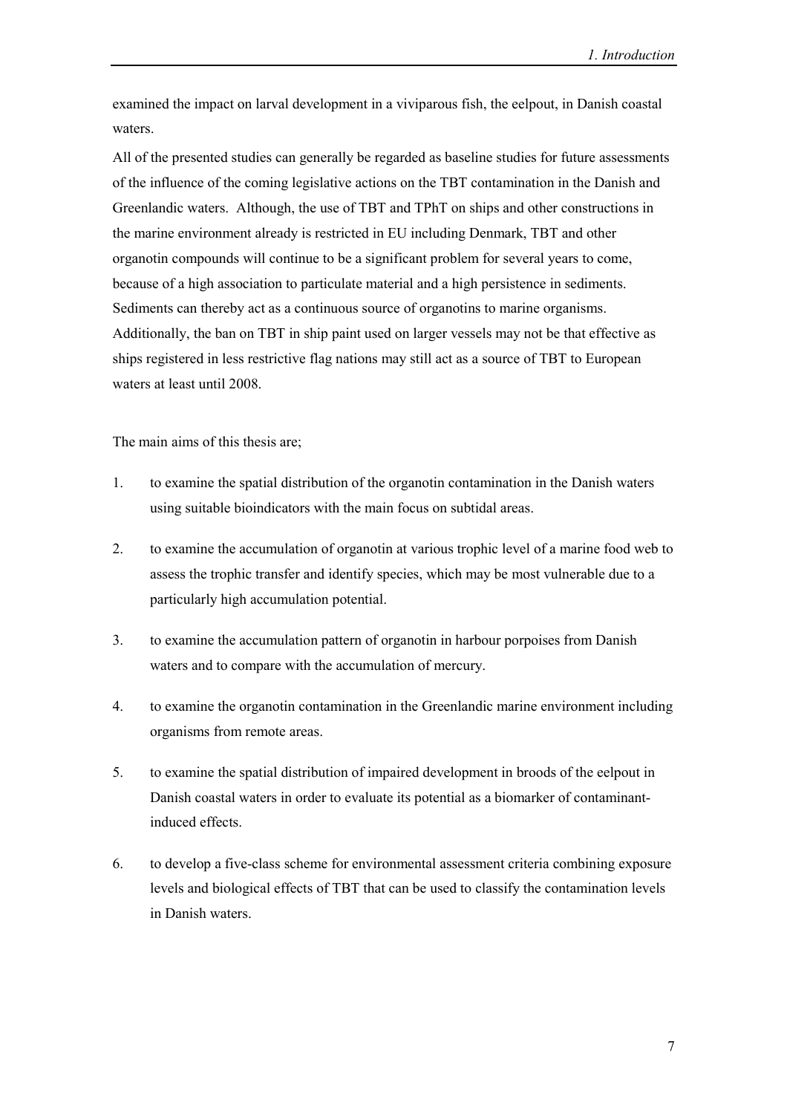examined the impact on larval development in a viviparous fish, the eelpout, in Danish coastal waters.

All of the presented studies can generally be regarded as baseline studies for future assessments of the influence of the coming legislative actions on the TBT contamination in the Danish and Greenlandic waters. Although, the use of TBT and TPhT on ships and other constructions in the marine environment already is restricted in EU including Denmark, TBT and other organotin compounds will continue to be a significant problem for several years to come, because of a high association to particulate material and a high persistence in sediments. Sediments can thereby act as a continuous source of organotins to marine organisms. Additionally, the ban on TBT in ship paint used on larger vessels may not be that effective as ships registered in less restrictive flag nations may still act as a source of TBT to European waters at least until 2008.

The main aims of this thesis are;

- 1. to examine the spatial distribution of the organotin contamination in the Danish waters using suitable bioindicators with the main focus on subtidal areas.
- 2. to examine the accumulation of organotin at various trophic level of a marine food web to assess the trophic transfer and identify species, which may be most vulnerable due to a particularly high accumulation potential.
- 3. to examine the accumulation pattern of organotin in harbour porpoises from Danish waters and to compare with the accumulation of mercury.
- 4. to examine the organotin contamination in the Greenlandic marine environment including organisms from remote areas.
- 5. to examine the spatial distribution of impaired development in broods of the eelpout in Danish coastal waters in order to evaluate its potential as a biomarker of contaminantinduced effects.
- 6. to develop a five-class scheme for environmental assessment criteria combining exposure levels and biological effects of TBT that can be used to classify the contamination levels in Danish waters.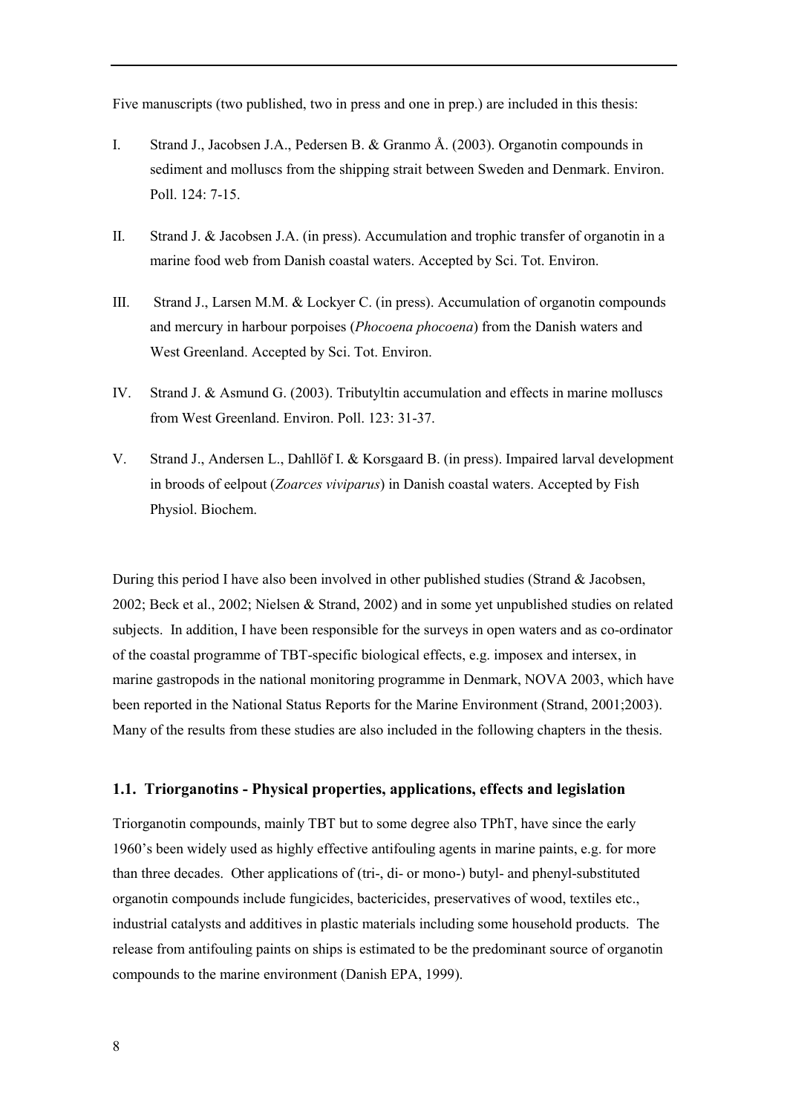Five manuscripts (two published, two in press and one in prep.) are included in this thesis:

- I. Strand J., Jacobsen J.A., Pedersen B. & Granmo Å. (2003). Organotin compounds in sediment and molluscs from the shipping strait between Sweden and Denmark. Environ. Poll. 124: 7-15.
- II. Strand J. & Jacobsen J.A. (in press). Accumulation and trophic transfer of organotin in a marine food web from Danish coastal waters. Accepted by Sci. Tot. Environ.
- III. Strand J., Larsen M.M. & Lockyer C. (in press). Accumulation of organotin compounds and mercury in harbour porpoises (*Phocoena phocoena*) from the Danish waters and West Greenland. Accepted by Sci. Tot. Environ.
- IV. Strand J. & Asmund G. (2003). Tributyltin accumulation and effects in marine molluscs from West Greenland. Environ. Poll. 123: 31-37.
- V. Strand J., Andersen L., Dahllöf I. & Korsgaard B. (in press). Impaired larval development in broods of eelpout (*Zoarces viviparus*) in Danish coastal waters. Accepted by Fish Physiol. Biochem.

During this period I have also been involved in other published studies (Strand & Jacobsen, 2002; Beck et al., 2002; Nielsen & Strand, 2002) and in some yet unpublished studies on related subjects. In addition, I have been responsible for the surveys in open waters and as co-ordinator of the coastal programme of TBT-specific biological effects, e.g. imposex and intersex, in marine gastropods in the national monitoring programme in Denmark, NOVA 2003, which have been reported in the National Status Reports for the Marine Environment (Strand, 2001;2003). Many of the results from these studies are also included in the following chapters in the thesis.

### **1.1. Triorganotins - Physical properties, applications, effects and legislation**

Triorganotin compounds, mainly TBT but to some degree also TPhT, have since the early 1960ís been widely used as highly effective antifouling agents in marine paints, e.g. for more than three decades. Other applications of (tri-, di- or mono-) butyl- and phenyl-substituted organotin compounds include fungicides, bactericides, preservatives of wood, textiles etc., industrial catalysts and additives in plastic materials including some household products. The release from antifouling paints on ships is estimated to be the predominant source of organotin compounds to the marine environment (Danish EPA, 1999).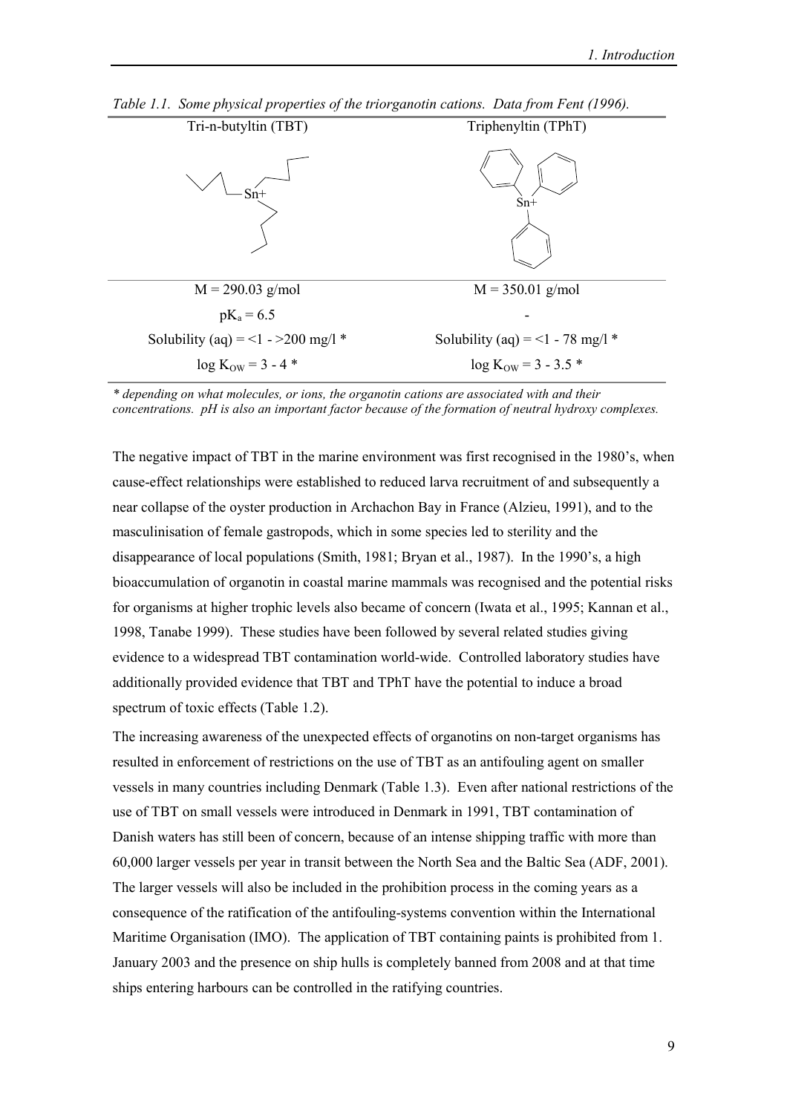| Tri-n-butyltin (TBT)                | Triphenyltin (TPhT)                |
|-------------------------------------|------------------------------------|
|                                     | $Sn+$                              |
| $M = 290.03$ g/mol                  | $M = 350.01$ g/mol                 |
| $pK_a = 6.5$                        |                                    |
| Solubility (aq) = <1 - > 200 mg/l * | Solubility (aq) = <1 - 78 mg/l $*$ |
| $log K_{OW} = 3 - 4$ *              | $\log K_{\text{OW}} = 3 - 3.5$ *   |

*Table 1.1. Some physical properties of the triorganotin cations. Data from Fent (1996).*

*\* depending on what molecules, or ions, the organotin cations are associated with and their concentrations. pH is also an important factor because of the formation of neutral hydroxy complexes.*

The negative impact of TBT in the marine environment was first recognised in the 1980's, when cause-effect relationships were established to reduced larva recruitment of and subsequently a near collapse of the oyster production in Archachon Bay in France (Alzieu, 1991), and to the masculinisation of female gastropods, which in some species led to sterility and the disappearance of local populations (Smith, 1981; Bryan et al., 1987). In the 1990's, a high bioaccumulation of organotin in coastal marine mammals was recognised and the potential risks for organisms at higher trophic levels also became of concern (Iwata et al., 1995; Kannan et al., 1998, Tanabe 1999). These studies have been followed by several related studies giving evidence to a widespread TBT contamination world-wide. Controlled laboratory studies have additionally provided evidence that TBT and TPhT have the potential to induce a broad spectrum of toxic effects (Table 1.2).

The increasing awareness of the unexpected effects of organotins on non-target organisms has resulted in enforcement of restrictions on the use of TBT as an antifouling agent on smaller vessels in many countries including Denmark (Table 1.3). Even after national restrictions of the use of TBT on small vessels were introduced in Denmark in 1991, TBT contamination of Danish waters has still been of concern, because of an intense shipping traffic with more than 60,000 larger vessels per year in transit between the North Sea and the Baltic Sea (ADF, 2001). The larger vessels will also be included in the prohibition process in the coming years as a consequence of the ratification of the antifouling-systems convention within the International Maritime Organisation (IMO). The application of TBT containing paints is prohibited from 1. January 2003 and the presence on ship hulls is completely banned from 2008 and at that time ships entering harbours can be controlled in the ratifying countries.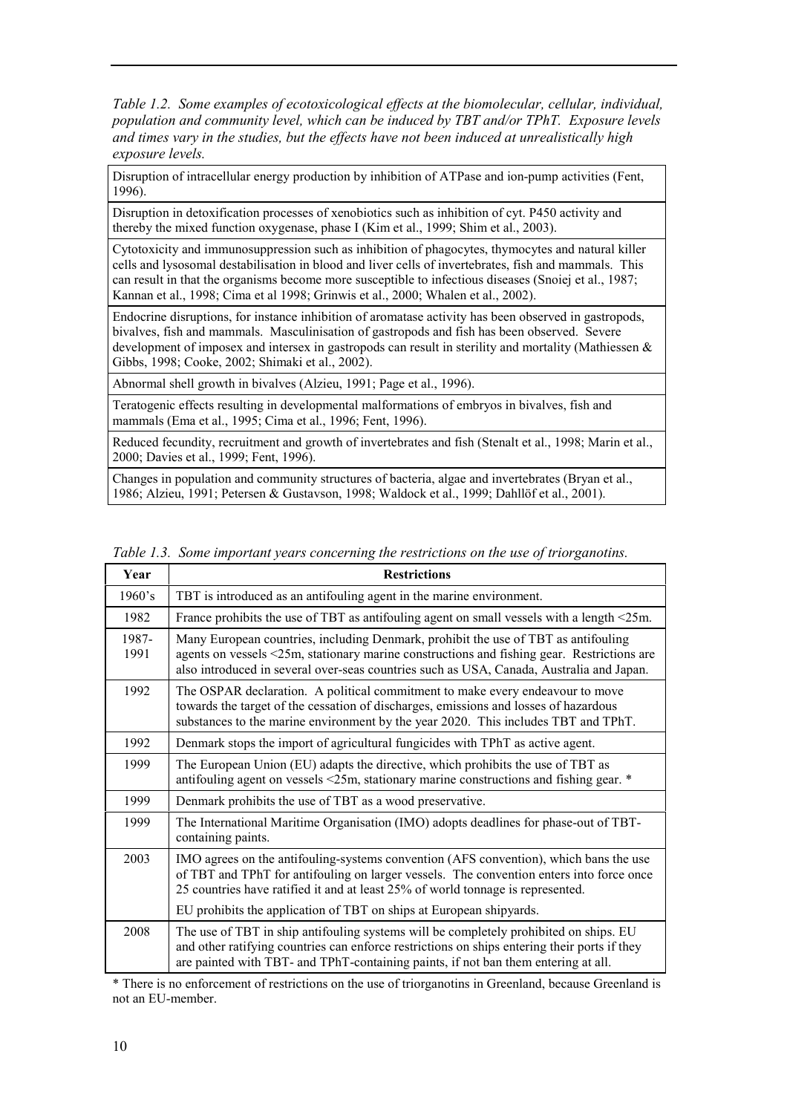*Table 1.2. Some examples of ecotoxicological effects at the biomolecular, cellular, individual, population and community level, which can be induced by TBT and/or TPhT. Exposure levels and times vary in the studies, but the effects have not been induced at unrealistically high exposure levels.*

Disruption of intracellular energy production by inhibition of ATPase and ion-pump activities (Fent, 1996).

Disruption in detoxification processes of xenobiotics such as inhibition of cyt. P450 activity and thereby the mixed function oxygenase, phase I (Kim et al., 1999; Shim et al., 2003).

Cytotoxicity and immunosuppression such as inhibition of phagocytes, thymocytes and natural killer cells and lysosomal destabilisation in blood and liver cells of invertebrates, fish and mammals. This can result in that the organisms become more susceptible to infectious diseases (Snoiej et al., 1987; Kannan et al., 1998; Cima et al 1998; Grinwis et al., 2000; Whalen et al., 2002).

Endocrine disruptions, for instance inhibition of aromatase activity has been observed in gastropods, bivalves, fish and mammals. Masculinisation of gastropods and fish has been observed. Severe development of imposex and intersex in gastropods can result in sterility and mortality (Mathiessen  $\&$ Gibbs, 1998; Cooke, 2002; Shimaki et al., 2002).

Abnormal shell growth in bivalves (Alzieu, 1991; Page et al., 1996).

Teratogenic effects resulting in developmental malformations of embryos in bivalves, fish and mammals (Ema et al., 1995; Cima et al., 1996; Fent, 1996).

Reduced fecundity, recruitment and growth of invertebrates and fish (Stenalt et al., 1998; Marin et al., 2000; Davies et al., 1999; Fent, 1996).

Changes in population and community structures of bacteria, algae and invertebrates (Bryan et al., 1986; Alzieu, 1991; Petersen & Gustavson, 1998; Waldock et al., 1999; Dahllöf et al., 2001).

| Year          | <b>Restrictions</b>                                                                                                                                                                                                                                                          |
|---------------|------------------------------------------------------------------------------------------------------------------------------------------------------------------------------------------------------------------------------------------------------------------------------|
| 1960's        | TBT is introduced as an antifouling agent in the marine environment.                                                                                                                                                                                                         |
| 1982          | France prohibits the use of TBT as antifouling agent on small vessels with a length $\leq 25$ m.                                                                                                                                                                             |
| 1987-<br>1991 | Many European countries, including Denmark, prohibit the use of TBT as antifouling<br>agents on vessels <25m, stationary marine constructions and fishing gear. Restrictions are<br>also introduced in several over-seas countries such as USA, Canada, Australia and Japan. |
| 1992          | The OSPAR declaration. A political commitment to make every endeavour to move<br>towards the target of the cessation of discharges, emissions and losses of hazardous<br>substances to the marine environment by the year 2020. This includes TBT and TPhT.                  |
| 1992          | Denmark stops the import of agricultural fungicides with TPhT as active agent.                                                                                                                                                                                               |
| 1999          | The European Union (EU) adapts the directive, which prohibits the use of TBT as<br>antifouling agent on vessels <25m, stationary marine constructions and fishing gear. *                                                                                                    |
| 1999          | Denmark prohibits the use of TBT as a wood preservative.                                                                                                                                                                                                                     |
| 1999          | The International Maritime Organisation (IMO) adopts deadlines for phase-out of TBT-<br>containing paints.                                                                                                                                                                   |
| 2003          | IMO agrees on the antifouling-systems convention (AFS convention), which bans the use<br>of TBT and TPhT for antifouling on larger vessels. The convention enters into force once<br>25 countries have ratified it and at least 25% of world tonnage is represented.         |
|               | EU prohibits the application of TBT on ships at European shipyards.                                                                                                                                                                                                          |
| 2008          | The use of TBT in ship antifouling systems will be completely prohibited on ships. EU<br>and other ratifying countries can enforce restrictions on ships entering their ports if they<br>are painted with TBT- and TPhT-containing paints, if not ban them entering at all.  |

*Table 1.3. Some important years concerning the restrictions on the use of triorganotins.*

\* There is no enforcement of restrictions on the use of triorganotins in Greenland, because Greenland is not an EU-member.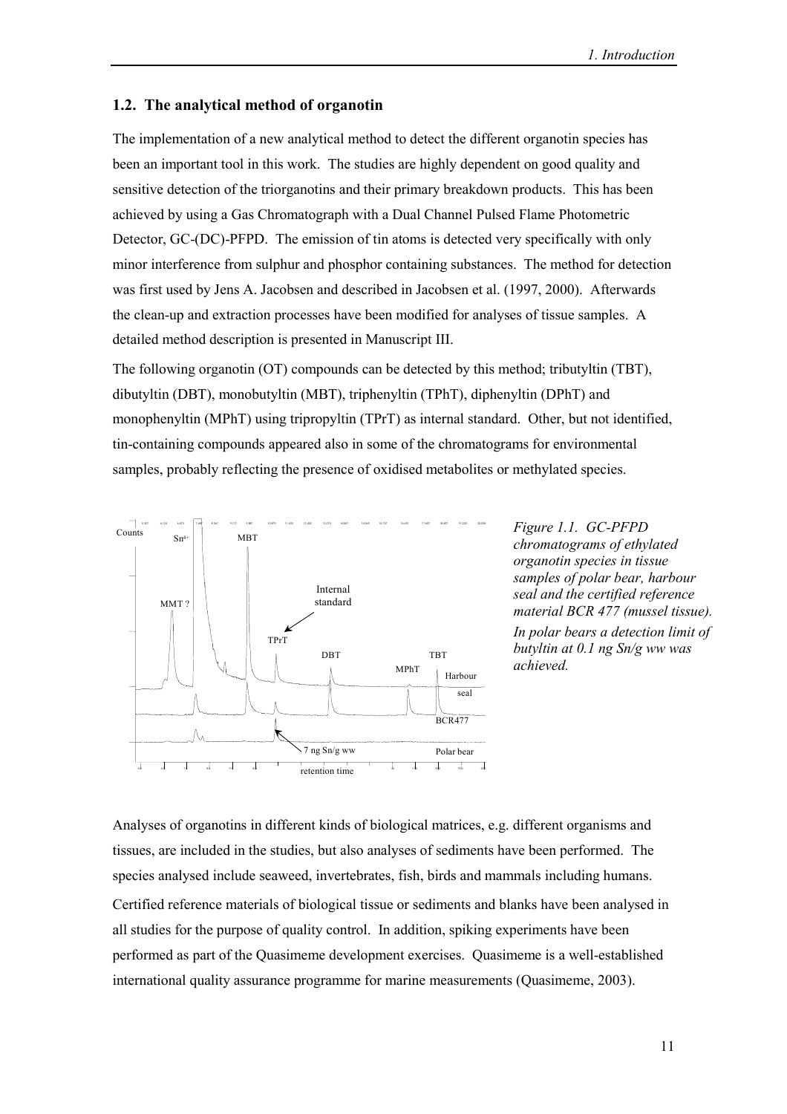#### **1.2. The analytical method of organotin**

The implementation of a new analytical method to detect the different organotin species has been an important tool in this work. The studies are highly dependent on good quality and sensitive detection of the triorganotins and their primary breakdown products. This has been achieved by using a Gas Chromatograph with a Dual Channel Pulsed Flame Photometric Detector, GC-(DC)-PFPD. The emission of tin atoms is detected very specifically with only minor interference from sulphur and phosphor containing substances. The method for detection was first used by Jens A. Jacobsen and described in Jacobsen et al. (1997, 2000). Afterwards the clean-up and extraction processes have been modified for analyses of tissue samples. A detailed method description is presented in Manuscript III.

The following organotin (OT) compounds can be detected by this method; tributyltin (TBT), dibutyltin (DBT), monobutyltin (MBT), triphenyltin (TPhT), diphenyltin (DPhT) and monophenyltin (MPhT) using tripropyltin (TPrT) as internal standard. Other, but not identified, tin-containing compounds appeared also in some of the chromatograms for environmental samples, probably reflecting the presence of oxidised metabolites or methylated species.



*chromatograms of ethylated organotin species in tissue samples of polar bear, harbour seal and the certified reference material BCR 477 (mussel tissue). In polar bears a detection limit of butyltin at 0.1 ng Sn/g ww was achieved.*

Analyses of organotins in different kinds of biological matrices, e.g. different organisms and tissues, are included in the studies, but also analyses of sediments have been performed. The species analysed include seaweed, invertebrates, fish, birds and mammals including humans. Certified reference materials of biological tissue or sediments and blanks have been analysed in all studies for the purpose of quality control. In addition, spiking experiments have been performed as part of the Quasimeme development exercises. Quasimeme is a well-established international quality assurance programme for marine measurements (Quasimeme, 2003).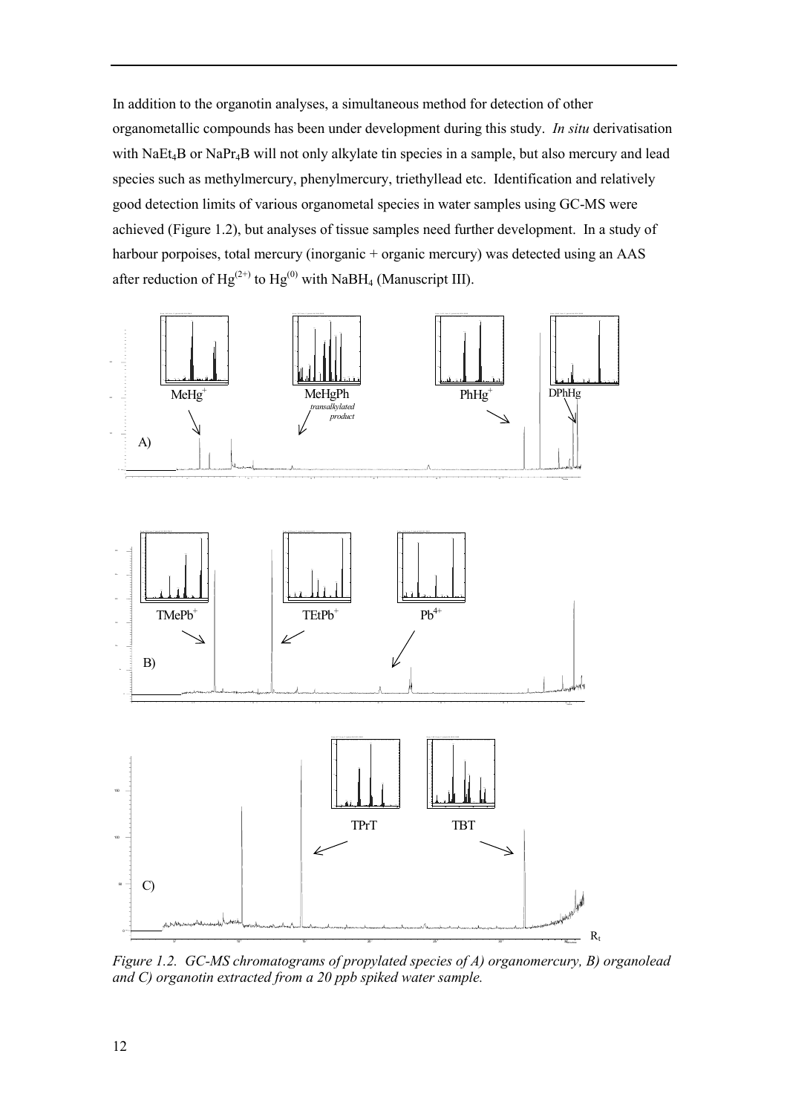In addition to the organotin analyses, a simultaneous method for detection of other organometallic compounds has been under development during this study. *In situ* derivatisation with NaEt<sub>4</sub>B or NaPr<sub>4</sub>B will not only alkylate tin species in a sample, but also mercury and lead species such as methylmercury, phenylmercury, triethyllead etc. Identification and relatively good detection limits of various organometal species in water samples using GC-MS were achieved (Figure 1.2), but analyses of tissue samples need further development. In a study of harbour porpoises, total mercury (inorganic + organic mercury) was detected using an AAS after reduction of  $Hg^{(2+)}$  to  $Hg^{(0)}$  with NaBH<sub>4</sub> (Manuscript III).



*Figure 1.2. GC-MS chromatograms of propylated species of A) organomercury, B) organolead and C) organotin extracted from a 20 ppb spiked water sample.*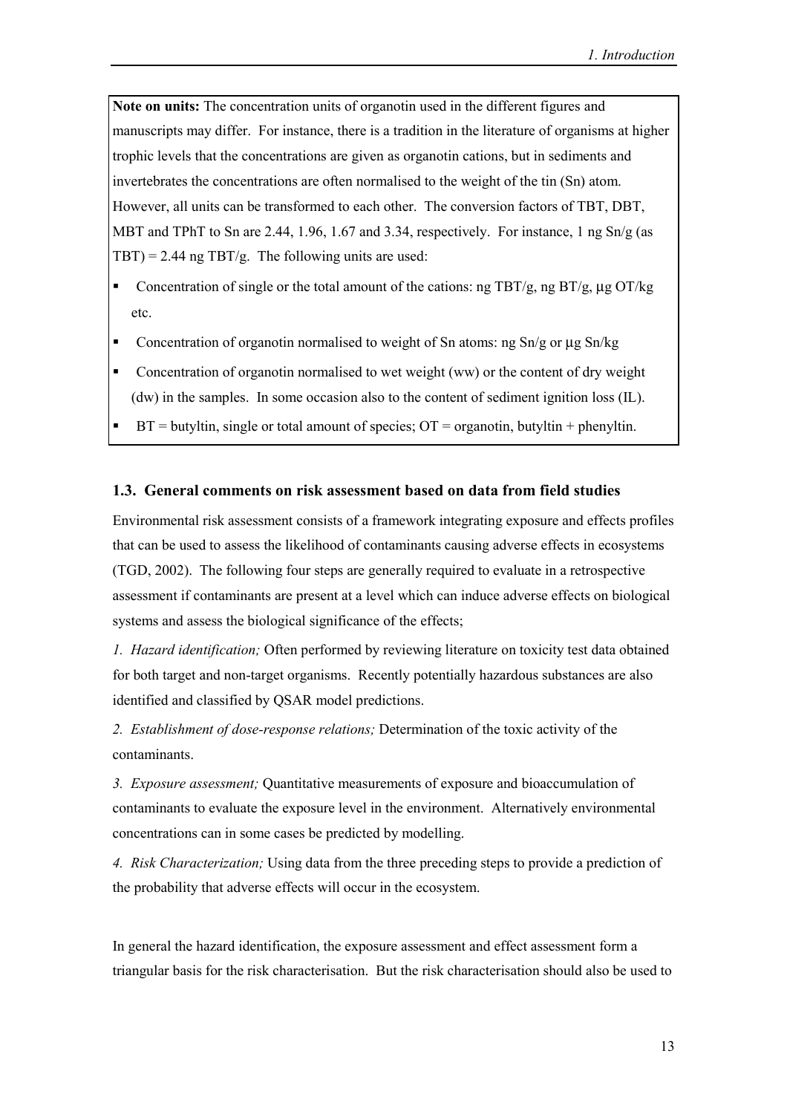**Note on units:** The concentration units of organotin used in the different figures and manuscripts may differ. For instance, there is a tradition in the literature of organisms at higher trophic levels that the concentrations are given as organotin cations, but in sediments and invertebrates the concentrations are often normalised to the weight of the tin (Sn) atom. However, all units can be transformed to each other. The conversion factors of TBT, DBT, MBT and TPhT to Sn are 2.44, 1.96, 1.67 and 3.34, respectively. For instance, 1 ng  $\text{Sn/g}$  (as  $TBT$ ) = 2.44 ng TBT/g. The following units are used:

- ! Concentration of single or the total amount of the cations: ng TBT/g, ng BT/g, µg OT/kg etc.
- ! Concentration of organotin normalised to weight of Sn atoms: ng Sn/g or µg Sn/kg
- ! Concentration of organotin normalised to wet weight (ww) or the content of dry weight (dw) in the samples. In some occasion also to the content of sediment ignition loss (IL).
- $\blacksquare$  BT = butyltin, single or total amount of species; OT = organotin, butyltin + phenyltin.

#### **1.3. General comments on risk assessment based on data from field studies**

Environmental risk assessment consists of a framework integrating exposure and effects profiles that can be used to assess the likelihood of contaminants causing adverse effects in ecosystems (TGD, 2002). The following four steps are generally required to evaluate in a retrospective assessment if contaminants are present at a level which can induce adverse effects on biological systems and assess the biological significance of the effects;

*1. Hazard identification;* Often performed by reviewing literature on toxicity test data obtained for both target and non-target organisms. Recently potentially hazardous substances are also identified and classified by QSAR model predictions.

*2. Establishment of dose-response relations;* Determination of the toxic activity of the contaminants.

*3. Exposure assessment;* Quantitative measurements of exposure and bioaccumulation of contaminants to evaluate the exposure level in the environment. Alternatively environmental concentrations can in some cases be predicted by modelling.

*4. Risk Characterization;* Using data from the three preceding steps to provide a prediction of the probability that adverse effects will occur in the ecosystem.

In general the hazard identification, the exposure assessment and effect assessment form a triangular basis for the risk characterisation. But the risk characterisation should also be used to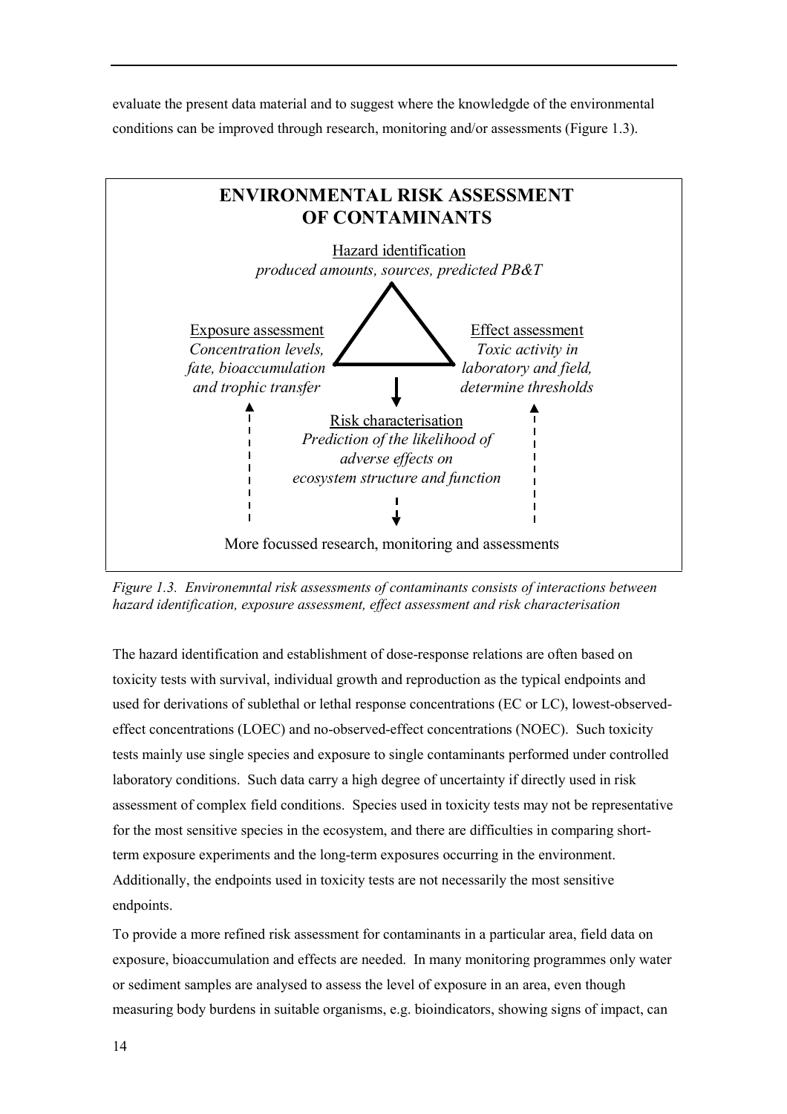evaluate the present data material and to suggest where the knowledgde of the environmental conditions can be improved through research, monitoring and/or assessments (Figure 1.3).



*Figure 1.3. Environemntal risk assessments of contaminants consists of interactions between hazard identification, exposure assessment, effect assessment and risk characterisation*

The hazard identification and establishment of dose-response relations are often based on toxicity tests with survival, individual growth and reproduction as the typical endpoints and used for derivations of sublethal or lethal response concentrations (EC or LC), lowest-observedeffect concentrations (LOEC) and no-observed-effect concentrations (NOEC). Such toxicity tests mainly use single species and exposure to single contaminants performed under controlled laboratory conditions. Such data carry a high degree of uncertainty if directly used in risk assessment of complex field conditions. Species used in toxicity tests may not be representative for the most sensitive species in the ecosystem, and there are difficulties in comparing shortterm exposure experiments and the long-term exposures occurring in the environment. Additionally, the endpoints used in toxicity tests are not necessarily the most sensitive endpoints.

To provide a more refined risk assessment for contaminants in a particular area, field data on exposure, bioaccumulation and effects are needed. In many monitoring programmes only water or sediment samples are analysed to assess the level of exposure in an area, even though measuring body burdens in suitable organisms, e.g. bioindicators, showing signs of impact, can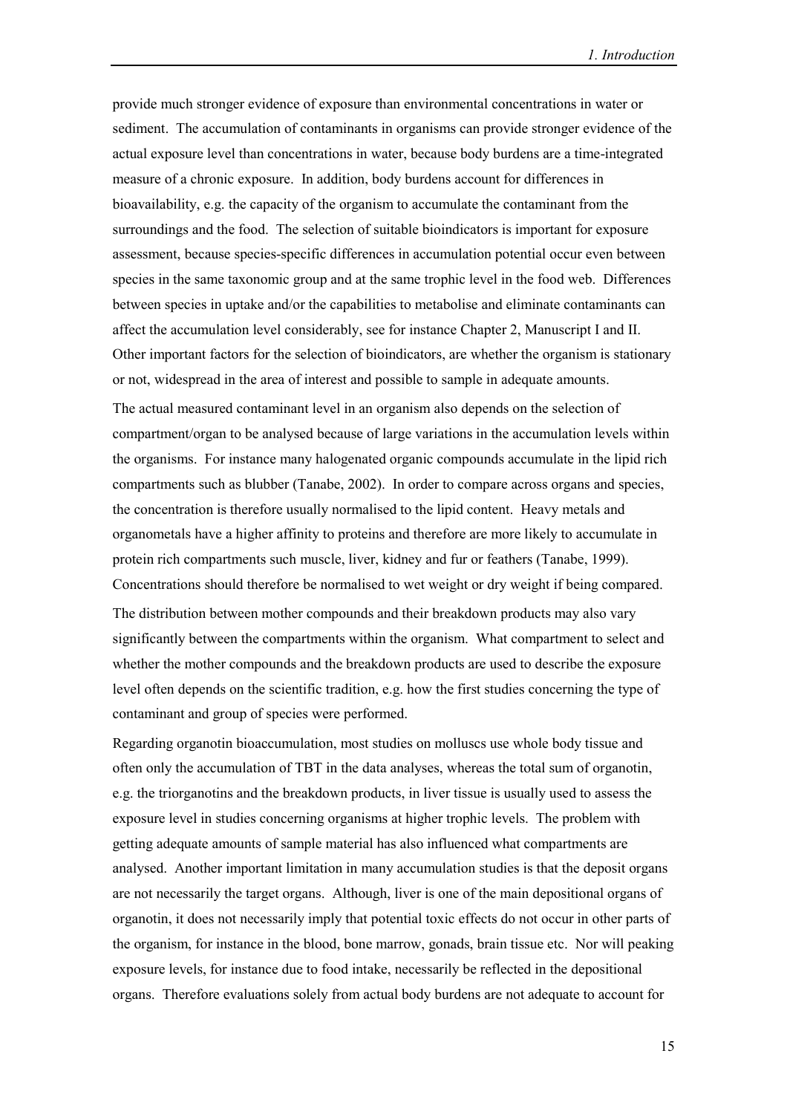provide much stronger evidence of exposure than environmental concentrations in water or sediment. The accumulation of contaminants in organisms can provide stronger evidence of the actual exposure level than concentrations in water, because body burdens are a time-integrated measure of a chronic exposure. In addition, body burdens account for differences in bioavailability, e.g. the capacity of the organism to accumulate the contaminant from the surroundings and the food. The selection of suitable bioindicators is important for exposure assessment, because species-specific differences in accumulation potential occur even between species in the same taxonomic group and at the same trophic level in the food web. Differences between species in uptake and/or the capabilities to metabolise and eliminate contaminants can affect the accumulation level considerably, see for instance Chapter 2, Manuscript I and II. Other important factors for the selection of bioindicators, are whether the organism is stationary or not, widespread in the area of interest and possible to sample in adequate amounts.

The actual measured contaminant level in an organism also depends on the selection of compartment/organ to be analysed because of large variations in the accumulation levels within the organisms. For instance many halogenated organic compounds accumulate in the lipid rich compartments such as blubber (Tanabe, 2002). In order to compare across organs and species, the concentration is therefore usually normalised to the lipid content. Heavy metals and organometals have a higher affinity to proteins and therefore are more likely to accumulate in protein rich compartments such muscle, liver, kidney and fur or feathers (Tanabe, 1999). Concentrations should therefore be normalised to wet weight or dry weight if being compared. The distribution between mother compounds and their breakdown products may also vary significantly between the compartments within the organism. What compartment to select and whether the mother compounds and the breakdown products are used to describe the exposure

level often depends on the scientific tradition, e.g. how the first studies concerning the type of contaminant and group of species were performed.

Regarding organotin bioaccumulation, most studies on molluscs use whole body tissue and often only the accumulation of TBT in the data analyses, whereas the total sum of organotin, e.g. the triorganotins and the breakdown products, in liver tissue is usually used to assess the exposure level in studies concerning organisms at higher trophic levels. The problem with getting adequate amounts of sample material has also influenced what compartments are analysed. Another important limitation in many accumulation studies is that the deposit organs are not necessarily the target organs. Although, liver is one of the main depositional organs of organotin, it does not necessarily imply that potential toxic effects do not occur in other parts of the organism, for instance in the blood, bone marrow, gonads, brain tissue etc. Nor will peaking exposure levels, for instance due to food intake, necessarily be reflected in the depositional organs. Therefore evaluations solely from actual body burdens are not adequate to account for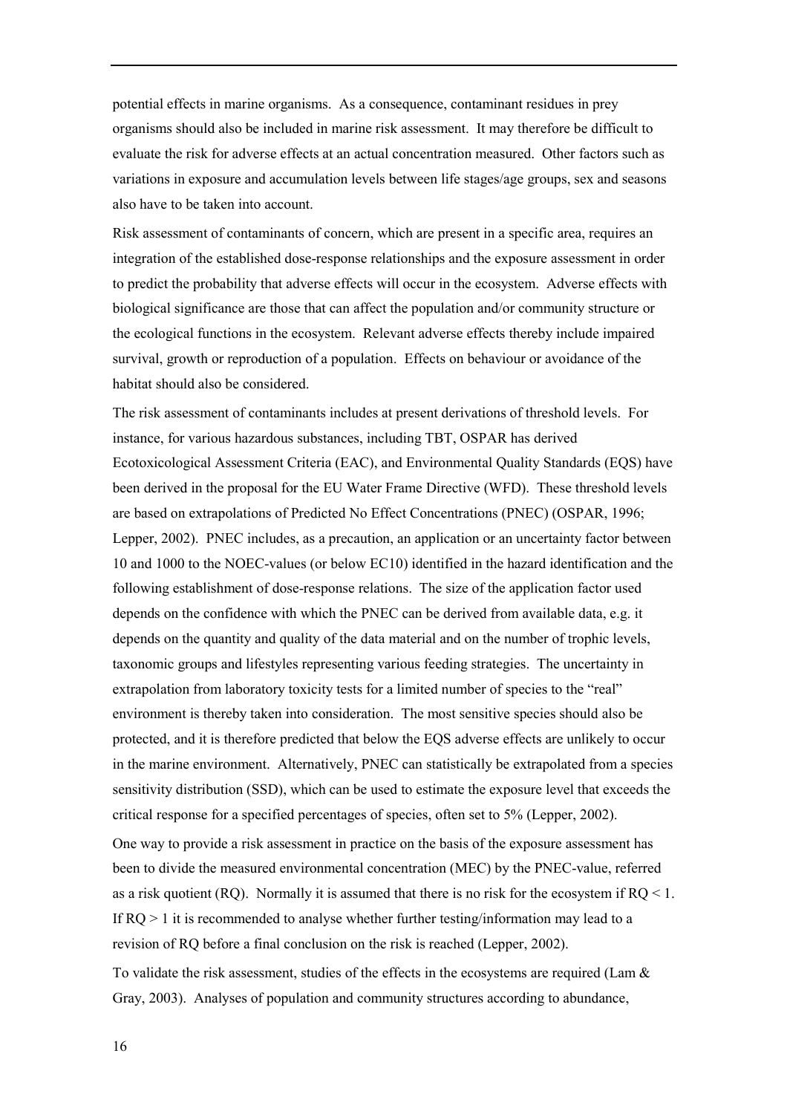potential effects in marine organisms. As a consequence, contaminant residues in prey organisms should also be included in marine risk assessment. It may therefore be difficult to evaluate the risk for adverse effects at an actual concentration measured. Other factors such as variations in exposure and accumulation levels between life stages/age groups, sex and seasons also have to be taken into account.

Risk assessment of contaminants of concern, which are present in a specific area, requires an integration of the established dose-response relationships and the exposure assessment in order to predict the probability that adverse effects will occur in the ecosystem. Adverse effects with biological significance are those that can affect the population and/or community structure or the ecological functions in the ecosystem. Relevant adverse effects thereby include impaired survival, growth or reproduction of a population. Effects on behaviour or avoidance of the habitat should also be considered.

The risk assessment of contaminants includes at present derivations of threshold levels. For instance, for various hazardous substances, including TBT, OSPAR has derived Ecotoxicological Assessment Criteria (EAC), and Environmental Quality Standards (EQS) have been derived in the proposal for the EU Water Frame Directive (WFD). These threshold levels are based on extrapolations of Predicted No Effect Concentrations (PNEC) (OSPAR, 1996; Lepper, 2002). PNEC includes, as a precaution, an application or an uncertainty factor between 10 and 1000 to the NOEC-values (or below EC10) identified in the hazard identification and the following establishment of dose-response relations. The size of the application factor used depends on the confidence with which the PNEC can be derived from available data, e.g. it depends on the quantity and quality of the data material and on the number of trophic levels, taxonomic groups and lifestyles representing various feeding strategies. The uncertainty in extrapolation from laboratory toxicity tests for a limited number of species to the "real" environment is thereby taken into consideration. The most sensitive species should also be protected, and it is therefore predicted that below the EQS adverse effects are unlikely to occur in the marine environment. Alternatively, PNEC can statistically be extrapolated from a species sensitivity distribution (SSD), which can be used to estimate the exposure level that exceeds the critical response for a specified percentages of species, often set to 5% (Lepper, 2002).

One way to provide a risk assessment in practice on the basis of the exposure assessment has been to divide the measured environmental concentration (MEC) by the PNEC-value, referred as a risk quotient (RO). Normally it is assumed that there is no risk for the ecosystem if  $RO < 1$ . If  $RQ > 1$  it is recommended to analyse whether further testing/information may lead to a revision of RQ before a final conclusion on the risk is reached (Lepper, 2002).

To validate the risk assessment, studies of the effects in the ecosystems are required (Lam  $\&$ Gray, 2003). Analyses of population and community structures according to abundance,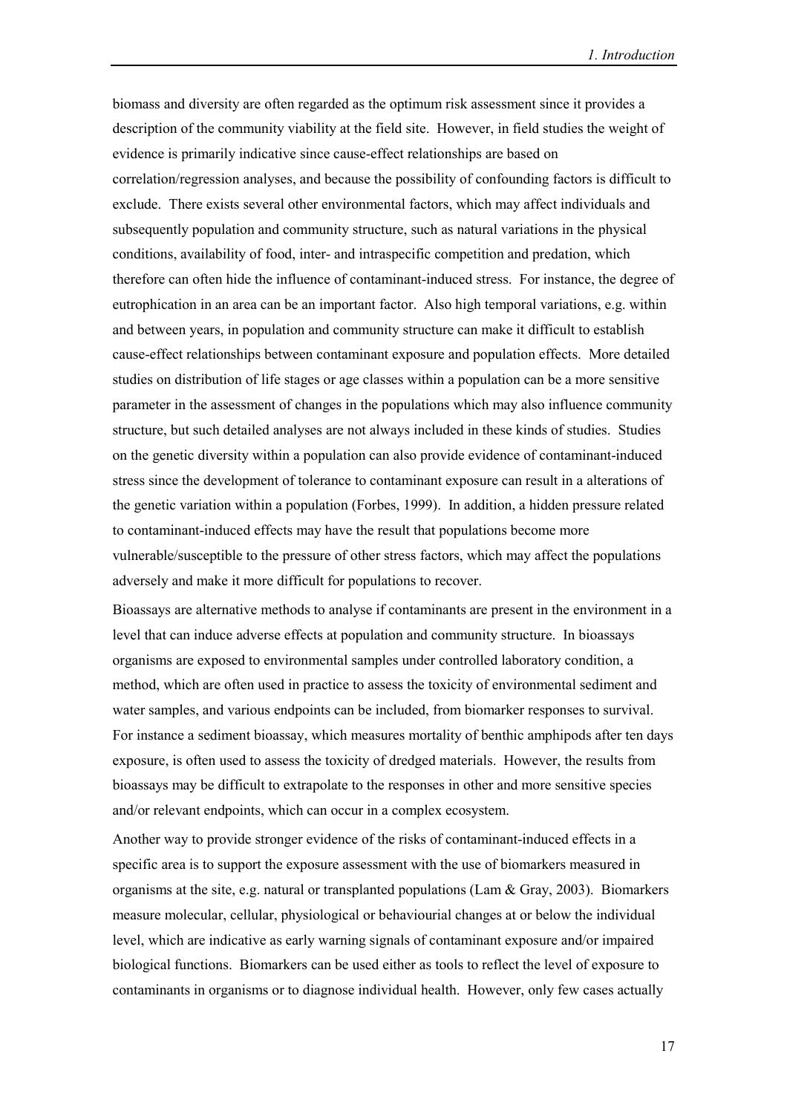biomass and diversity are often regarded as the optimum risk assessment since it provides a description of the community viability at the field site. However, in field studies the weight of evidence is primarily indicative since cause-effect relationships are based on correlation/regression analyses, and because the possibility of confounding factors is difficult to exclude. There exists several other environmental factors, which may affect individuals and subsequently population and community structure, such as natural variations in the physical conditions, availability of food, inter- and intraspecific competition and predation, which therefore can often hide the influence of contaminant-induced stress. For instance, the degree of eutrophication in an area can be an important factor. Also high temporal variations, e.g. within and between years, in population and community structure can make it difficult to establish cause-effect relationships between contaminant exposure and population effects. More detailed studies on distribution of life stages or age classes within a population can be a more sensitive parameter in the assessment of changes in the populations which may also influence community structure, but such detailed analyses are not always included in these kinds of studies. Studies on the genetic diversity within a population can also provide evidence of contaminant-induced stress since the development of tolerance to contaminant exposure can result in a alterations of the genetic variation within a population (Forbes, 1999). In addition, a hidden pressure related to contaminant-induced effects may have the result that populations become more vulnerable/susceptible to the pressure of other stress factors, which may affect the populations adversely and make it more difficult for populations to recover.

Bioassays are alternative methods to analyse if contaminants are present in the environment in a level that can induce adverse effects at population and community structure. In bioassays organisms are exposed to environmental samples under controlled laboratory condition, a method, which are often used in practice to assess the toxicity of environmental sediment and water samples, and various endpoints can be included, from biomarker responses to survival. For instance a sediment bioassay, which measures mortality of benthic amphipods after ten days exposure, is often used to assess the toxicity of dredged materials. However, the results from bioassays may be difficult to extrapolate to the responses in other and more sensitive species and/or relevant endpoints, which can occur in a complex ecosystem.

Another way to provide stronger evidence of the risks of contaminant-induced effects in a specific area is to support the exposure assessment with the use of biomarkers measured in organisms at the site, e.g. natural or transplanted populations (Lam & Gray, 2003). Biomarkers measure molecular, cellular, physiological or behaviourial changes at or below the individual level, which are indicative as early warning signals of contaminant exposure and/or impaired biological functions. Biomarkers can be used either as tools to reflect the level of exposure to contaminants in organisms or to diagnose individual health. However, only few cases actually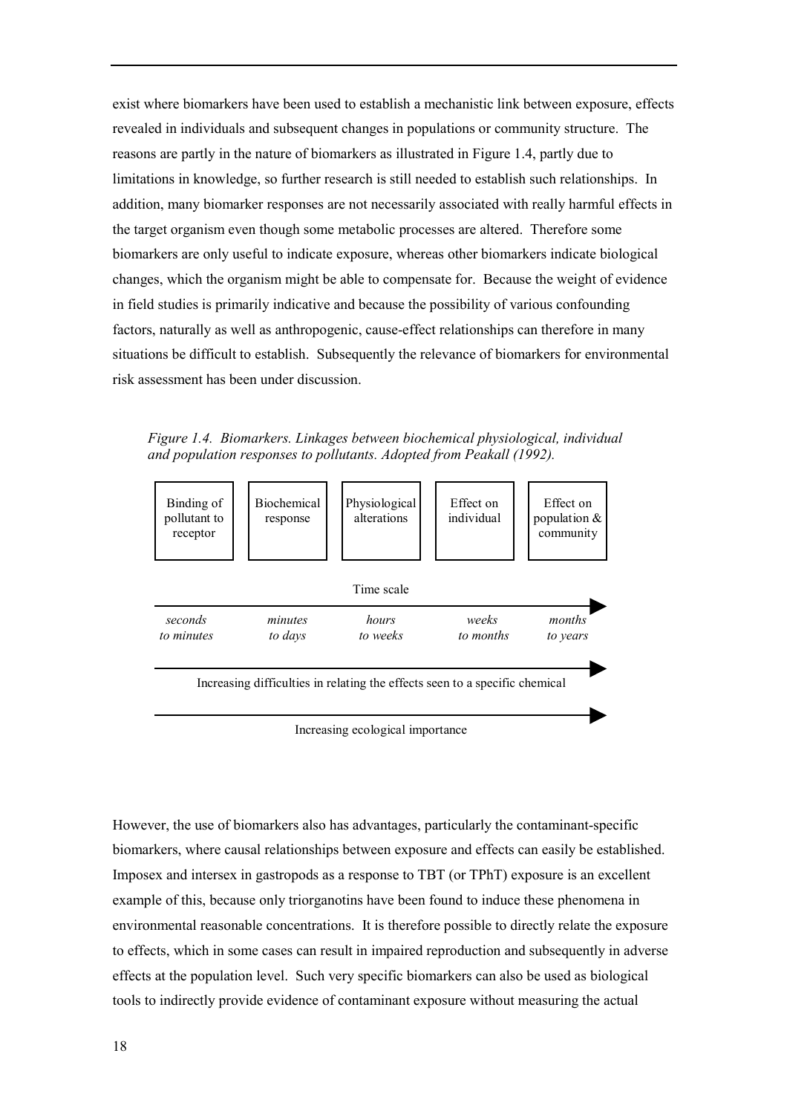exist where biomarkers have been used to establish a mechanistic link between exposure, effects revealed in individuals and subsequent changes in populations or community structure. The reasons are partly in the nature of biomarkers as illustrated in Figure 1.4, partly due to limitations in knowledge, so further research is still needed to establish such relationships. In addition, many biomarker responses are not necessarily associated with really harmful effects in the target organism even though some metabolic processes are altered. Therefore some biomarkers are only useful to indicate exposure, whereas other biomarkers indicate biological changes, which the organism might be able to compensate for. Because the weight of evidence in field studies is primarily indicative and because the possibility of various confounding factors, naturally as well as anthropogenic, cause-effect relationships can therefore in many situations be difficult to establish. Subsequently the relevance of biomarkers for environmental risk assessment has been under discussion.

*Figure 1.4. Biomarkers. Linkages between biochemical physiological, individual and population responses to pollutants. Adopted from Peakall (1992).*



Increasing ecological importance

However, the use of biomarkers also has advantages, particularly the contaminant-specific biomarkers, where causal relationships between exposure and effects can easily be established. Imposex and intersex in gastropods as a response to TBT (or TPhT) exposure is an excellent example of this, because only triorganotins have been found to induce these phenomena in environmental reasonable concentrations. It is therefore possible to directly relate the exposure to effects, which in some cases can result in impaired reproduction and subsequently in adverse effects at the population level. Such very specific biomarkers can also be used as biological tools to indirectly provide evidence of contaminant exposure without measuring the actual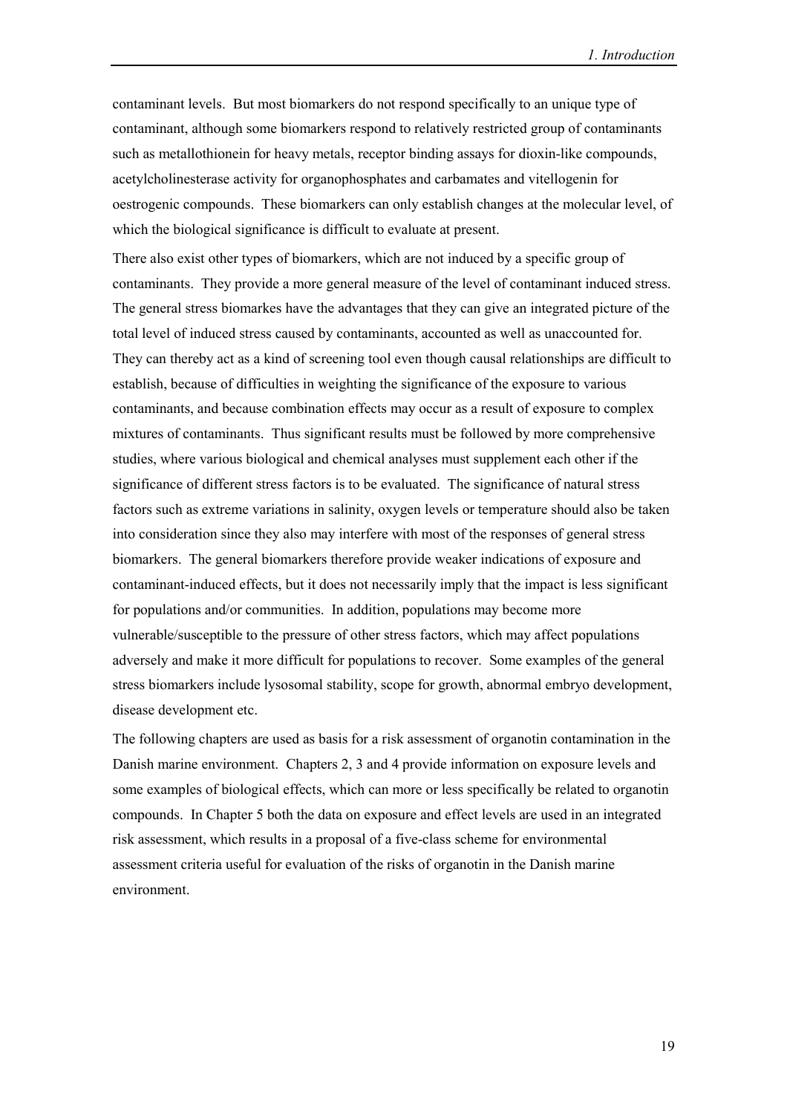contaminant levels. But most biomarkers do not respond specifically to an unique type of contaminant, although some biomarkers respond to relatively restricted group of contaminants such as metallothionein for heavy metals, receptor binding assays for dioxin-like compounds, acetylcholinesterase activity for organophosphates and carbamates and vitellogenin for oestrogenic compounds. These biomarkers can only establish changes at the molecular level, of which the biological significance is difficult to evaluate at present.

There also exist other types of biomarkers, which are not induced by a specific group of contaminants. They provide a more general measure of the level of contaminant induced stress. The general stress biomarkes have the advantages that they can give an integrated picture of the total level of induced stress caused by contaminants, accounted as well as unaccounted for. They can thereby act as a kind of screening tool even though causal relationships are difficult to establish, because of difficulties in weighting the significance of the exposure to various contaminants, and because combination effects may occur as a result of exposure to complex mixtures of contaminants. Thus significant results must be followed by more comprehensive studies, where various biological and chemical analyses must supplement each other if the significance of different stress factors is to be evaluated. The significance of natural stress factors such as extreme variations in salinity, oxygen levels or temperature should also be taken into consideration since they also may interfere with most of the responses of general stress biomarkers. The general biomarkers therefore provide weaker indications of exposure and contaminant-induced effects, but it does not necessarily imply that the impact is less significant for populations and/or communities. In addition, populations may become more vulnerable/susceptible to the pressure of other stress factors, which may affect populations adversely and make it more difficult for populations to recover. Some examples of the general stress biomarkers include lysosomal stability, scope for growth, abnormal embryo development, disease development etc.

The following chapters are used as basis for a risk assessment of organotin contamination in the Danish marine environment. Chapters 2, 3 and 4 provide information on exposure levels and some examples of biological effects, which can more or less specifically be related to organotin compounds. In Chapter 5 both the data on exposure and effect levels are used in an integrated risk assessment, which results in a proposal of a five-class scheme for environmental assessment criteria useful for evaluation of the risks of organotin in the Danish marine environment.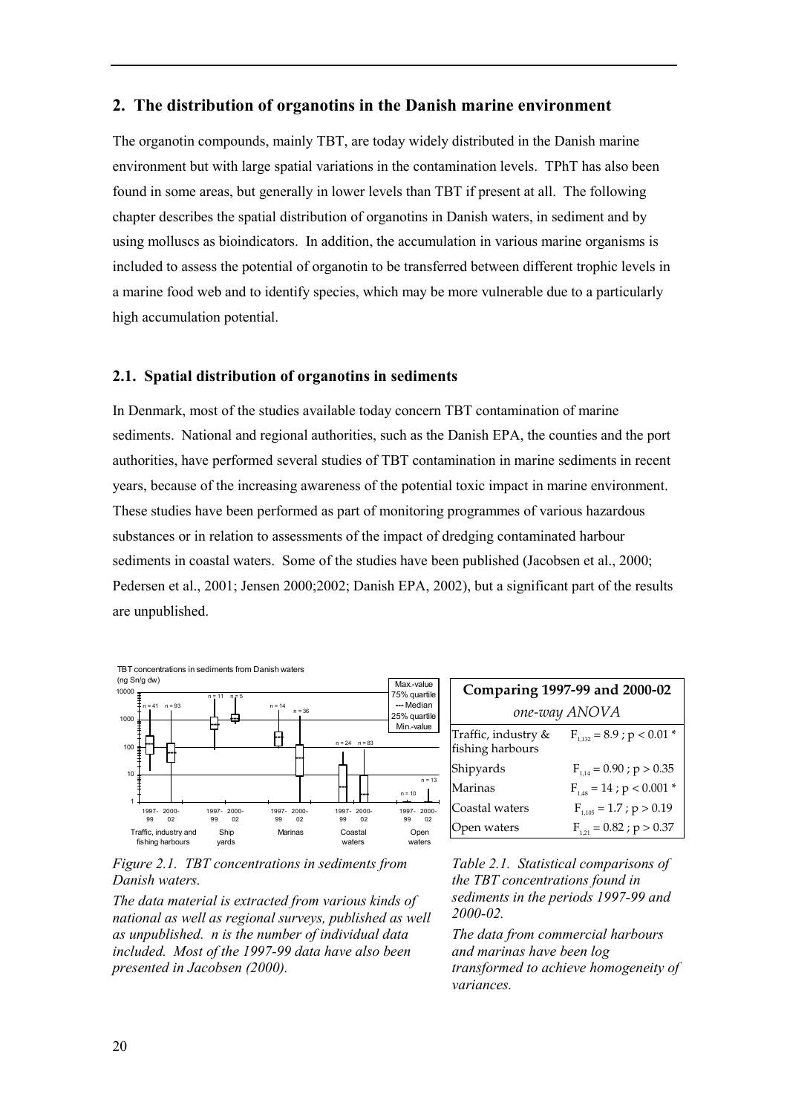# **2. The distribution of organotins in the Danish marine environment**

The organotin compounds, mainly TBT, are today widely distributed in the Danish marine environment but with large spatial variations in the contamination levels. TPhT has also been found in some areas, but generally in lower levels than TBT if present at all. The following chapter describes the spatial distribution of organotins in Danish waters, in sediment and by using molluscs as bioindicators. In addition, the accumulation in various marine organisms is included to assess the potential of organotin to be transferred between different trophic levels in a marine food web and to identify species, which may be more vulnerable due to a particularly high accumulation potential.

## **2.1. Spatial distribution of organotins in sediments**

In Denmark, most of the studies available today concern TBT contamination of marine sediments. National and regional authorities, such as the Danish EPA, the counties and the port authorities, have performed several studies of TBT contamination in marine sediments in recent years, because of the increasing awareness of the potential toxic impact in marine environment. These studies have been performed as part of monitoring programmes of various hazardous substances or in relation to assessments of the impact of dredging contaminated harbour sediments in coastal waters. Some of the studies have been published (Jacobsen et al., 2000; Pedersen et al., 2001; Jensen 2000;2002; Danish EPA, 2002), but a significant part of the results are unpublished.



*Figure 2.1. TBT concentrations in sediments from Danish waters.*

*The data material is extracted from various kinds of national as well as regional surveys, published as well as unpublished. n is the number of individual data included. Most of the 1997-99 data have also been presented in Jacobsen (2000).*

| Comparing 1997-99 and 2000-02           |                                 |  |  |  |
|-----------------------------------------|---------------------------------|--|--|--|
| one-way ANOVA                           |                                 |  |  |  |
| Traffic, industry &<br>fishing harbours | $F_{1.132} = 8.9$ ; p < 0.01 *  |  |  |  |
| Shipyards                               | $F_{1.14} = 0.90$ ; $p > 0.35$  |  |  |  |
| Marinas                                 | $F_{1.48} = 14$ ; $p < 0.001$ * |  |  |  |
| Coastal waters                          | $F_{1,105} = 1.7$ ; $p > 0.19$  |  |  |  |
| bpen waters                             | $F_{1,21} = 0.82$ ; $p > 0.37$  |  |  |  |

*Table 2.1. Statistical comparisons of the TBT concentrations found in sediments in the periods 1997-99 and 2000-02.*

*The data from commercial harbours and marinas have been log transformed to achieve homogeneity of variances.*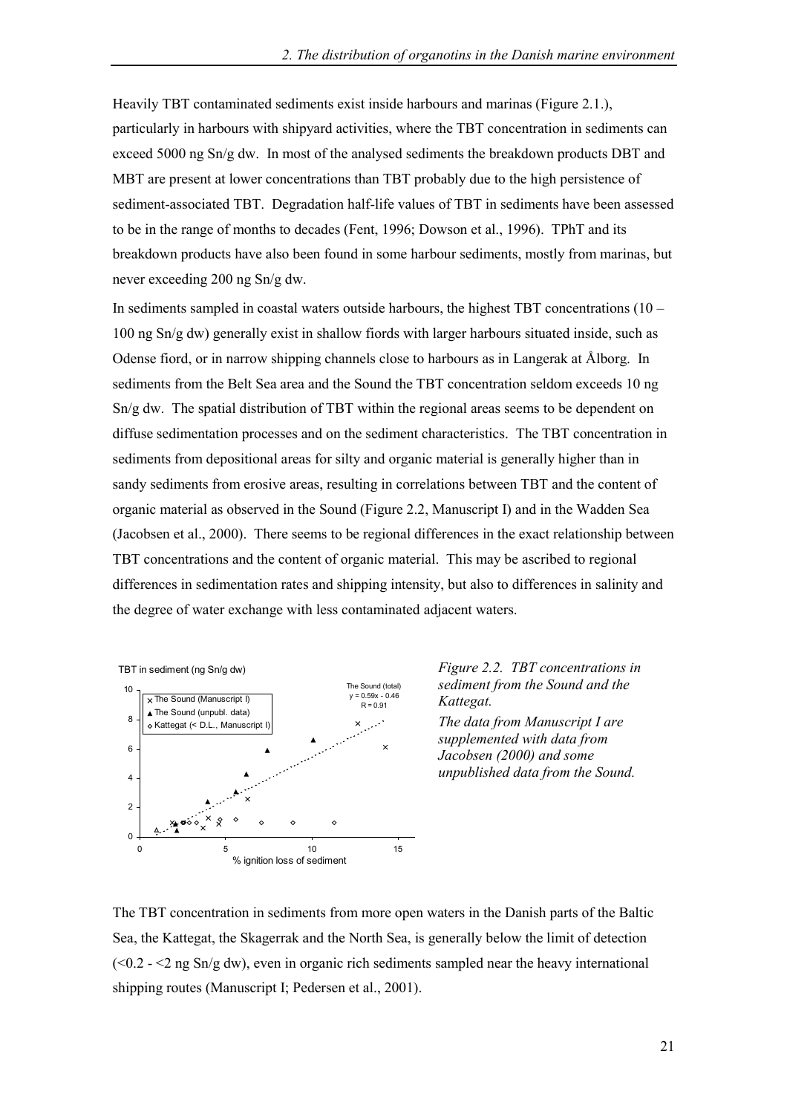Heavily TBT contaminated sediments exist inside harbours and marinas (Figure 2.1.), particularly in harbours with shipyard activities, where the TBT concentration in sediments can exceed 5000 ng Sn/g dw. In most of the analysed sediments the breakdown products DBT and MBT are present at lower concentrations than TBT probably due to the high persistence of sediment-associated TBT. Degradation half-life values of TBT in sediments have been assessed to be in the range of months to decades (Fent, 1996; Dowson et al., 1996). TPhT and its breakdown products have also been found in some harbour sediments, mostly from marinas, but never exceeding 200 ng Sn/g dw.

In sediments sampled in coastal waters outside harbours, the highest TBT concentrations  $(10 -$ 100 ng Sn/g dw) generally exist in shallow fiords with larger harbours situated inside, such as Odense fiord, or in narrow shipping channels close to harbours as in Langerak at Ålborg. In sediments from the Belt Sea area and the Sound the TBT concentration seldom exceeds 10 ng Sn/g dw. The spatial distribution of TBT within the regional areas seems to be dependent on diffuse sedimentation processes and on the sediment characteristics. The TBT concentration in sediments from depositional areas for silty and organic material is generally higher than in sandy sediments from erosive areas, resulting in correlations between TBT and the content of organic material as observed in the Sound (Figure 2.2, Manuscript I) and in the Wadden Sea (Jacobsen et al., 2000). There seems to be regional differences in the exact relationship between TBT concentrations and the content of organic material. This may be ascribed to regional differences in sedimentation rates and shipping intensity, but also to differences in salinity and the degree of water exchange with less contaminated adjacent waters.



*Figure 2.2. TBT concentrations in sediment from the Sound and the Kattegat.*

*The data from Manuscript I are supplemented with data from Jacobsen (2000) and some unpublished data from the Sound.*

The TBT concentration in sediments from more open waters in the Danish parts of the Baltic Sea, the Kattegat, the Skagerrak and the North Sea, is generally below the limit of detection  $( $0.2 - 2$  ng Sn/g dw)$ , even in organic rich sediments sampled near the heavy international shipping routes (Manuscript I; Pedersen et al., 2001).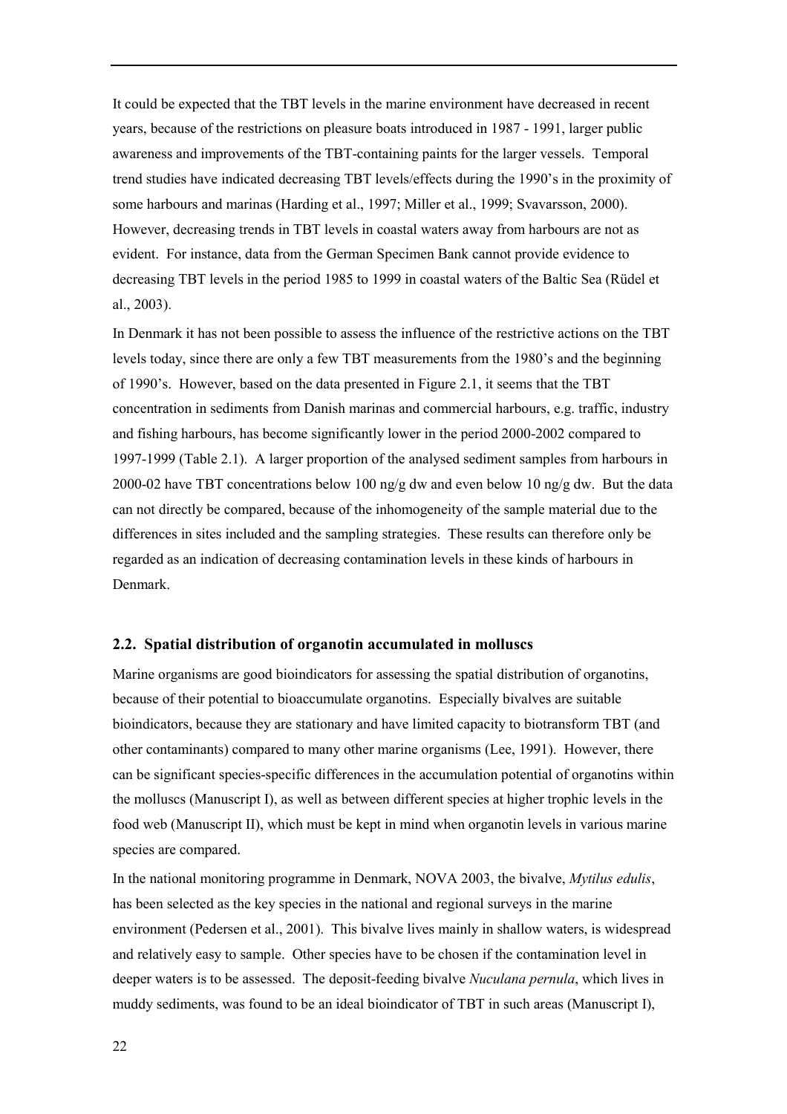It could be expected that the TBT levels in the marine environment have decreased in recent years, because of the restrictions on pleasure boats introduced in 1987 - 1991, larger public awareness and improvements of the TBT-containing paints for the larger vessels. Temporal trend studies have indicated decreasing TBT levels/effects during the 1990's in the proximity of some harbours and marinas (Harding et al., 1997; Miller et al., 1999; Svavarsson, 2000). However, decreasing trends in TBT levels in coastal waters away from harbours are not as evident. For instance, data from the German Specimen Bank cannot provide evidence to decreasing TBT levels in the period 1985 to 1999 in coastal waters of the Baltic Sea (Rüdel et al., 2003).

In Denmark it has not been possible to assess the influence of the restrictive actions on the TBT levels today, since there are only a few TBT measurements from the 1980's and the beginning of 1990ís. However, based on the data presented in Figure 2.1, it seems that the TBT concentration in sediments from Danish marinas and commercial harbours, e.g. traffic, industry and fishing harbours, has become significantly lower in the period 2000-2002 compared to 1997-1999 (Table 2.1). A larger proportion of the analysed sediment samples from harbours in 2000-02 have TBT concentrations below 100 ng/g dw and even below 10 ng/g dw. But the data can not directly be compared, because of the inhomogeneity of the sample material due to the differences in sites included and the sampling strategies. These results can therefore only be regarded as an indication of decreasing contamination levels in these kinds of harbours in Denmark.

#### **2.2. Spatial distribution of organotin accumulated in molluscs**

Marine organisms are good bioindicators for assessing the spatial distribution of organotins, because of their potential to bioaccumulate organotins. Especially bivalves are suitable bioindicators, because they are stationary and have limited capacity to biotransform TBT (and other contaminants) compared to many other marine organisms (Lee, 1991). However, there can be significant species-specific differences in the accumulation potential of organotins within the molluscs (Manuscript I), as well as between different species at higher trophic levels in the food web (Manuscript II), which must be kept in mind when organotin levels in various marine species are compared.

In the national monitoring programme in Denmark, NOVA 2003, the bivalve, *Mytilus edulis*, has been selected as the key species in the national and regional surveys in the marine environment (Pedersen et al., 2001). This bivalve lives mainly in shallow waters, is widespread and relatively easy to sample. Other species have to be chosen if the contamination level in deeper waters is to be assessed. The deposit-feeding bivalve *Nuculana pernula*, which lives in muddy sediments, was found to be an ideal bioindicator of TBT in such areas (Manuscript I),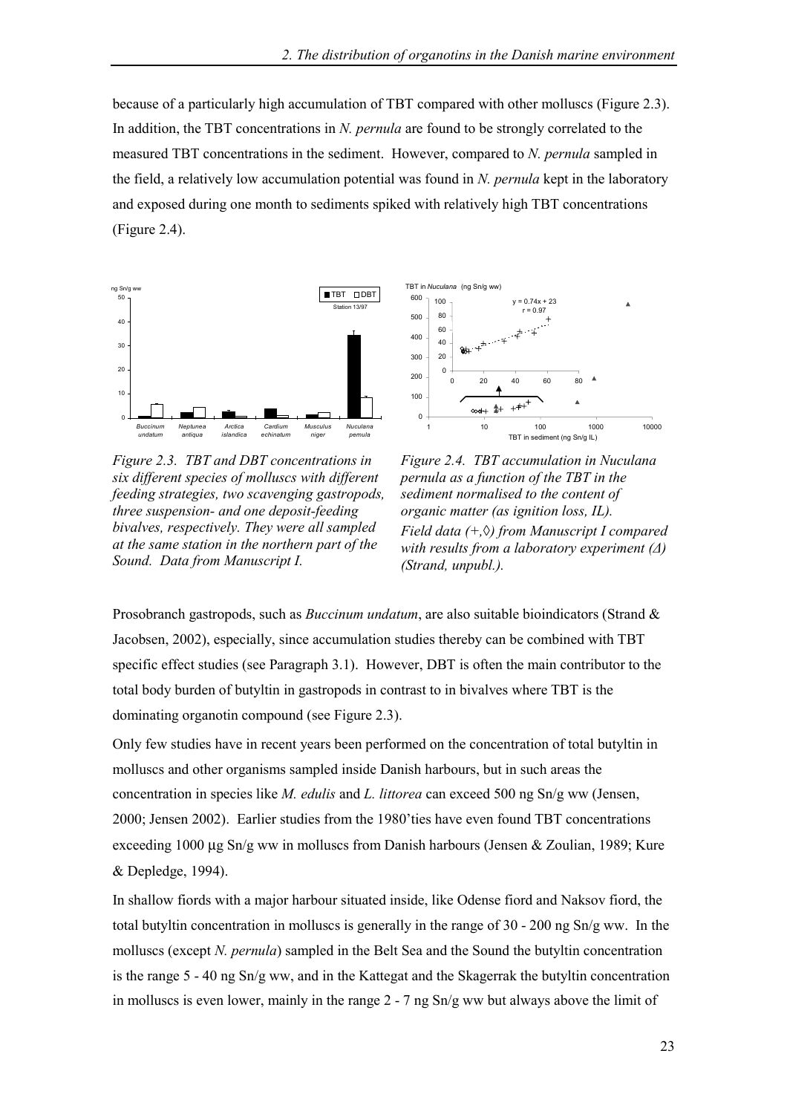because of a particularly high accumulation of TBT compared with other molluscs (Figure 2.3). In addition, the TBT concentrations in *N. pernula* are found to be strongly correlated to the measured TBT concentrations in the sediment. However, compared to *N. pernula* sampled in the field, a relatively low accumulation potential was found in *N. pernula* kept in the laboratory and exposed during one month to sediments spiked with relatively high TBT concentrations (Figure 2.4).



*Figure 2.3. TBT and DBT concentrations in six different species of molluscs with different feeding strategies, two scavenging gastropods, three suspension- and one deposit-feeding bivalves, respectively. They were all sampled at the same station in the northern part of the Sound. Data from Manuscript I.*



*Figure 2.4. TBT accumulation in Nuculana pernula as a function of the TBT in the sediment normalised to the content of organic matter (as ignition loss, IL). Field data (+,◊) from Manuscript I compared with results from a laboratory experiment (∆) (Strand, unpubl.).*

Prosobranch gastropods, such as *Buccinum undatum*, are also suitable bioindicators (Strand & Jacobsen, 2002), especially, since accumulation studies thereby can be combined with TBT specific effect studies (see Paragraph 3.1). However, DBT is often the main contributor to the total body burden of butyltin in gastropods in contrast to in bivalves where TBT is the dominating organotin compound (see Figure 2.3).

Only few studies have in recent years been performed on the concentration of total butyltin in molluscs and other organisms sampled inside Danish harbours, but in such areas the concentration in species like *M. edulis* and *L. littorea* can exceed 500 ng Sn/g ww (Jensen, 2000; Jensen 2002). Earlier studies from the 1980íties have even found TBT concentrations exceeding 1000 µg Sn/g ww in molluscs from Danish harbours (Jensen & Zoulian, 1989; Kure & Depledge, 1994).

In shallow fiords with a major harbour situated inside, like Odense fiord and Naksov fiord, the total butyltin concentration in molluscs is generally in the range of 30 - 200 ng Sn/g ww. In the molluscs (except *N. pernula*) sampled in the Belt Sea and the Sound the butyltin concentration is the range 5 - 40 ng Sn/g ww, and in the Kattegat and the Skagerrak the butyltin concentration in molluscs is even lower, mainly in the range 2 - 7 ng Sn/g ww but always above the limit of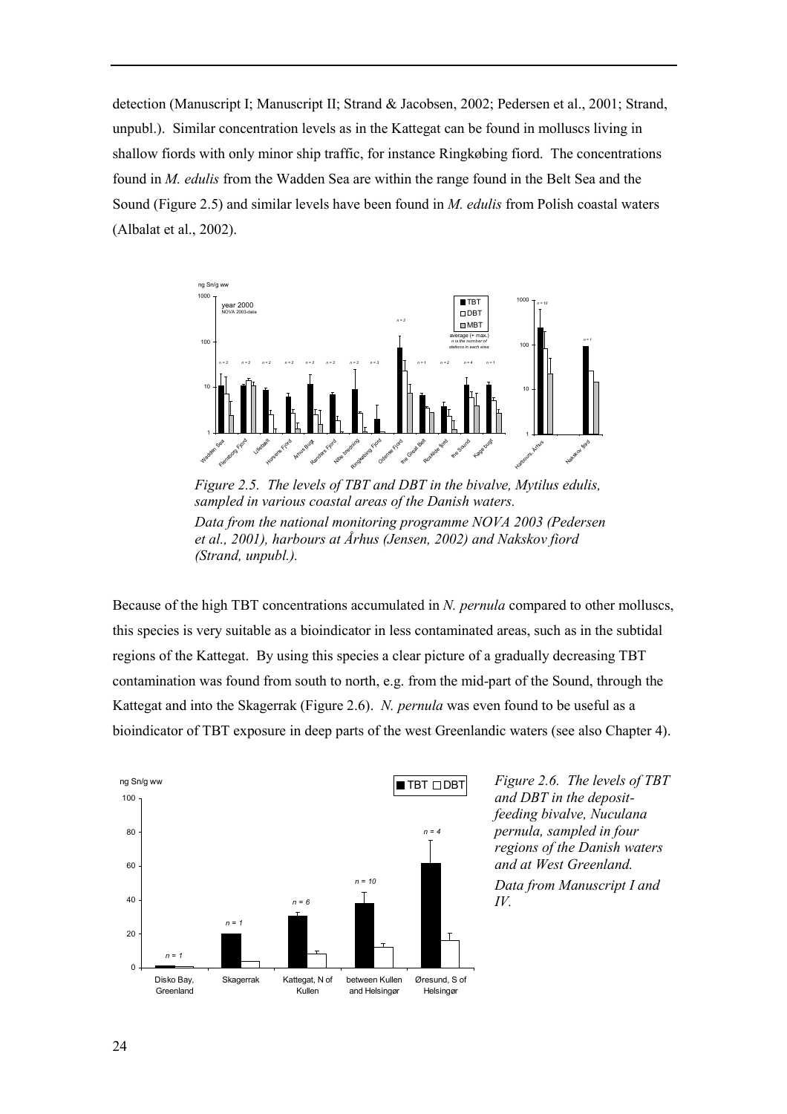detection (Manuscript I; Manuscript II; Strand & Jacobsen, 2002; Pedersen et al., 2001; Strand, unpubl.). Similar concentration levels as in the Kattegat can be found in molluscs living in shallow fiords with only minor ship traffic, for instance Ringkøbing fiord. The concentrations found in *M. edulis* from the Wadden Sea are within the range found in the Belt Sea and the Sound (Figure 2.5) and similar levels have been found in *M. edulis* from Polish coastal waters (Albalat et al., 2002).



*Figure 2.5. The levels of TBT and DBT in the bivalve, Mytilus edulis, sampled in various coastal areas of the Danish waters. Data from the national monitoring programme NOVA 2003 (Pedersen et al., 2001), harbours at Århus (Jensen, 2002) and Nakskov fiord (Strand, unpubl.).*

Because of the high TBT concentrations accumulated in *N. pernula* compared to other molluscs, this species is very suitable as a bioindicator in less contaminated areas, such as in the subtidal regions of the Kattegat. By using this species a clear picture of a gradually decreasing TBT contamination was found from south to north, e.g. from the mid-part of the Sound, through the Kattegat and into the Skagerrak (Figure 2.6). *N. pernula* was even found to be useful as a bioindicator of TBT exposure in deep parts of the west Greenlandic waters (see also Chapter 4).



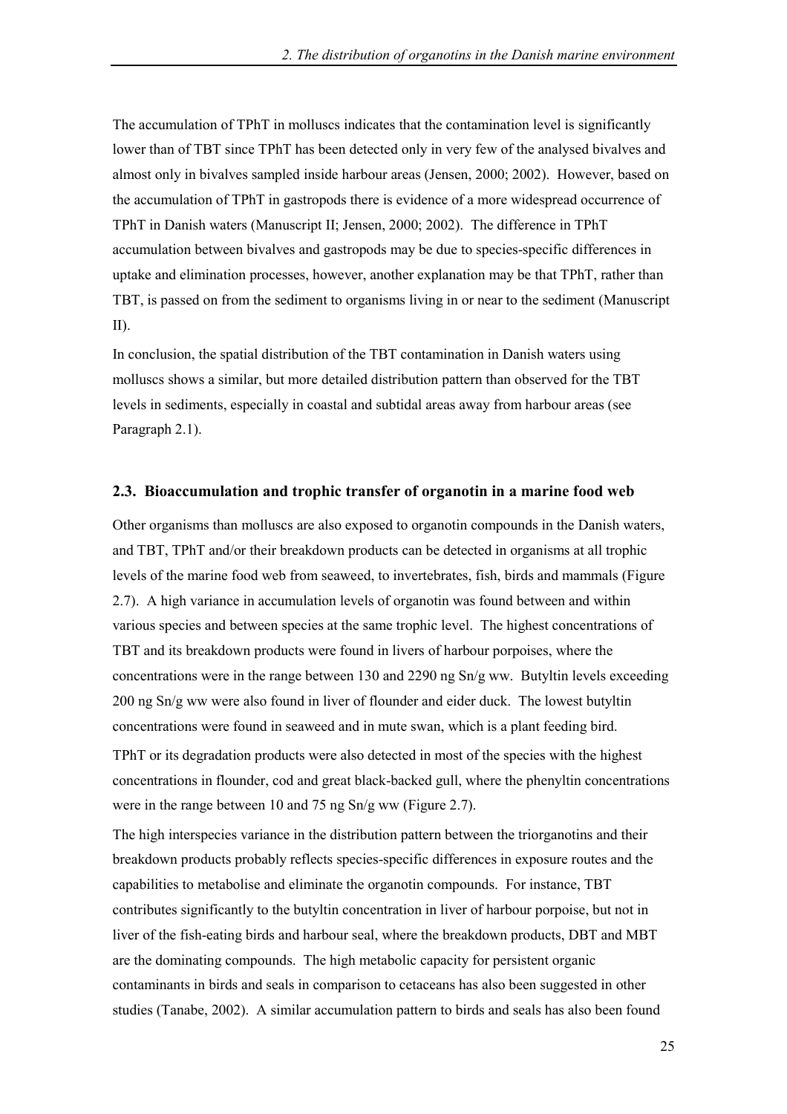The accumulation of TPhT in molluscs indicates that the contamination level is significantly lower than of TBT since TPhT has been detected only in very few of the analysed bivalves and almost only in bivalves sampled inside harbour areas (Jensen, 2000; 2002). However, based on the accumulation of TPhT in gastropods there is evidence of a more widespread occurrence of TPhT in Danish waters (Manuscript II; Jensen, 2000; 2002). The difference in TPhT accumulation between bivalves and gastropods may be due to species-specific differences in uptake and elimination processes, however, another explanation may be that TPhT, rather than TBT, is passed on from the sediment to organisms living in or near to the sediment (Manuscript II).

In conclusion, the spatial distribution of the TBT contamination in Danish waters using molluscs shows a similar, but more detailed distribution pattern than observed for the TBT levels in sediments, especially in coastal and subtidal areas away from harbour areas (see Paragraph 2.1).

#### **2.3. Bioaccumulation and trophic transfer of organotin in a marine food web**

Other organisms than molluscs are also exposed to organotin compounds in the Danish waters, and TBT, TPhT and/or their breakdown products can be detected in organisms at all trophic levels of the marine food web from seaweed, to invertebrates, fish, birds and mammals (Figure 2.7). A high variance in accumulation levels of organotin was found between and within various species and between species at the same trophic level. The highest concentrations of TBT and its breakdown products were found in livers of harbour porpoises, where the concentrations were in the range between 130 and 2290 ng Sn/g ww. Butyltin levels exceeding 200 ng Sn/g ww were also found in liver of flounder and eider duck. The lowest butyltin concentrations were found in seaweed and in mute swan, which is a plant feeding bird.

TPhT or its degradation products were also detected in most of the species with the highest concentrations in flounder, cod and great black-backed gull, where the phenyltin concentrations were in the range between 10 and 75 ng Sn/g ww (Figure 2.7).

The high interspecies variance in the distribution pattern between the triorganotins and their breakdown products probably reflects species-specific differences in exposure routes and the capabilities to metabolise and eliminate the organotin compounds. For instance, TBT contributes significantly to the butyltin concentration in liver of harbour porpoise, but not in liver of the fish-eating birds and harbour seal, where the breakdown products, DBT and MBT are the dominating compounds. The high metabolic capacity for persistent organic contaminants in birds and seals in comparison to cetaceans has also been suggested in other studies (Tanabe, 2002). A similar accumulation pattern to birds and seals has also been found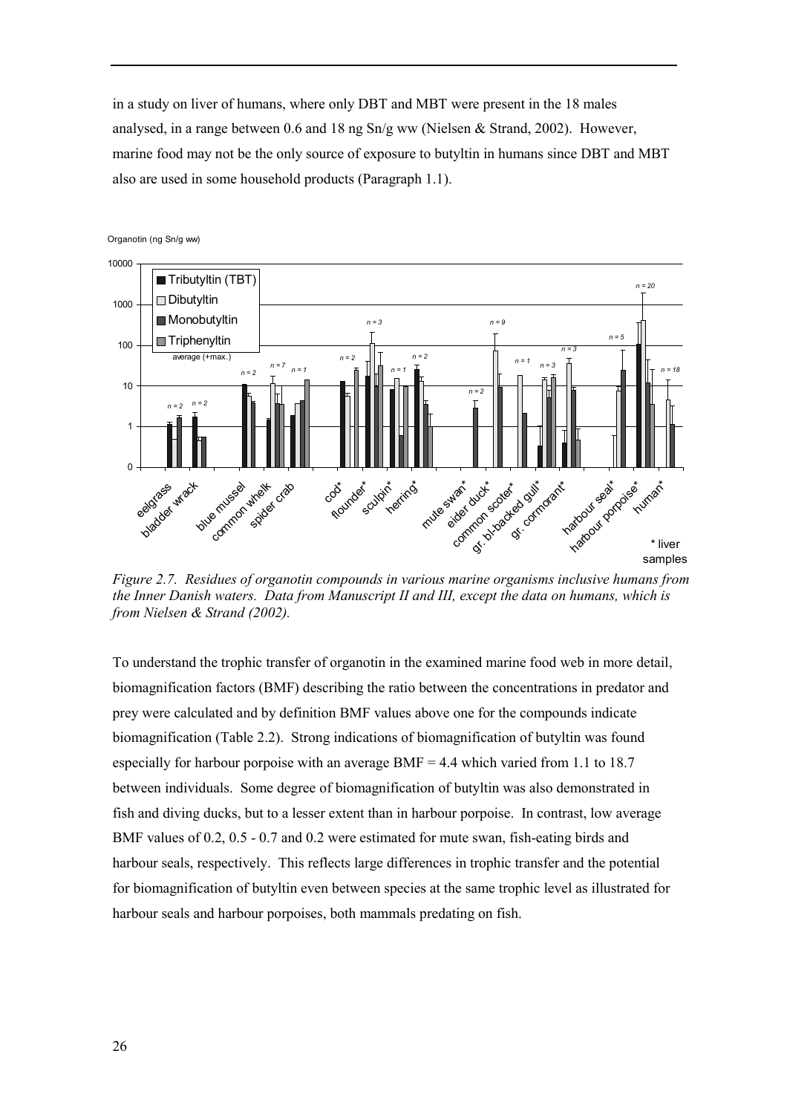in a study on liver of humans, where only DBT and MBT were present in the 18 males analysed, in a range between 0.6 and 18 ng  $Sn/g$  ww (Nielsen & Strand, 2002). However, marine food may not be the only source of exposure to butyltin in humans since DBT and MBT also are used in some household products (Paragraph 1.1).



Organotin (ng Sn/g ww)

*Figure 2.7. Residues of organotin compounds in various marine organisms inclusive humans from the Inner Danish waters. Data from Manuscript II and III, except the data on humans, which is from Nielsen & Strand (2002).*

To understand the trophic transfer of organotin in the examined marine food web in more detail, biomagnification factors (BMF) describing the ratio between the concentrations in predator and prey were calculated and by definition BMF values above one for the compounds indicate biomagnification (Table 2.2). Strong indications of biomagnification of butyltin was found especially for harbour porpoise with an average  $BMF = 4.4$  which varied from 1.1 to 18.7 between individuals. Some degree of biomagnification of butyltin was also demonstrated in fish and diving ducks, but to a lesser extent than in harbour porpoise. In contrast, low average BMF values of 0.2, 0.5 - 0.7 and 0.2 were estimated for mute swan, fish-eating birds and harbour seals, respectively. This reflects large differences in trophic transfer and the potential for biomagnification of butyltin even between species at the same trophic level as illustrated for harbour seals and harbour porpoises, both mammals predating on fish.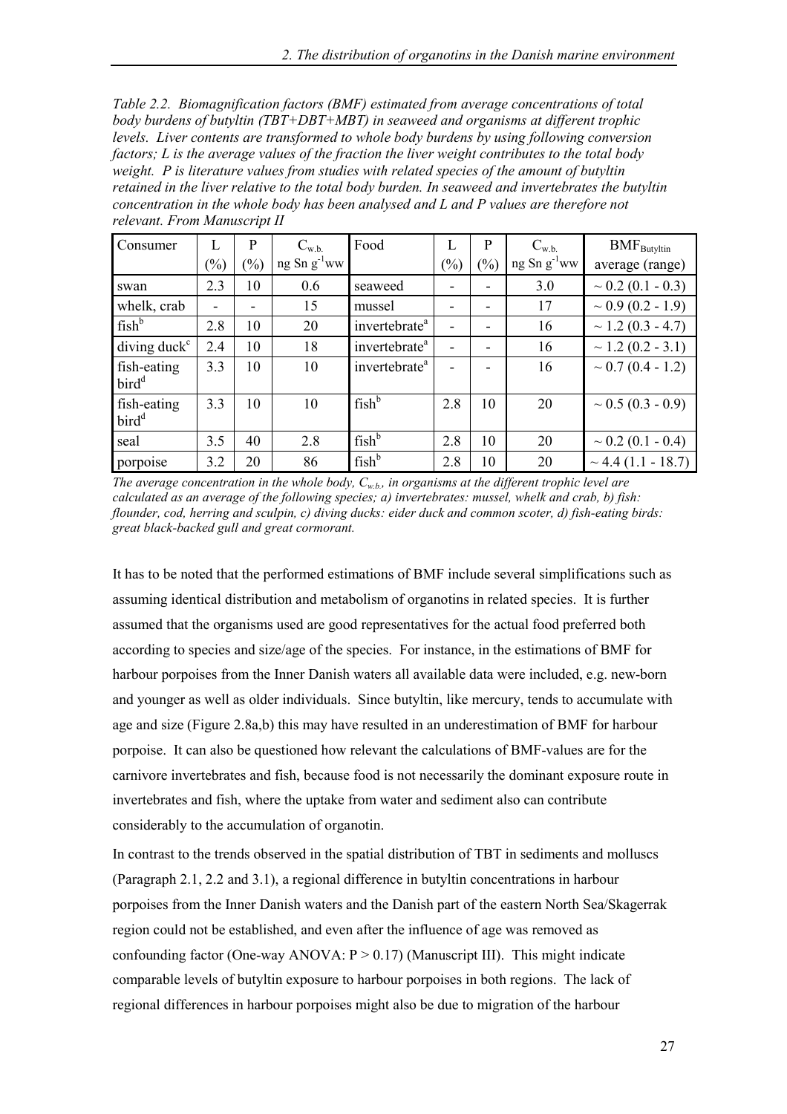*Table 2.2. Biomagnification factors (BMF) estimated from average concentrations of total body burdens of butyltin (TBT+DBT+MBT) in seaweed and organisms at different trophic levels. Liver contents are transformed to whole body burdens by using following conversion factors; L is the average values of the fraction the liver weight contributes to the total body weight. P is literature values from studies with related species of the amount of butyltin retained in the liver relative to the total body burden. In seaweed and invertebrates the butyltin concentration in the whole body has been analysed and L and P values are therefore not relevant. From Manuscript II*

| Consumer                                | L      | P              | $C_{w.b.}$       | Food                      | L              | P   | $C_{w.b.}$    | $BMF_{\text{Butyltin}}$ |
|-----------------------------------------|--------|----------------|------------------|---------------------------|----------------|-----|---------------|-------------------------|
|                                         | $(\%)$ | $\binom{0}{0}$ | ng Sn $g^{-1}ww$ |                           | $(\%)$         | (%) | $ng Sn g-1ww$ | average (range)         |
| swan                                    | 2.3    | 10             | 0.6              | seaweed                   | -              |     | 3.0           | $\sim$ 0.2 (0.1 - 0.3)  |
| whelk, crab                             | ۰      |                | 15               | mussel                    | -              |     | 17            | $\sim 0.9$ (0.2 - 1.9)  |
| fish <sup>b</sup>                       | 2.8    | 10             | 20               | invertebrate <sup>a</sup> | $\blacksquare$ |     | 16            | $\sim$ 1.2 (0.3 - 4.7)  |
| $diving$ duck <sup><math>c</math></sup> | 2.4    | 10             | 18               | invertebrate <sup>a</sup> | -              | -   | 16            | $\sim$ 1.2 (0.2 - 3.1)  |
| fish-eating<br>bird <sup>d</sup>        | 3.3    | 10             | 10               | invertebrate <sup>a</sup> |                |     | 16            | $\sim 0.7(0.4 - 1.2)$   |
| fish-eating<br>bird <sup>d</sup>        | 3.3    | 10             | 10               | fish <sup>b</sup>         | 2.8            | 10  | 20            | $\sim 0.5 (0.3 - 0.9)$  |
| seal                                    | 3.5    | 40             | 2.8              | fish <sup>b</sup>         | 2.8            | 10  | 20            | $\sim$ 0.2 (0.1 - 0.4)  |
| porpoise                                | 3.2    | 20             | 86               | fish <sup>b</sup>         | 2.8            | 10  | 20            | $\sim$ 4.4 (1.1 - 18.7) |

*The average concentration in the whole body, Cw.b., in organisms at the different trophic level are calculated as an average of the following species; a) invertebrates: mussel, whelk and crab, b) fish: flounder, cod, herring and sculpin, c) diving ducks: eider duck and common scoter, d) fish-eating birds: great black-backed gull and great cormorant.*

It has to be noted that the performed estimations of BMF include several simplifications such as assuming identical distribution and metabolism of organotins in related species. It is further assumed that the organisms used are good representatives for the actual food preferred both according to species and size/age of the species. For instance, in the estimations of BMF for harbour porpoises from the Inner Danish waters all available data were included, e.g. new-born and younger as well as older individuals. Since butyltin, like mercury, tends to accumulate with age and size (Figure 2.8a,b) this may have resulted in an underestimation of BMF for harbour porpoise. It can also be questioned how relevant the calculations of BMF-values are for the carnivore invertebrates and fish, because food is not necessarily the dominant exposure route in invertebrates and fish, where the uptake from water and sediment also can contribute considerably to the accumulation of organotin.

In contrast to the trends observed in the spatial distribution of TBT in sediments and molluscs (Paragraph 2.1, 2.2 and 3.1), a regional difference in butyltin concentrations in harbour porpoises from the Inner Danish waters and the Danish part of the eastern North Sea/Skagerrak region could not be established, and even after the influence of age was removed as confounding factor (One-way ANOVA:  $P > 0.17$ ) (Manuscript III). This might indicate comparable levels of butyltin exposure to harbour porpoises in both regions. The lack of regional differences in harbour porpoises might also be due to migration of the harbour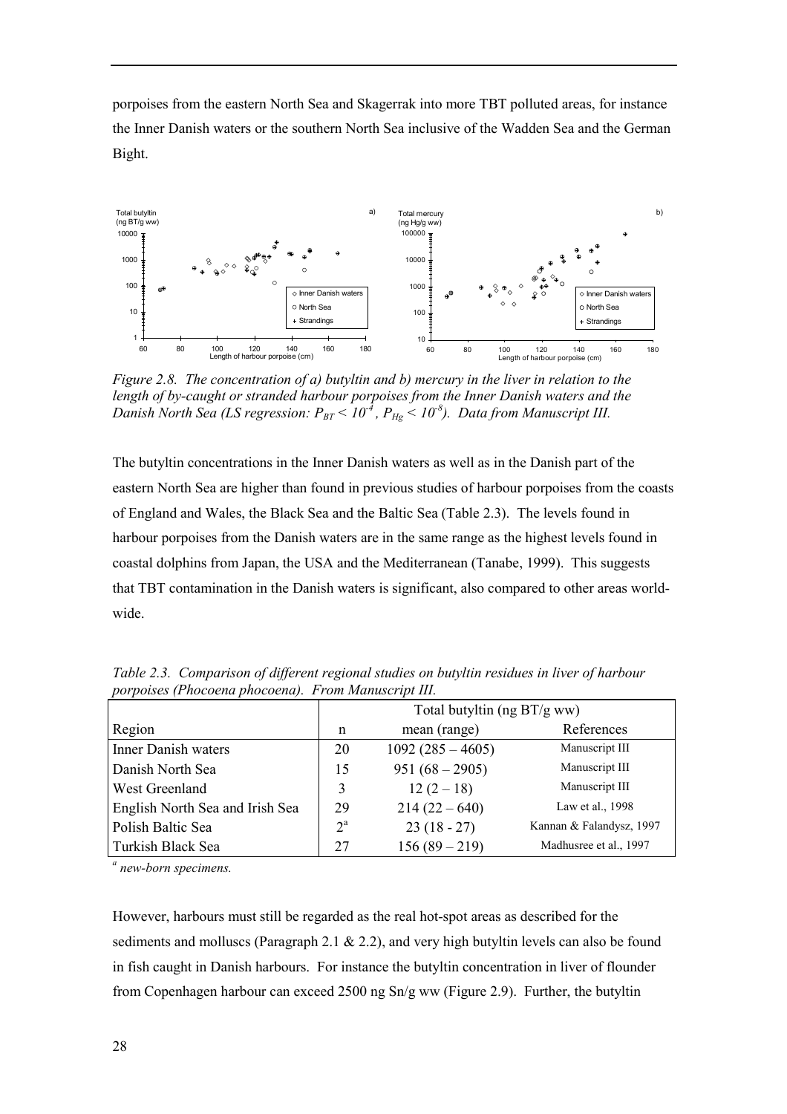porpoises from the eastern North Sea and Skagerrak into more TBT polluted areas, for instance the Inner Danish waters or the southern North Sea inclusive of the Wadden Sea and the German Bight.



*Figure 2.8. The concentration of a) butyltin and b) mercury in the liver in relation to the length of by-caught or stranded harbour porpoises from the Inner Danish waters and the Danish North Sea (LS regression:*  $P_{BT}$   $\leq$  10<sup>-4</sup>,  $P_{Hg}$   $\leq$  10<sup>-8</sup>). *Data from Manuscript III.* 

The butyltin concentrations in the Inner Danish waters as well as in the Danish part of the eastern North Sea are higher than found in previous studies of harbour porpoises from the coasts of England and Wales, the Black Sea and the Baltic Sea (Table 2.3). The levels found in harbour porpoises from the Danish waters are in the same range as the highest levels found in coastal dolphins from Japan, the USA and the Mediterranean (Tanabe, 1999). This suggests that TBT contamination in the Danish waters is significant, also compared to other areas worldwide.

| $P^{\sigma}$ . $P^{\sigma}$ . $P^{\sigma}$ . $P^{\sigma}$ . $P^{\sigma}$ . $P^{\sigma}$ . $P^{\sigma}$ . $P^{\sigma}$ . $P^{\sigma}$ . $P^{\sigma}$ . $P^{\sigma}$ . $P^{\sigma}$ . $P^{\sigma}$ . $P^{\sigma}$ . $P^{\sigma}$ . $P^{\sigma}$ . $P^{\sigma}$ . $P^{\sigma}$ . $P^{\sigma}$ . $P^{\sigma}$ . $P^{\sigma}$ . $P^{\sigma}$ . $P^{\sigma}$ . $P^{\sigma}$ . $P^{\sigma$ |                               |                    |                          |  |  |  |
|-------------------------------------------------------------------------------------------------------------------------------------------------------------------------------------------------------------------------------------------------------------------------------------------------------------------------------------------------------------------------------------|-------------------------------|--------------------|--------------------------|--|--|--|
|                                                                                                                                                                                                                                                                                                                                                                                     | Total butyltin (ng $BT/g$ ww) |                    |                          |  |  |  |
| Region                                                                                                                                                                                                                                                                                                                                                                              | n                             | mean (range)       | References               |  |  |  |
| <b>Inner Danish waters</b>                                                                                                                                                                                                                                                                                                                                                          | 20                            | $1092(285 - 4605)$ | Manuscript III           |  |  |  |
| Danish North Sea                                                                                                                                                                                                                                                                                                                                                                    | 15                            | $951 (68 - 2905)$  | Manuscript III           |  |  |  |
| West Greenland                                                                                                                                                                                                                                                                                                                                                                      | 3                             | $12(2-18)$         | Manuscript III           |  |  |  |
| English North Sea and Irish Sea                                                                                                                                                                                                                                                                                                                                                     | 29                            | $214(22-640)$      | Law et al., 1998         |  |  |  |
| Polish Baltic Sea                                                                                                                                                                                                                                                                                                                                                                   | $2^{\mathrm{a}}$              | $23(18-27)$        | Kannan & Falandysz, 1997 |  |  |  |
| Turkish Black Sea                                                                                                                                                                                                                                                                                                                                                                   | 27                            | $156(89-219)$      | Madhusree et al., 1997   |  |  |  |

*Table 2.3. Comparison of different regional studies on butyltin residues in liver of harbour porpoises (Phocoena phocoena). From Manuscript III.*

*a new-born specimens.*

However, harbours must still be regarded as the real hot-spot areas as described for the sediments and molluscs (Paragraph 2.1  $\&$  2.2), and very high butyltin levels can also be found in fish caught in Danish harbours. For instance the butyltin concentration in liver of flounder from Copenhagen harbour can exceed 2500 ng Sn/g ww (Figure 2.9). Further, the butyltin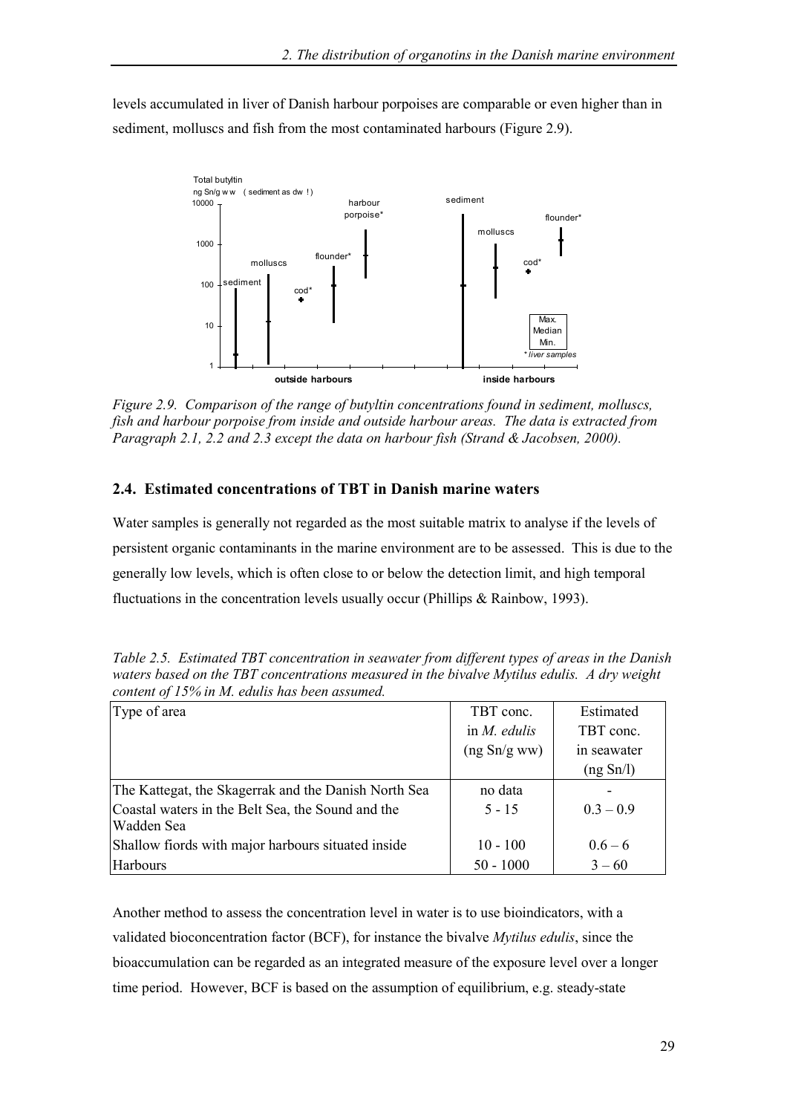levels accumulated in liver of Danish harbour porpoises are comparable or even higher than in sediment, molluscs and fish from the most contaminated harbours (Figure 2.9).



*Figure 2.9. Comparison of the range of butyltin concentrations found in sediment, molluscs, fish and harbour porpoise from inside and outside harbour areas. The data is extracted from Paragraph 2.1, 2.2 and 2.3 except the data on harbour fish (Strand & Jacobsen, 2000).*

# **2.4. Estimated concentrations of TBT in Danish marine waters**

Water samples is generally not regarded as the most suitable matrix to analyse if the levels of persistent organic contaminants in the marine environment are to be assessed. This is due to the generally low levels, which is often close to or below the detection limit, and high temporal fluctuations in the concentration levels usually occur (Phillips & Rainbow, 1993).

| Type of area                                         | TBT conc.       | Estimated   |  |
|------------------------------------------------------|-----------------|-------------|--|
|                                                      | in $M$ . edulis | TBT conc.   |  |
|                                                      | (ng Sn/g ww)    | in seawater |  |
|                                                      |                 | (ng Sn/l)   |  |
| The Kattegat, the Skagerrak and the Danish North Sea | no data         |             |  |
| Coastal waters in the Belt Sea, the Sound and the    | $5 - 15$        | $0.3 - 0.9$ |  |
| Wadden Sea                                           |                 |             |  |
| Shallow fiords with major harbours situated inside   | $10 - 100$      | $0.6 - 6$   |  |
| Harbours                                             | $50 - 1000$     | $3 - 60$    |  |

*Table 2.5. Estimated TBT concentration in seawater from different types of areas in the Danish waters based on the TBT concentrations measured in the bivalve Mytilus edulis. A dry weight content of 15% in M. edulis has been assumed.*

Another method to assess the concentration level in water is to use bioindicators, with a validated bioconcentration factor (BCF), for instance the bivalve *Mytilus edulis*, since the bioaccumulation can be regarded as an integrated measure of the exposure level over a longer time period. However, BCF is based on the assumption of equilibrium, e.g. steady-state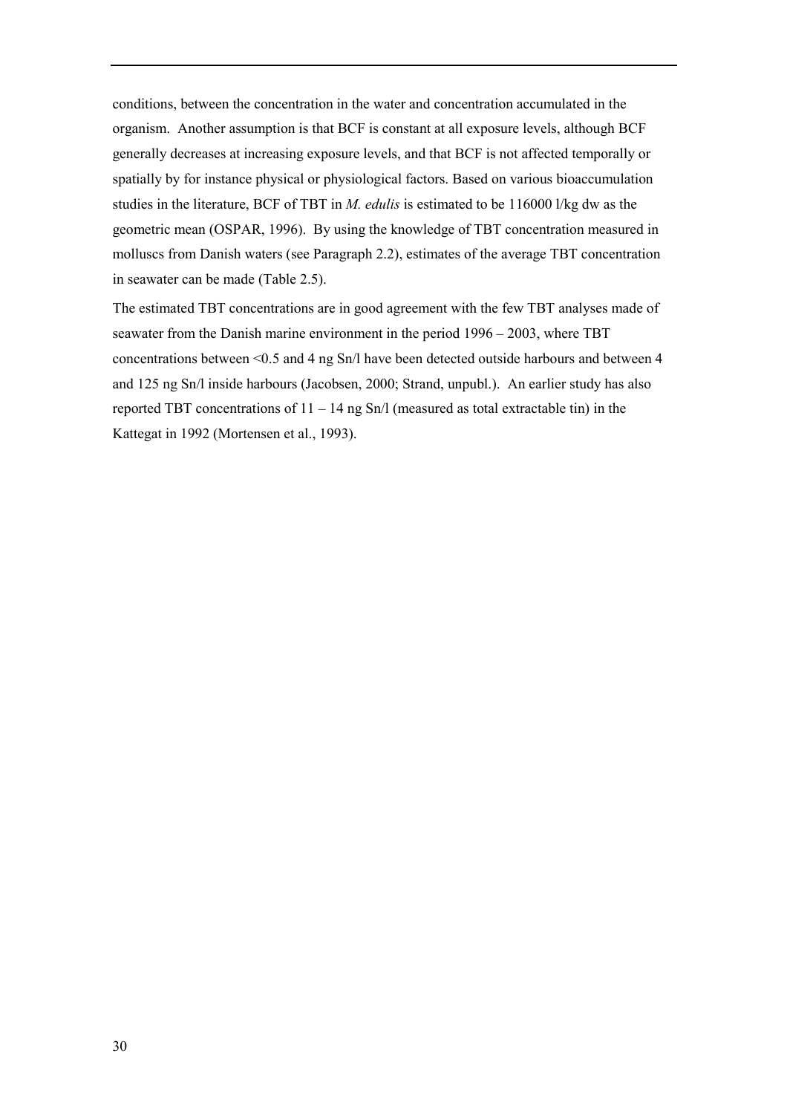conditions, between the concentration in the water and concentration accumulated in the organism. Another assumption is that BCF is constant at all exposure levels, although BCF generally decreases at increasing exposure levels, and that BCF is not affected temporally or spatially by for instance physical or physiological factors. Based on various bioaccumulation studies in the literature, BCF of TBT in *M. edulis* is estimated to be 116000 l/kg dw as the geometric mean (OSPAR, 1996). By using the knowledge of TBT concentration measured in molluscs from Danish waters (see Paragraph 2.2), estimates of the average TBT concentration in seawater can be made (Table 2.5).

The estimated TBT concentrations are in good agreement with the few TBT analyses made of seawater from the Danish marine environment in the period  $1996 - 2003$ , where TBT concentrations between <0.5 and 4 ng Sn/l have been detected outside harbours and between 4 and 125 ng Sn/l inside harbours (Jacobsen, 2000; Strand, unpubl.). An earlier study has also reported TBT concentrations of  $11 - 14$  ng Sn/l (measured as total extractable tin) in the Kattegat in 1992 (Mortensen et al., 1993).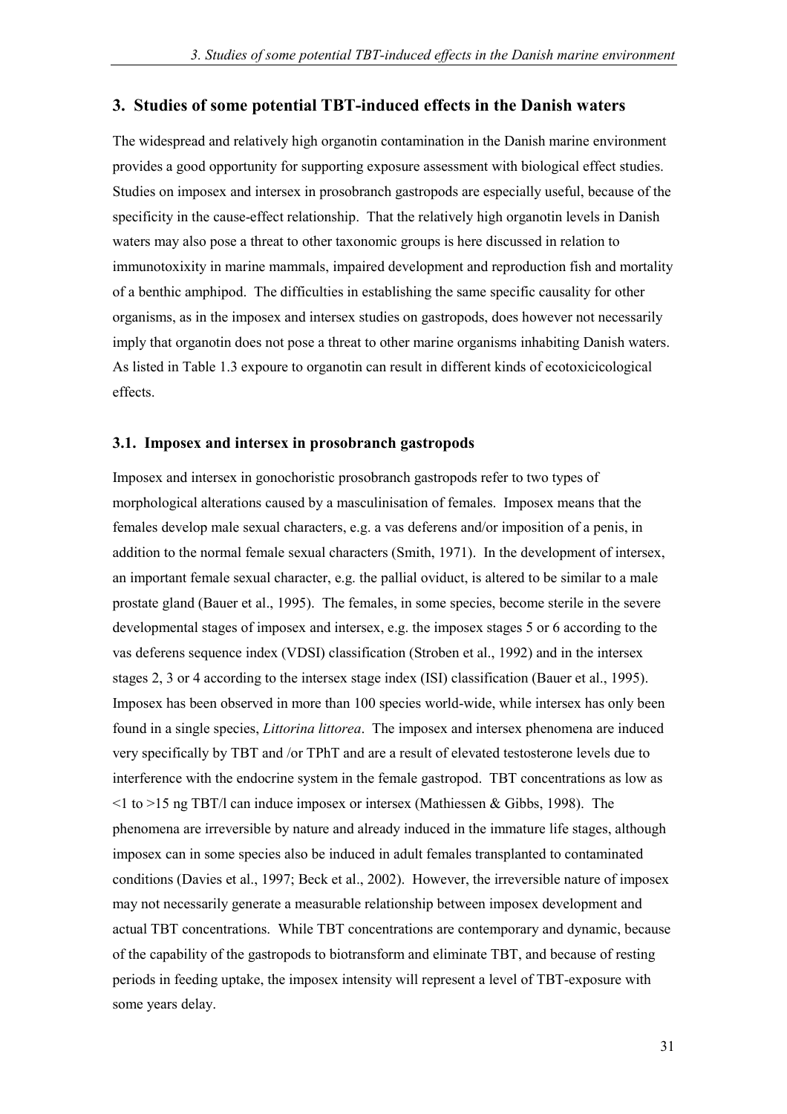## **3. Studies of some potential TBT-induced effects in the Danish waters**

The widespread and relatively high organotin contamination in the Danish marine environment provides a good opportunity for supporting exposure assessment with biological effect studies. Studies on imposex and intersex in prosobranch gastropods are especially useful, because of the specificity in the cause-effect relationship. That the relatively high organotin levels in Danish waters may also pose a threat to other taxonomic groups is here discussed in relation to immunotoxixity in marine mammals, impaired development and reproduction fish and mortality of a benthic amphipod. The difficulties in establishing the same specific causality for other organisms, as in the imposex and intersex studies on gastropods, does however not necessarily imply that organotin does not pose a threat to other marine organisms inhabiting Danish waters. As listed in Table 1.3 expoure to organotin can result in different kinds of ecotoxicicological effects.

#### **3.1. Imposex and intersex in prosobranch gastropods**

Imposex and intersex in gonochoristic prosobranch gastropods refer to two types of morphological alterations caused by a masculinisation of females. Imposex means that the females develop male sexual characters, e.g. a vas deferens and/or imposition of a penis, in addition to the normal female sexual characters (Smith, 1971). In the development of intersex, an important female sexual character, e.g. the pallial oviduct, is altered to be similar to a male prostate gland (Bauer et al., 1995). The females, in some species, become sterile in the severe developmental stages of imposex and intersex, e.g. the imposex stages 5 or 6 according to the vas deferens sequence index (VDSI) classification (Stroben et al., 1992) and in the intersex stages 2, 3 or 4 according to the intersex stage index (ISI) classification (Bauer et al., 1995). Imposex has been observed in more than 100 species world-wide, while intersex has only been found in a single species, *Littorina littorea*. The imposex and intersex phenomena are induced very specifically by TBT and /or TPhT and are a result of elevated testosterone levels due to interference with the endocrine system in the female gastropod. TBT concentrations as low as  $\leq$  1 to  $>$  15 ng TBT/l can induce imposex or intersex (Mathiessen & Gibbs, 1998). The phenomena are irreversible by nature and already induced in the immature life stages, although imposex can in some species also be induced in adult females transplanted to contaminated conditions (Davies et al., 1997; Beck et al., 2002). However, the irreversible nature of imposex may not necessarily generate a measurable relationship between imposex development and actual TBT concentrations. While TBT concentrations are contemporary and dynamic, because of the capability of the gastropods to biotransform and eliminate TBT, and because of resting periods in feeding uptake, the imposex intensity will represent a level of TBT-exposure with some years delay.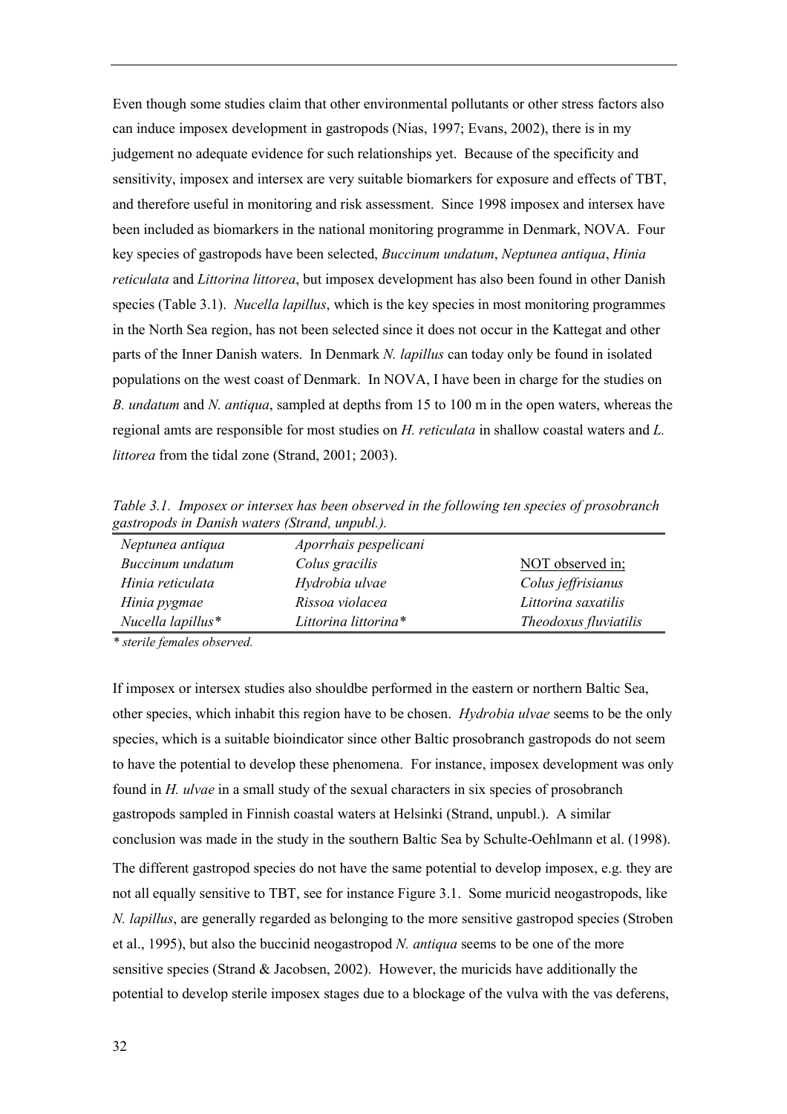Even though some studies claim that other environmental pollutants or other stress factors also can induce imposex development in gastropods (Nias, 1997; Evans, 2002), there is in my judgement no adequate evidence for such relationships yet. Because of the specificity and sensitivity, imposex and intersex are very suitable biomarkers for exposure and effects of TBT, and therefore useful in monitoring and risk assessment. Since 1998 imposex and intersex have been included as biomarkers in the national monitoring programme in Denmark, NOVA. Four key species of gastropods have been selected, *Buccinum undatum*, *Neptunea antiqua*, *Hinia reticulata* and *Littorina littorea*, but imposex development has also been found in other Danish species (Table 3.1). *Nucella lapillus*, which is the key species in most monitoring programmes in the North Sea region, has not been selected since it does not occur in the Kattegat and other parts of the Inner Danish waters. In Denmark *N. lapillus* can today only be found in isolated populations on the west coast of Denmark. In NOVA, I have been in charge for the studies on *B. undatum* and *N. antiqua*, sampled at depths from 15 to 100 m in the open waters, whereas the regional amts are responsible for most studies on *H. reticulata* in shallow coastal waters and *L. littorea* from the tidal zone (Strand, 2001; 2003).

*Table 3.1. Imposex or intersex has been observed in the following ten species of prosobranch gastropods in Danish waters (Strand, unpubl.).*

| Theodoxus fluviatilis |
|-----------------------|
|                       |

*\* sterile females observed.*

If imposex or intersex studies also shouldbe performed in the eastern or northern Baltic Sea, other species, which inhabit this region have to be chosen. *Hydrobia ulvae* seems to be the only species, which is a suitable bioindicator since other Baltic prosobranch gastropods do not seem to have the potential to develop these phenomena. For instance, imposex development was only found in *H. ulvae* in a small study of the sexual characters in six species of prosobranch gastropods sampled in Finnish coastal waters at Helsinki (Strand, unpubl.). A similar conclusion was made in the study in the southern Baltic Sea by Schulte-Oehlmann et al. (1998). The different gastropod species do not have the same potential to develop imposex, e.g. they are not all equally sensitive to TBT, see for instance Figure 3.1. Some muricid neogastropods, like *N. lapillus*, are generally regarded as belonging to the more sensitive gastropod species (Stroben et al., 1995), but also the buccinid neogastropod *N. antiqua* seems to be one of the more sensitive species (Strand & Jacobsen, 2002). However, the muricids have additionally the potential to develop sterile imposex stages due to a blockage of the vulva with the vas deferens,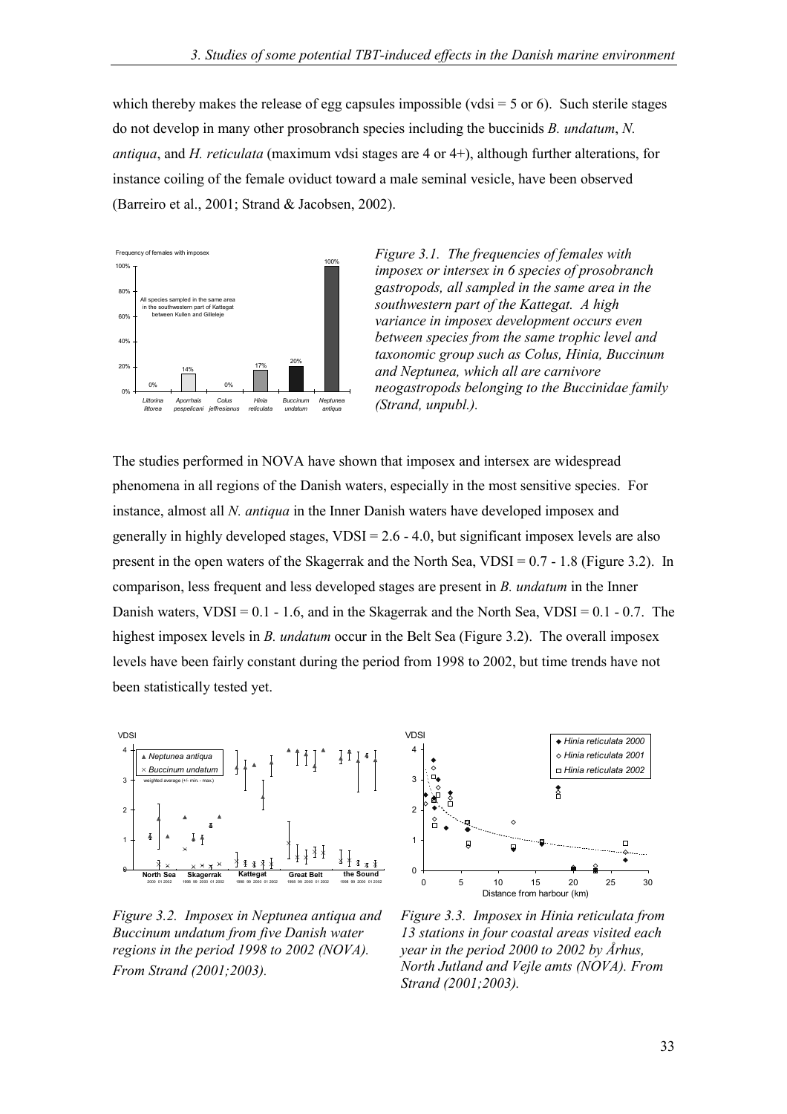which thereby makes the release of egg capsules impossible (vdsi  $=$  5 or 6). Such sterile stages do not develop in many other prosobranch species including the buccinids *B. undatum*, *N. antiqua*, and *H. reticulata* (maximum vdsi stages are 4 or 4+), although further alterations, for instance coiling of the female oviduct toward a male seminal vesicle, have been observed (Barreiro et al., 2001; Strand & Jacobsen, 2002).



*Figure 3.1. The frequencies of females with imposex or intersex in 6 species of prosobranch gastropods, all sampled in the same area in the southwestern part of the Kattegat. A high variance in imposex development occurs even between species from the same trophic level and taxonomic group such as Colus, Hinia, Buccinum and Neptunea, which all are carnivore neogastropods belonging to the Buccinidae family (Strand, unpubl.).*

The studies performed in NOVA have shown that imposex and intersex are widespread phenomena in all regions of the Danish waters, especially in the most sensitive species. For instance, almost all *N. antiqua* in the Inner Danish waters have developed imposex and generally in highly developed stages,  $VDSI = 2.6 - 4.0$ , but significant imposex levels are also present in the open waters of the Skagerrak and the North Sea, VDSI = 0.7 - 1.8 (Figure 3.2). In comparison, less frequent and less developed stages are present in *B. undatum* in the Inner Danish waters,  $VDSI = 0.1 - 1.6$ , and in the Skagerrak and the North Sea,  $VDSI = 0.1 - 0.7$ . The highest imposex levels in *B. undatum* occur in the Belt Sea (Figure 3.2). The overall imposex levels have been fairly constant during the period from 1998 to 2002, but time trends have not been statistically tested yet.



*Figure 3.2. Imposex in Neptunea antiqua and Buccinum undatum from five Danish water regions in the period 1998 to 2002 (NOVA). From Strand (2001;2003).*



*Figure 3.3. Imposex in Hinia reticulata from 13 stations in four coastal areas visited each year in the period 2000 to 2002 by Århus, North Jutland and Vejle amts (NOVA). From Strand (2001;2003).*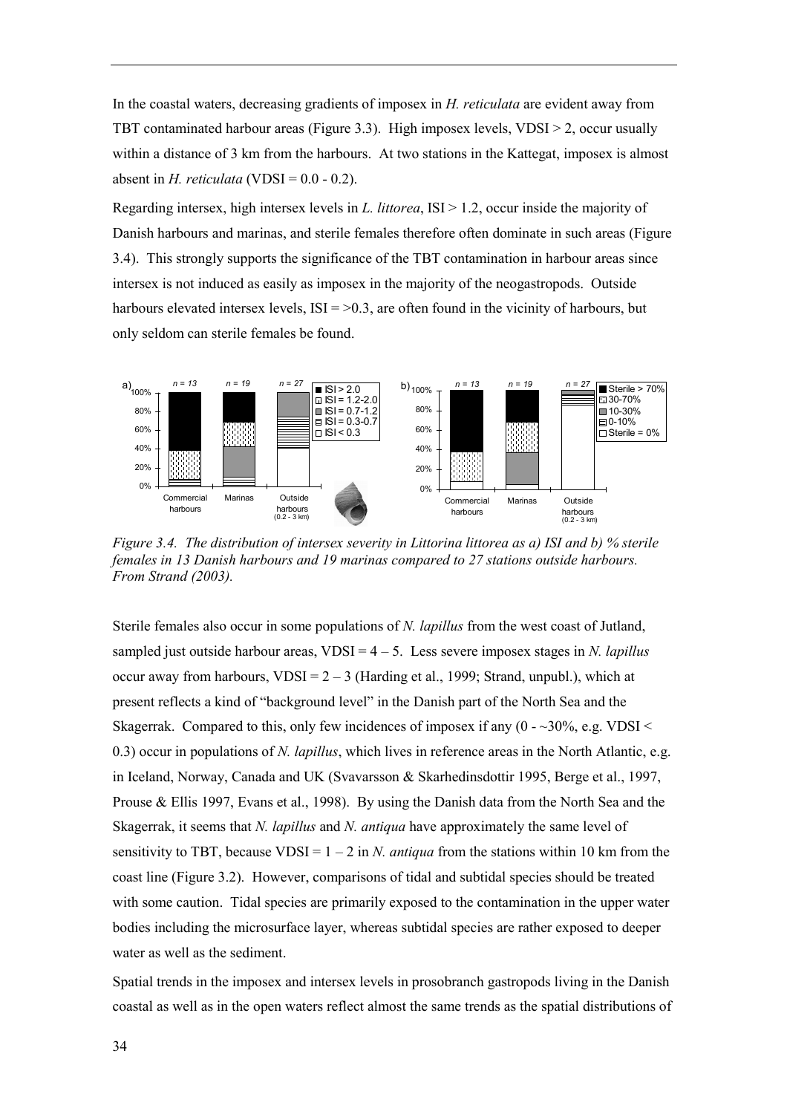In the coastal waters, decreasing gradients of imposex in *H. reticulata* are evident away from TBT contaminated harbour areas (Figure 3.3). High imposex levels,  $VDSI > 2$ , occur usually within a distance of 3 km from the harbours. At two stations in the Kattegat, imposex is almost absent in *H. reticulata* (VDSI =  $0.0 - 0.2$ ).

Regarding intersex, high intersex levels in *L. littorea*, ISI > 1.2, occur inside the majority of Danish harbours and marinas, and sterile females therefore often dominate in such areas (Figure 3.4). This strongly supports the significance of the TBT contamination in harbour areas since intersex is not induced as easily as imposex in the majority of the neogastropods. Outside harbours elevated intersex levels,  $ISI = 0.3$ , are often found in the vicinity of harbours, but only seldom can sterile females be found.



*Figure 3.4. The distribution of intersex severity in Littorina littorea as a) ISI and b) % sterile females in 13 Danish harbours and 19 marinas compared to 27 stations outside harbours. From Strand (2003).*

Sterile females also occur in some populations of *N. lapillus* from the west coast of Jutland, sampled just outside harbour areas,  $VDSI = 4 - 5$ . Less severe imposex stages in *N. lapillus* occur away from harbours,  $VDSI = 2 - 3$  (Harding et al., 1999; Strand, unpubl.), which at present reflects a kind of "background level" in the Danish part of the North Sea and the Skagerrak. Compared to this, only few incidences of imposex if any  $(0 -30\%), e.g. VDSI <$ 0.3) occur in populations of *N. lapillus*, which lives in reference areas in the North Atlantic, e.g. in Iceland, Norway, Canada and UK (Svavarsson & Skarhedinsdottir 1995, Berge et al., 1997, Prouse  $\&$  Ellis 1997, Evans et al., 1998). By using the Danish data from the North Sea and the Skagerrak, it seems that *N. lapillus* and *N. antiqua* have approximately the same level of sensitivity to TBT, because VDSI =  $1 - 2$  in *N. antiqua* from the stations within 10 km from the coast line (Figure 3.2). However, comparisons of tidal and subtidal species should be treated with some caution. Tidal species are primarily exposed to the contamination in the upper water bodies including the microsurface layer, whereas subtidal species are rather exposed to deeper water as well as the sediment.

Spatial trends in the imposex and intersex levels in prosobranch gastropods living in the Danish coastal as well as in the open waters reflect almost the same trends as the spatial distributions of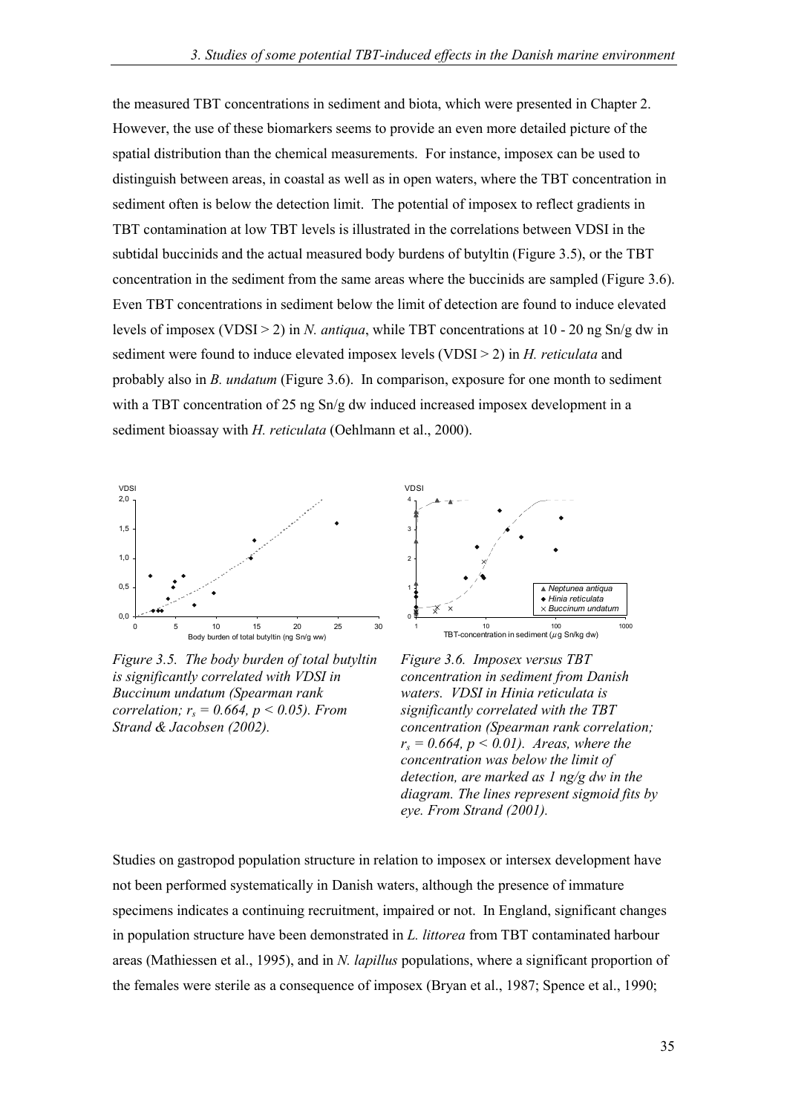the measured TBT concentrations in sediment and biota, which were presented in Chapter 2. However, the use of these biomarkers seems to provide an even more detailed picture of the spatial distribution than the chemical measurements. For instance, imposex can be used to distinguish between areas, in coastal as well as in open waters, where the TBT concentration in sediment often is below the detection limit. The potential of imposex to reflect gradients in TBT contamination at low TBT levels is illustrated in the correlations between VDSI in the subtidal buccinids and the actual measured body burdens of butyltin (Figure 3.5), or the TBT concentration in the sediment from the same areas where the buccinids are sampled (Figure 3.6). Even TBT concentrations in sediment below the limit of detection are found to induce elevated levels of imposex (VDSI > 2) in *N. antiqua*, while TBT concentrations at 10 - 20 ng Sn/g dw in sediment were found to induce elevated imposex levels (VDSI > 2) in *H. reticulata* and probably also in *B. undatum* (Figure 3.6). In comparison, exposure for one month to sediment with a TBT concentration of 25 ng Sn/g dw induced increased imposex development in a sediment bioassay with *H. reticulata* (Oehlmann et al., 2000).



*Figure 3.5. The body burden of total butyltin is significantly correlated with VDSI in Buccinum undatum (Spearman rank correlation; rs = 0.664, p < 0.05). From Strand & Jacobsen (2002).*



*Figure 3.6. Imposex versus TBT concentration in sediment from Danish waters. VDSI in Hinia reticulata is significantly correlated with the TBT concentration (Spearman rank correlation;*  $r_s = 0.664$ ,  $p \le 0.01$ ). Areas, where the *concentration was below the limit of detection, are marked as 1 ng/g dw in the diagram. The lines represent sigmoid fits by eye. From Strand (2001).*

Studies on gastropod population structure in relation to imposex or intersex development have not been performed systematically in Danish waters, although the presence of immature specimens indicates a continuing recruitment, impaired or not. In England, significant changes in population structure have been demonstrated in *L. littorea* from TBT contaminated harbour areas (Mathiessen et al., 1995), and in *N. lapillus* populations, where a significant proportion of the females were sterile as a consequence of imposex (Bryan et al., 1987; Spence et al., 1990;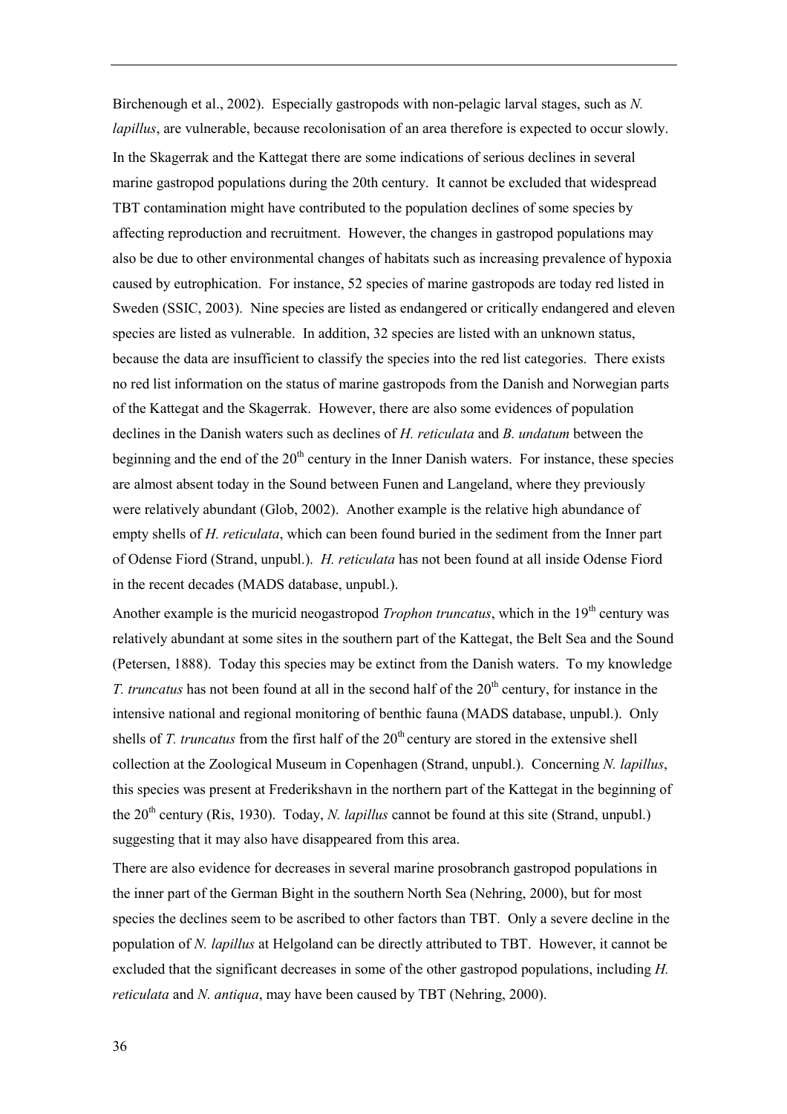Birchenough et al., 2002). Especially gastropods with non-pelagic larval stages, such as *N. lapillus*, are vulnerable, because recolonisation of an area therefore is expected to occur slowly. In the Skagerrak and the Kattegat there are some indications of serious declines in several marine gastropod populations during the 20th century. It cannot be excluded that widespread TBT contamination might have contributed to the population declines of some species by affecting reproduction and recruitment. However, the changes in gastropod populations may also be due to other environmental changes of habitats such as increasing prevalence of hypoxia caused by eutrophication. For instance, 52 species of marine gastropods are today red listed in Sweden (SSIC, 2003). Nine species are listed as endangered or critically endangered and eleven species are listed as vulnerable. In addition, 32 species are listed with an unknown status, because the data are insufficient to classify the species into the red list categories. There exists no red list information on the status of marine gastropods from the Danish and Norwegian parts of the Kattegat and the Skagerrak. However, there are also some evidences of population declines in the Danish waters such as declines of *H. reticulata* and *B. undatum* between the beginning and the end of the  $20<sup>th</sup>$  century in the Inner Danish waters. For instance, these species are almost absent today in the Sound between Funen and Langeland, where they previously were relatively abundant (Glob, 2002). Another example is the relative high abundance of empty shells of *H. reticulata*, which can been found buried in the sediment from the Inner part of Odense Fiord (Strand, unpubl.). *H. reticulata* has not been found at all inside Odense Fiord in the recent decades (MADS database, unpubl.).

Another example is the muricid neogastropod *Trophon truncatus*, which in the 19<sup>th</sup> century was relatively abundant at some sites in the southern part of the Kattegat, the Belt Sea and the Sound (Petersen, 1888). Today this species may be extinct from the Danish waters. To my knowledge *T. truncatus* has not been found at all in the second half of the 20<sup>th</sup> century, for instance in the intensive national and regional monitoring of benthic fauna (MADS database, unpubl.). Only shells of *T. truncatus* from the first half of the 20<sup>th</sup> century are stored in the extensive shell collection at the Zoological Museum in Copenhagen (Strand, unpubl.). Concerning *N. lapillus*, this species was present at Frederikshavn in the northern part of the Kattegat in the beginning of the  $20<sup>th</sup>$  century (Ris, 1930). Today, *N. lapillus* cannot be found at this site (Strand, unpubl.) suggesting that it may also have disappeared from this area.

There are also evidence for decreases in several marine prosobranch gastropod populations in the inner part of the German Bight in the southern North Sea (Nehring, 2000), but for most species the declines seem to be ascribed to other factors than TBT. Only a severe decline in the population of *N. lapillus* at Helgoland can be directly attributed to TBT. However, it cannot be excluded that the significant decreases in some of the other gastropod populations, including *H. reticulata* and *N. antiqua*, may have been caused by TBT (Nehring, 2000).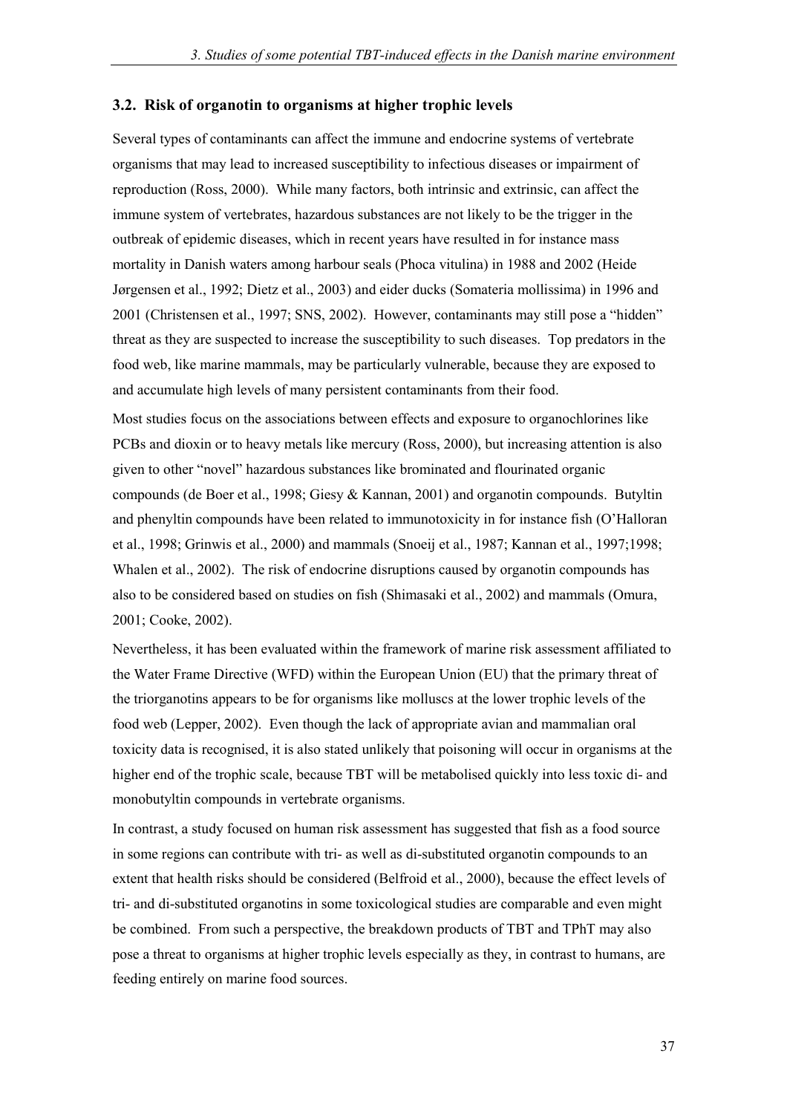#### **3.2. Risk of organotin to organisms at higher trophic levels**

Several types of contaminants can affect the immune and endocrine systems of vertebrate organisms that may lead to increased susceptibility to infectious diseases or impairment of reproduction (Ross, 2000). While many factors, both intrinsic and extrinsic, can affect the immune system of vertebrates, hazardous substances are not likely to be the trigger in the outbreak of epidemic diseases, which in recent years have resulted in for instance mass mortality in Danish waters among harbour seals (Phoca vitulina) in 1988 and 2002 (Heide Jørgensen et al., 1992; Dietz et al., 2003) and eider ducks (Somateria mollissima) in 1996 and 2001 (Christensen et al., 1997; SNS, 2002). However, contaminants may still pose a "hidden" threat as they are suspected to increase the susceptibility to such diseases. Top predators in the food web, like marine mammals, may be particularly vulnerable, because they are exposed to and accumulate high levels of many persistent contaminants from their food.

Most studies focus on the associations between effects and exposure to organochlorines like PCBs and dioxin or to heavy metals like mercury (Ross, 2000), but increasing attention is also given to other "novel" hazardous substances like brominated and flourinated organic compounds (de Boer et al., 1998; Giesy & Kannan, 2001) and organotin compounds. Butyltin and phenyltin compounds have been related to immunotoxicity in for instance fish (O'Halloran et al., 1998; Grinwis et al., 2000) and mammals (Snoeij et al., 1987; Kannan et al., 1997;1998; Whalen et al., 2002). The risk of endocrine disruptions caused by organotin compounds has also to be considered based on studies on fish (Shimasaki et al., 2002) and mammals (Omura, 2001; Cooke, 2002).

Nevertheless, it has been evaluated within the framework of marine risk assessment affiliated to the Water Frame Directive (WFD) within the European Union (EU) that the primary threat of the triorganotins appears to be for organisms like molluscs at the lower trophic levels of the food web (Lepper, 2002). Even though the lack of appropriate avian and mammalian oral toxicity data is recognised, it is also stated unlikely that poisoning will occur in organisms at the higher end of the trophic scale, because TBT will be metabolised quickly into less toxic di- and monobutyltin compounds in vertebrate organisms.

In contrast, a study focused on human risk assessment has suggested that fish as a food source in some regions can contribute with tri- as well as di-substituted organotin compounds to an extent that health risks should be considered (Belfroid et al., 2000), because the effect levels of tri- and di-substituted organotins in some toxicological studies are comparable and even might be combined. From such a perspective, the breakdown products of TBT and TPhT may also pose a threat to organisms at higher trophic levels especially as they, in contrast to humans, are feeding entirely on marine food sources.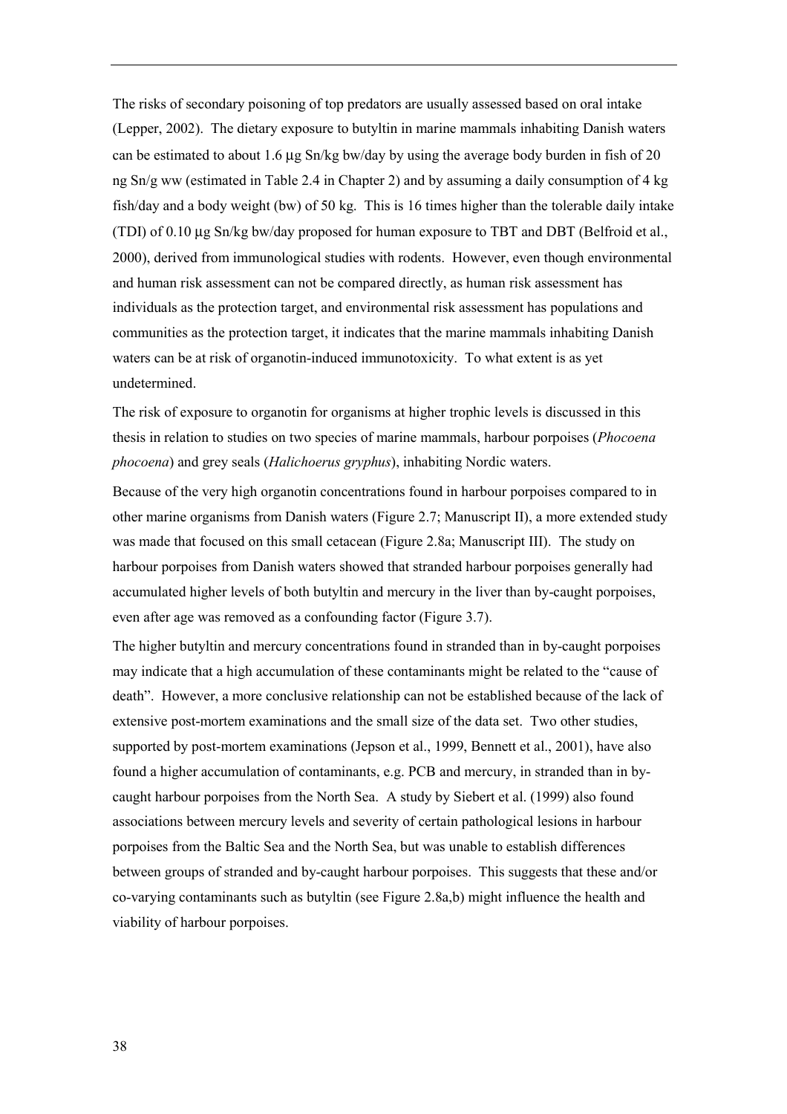The risks of secondary poisoning of top predators are usually assessed based on oral intake (Lepper, 2002). The dietary exposure to butyltin in marine mammals inhabiting Danish waters can be estimated to about 1.6  $\mu$ g Sn/kg bw/day by using the average body burden in fish of 20 ng Sn/g ww (estimated in Table 2.4 in Chapter 2) and by assuming a daily consumption of 4 kg fish/day and a body weight (bw) of 50 kg. This is 16 times higher than the tolerable daily intake (TDI) of 0.10 µg Sn/kg bw/day proposed for human exposure to TBT and DBT (Belfroid et al., 2000), derived from immunological studies with rodents. However, even though environmental and human risk assessment can not be compared directly, as human risk assessment has individuals as the protection target, and environmental risk assessment has populations and communities as the protection target, it indicates that the marine mammals inhabiting Danish waters can be at risk of organotin-induced immunotoxicity. To what extent is as yet undetermined.

The risk of exposure to organotin for organisms at higher trophic levels is discussed in this thesis in relation to studies on two species of marine mammals, harbour porpoises (*Phocoena phocoena*) and grey seals (*Halichoerus gryphus*), inhabiting Nordic waters.

Because of the very high organotin concentrations found in harbour porpoises compared to in other marine organisms from Danish waters (Figure 2.7; Manuscript II), a more extended study was made that focused on this small cetacean (Figure 2.8a; Manuscript III). The study on harbour porpoises from Danish waters showed that stranded harbour porpoises generally had accumulated higher levels of both butyltin and mercury in the liver than by-caught porpoises, even after age was removed as a confounding factor (Figure 3.7).

The higher butyltin and mercury concentrations found in stranded than in by-caught porpoises may indicate that a high accumulation of these contaminants might be related to the "cause of death". However, a more conclusive relationship can not be established because of the lack of extensive post-mortem examinations and the small size of the data set. Two other studies, supported by post-mortem examinations (Jepson et al., 1999, Bennett et al., 2001), have also found a higher accumulation of contaminants, e.g. PCB and mercury, in stranded than in bycaught harbour porpoises from the North Sea. A study by Siebert et al. (1999) also found associations between mercury levels and severity of certain pathological lesions in harbour porpoises from the Baltic Sea and the North Sea, but was unable to establish differences between groups of stranded and by-caught harbour porpoises. This suggests that these and/or co-varying contaminants such as butyltin (see Figure 2.8a,b) might influence the health and viability of harbour porpoises.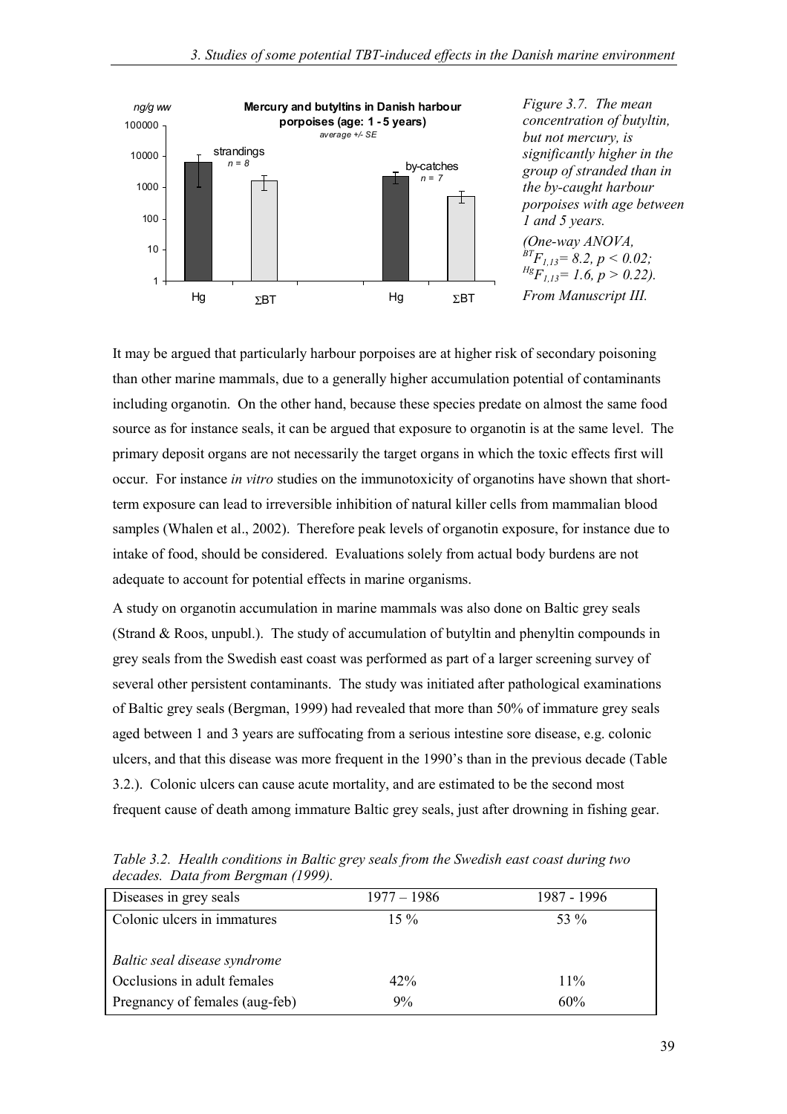

*Figure 3.7. The mean concentration of butyltin, but not mercury, is significantly higher in the group of stranded than in the by-caught harbour porpoises with age between 1 and 5 years. (One-way ANOVA,*

 $\overline{B}T_{1,13} = 8.2, p < 0.02;$  $Hg_{1,13}=1.6, p > 0.22$ ). *From Manuscript III.*

It may be argued that particularly harbour porpoises are at higher risk of secondary poisoning than other marine mammals, due to a generally higher accumulation potential of contaminants including organotin. On the other hand, because these species predate on almost the same food source as for instance seals, it can be argued that exposure to organotin is at the same level. The primary deposit organs are not necessarily the target organs in which the toxic effects first will occur. For instance *in vitro* studies on the immunotoxicity of organotins have shown that shortterm exposure can lead to irreversible inhibition of natural killer cells from mammalian blood samples (Whalen et al., 2002). Therefore peak levels of organotin exposure, for instance due to intake of food, should be considered. Evaluations solely from actual body burdens are not adequate to account for potential effects in marine organisms.

A study on organotin accumulation in marine mammals was also done on Baltic grey seals (Strand & Roos, unpubl.). The study of accumulation of butyltin and phenyltin compounds in grey seals from the Swedish east coast was performed as part of a larger screening survey of several other persistent contaminants. The study was initiated after pathological examinations of Baltic grey seals (Bergman, 1999) had revealed that more than 50% of immature grey seals aged between 1 and 3 years are suffocating from a serious intestine sore disease, e.g. colonic ulcers, and that this disease was more frequent in the 1990's than in the previous decade (Table 3.2.). Colonic ulcers can cause acute mortality, and are estimated to be the second most frequent cause of death among immature Baltic grey seals, just after drowning in fishing gear.

| Diseases in grey seals         | $1977 - 1986$ | 1987 - 1996 |
|--------------------------------|---------------|-------------|
| Colonic ulcers in immatures    | $15\%$        | 53 %        |
| Baltic seal disease syndrome   |               |             |
| Occlusions in adult females    | 42%           | $11\%$      |
| Pregnancy of females (aug-feb) | 9%            | 60%         |

*Table 3.2. Health conditions in Baltic grey seals from the Swedish east coast during two decades. Data from Bergman (1999).*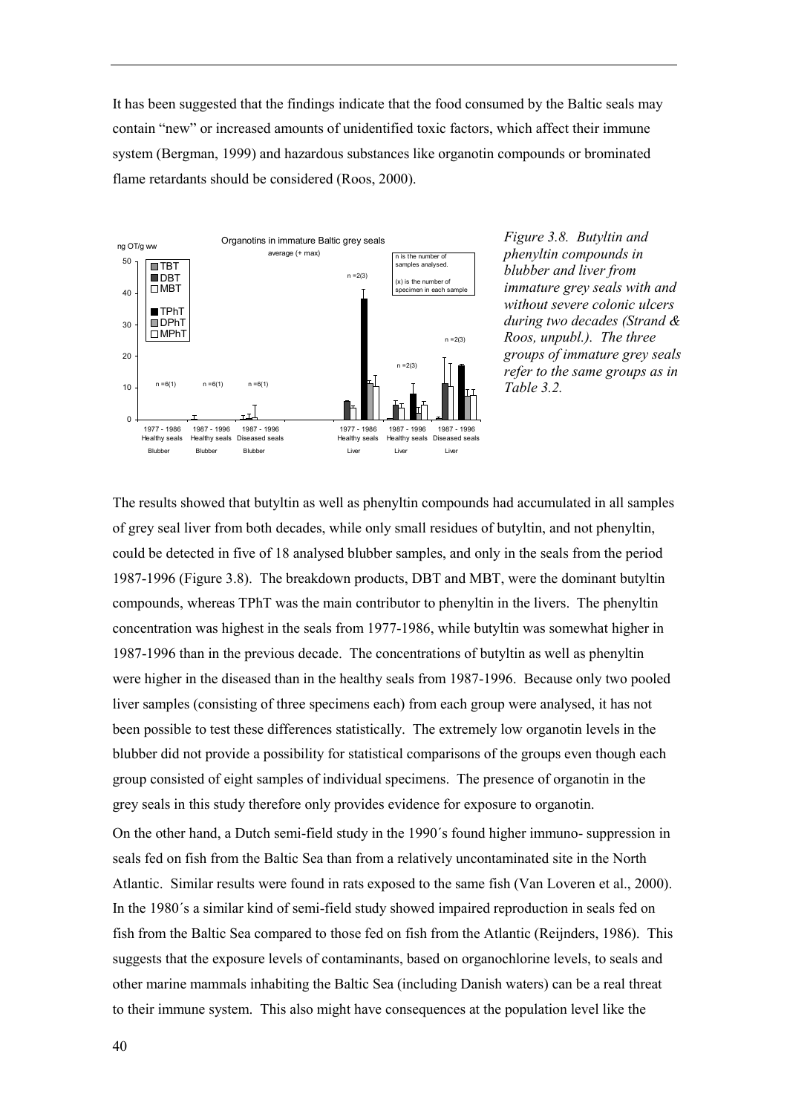It has been suggested that the findings indicate that the food consumed by the Baltic seals may contain "new" or increased amounts of unidentified toxic factors, which affect their immune system (Bergman, 1999) and hazardous substances like organotin compounds or brominated flame retardants should be considered (Roos, 2000).



*Figure 3.8. Butyltin and phenyltin compounds in blubber and liver from immature grey seals with and without severe colonic ulcers during two decades (Strand & Roos, unpubl.). The three groups of immature grey seals refer to the same groups as in Table 3.2.*

The results showed that butyltin as well as phenyltin compounds had accumulated in all samples of grey seal liver from both decades, while only small residues of butyltin, and not phenyltin, could be detected in five of 18 analysed blubber samples, and only in the seals from the period 1987-1996 (Figure 3.8). The breakdown products, DBT and MBT, were the dominant butyltin compounds, whereas TPhT was the main contributor to phenyltin in the livers. The phenyltin concentration was highest in the seals from 1977-1986, while butyltin was somewhat higher in 1987-1996 than in the previous decade. The concentrations of butyltin as well as phenyltin were higher in the diseased than in the healthy seals from 1987-1996. Because only two pooled liver samples (consisting of three specimens each) from each group were analysed, it has not been possible to test these differences statistically. The extremely low organotin levels in the blubber did not provide a possibility for statistical comparisons of the groups even though each group consisted of eight samples of individual specimens. The presence of organotin in the grey seals in this study therefore only provides evidence for exposure to organotin.

On the other hand, a Dutch semi-field study in the 1990's found higher immuno- suppression in seals fed on fish from the Baltic Sea than from a relatively uncontaminated site in the North Atlantic. Similar results were found in rats exposed to the same fish (Van Loveren et al., 2000). In the 1980's a similar kind of semi-field study showed impaired reproduction in seals fed on fish from the Baltic Sea compared to those fed on fish from the Atlantic (Reijnders, 1986). This suggests that the exposure levels of contaminants, based on organochlorine levels, to seals and other marine mammals inhabiting the Baltic Sea (including Danish waters) can be a real threat to their immune system. This also might have consequences at the population level like the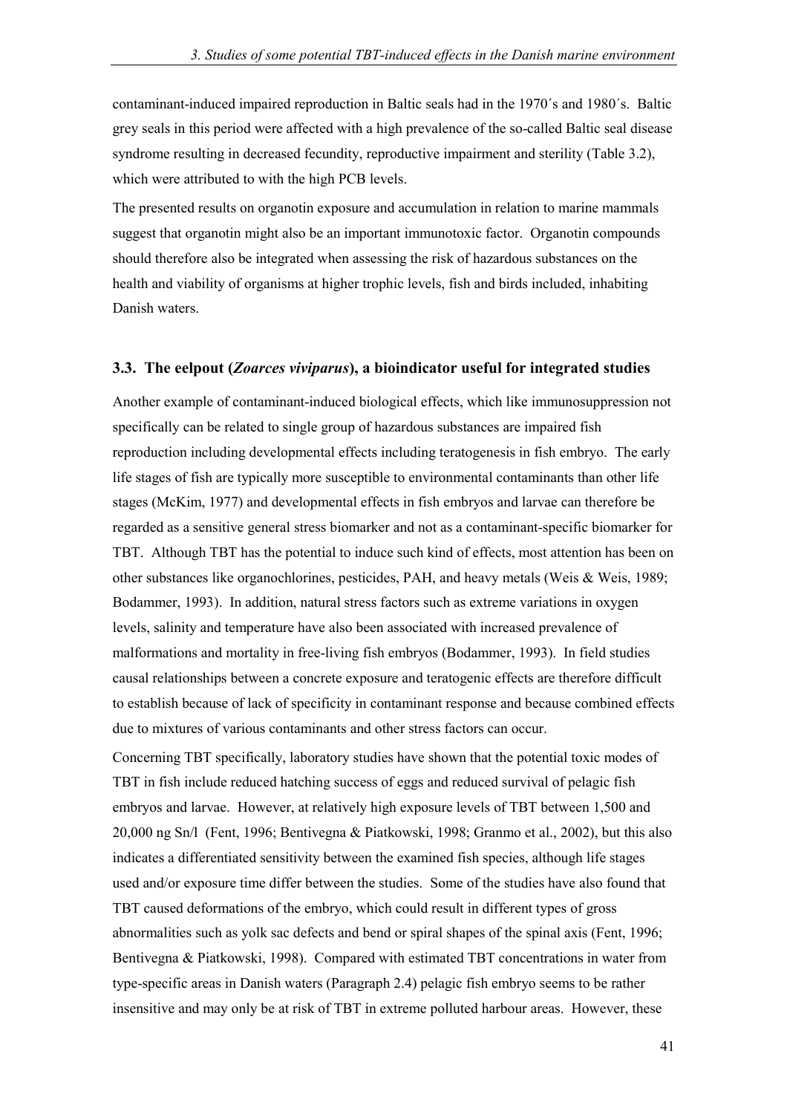contaminant-induced impaired reproduction in Baltic seals had in the 1970's and 1980's. Baltic grey seals in this period were affected with a high prevalence of the so-called Baltic seal disease syndrome resulting in decreased fecundity, reproductive impairment and sterility (Table 3.2), which were attributed to with the high PCB levels.

The presented results on organotin exposure and accumulation in relation to marine mammals suggest that organotin might also be an important immunotoxic factor. Organotin compounds should therefore also be integrated when assessing the risk of hazardous substances on the health and viability of organisms at higher trophic levels, fish and birds included, inhabiting Danish waters.

#### **3.3. The eelpout (***Zoarces viviparus***), a bioindicator useful for integrated studies**

Another example of contaminant-induced biological effects, which like immunosuppression not specifically can be related to single group of hazardous substances are impaired fish reproduction including developmental effects including teratogenesis in fish embryo. The early life stages of fish are typically more susceptible to environmental contaminants than other life stages (McKim, 1977) and developmental effects in fish embryos and larvae can therefore be regarded as a sensitive general stress biomarker and not as a contaminant-specific biomarker for TBT. Although TBT has the potential to induce such kind of effects, most attention has been on other substances like organochlorines, pesticides, PAH, and heavy metals (Weis & Weis, 1989; Bodammer, 1993). In addition, natural stress factors such as extreme variations in oxygen levels, salinity and temperature have also been associated with increased prevalence of malformations and mortality in free-living fish embryos (Bodammer, 1993). In field studies causal relationships between a concrete exposure and teratogenic effects are therefore difficult to establish because of lack of specificity in contaminant response and because combined effects due to mixtures of various contaminants and other stress factors can occur.

Concerning TBT specifically, laboratory studies have shown that the potential toxic modes of TBT in fish include reduced hatching success of eggs and reduced survival of pelagic fish embryos and larvae. However, at relatively high exposure levels of TBT between 1,500 and 20,000 ng Sn/l (Fent, 1996; Bentivegna & Piatkowski, 1998; Granmo et al., 2002), but this also indicates a differentiated sensitivity between the examined fish species, although life stages used and/or exposure time differ between the studies. Some of the studies have also found that TBT caused deformations of the embryo, which could result in different types of gross abnormalities such as yolk sac defects and bend or spiral shapes of the spinal axis (Fent, 1996; Bentivegna & Piatkowski, 1998). Compared with estimated TBT concentrations in water from type-specific areas in Danish waters (Paragraph 2.4) pelagic fish embryo seems to be rather insensitive and may only be at risk of TBT in extreme polluted harbour areas. However, these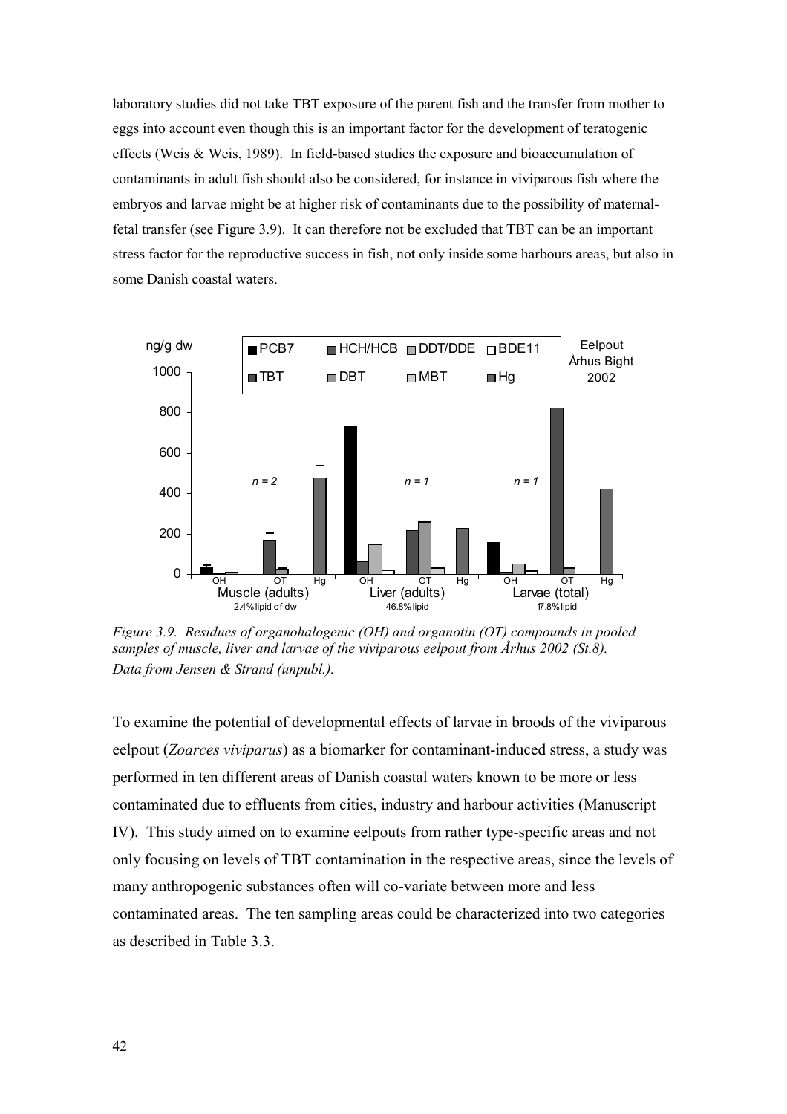laboratory studies did not take TBT exposure of the parent fish and the transfer from mother to eggs into account even though this is an important factor for the development of teratogenic effects (Weis & Weis, 1989). In field-based studies the exposure and bioaccumulation of contaminants in adult fish should also be considered, for instance in viviparous fish where the embryos and larvae might be at higher risk of contaminants due to the possibility of maternalfetal transfer (see Figure 3.9). It can therefore not be excluded that TBT can be an important stress factor for the reproductive success in fish, not only inside some harbours areas, but also in some Danish coastal waters.



*Figure 3.9. Residues of organohalogenic (OH) and organotin (OT) compounds in pooled samples of muscle, liver and larvae of the viviparous eelpout from Århus 2002 (St.8). Data from Jensen & Strand (unpubl.).*

To examine the potential of developmental effects of larvae in broods of the viviparous eelpout (*Zoarces viviparus*) as a biomarker for contaminant-induced stress, a study was performed in ten different areas of Danish coastal waters known to be more or less contaminated due to effluents from cities, industry and harbour activities (Manuscript IV). This study aimed on to examine eelpouts from rather type-specific areas and not only focusing on levels of TBT contamination in the respective areas, since the levels of many anthropogenic substances often will co-variate between more and less contaminated areas. The ten sampling areas could be characterized into two categories as described in Table 3.3.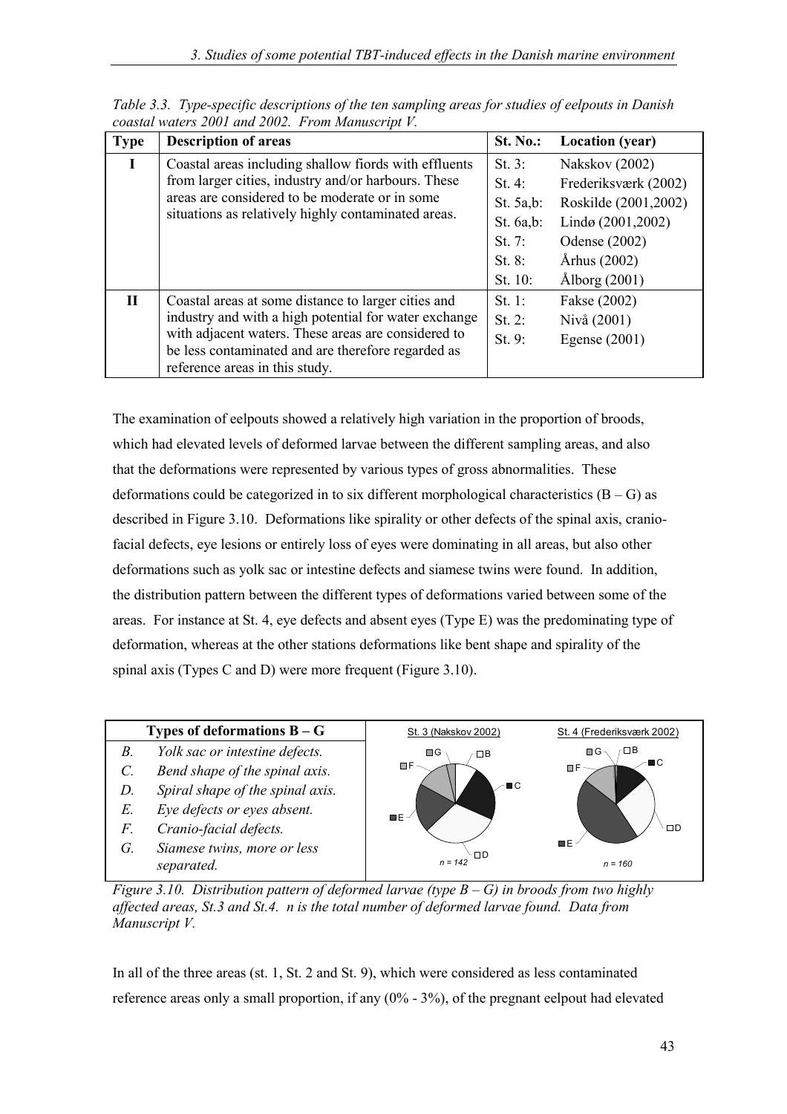| <b>Type</b>  | <b>Description of areas</b>                                                                                                                                                                                                                                 | <b>St. No.:</b>                                                                      | <b>Location</b> (year)                                                                                                                     |
|--------------|-------------------------------------------------------------------------------------------------------------------------------------------------------------------------------------------------------------------------------------------------------------|--------------------------------------------------------------------------------------|--------------------------------------------------------------------------------------------------------------------------------------------|
| T            | Coastal areas including shallow fiords with effluents<br>from larger cities, industry and/or harbours. These<br>areas are considered to be moderate or in some<br>situations as relatively highly contaminated areas.                                       | St. $3:$<br>St. 4:<br>St. $5a,b$ :<br>St. $6a,b$ :<br>St. 7:<br>St. $8$ :<br>St. 10: | Nakskov (2002)<br>Frederiksværk (2002)<br>Roskilde (2001,2002)<br>Lindø (2001,2002)<br>Odense (2002)<br>Århus (2002)<br>$\AA$ lborg (2001) |
| $\mathbf{I}$ | Coastal areas at some distance to larger cities and<br>industry and with a high potential for water exchange<br>with adjacent waters. These areas are considered to<br>be less contaminated and are therefore regarded as<br>reference areas in this study. | St. 1:<br>St. $2$ :<br>St. 9:                                                        | Fakse (2002)<br>Nivå (2001)<br>Egense $(2001)$                                                                                             |

*Table 3.3. Type-specific descriptions of the ten sampling areas for studies of eelpouts in Danish coastal waters 2001 and 2002. From Manuscript V.*

The examination of eelpouts showed a relatively high variation in the proportion of broods, which had elevated levels of deformed larvae between the different sampling areas, and also that the deformations were represented by various types of gross abnormalities. These deformations could be categorized in to six different morphological characteristics  $(B - G)$  as described in Figure 3.10. Deformations like spirality or other defects of the spinal axis, craniofacial defects, eye lesions or entirely loss of eyes were dominating in all areas, but also other deformations such as yolk sac or intestine defects and siamese twins were found. In addition, the distribution pattern between the different types of deformations varied between some of the areas. For instance at St. 4, eye defects and absent eyes (Type E) was the predominating type of deformation, whereas at the other stations deformations like bent shape and spirality of the spinal axis (Types C and D) were more frequent (Figure 3.10).



*Figure 3.10. Distribution pattern of deformed larvae (type*  $B - G$ *) in broods from two highly affected areas, St.3 and St.4. n is the total number of deformed larvae found. Data from Manuscript V.*

In all of the three areas (st. 1, St. 2 and St. 9), which were considered as less contaminated reference areas only a small proportion, if any  $(0\% - 3\%)$ , of the pregnant eelpout had elevated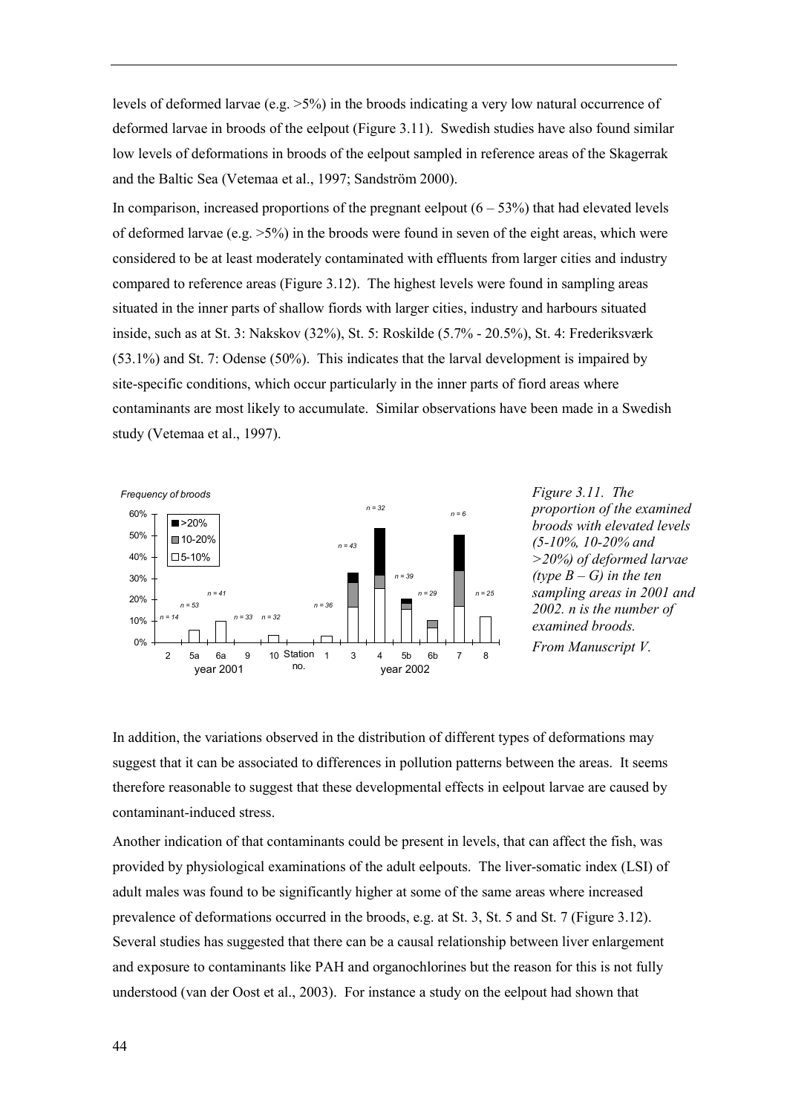levels of deformed larvae (e.g.  $>5\%$ ) in the broods indicating a very low natural occurrence of deformed larvae in broods of the eelpout (Figure 3.11). Swedish studies have also found similar low levels of deformations in broods of the eelpout sampled in reference areas of the Skagerrak and the Baltic Sea (Vetemaa et al., 1997; Sandström 2000).

In comparison, increased proportions of the pregnant eelpout  $(6 - 53%)$  that had elevated levels of deformed larvae (e.g.  $>5\%$ ) in the broods were found in seven of the eight areas, which were considered to be at least moderately contaminated with effluents from larger cities and industry compared to reference areas (Figure 3.12). The highest levels were found in sampling areas situated in the inner parts of shallow fiords with larger cities, industry and harbours situated inside, such as at St. 3: Nakskov  $(32\%)$ , St. 5: Roskilde  $(5.7\% - 20.5\%)$ , St. 4: Frederiksværk (53.1%) and St. 7: Odense (50%). This indicates that the larval development is impaired by site-specific conditions, which occur particularly in the inner parts of fiord areas where contaminants are most likely to accumulate. Similar observations have been made in a Swedish study (Vetemaa et al., 1997).



*Figure 3.11. The proportion of the examined broods with elevated levels (5-10%, 10-20% and >20%) of deformed larvae (type*  $B - G$ *) in the ten sampling areas in 2001 and 2002. n is the number of examined broods. From Manuscript V.*

In addition, the variations observed in the distribution of different types of deformations may suggest that it can be associated to differences in pollution patterns between the areas. It seems therefore reasonable to suggest that these developmental effects in eelpout larvae are caused by contaminant-induced stress.

Another indication of that contaminants could be present in levels, that can affect the fish, was provided by physiological examinations of the adult eelpouts. The liver-somatic index (LSI) of adult males was found to be significantly higher at some of the same areas where increased prevalence of deformations occurred in the broods, e.g. at St. 3, St. 5 and St. 7 (Figure 3.12). Several studies has suggested that there can be a causal relationship between liver enlargement and exposure to contaminants like PAH and organochlorines but the reason for this is not fully understood (van der Oost et al., 2003). For instance a study on the eelpout had shown that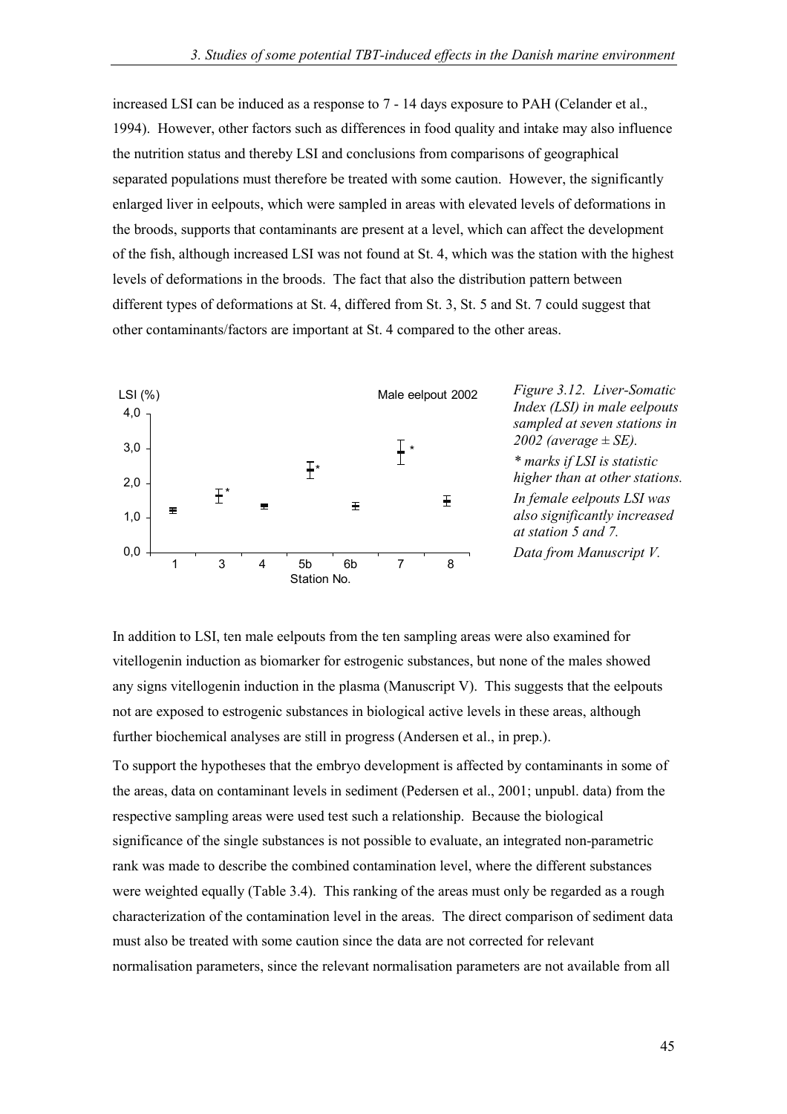increased LSI can be induced as a response to 7 - 14 days exposure to PAH (Celander et al., 1994). However, other factors such as differences in food quality and intake may also influence the nutrition status and thereby LSI and conclusions from comparisons of geographical separated populations must therefore be treated with some caution. However, the significantly enlarged liver in eelpouts, which were sampled in areas with elevated levels of deformations in the broods, supports that contaminants are present at a level, which can affect the development of the fish, although increased LSI was not found at St. 4, which was the station with the highest levels of deformations in the broods. The fact that also the distribution pattern between different types of deformations at St. 4, differed from St. 3, St. 5 and St. 7 could suggest that other contaminants/factors are important at St. 4 compared to the other areas.



In addition to LSI, ten male eelpouts from the ten sampling areas were also examined for vitellogenin induction as biomarker for estrogenic substances, but none of the males showed any signs vitellogenin induction in the plasma (Manuscript V). This suggests that the eelpouts not are exposed to estrogenic substances in biological active levels in these areas, although further biochemical analyses are still in progress (Andersen et al., in prep.).

To support the hypotheses that the embryo development is affected by contaminants in some of the areas, data on contaminant levels in sediment (Pedersen et al., 2001; unpubl. data) from the respective sampling areas were used test such a relationship. Because the biological significance of the single substances is not possible to evaluate, an integrated non-parametric rank was made to describe the combined contamination level, where the different substances were weighted equally (Table 3.4). This ranking of the areas must only be regarded as a rough characterization of the contamination level in the areas. The direct comparison of sediment data must also be treated with some caution since the data are not corrected for relevant normalisation parameters, since the relevant normalisation parameters are not available from all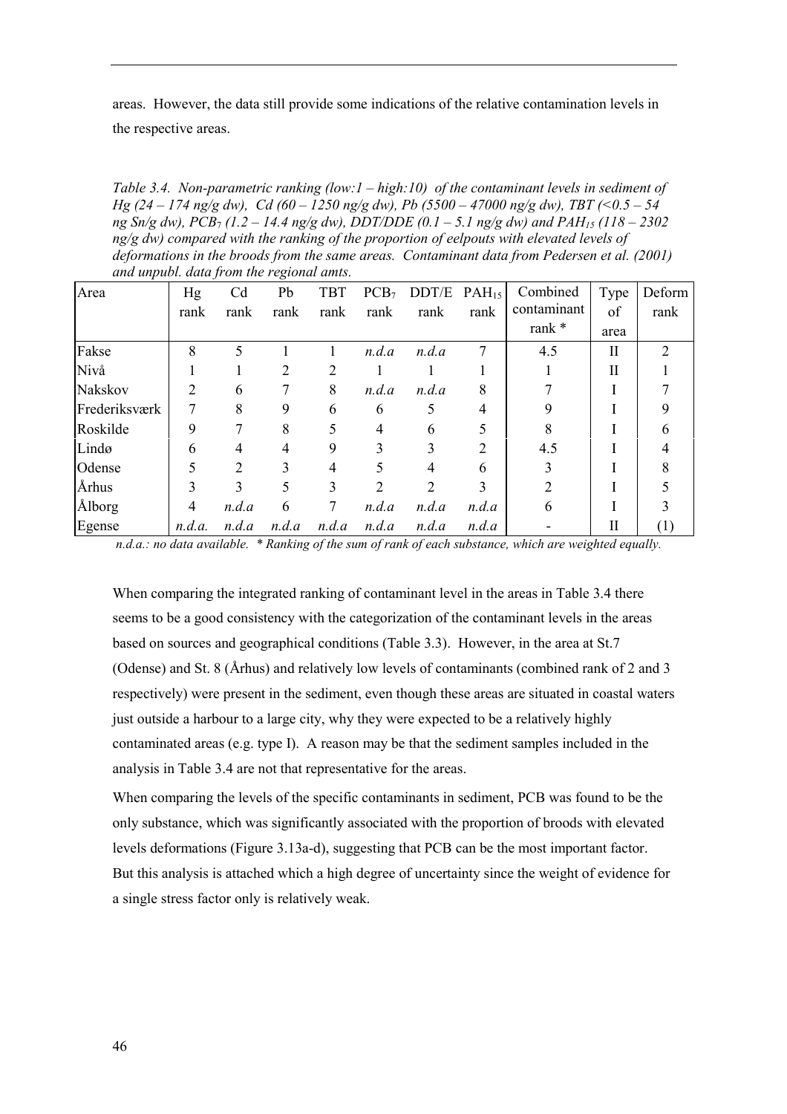areas. However, the data still provide some indications of the relative contamination levels in the respective areas.

*Table 3.4. Non-parametric ranking (low:1 – high:10) of the contaminant levels in sediment of Hg (24 – 174 ng/g dw), Cd (60 – 1250 ng/g dw), Pb (5500 – 47000 ng/g dw), TBT (<0.5 – 54 ng Sn/g dw), PCB<sub>7</sub> (1.2 – 14.4 ng/g dw), DDT/DDE (0.1 – 5.1 ng/g dw) and PAH<sub>15</sub> (118 – 2302 ng/g dw) compared with the ranking of the proportion of eelpouts with elevated levels of deformations in the broods from the same areas. Contaminant data from Pedersen et al. (2001) and unpubl. data from the regional amts.*

| Area          | Hg     | C <sub>d</sub> | Pb    | <b>TBT</b> | PCB <sub>7</sub> | DDT/E | $PAH_{15}$ | Combined       | Type        | Deform         |
|---------------|--------|----------------|-------|------------|------------------|-------|------------|----------------|-------------|----------------|
|               | rank   | rank           | rank  | rank       | rank             | rank  | rank       | contaminant    | of          | rank           |
|               |        |                |       |            |                  |       |            | rank $*$       | area        |                |
| Fakse         | 8      | 5              |       |            | n.d.a            | n.d.a | 7          | 4.5            | $_{\rm II}$ | $\overline{2}$ |
| Nivå          |        |                | 2     | 2          |                  |       |            |                | П           |                |
| Nakskov       | 2      | 6              |       | 8          | n.d.a            | n.d.a | 8          |                |             |                |
| Frederiksværk | 7      | 8              | 9     | 6          | 6                | 5     | 4          |                |             |                |
| Roskilde      | 9      | 7              | 8     | 5          | 4                | 6     |            |                |             | 6              |
| Lindø         | 6      | 4              | 4     | 9          | 3                | 3     | 2          | 4.5            |             |                |
| Odense        | 5      | $\overline{2}$ | 3     | 4          | 5                | 4     | 6          |                |             | 8              |
| Århus         | 3      | 3              | 5     | 3          | $\overline{2}$   | 2     | 3          | $\mathfrak{D}$ |             |                |
| Ålborg        | 4      | n.d.a          | 6     | 7          | n.d.a            | n.d.a | n.d.a      | 6              |             |                |
| Egense        | n.d.a. | n.d.a          | n.d.a | n.d.a      | n.d.a            | n.d.a | n.d.a      |                | Н           | (1)            |

 *n.d.a.: no data available. \* Ranking of the sum of rank of each substance, which are weighted equally.*

When comparing the integrated ranking of contaminant level in the areas in Table 3.4 there seems to be a good consistency with the categorization of the contaminant levels in the areas based on sources and geographical conditions (Table 3.3). However, in the area at St.7 (Odense) and St. 8 (Århus) and relatively low levels of contaminants (combined rank of 2 and 3 respectively) were present in the sediment, even though these areas are situated in coastal waters just outside a harbour to a large city, why they were expected to be a relatively highly contaminated areas (e.g. type I). A reason may be that the sediment samples included in the analysis in Table 3.4 are not that representative for the areas.

When comparing the levels of the specific contaminants in sediment, PCB was found to be the only substance, which was significantly associated with the proportion of broods with elevated levels deformations (Figure 3.13a-d), suggesting that PCB can be the most important factor. But this analysis is attached which a high degree of uncertainty since the weight of evidence for a single stress factor only is relatively weak.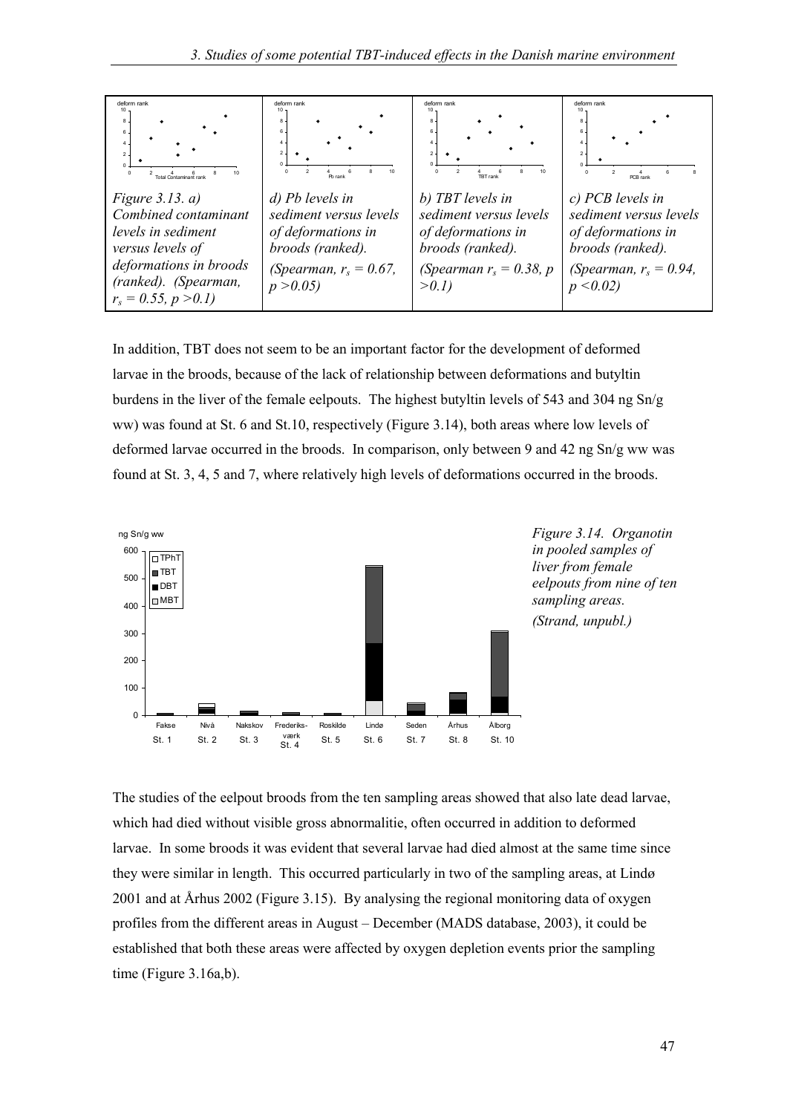

In addition, TBT does not seem to be an important factor for the development of deformed larvae in the broods, because of the lack of relationship between deformations and butyltin burdens in the liver of the female eelpouts. The highest butyltin levels of 543 and 304 ng  $Sn/g$ ww) was found at St. 6 and St.10, respectively (Figure 3.14), both areas where low levels of deformed larvae occurred in the broods. In comparison, only between 9 and 42 ng Sn/g ww was found at St. 3, 4, 5 and 7, where relatively high levels of deformations occurred in the broods.





The studies of the eelpout broods from the ten sampling areas showed that also late dead larvae, which had died without visible gross abnormalitie, often occurred in addition to deformed larvae. In some broods it was evident that several larvae had died almost at the same time since they were similar in length. This occurred particularly in two of the sampling areas, at Lindø 2001 and at Århus 2002 (Figure 3.15). By analysing the regional monitoring data of oxygen profiles from the different areas in August – December (MADS database, 2003), it could be established that both these areas were affected by oxygen depletion events prior the sampling time (Figure 3.16a,b).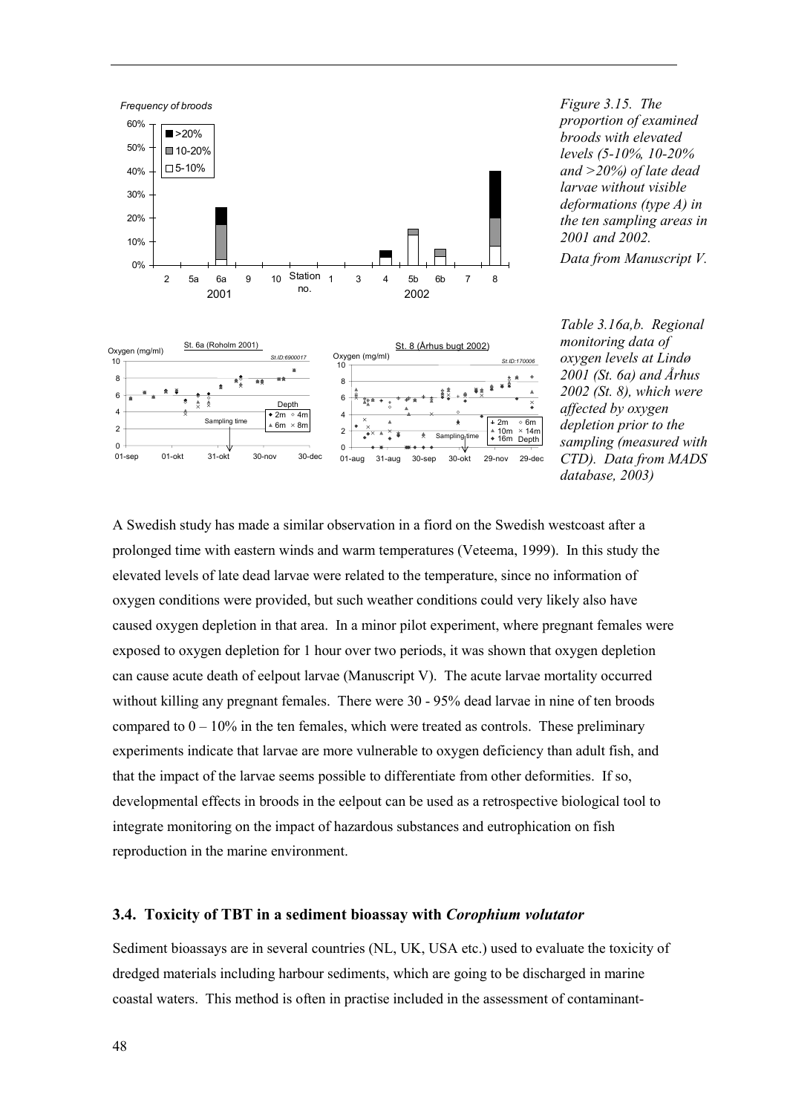

*Figure 3.15. The proportion of examined broods with elevated levels (5-10%, 10-20% and >20%) of late dead larvae without visible deformations (type A) in the ten sampling areas in 2001 and 2002. Data from Manuscript V.*

*Table 3.16a,b. Regional monitoring data of oxygen levels at Lind¯ 2001 (St. 6a) and Århus 2002 (St. 8), which were affected by oxygen depletion prior to the sampling (measured with CTD). Data from MADS database, 2003)*

A Swedish study has made a similar observation in a fiord on the Swedish westcoast after a prolonged time with eastern winds and warm temperatures (Veteema, 1999). In this study the elevated levels of late dead larvae were related to the temperature, since no information of oxygen conditions were provided, but such weather conditions could very likely also have caused oxygen depletion in that area. In a minor pilot experiment, where pregnant females were exposed to oxygen depletion for 1 hour over two periods, it was shown that oxygen depletion can cause acute death of eelpout larvae (Manuscript V). The acute larvae mortality occurred without killing any pregnant females. There were 30 - 95% dead larvae in nine of ten broods compared to  $0 - 10\%$  in the ten females, which were treated as controls. These preliminary experiments indicate that larvae are more vulnerable to oxygen deficiency than adult fish, and that the impact of the larvae seems possible to differentiate from other deformities. If so, developmental effects in broods in the eelpout can be used as a retrospective biological tool to integrate monitoring on the impact of hazardous substances and eutrophication on fish reproduction in the marine environment.

#### **3.4. Toxicity of TBT in a sediment bioassay with** *Corophium volutator*

Sediment bioassays are in several countries (NL, UK, USA etc.) used to evaluate the toxicity of dredged materials including harbour sediments, which are going to be discharged in marine coastal waters. This method is often in practise included in the assessment of contaminant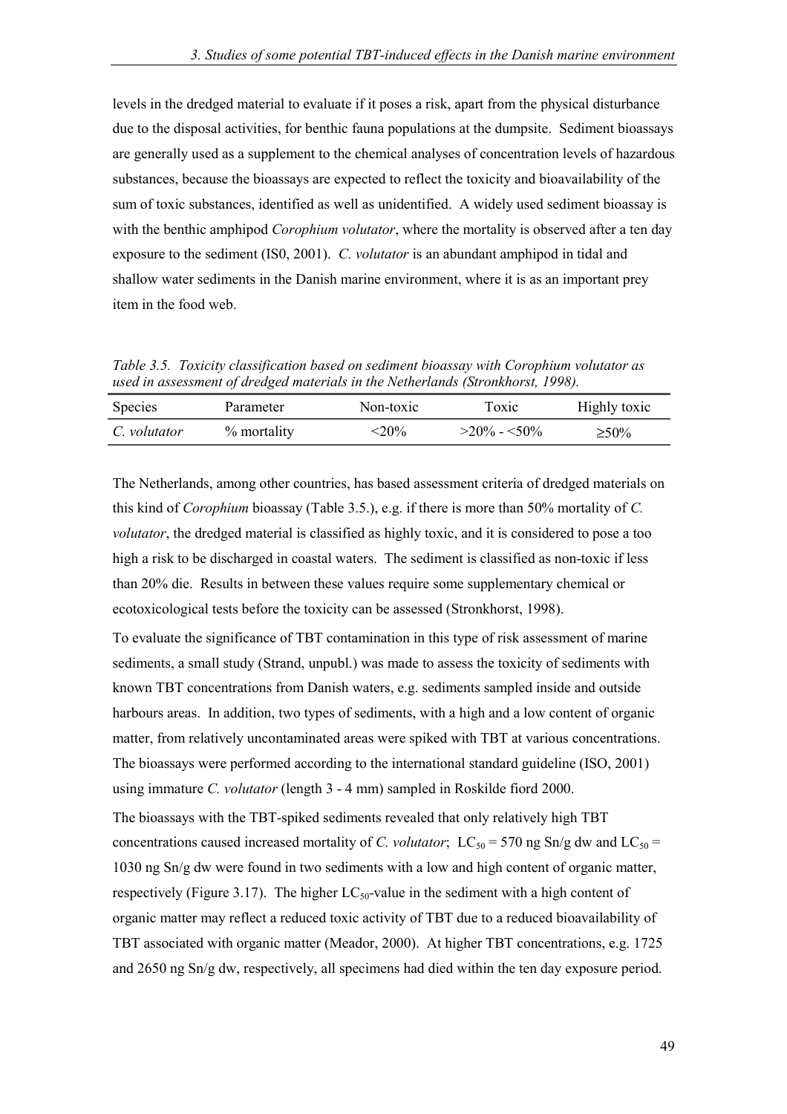levels in the dredged material to evaluate if it poses a risk, apart from the physical disturbance due to the disposal activities, for benthic fauna populations at the dumpsite. Sediment bioassays are generally used as a supplement to the chemical analyses of concentration levels of hazardous substances, because the bioassays are expected to reflect the toxicity and bioavailability of the sum of toxic substances, identified as well as unidentified. A widely used sediment bioassay is with the benthic amphipod *Corophium volutator*, where the mortality is observed after a ten day exposure to the sediment (IS0, 2001). *C. volutator* is an abundant amphipod in tidal and shallow water sediments in the Danish marine environment, where it is as an important prey item in the food web.

*Table 3.5. Toxicity classification based on sediment bioassay with Corophium volutator as used in assessment of dredged materials in the Netherlands (Stronkhorst, 1998).*

| Species      | Parameter   | Non-toxic   | Toxic          | Highly toxic |
|--------------|-------------|-------------|----------------|--------------|
| C. volutator | % mortality | $\leq 20\%$ | $>20\% - 50\%$ | $\geq 50\%$  |

The Netherlands, among other countries, has based assessment criteria of dredged materials on this kind of *Corophium* bioassay (Table 3.5.), e.g. if there is more than 50% mortality of *C. volutator*, the dredged material is classified as highly toxic, and it is considered to pose a too high a risk to be discharged in coastal waters. The sediment is classified as non-toxic if less than 20% die. Results in between these values require some supplementary chemical or ecotoxicological tests before the toxicity can be assessed (Stronkhorst, 1998).

To evaluate the significance of TBT contamination in this type of risk assessment of marine sediments, a small study (Strand, unpubl.) was made to assess the toxicity of sediments with known TBT concentrations from Danish waters, e.g. sediments sampled inside and outside harbours areas. In addition, two types of sediments, with a high and a low content of organic matter, from relatively uncontaminated areas were spiked with TBT at various concentrations. The bioassays were performed according to the international standard guideline (ISO, 2001) using immature *C. volutator* (length 3 - 4 mm) sampled in Roskilde fiord 2000.

The bioassays with the TBT-spiked sediments revealed that only relatively high TBT concentrations caused increased mortality of *C. volutator*;  $LC_{50} = 570$  ng Sn/g dw and  $LC_{50} =$ 1030 ng Sn/g dw were found in two sediments with a low and high content of organic matter, respectively (Figure 3.17). The higher  $LC_{50}$ -value in the sediment with a high content of organic matter may reflect a reduced toxic activity of TBT due to a reduced bioavailability of TBT associated with organic matter (Meador, 2000). At higher TBT concentrations, e.g. 1725 and 2650 ng Sn/g dw, respectively, all specimens had died within the ten day exposure period.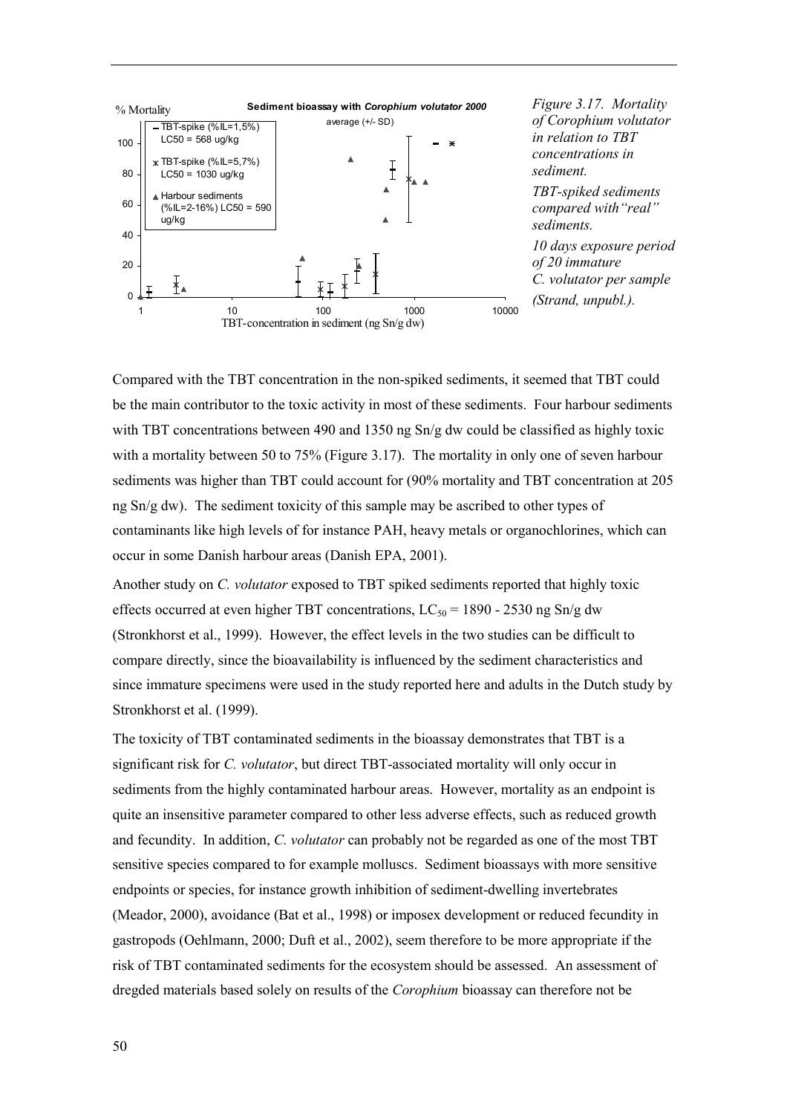![](_page_52_Figure_0.jpeg)

Compared with the TBT concentration in the non-spiked sediments, it seemed that TBT could be the main contributor to the toxic activity in most of these sediments. Four harbour sediments with TBT concentrations between 490 and 1350 ng Sn/g dw could be classified as highly toxic with a mortality between 50 to 75% (Figure 3.17). The mortality in only one of seven harbour sediments was higher than TBT could account for (90% mortality and TBT concentration at 205 ng Sn/g dw). The sediment toxicity of this sample may be ascribed to other types of contaminants like high levels of for instance PAH, heavy metals or organochlorines, which can occur in some Danish harbour areas (Danish EPA, 2001).

Another study on *C. volutator* exposed to TBT spiked sediments reported that highly toxic effects occurred at even higher TBT concentrations,  $LC_{50} = 1890 - 2530$  ng Sn/g dw (Stronkhorst et al., 1999). However, the effect levels in the two studies can be difficult to compare directly, since the bioavailability is influenced by the sediment characteristics and since immature specimens were used in the study reported here and adults in the Dutch study by Stronkhorst et al. (1999).

The toxicity of TBT contaminated sediments in the bioassay demonstrates that TBT is a significant risk for *C. volutator*, but direct TBT-associated mortality will only occur in sediments from the highly contaminated harbour areas. However, mortality as an endpoint is quite an insensitive parameter compared to other less adverse effects, such as reduced growth and fecundity. In addition, *C. volutator* can probably not be regarded as one of the most TBT sensitive species compared to for example molluscs. Sediment bioassays with more sensitive endpoints or species, for instance growth inhibition of sediment-dwelling invertebrates (Meador, 2000), avoidance (Bat et al., 1998) or imposex development or reduced fecundity in gastropods (Oehlmann, 2000; Duft et al., 2002), seem therefore to be more appropriate if the risk of TBT contaminated sediments for the ecosystem should be assessed. An assessment of dregded materials based solely on results of the *Corophium* bioassay can therefore not be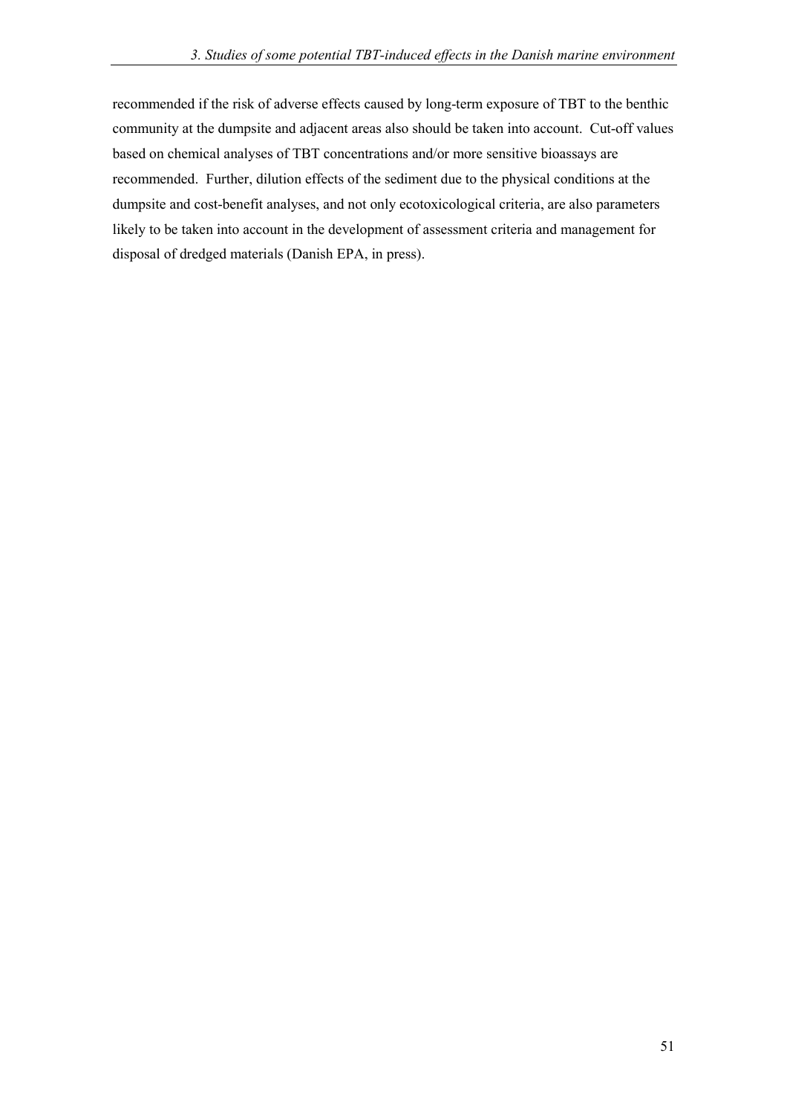recommended if the risk of adverse effects caused by long-term exposure of TBT to the benthic community at the dumpsite and adjacent areas also should be taken into account. Cut-off values based on chemical analyses of TBT concentrations and/or more sensitive bioassays are recommended. Further, dilution effects of the sediment due to the physical conditions at the dumpsite and cost-benefit analyses, and not only ecotoxicological criteria, are also parameters likely to be taken into account in the development of assessment criteria and management for disposal of dredged materials (Danish EPA, in press).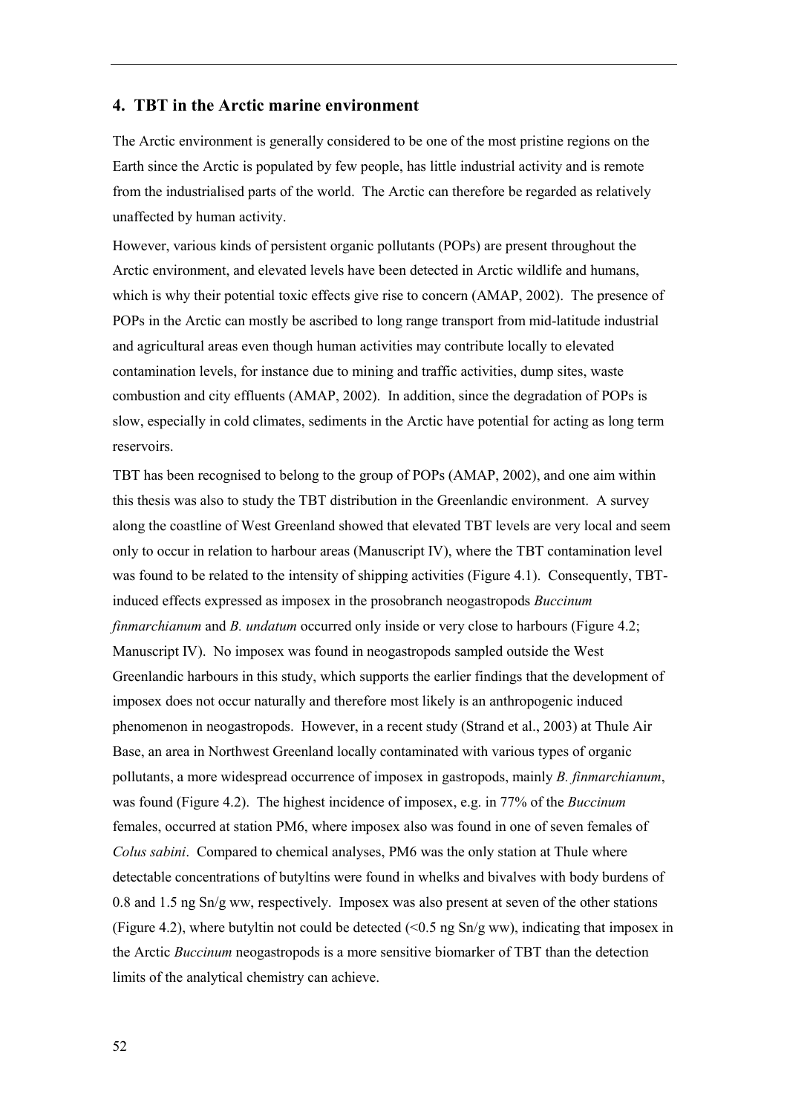#### **4. TBT in the Arctic marine environment**

The Arctic environment is generally considered to be one of the most pristine regions on the Earth since the Arctic is populated by few people, has little industrial activity and is remote from the industrialised parts of the world. The Arctic can therefore be regarded as relatively unaffected by human activity.

However, various kinds of persistent organic pollutants (POPs) are present throughout the Arctic environment, and elevated levels have been detected in Arctic wildlife and humans, which is why their potential toxic effects give rise to concern (AMAP, 2002). The presence of POPs in the Arctic can mostly be ascribed to long range transport from mid-latitude industrial and agricultural areas even though human activities may contribute locally to elevated contamination levels, for instance due to mining and traffic activities, dump sites, waste combustion and city effluents (AMAP, 2002). In addition, since the degradation of POPs is slow, especially in cold climates, sediments in the Arctic have potential for acting as long term reservoirs.

TBT has been recognised to belong to the group of POPs (AMAP, 2002), and one aim within this thesis was also to study the TBT distribution in the Greenlandic environment. A survey along the coastline of West Greenland showed that elevated TBT levels are very local and seem only to occur in relation to harbour areas (Manuscript IV), where the TBT contamination level was found to be related to the intensity of shipping activities (Figure 4.1). Consequently, TBTinduced effects expressed as imposex in the prosobranch neogastropods *Buccinum finmarchianum* and *B. undatum* occurred only inside or very close to harbours (Figure 4.2; Manuscript IV). No imposex was found in neogastropods sampled outside the West Greenlandic harbours in this study, which supports the earlier findings that the development of imposex does not occur naturally and therefore most likely is an anthropogenic induced phenomenon in neogastropods. However, in a recent study (Strand et al., 2003) at Thule Air Base, an area in Northwest Greenland locally contaminated with various types of organic pollutants, a more widespread occurrence of imposex in gastropods, mainly *B. finmarchianum*, was found (Figure 4.2). The highest incidence of imposex, e.g. in 77% of the *Buccinum* females, occurred at station PM6, where imposex also was found in one of seven females of *Colus sabini*. Compared to chemical analyses, PM6 was the only station at Thule where detectable concentrations of butyltins were found in whelks and bivalves with body burdens of 0.8 and 1.5 ng Sn/g ww, respectively. Imposex was also present at seven of the other stations (Figure 4.2), where butyltin not could be detected (<0.5 ng Sn/g ww), indicating that imposex in the Arctic *Buccinum* neogastropods is a more sensitive biomarker of TBT than the detection limits of the analytical chemistry can achieve.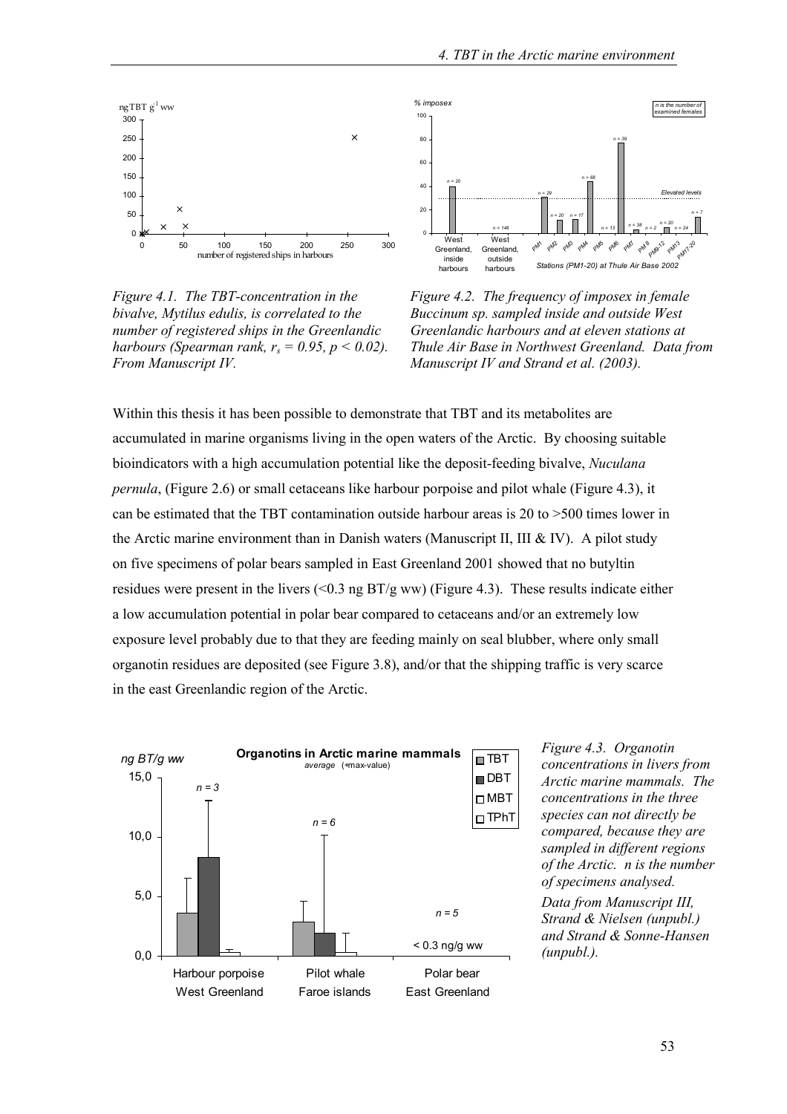![](_page_55_Figure_1.jpeg)

*Figure 4.1. The TBT-concentration in the bivalve, Mytilus edulis, is correlated to the number of registered ships in the Greenlandic harbours (Spearman rank,*  $r_s = 0.95$ *, p < 0.02). From Manuscript IV.*

![](_page_55_Figure_3.jpeg)

*Figure 4.2. The frequency of imposex in female Buccinum sp. sampled inside and outside West Greenlandic harbours and at eleven stations at Thule Air Base in Northwest Greenland. Data from Manuscript IV and Strand et al. (2003).*

Within this thesis it has been possible to demonstrate that TBT and its metabolites are accumulated in marine organisms living in the open waters of the Arctic. By choosing suitable bioindicators with a high accumulation potential like the deposit-feeding bivalve, *Nuculana pernula*, (Figure 2.6) or small cetaceans like harbour porpoise and pilot whale (Figure 4.3), it can be estimated that the TBT contamination outside harbour areas is 20 to >500 times lower in the Arctic marine environment than in Danish waters (Manuscript II, III & IV). A pilot study on five specimens of polar bears sampled in East Greenland 2001 showed that no butyltin residues were present in the livers (<0.3 ng  $BT/g$  ww) (Figure 4.3). These results indicate either a low accumulation potential in polar bear compared to cetaceans and/or an extremely low exposure level probably due to that they are feeding mainly on seal blubber, where only small organotin residues are deposited (see Figure 3.8), and/or that the shipping traffic is very scarce in the east Greenlandic region of the Arctic.

![](_page_55_Figure_6.jpeg)

*Figure 4.3. Organotin concentrations in livers from Arctic marine mammals. The concentrations in the three species can not directly be compared, because they are sampled in different regions of the Arctic. n is the number of specimens analysed. Data from Manuscript III, Strand & Nielsen (unpubl.) and Strand & Sonne-Hansen (unpubl.).*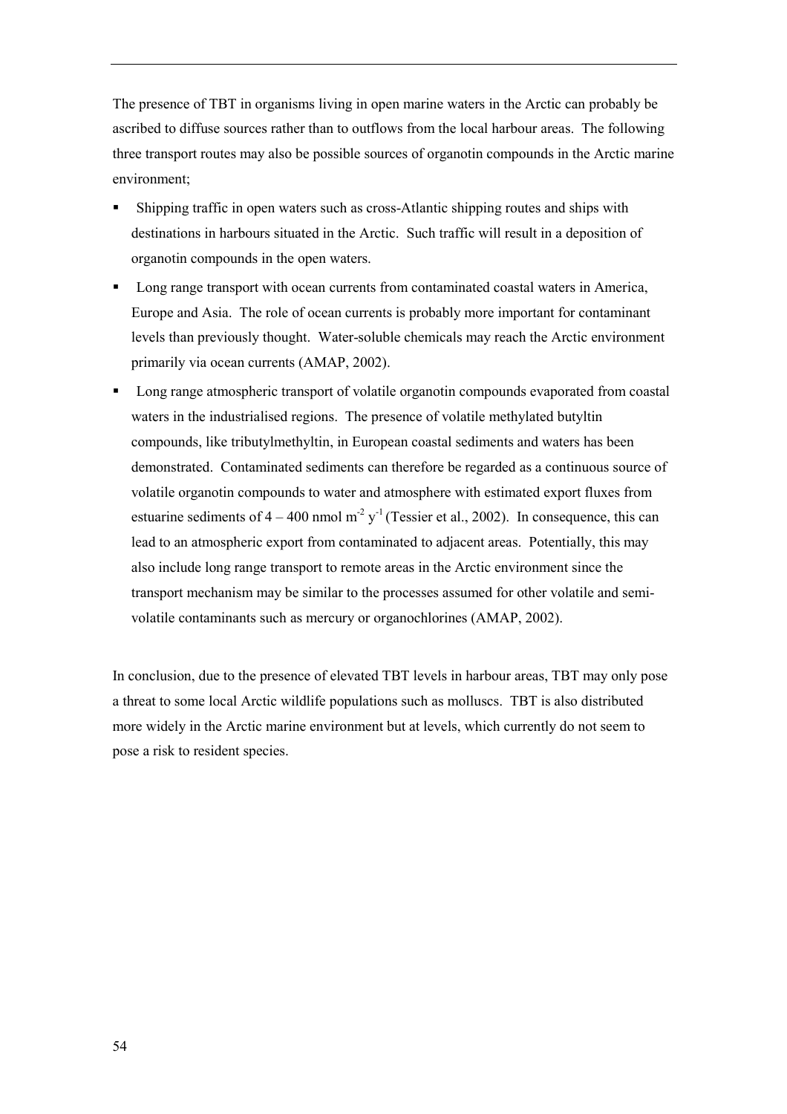The presence of TBT in organisms living in open marine waters in the Arctic can probably be ascribed to diffuse sources rather than to outflows from the local harbour areas. The following three transport routes may also be possible sources of organotin compounds in the Arctic marine environment;

- ! Shipping traffic in open waters such as cross-Atlantic shipping routes and ships with destinations in harbours situated in the Arctic. Such traffic will result in a deposition of organotin compounds in the open waters.
- ! Long range transport with ocean currents from contaminated coastal waters in America, Europe and Asia. The role of ocean currents is probably more important for contaminant levels than previously thought. Water-soluble chemicals may reach the Arctic environment primarily via ocean currents (AMAP, 2002).
- ! Long range atmospheric transport of volatile organotin compounds evaporated from coastal waters in the industrialised regions. The presence of volatile methylated butyltin compounds, like tributylmethyltin, in European coastal sediments and waters has been demonstrated. Contaminated sediments can therefore be regarded as a continuous source of volatile organotin compounds to water and atmosphere with estimated export fluxes from estuarine sediments of  $4 - 400$  nmol m<sup>-2</sup> y<sup>-1</sup> (Tessier et al., 2002). In consequence, this can lead to an atmospheric export from contaminated to adjacent areas. Potentially, this may also include long range transport to remote areas in the Arctic environment since the transport mechanism may be similar to the processes assumed for other volatile and semivolatile contaminants such as mercury or organochlorines (AMAP, 2002).

In conclusion, due to the presence of elevated TBT levels in harbour areas, TBT may only pose a threat to some local Arctic wildlife populations such as molluscs. TBT is also distributed more widely in the Arctic marine environment but at levels, which currently do not seem to pose a risk to resident species.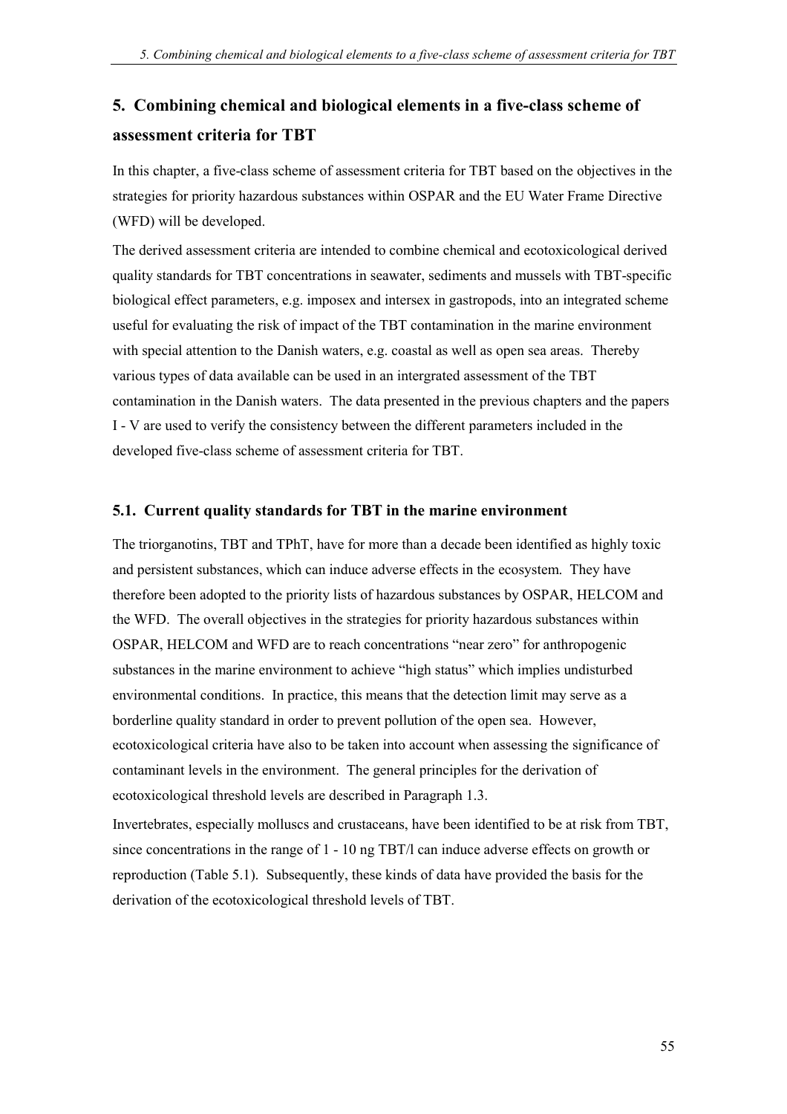# **5. Combining chemical and biological elements in a five-class scheme of assessment criteria for TBT**

In this chapter, a five-class scheme of assessment criteria for TBT based on the objectives in the strategies for priority hazardous substances within OSPAR and the EU Water Frame Directive (WFD) will be developed.

The derived assessment criteria are intended to combine chemical and ecotoxicological derived quality standards for TBT concentrations in seawater, sediments and mussels with TBT-specific biological effect parameters, e.g. imposex and intersex in gastropods, into an integrated scheme useful for evaluating the risk of impact of the TBT contamination in the marine environment with special attention to the Danish waters, e.g. coastal as well as open sea areas. Thereby various types of data available can be used in an intergrated assessment of the TBT contamination in the Danish waters. The data presented in the previous chapters and the papers I - V are used to verify the consistency between the different parameters included in the developed five-class scheme of assessment criteria for TBT.

#### **5.1. Current quality standards for TBT in the marine environment**

The triorganotins, TBT and TPhT, have for more than a decade been identified as highly toxic and persistent substances, which can induce adverse effects in the ecosystem. They have therefore been adopted to the priority lists of hazardous substances by OSPAR, HELCOM and the WFD. The overall objectives in the strategies for priority hazardous substances within OSPAR, HELCOM and WFD are to reach concentrations "near zero" for anthropogenic substances in the marine environment to achieve "high status" which implies undisturbed environmental conditions. In practice, this means that the detection limit may serve as a borderline quality standard in order to prevent pollution of the open sea. However, ecotoxicological criteria have also to be taken into account when assessing the significance of contaminant levels in the environment. The general principles for the derivation of ecotoxicological threshold levels are described in Paragraph 1.3.

Invertebrates, especially molluscs and crustaceans, have been identified to be at risk from TBT, since concentrations in the range of 1 - 10 ng TBT/l can induce adverse effects on growth or reproduction (Table 5.1). Subsequently, these kinds of data have provided the basis for the derivation of the ecotoxicological threshold levels of TBT.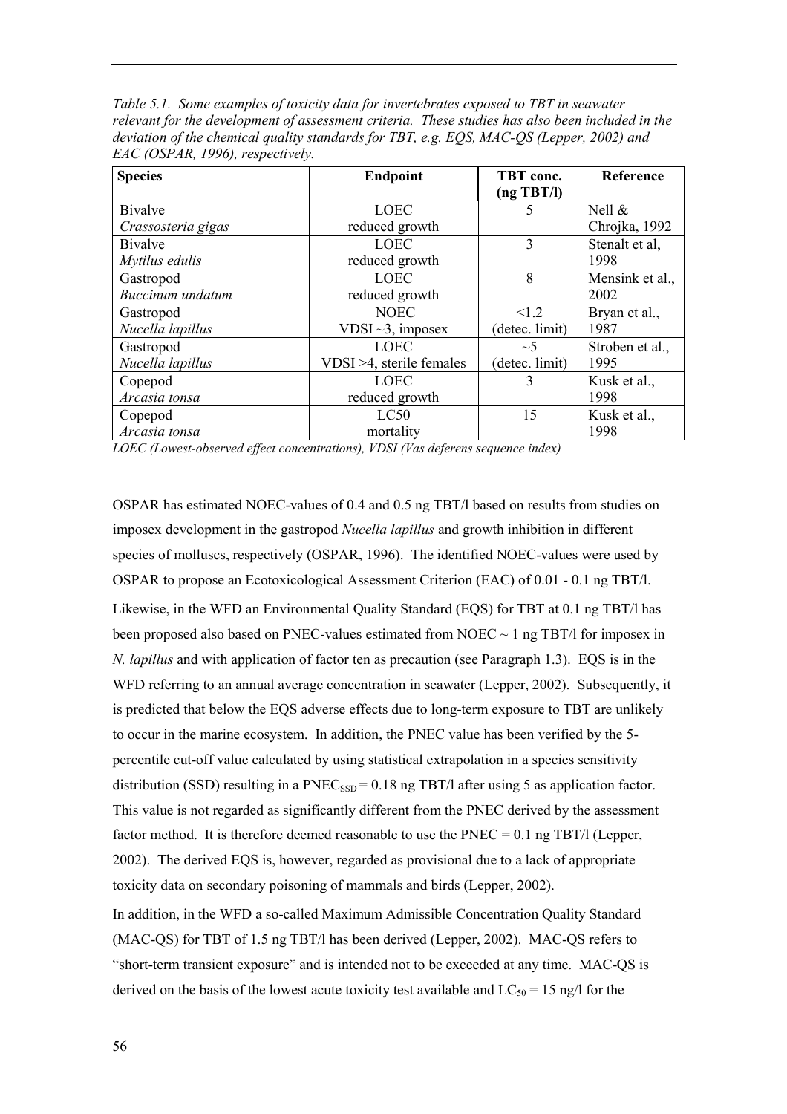*Table 5.1. Some examples of toxicity data for invertebrates exposed to TBT in seawater relevant for the development of assessment criteria. These studies has also been included in the deviation of the chemical quality standards for TBT, e.g. EQS, MAC-QS (Lepper, 2002) and EAC (OSPAR, 1996), respectively.*

| <b>Species</b>     | <b>Endpoint</b>              | TBT conc.      | Reference       |
|--------------------|------------------------------|----------------|-----------------|
|                    |                              | (ng TBT/l)     |                 |
| <b>Bivalve</b>     | <b>LOEC</b>                  | 5              | Nell $\&$       |
| Crassosteria gigas | reduced growth               |                | Chrojka, 1992   |
| <b>B</b> ivalve    | <b>LOEC</b>                  | 3              | Stenalt et al.  |
| Mytilus edulis     | reduced growth               |                | 1998            |
| Gastropod          | <b>LOEC</b>                  | 8              | Mensink et al., |
| Buccinum undatum   | reduced growth               |                | 2002            |
| Gastropod          | <b>NOEC</b>                  | 1.2            | Bryan et al.,   |
| Nucella lapillus   | VDSI $\sim$ 3, imposex       | (detec. limit) | 1987            |
| Gastropod          | <b>LOEC</b>                  | $\sim$ 5       | Stroben et al., |
| Nucella lapillus   | $VDSI > 4$ , sterile females | (detec. limit) | 1995            |
| Copepod            | <b>LOEC</b>                  | 3              | Kusk et al.,    |
| Arcasia tonsa      | reduced growth               |                | 1998            |
| Copepod            | LC50                         | 15             | Kusk et al.,    |
| Arcasia tonsa      | mortality                    |                | 1998            |

*LOEC (Lowest-observed effect concentrations), VDSI (Vas deferens sequence index)*

OSPAR has estimated NOEC-values of 0.4 and 0.5 ng TBT/l based on results from studies on imposex development in the gastropod *Nucella lapillus* and growth inhibition in different species of molluscs, respectively (OSPAR, 1996). The identified NOEC-values were used by OSPAR to propose an Ecotoxicological Assessment Criterion (EAC) of 0.01 - 0.1 ng TBT/l. Likewise, in the WFD an Environmental Quality Standard (EQS) for TBT at 0.1 ng TBT/l has been proposed also based on PNEC-values estimated from NOEC  $\sim$  1 ng TBT/l for imposex in *N. lapillus* and with application of factor ten as precaution (see Paragraph 1.3). EQS is in the WFD referring to an annual average concentration in seawater (Lepper, 2002). Subsequently, it is predicted that below the EQS adverse effects due to long-term exposure to TBT are unlikely to occur in the marine ecosystem. In addition, the PNEC value has been verified by the 5 percentile cut-off value calculated by using statistical extrapolation in a species sensitivity distribution (SSD) resulting in a  $PNEC_{SSD} = 0.18$  ng TBT/l after using 5 as application factor. This value is not regarded as significantly different from the PNEC derived by the assessment factor method. It is therefore deemed reasonable to use the  $PNEC = 0.1$  ng TBT/l (Lepper, 2002). The derived EQS is, however, regarded as provisional due to a lack of appropriate toxicity data on secondary poisoning of mammals and birds (Lepper, 2002).

In addition, in the WFD a so-called Maximum Admissible Concentration Quality Standard (MAC-QS) for TBT of 1.5 ng TBT/l has been derived (Lepper, 2002). MAC-QS refers to "short-term transient exposure" and is intended not to be exceeded at any time. MAC-QS is derived on the basis of the lowest acute toxicity test available and  $LC_{50} = 15$  ng/l for the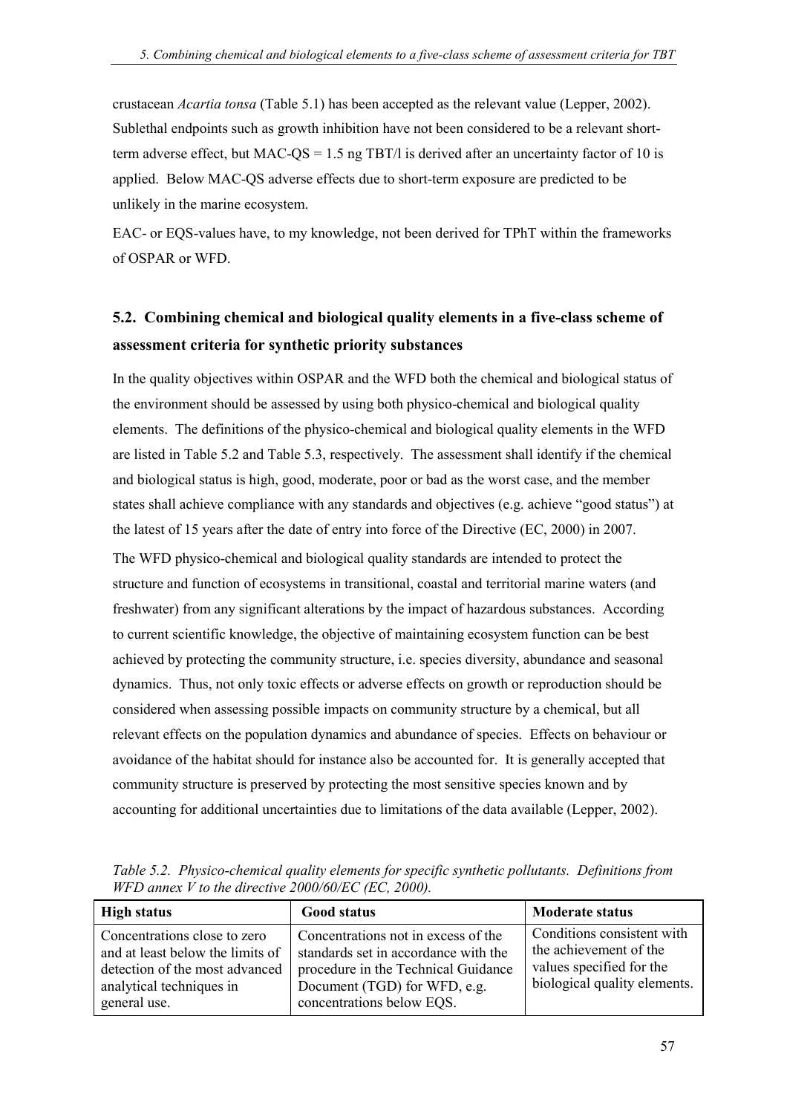crustacean *Acartia tonsa* (Table 5.1) has been accepted as the relevant value (Lepper, 2002). Sublethal endpoints such as growth inhibition have not been considered to be a relevant shortterm adverse effect, but MAC-OS = 1.5 ng TBT/l is derived after an uncertainty factor of 10 is applied. Below MAC-QS adverse effects due to short-term exposure are predicted to be unlikely in the marine ecosystem.

EAC- or EQS-values have, to my knowledge, not been derived for TPhT within the frameworks of OSPAR or WFD.

### **5.2. Combining chemical and biological quality elements in a five-class scheme of assessment criteria for synthetic priority substances**

In the quality objectives within OSPAR and the WFD both the chemical and biological status of the environment should be assessed by using both physico-chemical and biological quality elements. The definitions of the physico-chemical and biological quality elements in the WFD are listed in Table 5.2 and Table 5.3, respectively. The assessment shall identify if the chemical and biological status is high, good, moderate, poor or bad as the worst case, and the member states shall achieve compliance with any standards and objectives (e.g. achieve "good status") at the latest of 15 years after the date of entry into force of the Directive (EC, 2000) in 2007. The WFD physico-chemical and biological quality standards are intended to protect the structure and function of ecosystems in transitional, coastal and territorial marine waters (and freshwater) from any significant alterations by the impact of hazardous substances. According to current scientific knowledge, the objective of maintaining ecosystem function can be best achieved by protecting the community structure, i.e. species diversity, abundance and seasonal dynamics. Thus, not only toxic effects or adverse effects on growth or reproduction should be considered when assessing possible impacts on community structure by a chemical, but all relevant effects on the population dynamics and abundance of species. Effects on behaviour or avoidance of the habitat should for instance also be accounted for. It is generally accepted that community structure is preserved by protecting the most sensitive species known and by accounting for additional uncertainties due to limitations of the data available (Lepper, 2002).

| <b>High status</b>                                                                                                                             | <b>Good status</b>                                                                                                                                                              | <b>Moderate status</b>                                                                                           |
|------------------------------------------------------------------------------------------------------------------------------------------------|---------------------------------------------------------------------------------------------------------------------------------------------------------------------------------|------------------------------------------------------------------------------------------------------------------|
| Concentrations close to zero<br>and at least below the limits of<br>detection of the most advanced<br>analytical techniques in<br>general use. | Concentrations not in excess of the<br>standards set in accordance with the<br>procedure in the Technical Guidance<br>Document (TGD) for WFD, e.g.<br>concentrations below EQS. | Conditions consistent with<br>the achievement of the<br>values specified for the<br>biological quality elements. |

*Table 5.2. Physico-chemical quality elements for specific synthetic pollutants. Definitions from WFD annex V to the directive 2000/60/EC (EC, 2000).*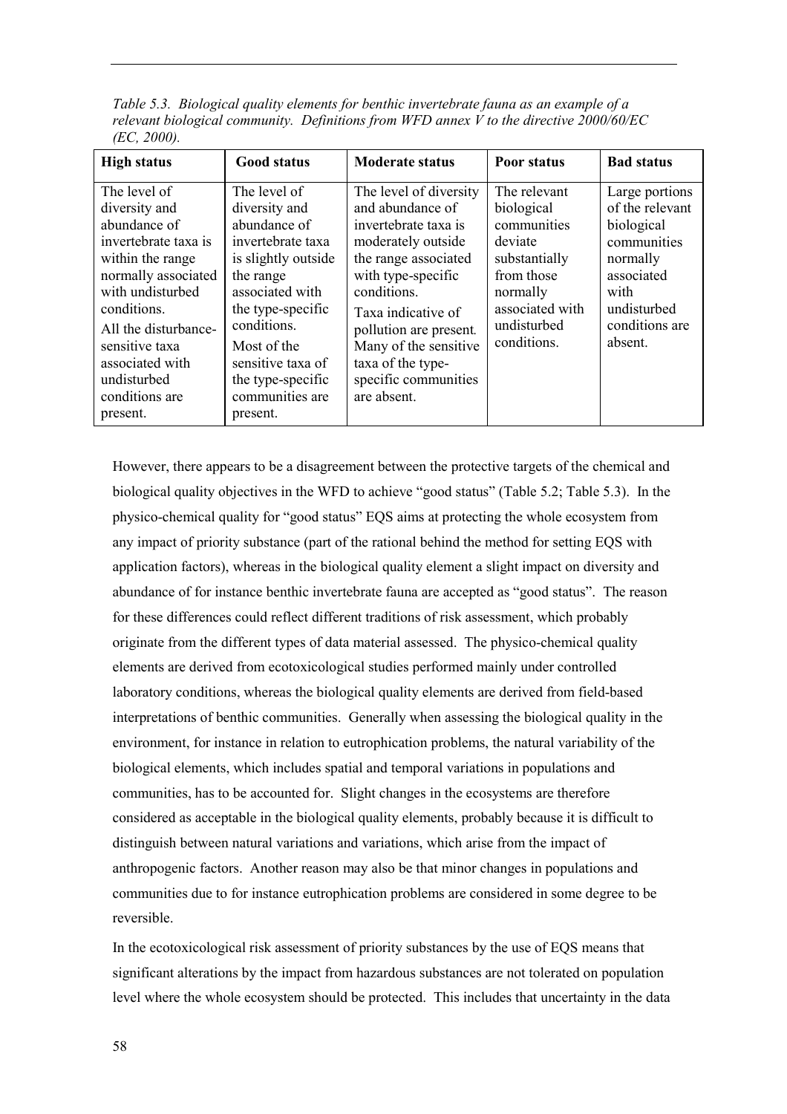*Table 5.3. Biological quality elements for benthic invertebrate fauna as an example of a relevant biological community. Definitions from WFD annex V to the directive 2000/60/EC (EC, 2000).*

| <b>High status</b>                                                                                                                                                                                                                                            | <b>Good status</b>                                                                                                                                                                                                                                    | <b>Moderate status</b>                                                                                                                                                                                                                                                                     | Poor status                                                                                                                                      | <b>Bad status</b>                                                                                                                            |
|---------------------------------------------------------------------------------------------------------------------------------------------------------------------------------------------------------------------------------------------------------------|-------------------------------------------------------------------------------------------------------------------------------------------------------------------------------------------------------------------------------------------------------|--------------------------------------------------------------------------------------------------------------------------------------------------------------------------------------------------------------------------------------------------------------------------------------------|--------------------------------------------------------------------------------------------------------------------------------------------------|----------------------------------------------------------------------------------------------------------------------------------------------|
| The level of<br>diversity and<br>abundance of<br>invertebrate taxa is<br>within the range<br>normally associated<br>with undisturbed<br>conditions.<br>All the disturbance-<br>sensitive taxa<br>associated with<br>undisturbed<br>conditions are<br>present. | The level of<br>diversity and<br>abundance of<br>invertebrate taxa<br>is slightly outside<br>the range<br>associated with<br>the type-specific<br>conditions.<br>Most of the<br>sensitive taxa of<br>the type-specific<br>communities are<br>present. | The level of diversity<br>and abundance of<br>invertebrate taxa is<br>moderately outside<br>the range associated<br>with type-specific<br>conditions.<br>Taxa indicative of<br>pollution are present.<br>Many of the sensitive<br>taxa of the type-<br>specific communities<br>are absent. | The relevant<br>biological<br>communities<br>deviate<br>substantially<br>from those<br>normally<br>associated with<br>undisturbed<br>conditions. | Large portions<br>of the relevant<br>biological<br>communities<br>normally<br>associated<br>with<br>undisturbed<br>conditions are<br>absent. |

However, there appears to be a disagreement between the protective targets of the chemical and biological quality objectives in the WFD to achieve "good status" (Table 5.2; Table 5.3). In the physico-chemical quality for "good status" EOS aims at protecting the whole ecosystem from any impact of priority substance (part of the rational behind the method for setting EQS with application factors), whereas in the biological quality element a slight impact on diversity and abundance of for instance benthic invertebrate fauna are accepted as "good status". The reason for these differences could reflect different traditions of risk assessment, which probably originate from the different types of data material assessed. The physico-chemical quality elements are derived from ecotoxicological studies performed mainly under controlled laboratory conditions, whereas the biological quality elements are derived from field-based interpretations of benthic communities. Generally when assessing the biological quality in the environment, for instance in relation to eutrophication problems, the natural variability of the biological elements, which includes spatial and temporal variations in populations and communities, has to be accounted for. Slight changes in the ecosystems are therefore considered as acceptable in the biological quality elements, probably because it is difficult to distinguish between natural variations and variations, which arise from the impact of anthropogenic factors. Another reason may also be that minor changes in populations and communities due to for instance eutrophication problems are considered in some degree to be reversible.

In the ecotoxicological risk assessment of priority substances by the use of EQS means that significant alterations by the impact from hazardous substances are not tolerated on population level where the whole ecosystem should be protected. This includes that uncertainty in the data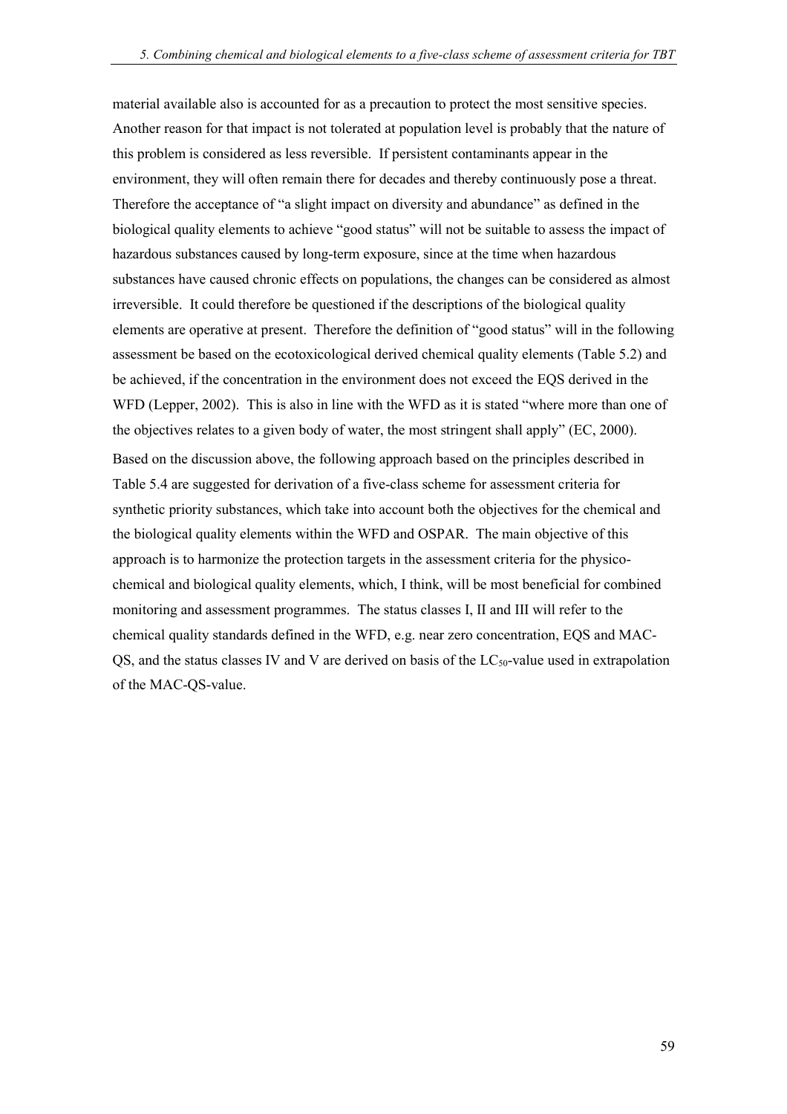material available also is accounted for as a precaution to protect the most sensitive species. Another reason for that impact is not tolerated at population level is probably that the nature of this problem is considered as less reversible. If persistent contaminants appear in the environment, they will often remain there for decades and thereby continuously pose a threat. Therefore the acceptance of "a slight impact on diversity and abundance" as defined in the biological quality elements to achieve "good status" will not be suitable to assess the impact of hazardous substances caused by long-term exposure, since at the time when hazardous substances have caused chronic effects on populations, the changes can be considered as almost irreversible. It could therefore be questioned if the descriptions of the biological quality elements are operative at present. Therefore the definition of "good status" will in the following assessment be based on the ecotoxicological derived chemical quality elements (Table 5.2) and be achieved, if the concentration in the environment does not exceed the EQS derived in the WFD (Lepper,  $2002$ ). This is also in line with the WFD as it is stated "where more than one of the objectives relates to a given body of water, the most stringent shall apply" (EC, 2000). Based on the discussion above, the following approach based on the principles described in Table 5.4 are suggested for derivation of a five-class scheme for assessment criteria for synthetic priority substances, which take into account both the objectives for the chemical and the biological quality elements within the WFD and OSPAR. The main objective of this approach is to harmonize the protection targets in the assessment criteria for the physicochemical and biological quality elements, which, I think, will be most beneficial for combined monitoring and assessment programmes. The status classes I, II and III will refer to the chemical quality standards defined in the WFD, e.g. near zero concentration, EQS and MAC-OS, and the status classes IV and V are derived on basis of the  $LC_{50}$ -value used in extrapolation of the MAC-QS-value.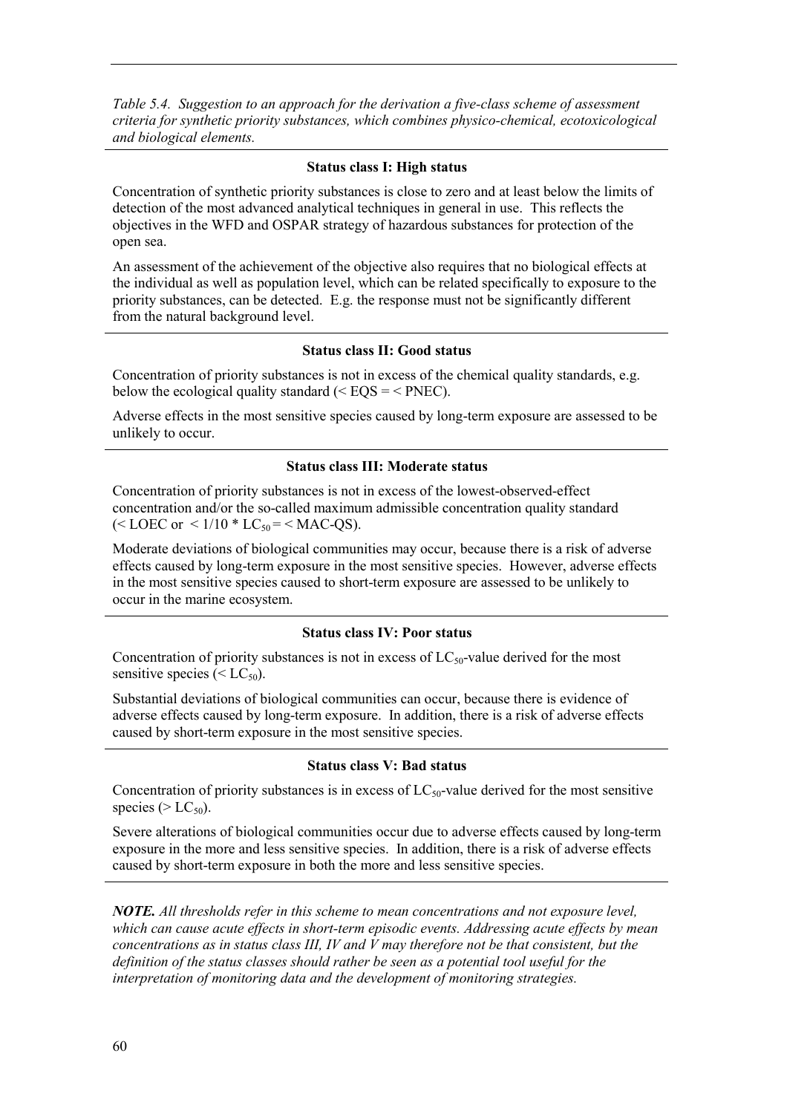*Table 5.4. Suggestion to an approach for the derivation a five-class scheme of assessment criteria for synthetic priority substances, which combines physico-chemical, ecotoxicological and biological elements.*

#### **Status class I: High status**

Concentration of synthetic priority substances is close to zero and at least below the limits of detection of the most advanced analytical techniques in general in use. This reflects the objectives in the WFD and OSPAR strategy of hazardous substances for protection of the open sea.

An assessment of the achievement of the objective also requires that no biological effects at the individual as well as population level, which can be related specifically to exposure to the priority substances, can be detected. E.g. the response must not be significantly different from the natural background level.

#### **Status class II: Good status**

Concentration of priority substances is not in excess of the chemical quality standards, e.g. below the ecological quality standard ( $\leq$  EQS =  $\leq$  PNEC).

Adverse effects in the most sensitive species caused by long-term exposure are assessed to be unlikely to occur.

#### **Status class III: Moderate status**

Concentration of priority substances is not in excess of the lowest-observed-effect concentration and/or the so-called maximum admissible concentration quality standard (< LOEC or <  $1/10 * LC_{50} = <$  MAC-QS).

Moderate deviations of biological communities may occur, because there is a risk of adverse effects caused by long-term exposure in the most sensitive species. However, adverse effects in the most sensitive species caused to short-term exposure are assessed to be unlikely to occur in the marine ecosystem.

#### **Status class IV: Poor status**

Concentration of priority substances is not in excess of  $LC_{50}$ -value derived for the most sensitive species  $( $LC_{50}$ ).$ 

Substantial deviations of biological communities can occur, because there is evidence of adverse effects caused by long-term exposure. In addition, there is a risk of adverse effects caused by short-term exposure in the most sensitive species.

#### **Status class V: Bad status**

Concentration of priority substances is in excess of  $LC_{50}$ -value derived for the most sensitive species ( $> LC_{50}$ ).

Severe alterations of biological communities occur due to adverse effects caused by long-term exposure in the more and less sensitive species. In addition, there is a risk of adverse effects caused by short-term exposure in both the more and less sensitive species.

*NOTE. All thresholds refer in this scheme to mean concentrations and not exposure level, which can cause acute effects in short-term episodic events. Addressing acute effects by mean concentrations as in status class III, IV and V may therefore not be that consistent, but the definition of the status classes should rather be seen as a potential tool useful for the interpretation of monitoring data and the development of monitoring strategies.*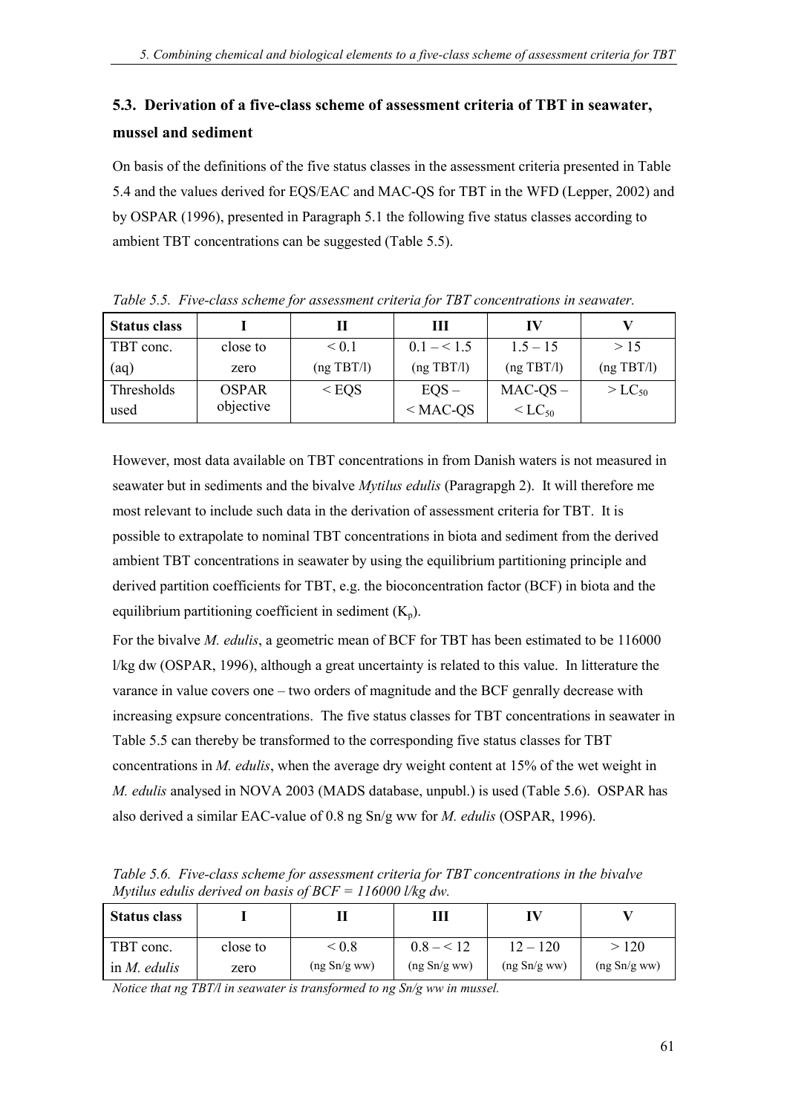## **5.3. Derivation of a five-class scheme of assessment criteria of TBT in seawater, mussel and sediment**

On basis of the definitions of the five status classes in the assessment criteria presented in Table 5.4 and the values derived for EQS/EAC and MAC-QS for TBT in the WFD (Lepper, 2002) and by OSPAR (1996), presented in Paragraph 5.1 the following five status classes according to ambient TBT concentrations can be suggested (Table 5.5).

| <b>Status class</b> |              |            | Ш           | IV                   |             |
|---------------------|--------------|------------|-------------|----------------------|-------------|
| TBT conc.           | close to     | ${}< 0.1$  | $0.1 - 1.5$ | $1.5 - 15$           | >15         |
| (aq)                | zero         | (ng TBT/l) | (ng TBT/l)  | $(ng \text{ TBT/l})$ | (ng TBT/l)  |
| Thresholds          | <b>OSPAR</b> | $<$ EQS    | $EQS -$     | $MAC-QS -$           | $> LC_{50}$ |
| used                | objective    |            | $<$ MAC-QS  | $<$ LC <sub>50</sub> |             |

*Table 5.5. Five-class scheme for assessment criteria for TBT concentrations in seawater.*

However, most data available on TBT concentrations in from Danish waters is not measured in seawater but in sediments and the bivalve *Mytilus edulis* (Paragrapgh 2). It will therefore me most relevant to include such data in the derivation of assessment criteria for TBT. It is possible to extrapolate to nominal TBT concentrations in biota and sediment from the derived ambient TBT concentrations in seawater by using the equilibrium partitioning principle and derived partition coefficients for TBT, e.g. the bioconcentration factor (BCF) in biota and the equilibrium partitioning coefficient in sediment  $(K_n)$ .

For the bivalve *M. edulis*, a geometric mean of BCF for TBT has been estimated to be 116000 l/kg dw (OSPAR, 1996), although a great uncertainty is related to this value. In litterature the varance in value covers one  $-$  two orders of magnitude and the BCF genrally decrease with increasing expsure concentrations. The five status classes for TBT concentrations in seawater in Table 5.5 can thereby be transformed to the corresponding five status classes for TBT concentrations in *M. edulis*, when the average dry weight content at 15% of the wet weight in *M. edulis* analysed in NOVA 2003 (MADS database, unpubl.) is used (Table 5.6). OSPAR has also derived a similar EAC-value of 0.8 ng Sn/g ww for *M. edulis* (OSPAR, 1996).

*Table 5.6. Five-class scheme for assessment criteria for TBT concentrations in the bivalve Mytilus edulis derived on basis of BCF = 116000 l/kg dw.*

| <b>Status class</b> |          |              | Ш            | л            |              |
|---------------------|----------|--------------|--------------|--------------|--------------|
| TBT conc.           | close to | < 0.8        | $0.8 - 12$   | $12 - 120$   | >120         |
| in $M$ , edulis     | zero     | (ng Sn/g ww) | (ng Sn/g ww) | (ng Sn/g ww) | (ng Sn/g ww) |

*Notice that ng TBT/l in seawater is transformed to ng Sn/g ww in mussel.*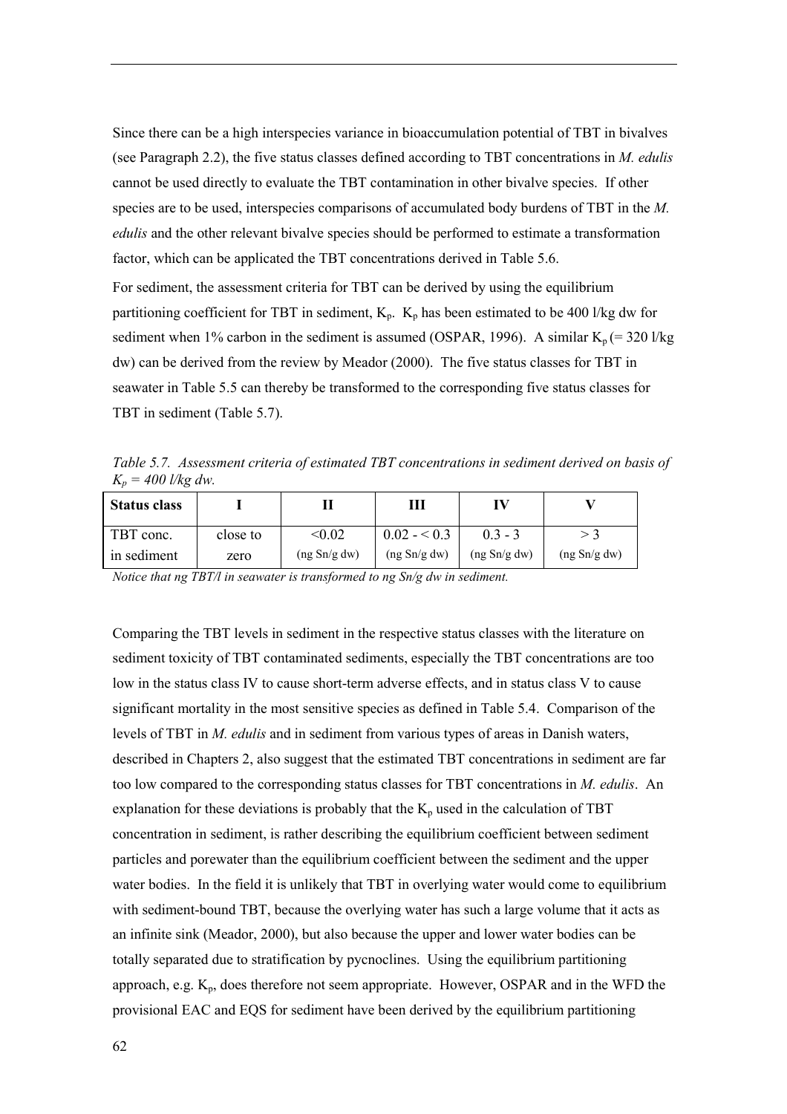Since there can be a high interspecies variance in bioaccumulation potential of TBT in bivalves (see Paragraph 2.2), the five status classes defined according to TBT concentrations in *M. edulis* cannot be used directly to evaluate the TBT contamination in other bivalve species. If other species are to be used, interspecies comparisons of accumulated body burdens of TBT in the *M. edulis* and the other relevant bivalve species should be performed to estimate a transformation factor, which can be applicated the TBT concentrations derived in Table 5.6.

For sediment, the assessment criteria for TBT can be derived by using the equilibrium partitioning coefficient for TBT in sediment,  $K_p$ .  $K_p$  has been estimated to be 400 l/kg dw for sediment when 1% carbon in the sediment is assumed (OSPAR, 1996). A similar  $K_p$  (= 320 l/kg dw) can be derived from the review by Meador (2000). The five status classes for TBT in seawater in Table 5.5 can thereby be transformed to the corresponding five status classes for TBT in sediment (Table 5.7).

*Table 5.7. Assessment criteria of estimated TBT concentrations in sediment derived on basis of Kp = 400 l/kg dw.*

| <b>Status class</b> |          |                         | Ш                     |              |              |
|---------------------|----------|-------------------------|-----------------------|--------------|--------------|
| TBT conc.           | close to | $< \hspace{-0.2em}0.02$ | $0.02 - 0.3$          | $0.3 - 3$    |              |
| in sediment         | zero     | (ng Sn/g dw)            | $($ ng Sn $/g$ dw $)$ | (ng Sn/g dw) | (ng Sn/g dw) |

*Notice that ng TBT/l in seawater is transformed to ng Sn/g dw in sediment.*

Comparing the TBT levels in sediment in the respective status classes with the literature on sediment toxicity of TBT contaminated sediments, especially the TBT concentrations are too low in the status class IV to cause short-term adverse effects, and in status class V to cause significant mortality in the most sensitive species as defined in Table 5.4. Comparison of the levels of TBT in *M. edulis* and in sediment from various types of areas in Danish waters, described in Chapters 2, also suggest that the estimated TBT concentrations in sediment are far too low compared to the corresponding status classes for TBT concentrations in *M. edulis*. An explanation for these deviations is probably that the  $K_p$  used in the calculation of TBT concentration in sediment, is rather describing the equilibrium coefficient between sediment particles and porewater than the equilibrium coefficient between the sediment and the upper water bodies. In the field it is unlikely that TBT in overlying water would come to equilibrium with sediment-bound TBT, because the overlying water has such a large volume that it acts as an infinite sink (Meador, 2000), but also because the upper and lower water bodies can be totally separated due to stratification by pycnoclines. Using the equilibrium partitioning approach, e.g.  $K_p$ , does therefore not seem appropriate. However, OSPAR and in the WFD the provisional EAC and EQS for sediment have been derived by the equilibrium partitioning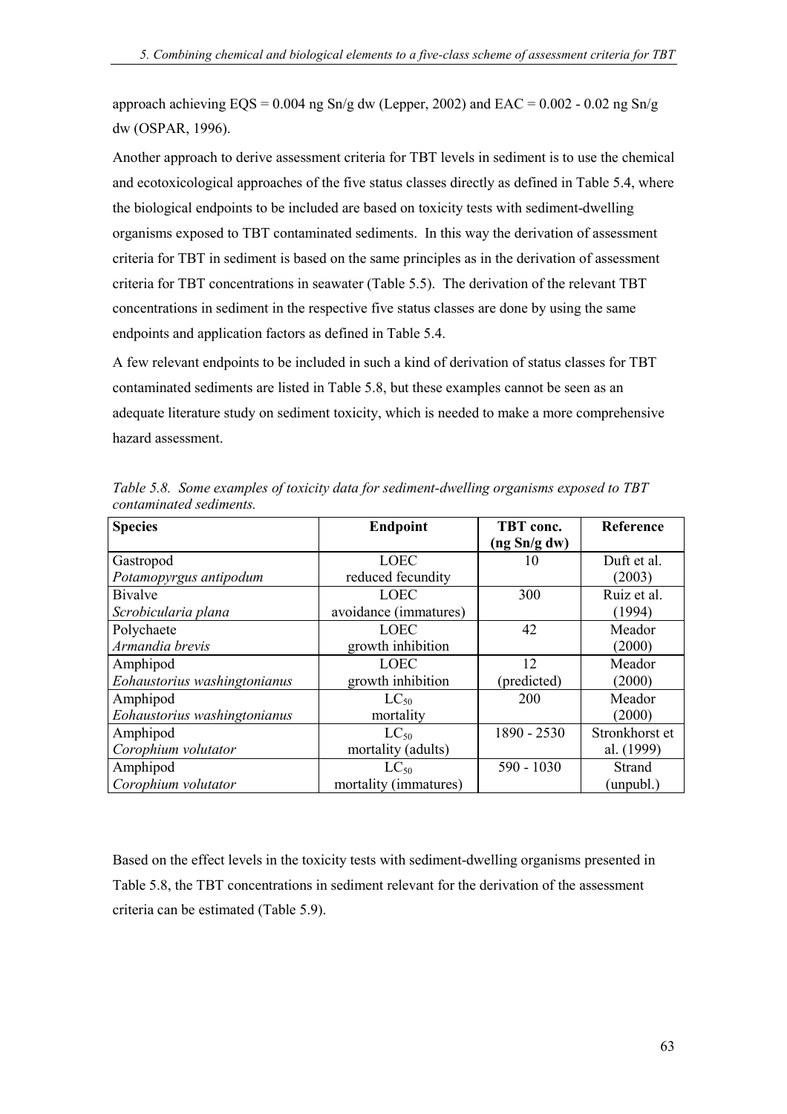approach achieving  $EQS = 0.004$  ng  $Sn/g$  dw (Lepper, 2002) and  $EAC = 0.002 - 0.02$  ng  $Sn/g$ dw (OSPAR, 1996).

Another approach to derive assessment criteria for TBT levels in sediment is to use the chemical and ecotoxicological approaches of the five status classes directly as defined in Table 5.4, where the biological endpoints to be included are based on toxicity tests with sediment-dwelling organisms exposed to TBT contaminated sediments. In this way the derivation of assessment criteria for TBT in sediment is based on the same principles as in the derivation of assessment criteria for TBT concentrations in seawater (Table 5.5). The derivation of the relevant TBT concentrations in sediment in the respective five status classes are done by using the same endpoints and application factors as defined in Table 5.4.

A few relevant endpoints to be included in such a kind of derivation of status classes for TBT contaminated sediments are listed in Table 5.8, but these examples cannot be seen as an adequate literature study on sediment toxicity, which is needed to make a more comprehensive hazard assessment.

| <b>Species</b>               | <b>Endpoint</b>       | TBT conc.    | Reference      |
|------------------------------|-----------------------|--------------|----------------|
|                              |                       | (ng Sn/g dw) |                |
| Gastropod                    | <b>LOEC</b>           | 10           | Duft et al.    |
| Potamopyrgus antipodum       | reduced fecundity     |              | (2003)         |
| <b>Bivalve</b>               | <b>LOEC</b>           | 300          | Ruiz et al.    |
| Scrobicularia plana          | avoidance (immatures) |              | (1994)         |
| Polychaete                   | <b>LOEC</b>           | 42           | Meador         |
| Armandia brevis              | growth inhibition     |              | (2000)         |
| Amphipod                     | <b>LOEC</b>           | 12           | Meador         |
| Eohaustorius washingtonianus | growth inhibition     | (predicted)  | (2000)         |
| Amphipod                     | $LC_{50}$             | 200          | Meador         |
| Eohaustorius washingtonianus | mortality             |              | (2000)         |
| Amphipod                     | $LC_{50}$             | 1890 - 2530  | Stronkhorst et |
| Corophium volutator          | mortality (adults)    |              | al. (1999)     |
| Amphipod                     | $LC_{50}$             | $590 - 1030$ | Strand         |
| Corophium volutator          | mortality (immatures) |              | (unpubl.)      |

*Table 5.8. Some examples of toxicity data for sediment-dwelling organisms exposed to TBT contaminated sediments.*

Based on the effect levels in the toxicity tests with sediment-dwelling organisms presented in Table 5.8, the TBT concentrations in sediment relevant for the derivation of the assessment criteria can be estimated (Table 5.9).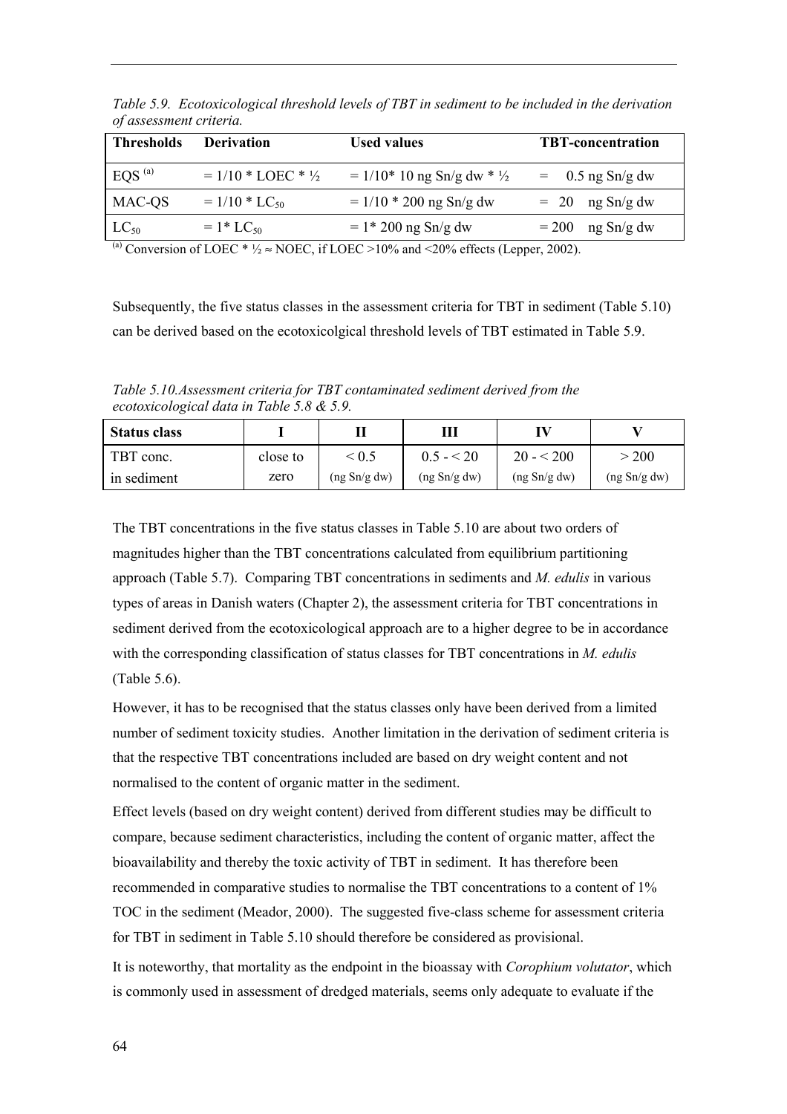| <b>Thresholds</b>  | <b>Derivation</b>             | <b>Used values</b>                     | <b>TBT-concentration</b> |
|--------------------|-------------------------------|----------------------------------------|--------------------------|
| EOS <sup>(a)</sup> | $= 1/10 * LOEC * \frac{1}{2}$ | $= 1/10*10$ ng Sn/g dw * $\frac{1}{2}$ | $=$ 0.5 ng Sn/g dw       |
| MAC-QS             | $= 1/10 * LC_{50}$            | $= 1/10 * 200$ ng Sn/g dw              | $= 20$ ng Sn/g dw        |
| $LC_{50}$          | $= 1 * LC_{50}$               | $= 1*200$ ng Sn/g dw                   | ng Sn/g dw<br>$= 200$    |

*Table 5.9. Ecotoxicological threshold levels of TBT in sediment to be included in the derivation of assessment criteria.*

<sup>(a)</sup> Conversion of LOEC \*  $\frac{1}{2} \approx \text{NOEC}$ , if LOEC > 10% and <20% effects (Lepper, 2002).

Subsequently, the five status classes in the assessment criteria for TBT in sediment (Table 5.10) can be derived based on the ecotoxicolgical threshold levels of TBT estimated in Table 5.9.

*Table 5.10.Assessment criteria for TBT contaminated sediment derived from the ecotoxicological data in Table 5.8 & 5.9.*

| <b>Status class</b> |          |              | Ш            |              |              |
|---------------------|----------|--------------|--------------|--------------|--------------|
| TBT conc.           | close to | ${}^{< 0.5}$ | $0.5 - 20$   | $20 - 5200$  | 200          |
| in sediment         | zero     | (ng Sn/g dw) | (ng Sn/g dw) | (ng Sn/g dw) | (ng Sn/g dw) |

The TBT concentrations in the five status classes in Table 5.10 are about two orders of magnitudes higher than the TBT concentrations calculated from equilibrium partitioning approach (Table 5.7). Comparing TBT concentrations in sediments and *M. edulis* in various types of areas in Danish waters (Chapter 2), the assessment criteria for TBT concentrations in sediment derived from the ecotoxicological approach are to a higher degree to be in accordance with the corresponding classification of status classes for TBT concentrations in *M. edulis* (Table 5.6).

However, it has to be recognised that the status classes only have been derived from a limited number of sediment toxicity studies. Another limitation in the derivation of sediment criteria is that the respective TBT concentrations included are based on dry weight content and not normalised to the content of organic matter in the sediment.

Effect levels (based on dry weight content) derived from different studies may be difficult to compare, because sediment characteristics, including the content of organic matter, affect the bioavailability and thereby the toxic activity of TBT in sediment. It has therefore been recommended in comparative studies to normalise the TBT concentrations to a content of 1% TOC in the sediment (Meador, 2000). The suggested five-class scheme for assessment criteria for TBT in sediment in Table 5.10 should therefore be considered as provisional.

It is noteworthy, that mortality as the endpoint in the bioassay with *Corophium volutator*, which is commonly used in assessment of dredged materials, seems only adequate to evaluate if the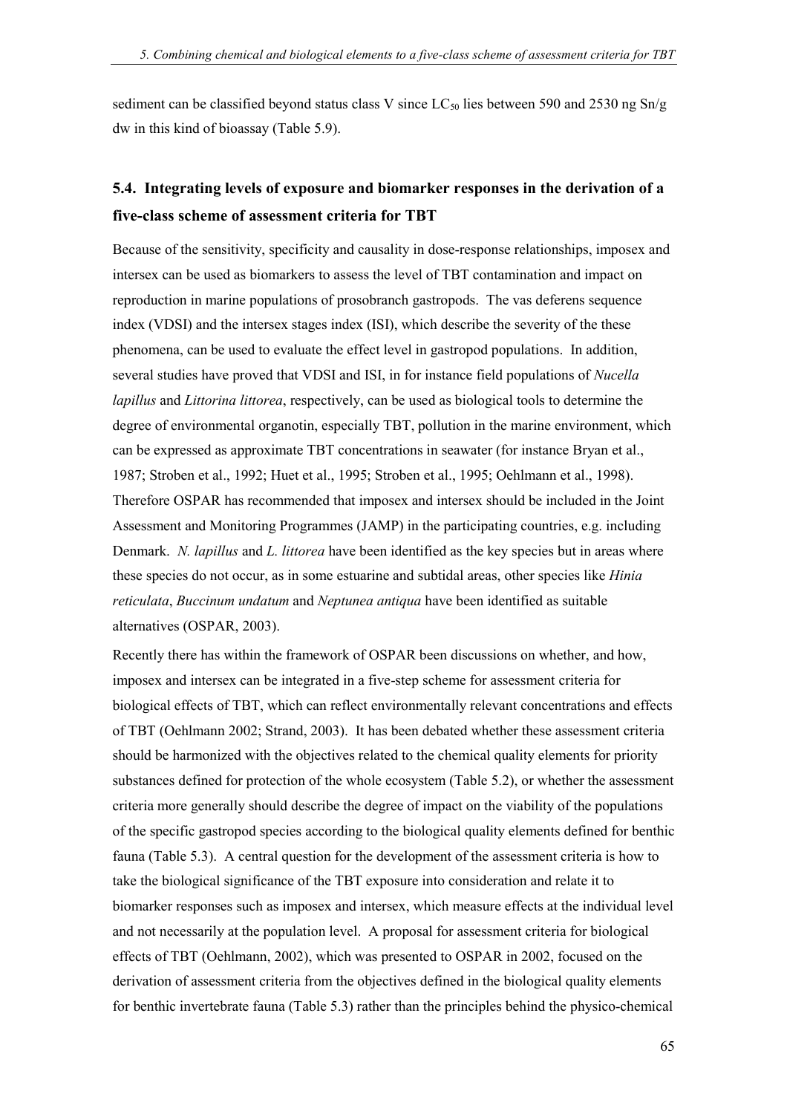sediment can be classified beyond status class V since  $LC_{50}$  lies between 590 and 2530 ng Sn/g dw in this kind of bioassay (Table 5.9).

### **5.4. Integrating levels of exposure and biomarker responses in the derivation of a five-class scheme of assessment criteria for TBT**

Because of the sensitivity, specificity and causality in dose-response relationships, imposex and intersex can be used as biomarkers to assess the level of TBT contamination and impact on reproduction in marine populations of prosobranch gastropods. The vas deferens sequence index (VDSI) and the intersex stages index (ISI), which describe the severity of the these phenomena, can be used to evaluate the effect level in gastropod populations. In addition, several studies have proved that VDSI and ISI, in for instance field populations of *Nucella lapillus* and *Littorina littorea*, respectively, can be used as biological tools to determine the degree of environmental organotin, especially TBT, pollution in the marine environment, which can be expressed as approximate TBT concentrations in seawater (for instance Bryan et al., 1987; Stroben et al., 1992; Huet et al., 1995; Stroben et al., 1995; Oehlmann et al., 1998). Therefore OSPAR has recommended that imposex and intersex should be included in the Joint Assessment and Monitoring Programmes (JAMP) in the participating countries, e.g. including Denmark. *N. lapillus* and *L. littorea* have been identified as the key species but in areas where these species do not occur, as in some estuarine and subtidal areas, other species like *Hinia reticulata*, *Buccinum undatum* and *Neptunea antiqua* have been identified as suitable alternatives (OSPAR, 2003).

Recently there has within the framework of OSPAR been discussions on whether, and how, imposex and intersex can be integrated in a five-step scheme for assessment criteria for biological effects of TBT, which can reflect environmentally relevant concentrations and effects of TBT (Oehlmann 2002; Strand, 2003). It has been debated whether these assessment criteria should be harmonized with the objectives related to the chemical quality elements for priority substances defined for protection of the whole ecosystem (Table 5.2), or whether the assessment criteria more generally should describe the degree of impact on the viability of the populations of the specific gastropod species according to the biological quality elements defined for benthic fauna (Table 5.3). A central question for the development of the assessment criteria is how to take the biological significance of the TBT exposure into consideration and relate it to biomarker responses such as imposex and intersex, which measure effects at the individual level and not necessarily at the population level. A proposal for assessment criteria for biological effects of TBT (Oehlmann, 2002), which was presented to OSPAR in 2002, focused on the derivation of assessment criteria from the objectives defined in the biological quality elements for benthic invertebrate fauna (Table 5.3) rather than the principles behind the physico-chemical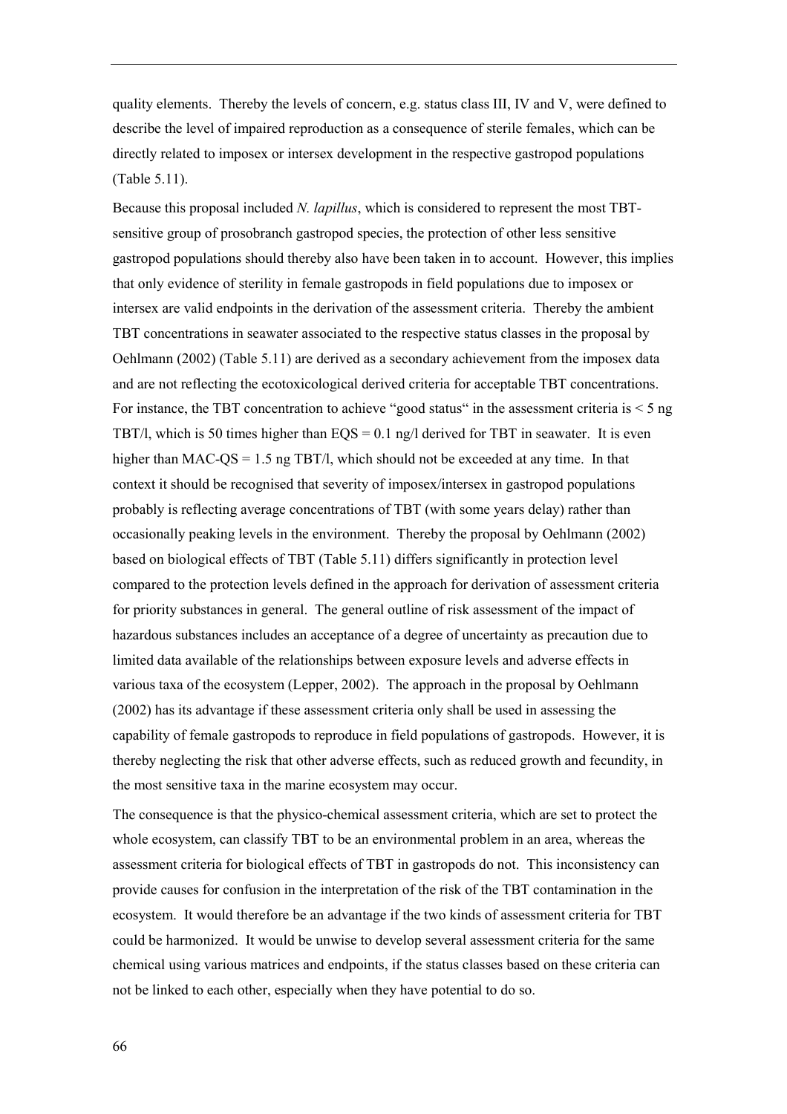quality elements. Thereby the levels of concern, e.g. status class III, IV and V, were defined to describe the level of impaired reproduction as a consequence of sterile females, which can be directly related to imposex or intersex development in the respective gastropod populations (Table 5.11).

Because this proposal included *N. lapillus*, which is considered to represent the most TBTsensitive group of prosobranch gastropod species, the protection of other less sensitive gastropod populations should thereby also have been taken in to account. However, this implies that only evidence of sterility in female gastropods in field populations due to imposex or intersex are valid endpoints in the derivation of the assessment criteria. Thereby the ambient TBT concentrations in seawater associated to the respective status classes in the proposal by Oehlmann (2002) (Table 5.11) are derived as a secondary achievement from the imposex data and are not reflecting the ecotoxicological derived criteria for acceptable TBT concentrations. For instance, the TBT concentration to achieve "good status" in the assessment criteria is  $\leq$  5 ng TBT/l, which is 50 times higher than  $EQS = 0.1$  ng/l derived for TBT in seawater. It is even higher than MAC-QS = 1.5 ng TBT/l, which should not be exceeded at any time. In that context it should be recognised that severity of imposex/intersex in gastropod populations probably is reflecting average concentrations of TBT (with some years delay) rather than occasionally peaking levels in the environment. Thereby the proposal by Oehlmann (2002) based on biological effects of TBT (Table 5.11) differs significantly in protection level compared to the protection levels defined in the approach for derivation of assessment criteria for priority substances in general. The general outline of risk assessment of the impact of hazardous substances includes an acceptance of a degree of uncertainty as precaution due to limited data available of the relationships between exposure levels and adverse effects in various taxa of the ecosystem (Lepper, 2002). The approach in the proposal by Oehlmann (2002) has its advantage if these assessment criteria only shall be used in assessing the capability of female gastropods to reproduce in field populations of gastropods. However, it is thereby neglecting the risk that other adverse effects, such as reduced growth and fecundity, in the most sensitive taxa in the marine ecosystem may occur.

The consequence is that the physico-chemical assessment criteria, which are set to protect the whole ecosystem, can classify TBT to be an environmental problem in an area, whereas the assessment criteria for biological effects of TBT in gastropods do not. This inconsistency can provide causes for confusion in the interpretation of the risk of the TBT contamination in the ecosystem. It would therefore be an advantage if the two kinds of assessment criteria for TBT could be harmonized. It would be unwise to develop several assessment criteria for the same chemical using various matrices and endpoints, if the status classes based on these criteria can not be linked to each other, especially when they have potential to do so.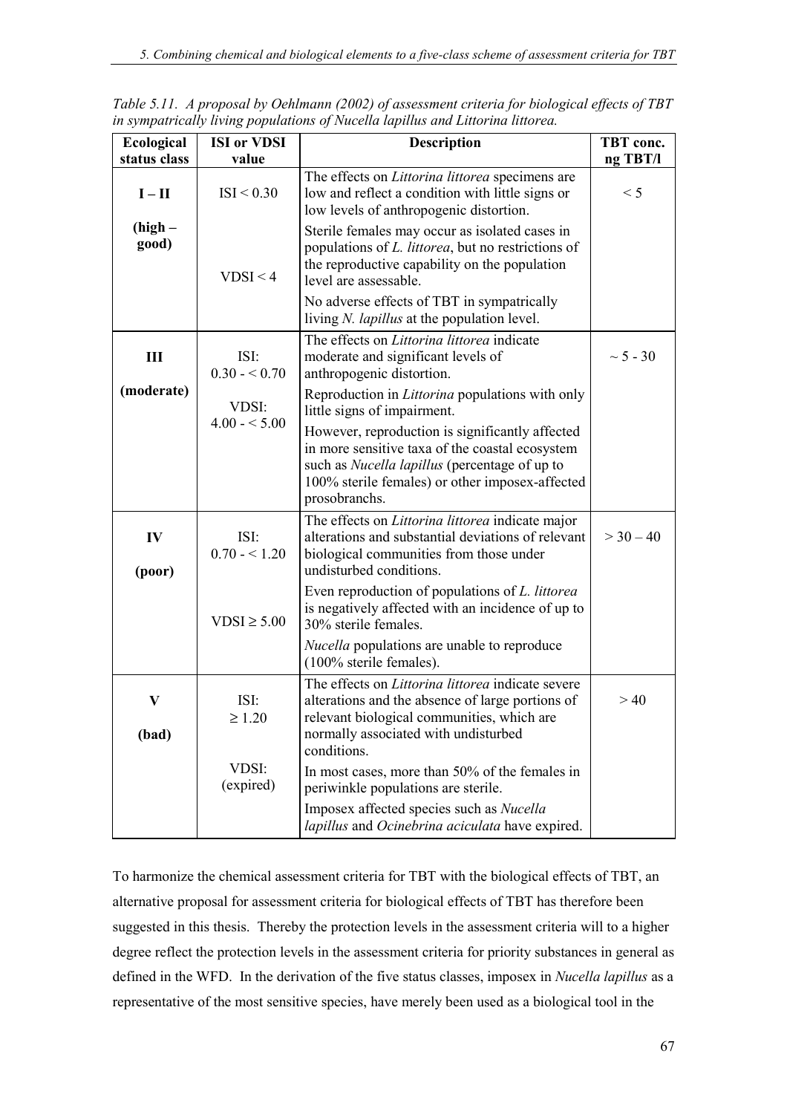| Ecological         | <b>ISI</b> or VDSI     | <b>Description</b>                                                                                                                                                                                                      | TBT conc.     |
|--------------------|------------------------|-------------------------------------------------------------------------------------------------------------------------------------------------------------------------------------------------------------------------|---------------|
| status class       | value                  |                                                                                                                                                                                                                         | ng TBT/l      |
| $I - II$           | ISI < 0.30             | The effects on Littorina littorea specimens are<br>low and reflect a condition with little signs or<br>low levels of anthropogenic distortion.                                                                          | < 5           |
| $(high -$<br>good) | VDSI < 4               | Sterile females may occur as isolated cases in<br>populations of L. littorea, but no restrictions of<br>the reproductive capability on the population<br>level are assessable.                                          |               |
|                    |                        | No adverse effects of TBT in sympatrically<br>living <i>N. lapillus</i> at the population level.                                                                                                                        |               |
| III                | ISI:<br>$0.30 - 0.70$  | The effects on <i>Littorina littorea</i> indicate<br>moderate and significant levels of<br>anthropogenic distortion.                                                                                                    | $\sim 5 - 30$ |
| (moderate)         | VDSI:<br>$4.00 - 5.00$ | Reproduction in <i>Littorina</i> populations with only<br>little signs of impairment.                                                                                                                                   |               |
|                    |                        | However, reproduction is significantly affected<br>in more sensitive taxa of the coastal ecosystem<br>such as Nucella lapillus (percentage of up to<br>100% sterile females) or other imposex-affected<br>prosobranchs. |               |
| IV<br>(poor)       | ISI:<br>$0.70 - 1.20$  | The effects on <i>Littorina littorea</i> indicate major<br>alterations and substantial deviations of relevant<br>biological communities from those under<br>undisturbed conditions.                                     | $>$ 30 - 40   |
|                    | $VDSI \geq 5.00$       | Even reproduction of populations of L. littorea<br>is negatively affected with an incidence of up to<br>30% sterile females.                                                                                            |               |
|                    |                        | <i>Nucella</i> populations are unable to reproduce<br>(100% sterile females).                                                                                                                                           |               |
| V<br>(bad)         | ISI:<br>$\geq 1.20$    | The effects on <i>Littorina littorea</i> indicate severe<br>alterations and the absence of large portions of<br>relevant biological communities, which are<br>normally associated with undisturbed<br>conditions.       | >40           |
|                    | VDSI:<br>(expired)     | In most cases, more than 50% of the females in<br>periwinkle populations are sterile.<br>Imposex affected species such as Nucella<br>lapillus and Ocinebrina aciculata have expired.                                    |               |

*Table 5.11. A proposal by Oehlmann (2002) of assessment criteria for biological effects of TBT in sympatrically living populations of Nucella lapillus and Littorina littorea.*

To harmonize the chemical assessment criteria for TBT with the biological effects of TBT, an alternative proposal for assessment criteria for biological effects of TBT has therefore been suggested in this thesis. Thereby the protection levels in the assessment criteria will to a higher degree reflect the protection levels in the assessment criteria for priority substances in general as defined in the WFD. In the derivation of the five status classes, imposex in *Nucella lapillus* as a representative of the most sensitive species, have merely been used as a biological tool in the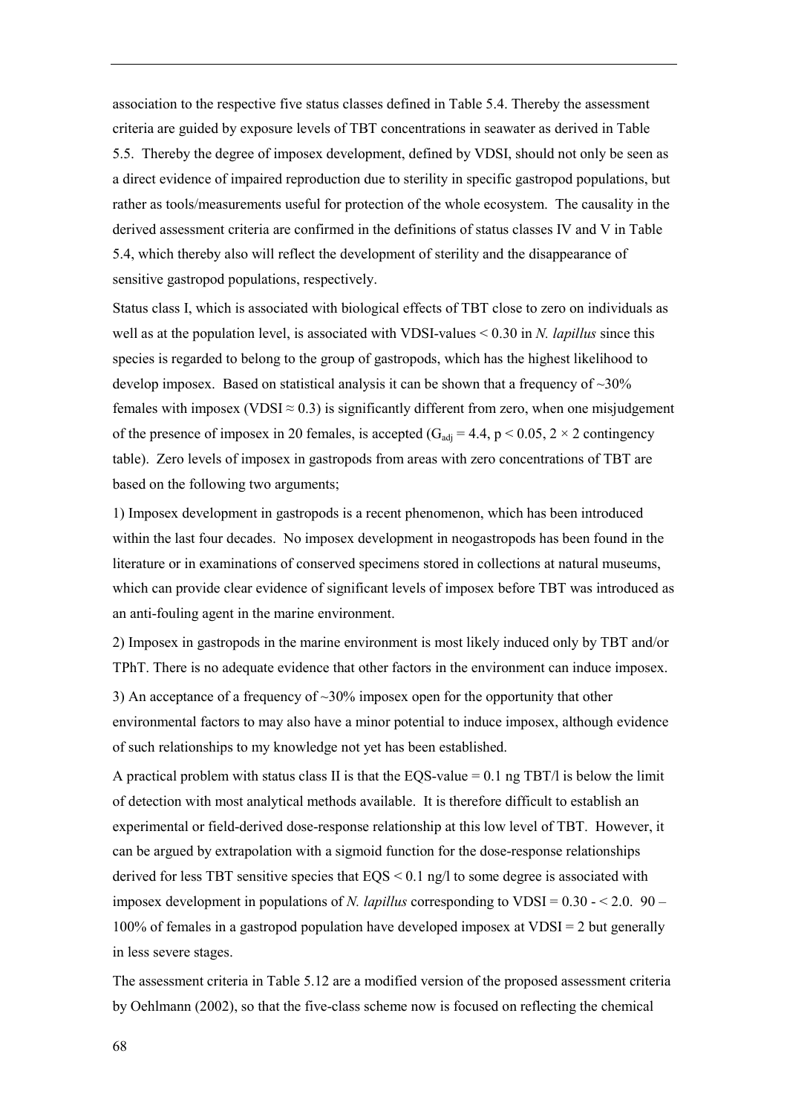association to the respective five status classes defined in Table 5.4. Thereby the assessment criteria are guided by exposure levels of TBT concentrations in seawater as derived in Table 5.5. Thereby the degree of imposex development, defined by VDSI, should not only be seen as a direct evidence of impaired reproduction due to sterility in specific gastropod populations, but rather as tools/measurements useful for protection of the whole ecosystem. The causality in the derived assessment criteria are confirmed in the definitions of status classes IV and V in Table 5.4, which thereby also will reflect the development of sterility and the disappearance of sensitive gastropod populations, respectively.

Status class I, which is associated with biological effects of TBT close to zero on individuals as well as at the population level, is associated with VDSI-values < 0.30 in *N. lapillus* since this species is regarded to belong to the group of gastropods, which has the highest likelihood to develop imposex. Based on statistical analysis it can be shown that a frequency of  $\sim$ 30% females with imposex (VDSI  $\approx$  0.3) is significantly different from zero, when one misjudgement of the presence of imposex in 20 females, is accepted  $(G_{\text{adi}} = 4.4, p < 0.05, 2 \times 2$  contingency table). Zero levels of imposex in gastropods from areas with zero concentrations of TBT are based on the following two arguments;

1) Imposex development in gastropods is a recent phenomenon, which has been introduced within the last four decades. No imposex development in neogastropods has been found in the literature or in examinations of conserved specimens stored in collections at natural museums, which can provide clear evidence of significant levels of imposex before TBT was introduced as an anti-fouling agent in the marine environment.

2) Imposex in gastropods in the marine environment is most likely induced only by TBT and/or TPhT. There is no adequate evidence that other factors in the environment can induce imposex.

3) An acceptance of a frequency of ~30% imposex open for the opportunity that other environmental factors to may also have a minor potential to induce imposex, although evidence of such relationships to my knowledge not yet has been established.

A practical problem with status class II is that the EOS-value  $= 0.1$  ng TBT/l is below the limit of detection with most analytical methods available. It is therefore difficult to establish an experimental or field-derived dose-response relationship at this low level of TBT. However, it can be argued by extrapolation with a sigmoid function for the dose-response relationships derived for less TBT sensitive species that  $EOS \le 0.1$  ng/l to some degree is associated with imposex development in populations of *N. lapillus* corresponding to VDSI =  $0.30 - 2.0$ . 90 – 100% of females in a gastropod population have developed imposex at VDSI = 2 but generally in less severe stages.

The assessment criteria in Table 5.12 are a modified version of the proposed assessment criteria by Oehlmann (2002), so that the five-class scheme now is focused on reflecting the chemical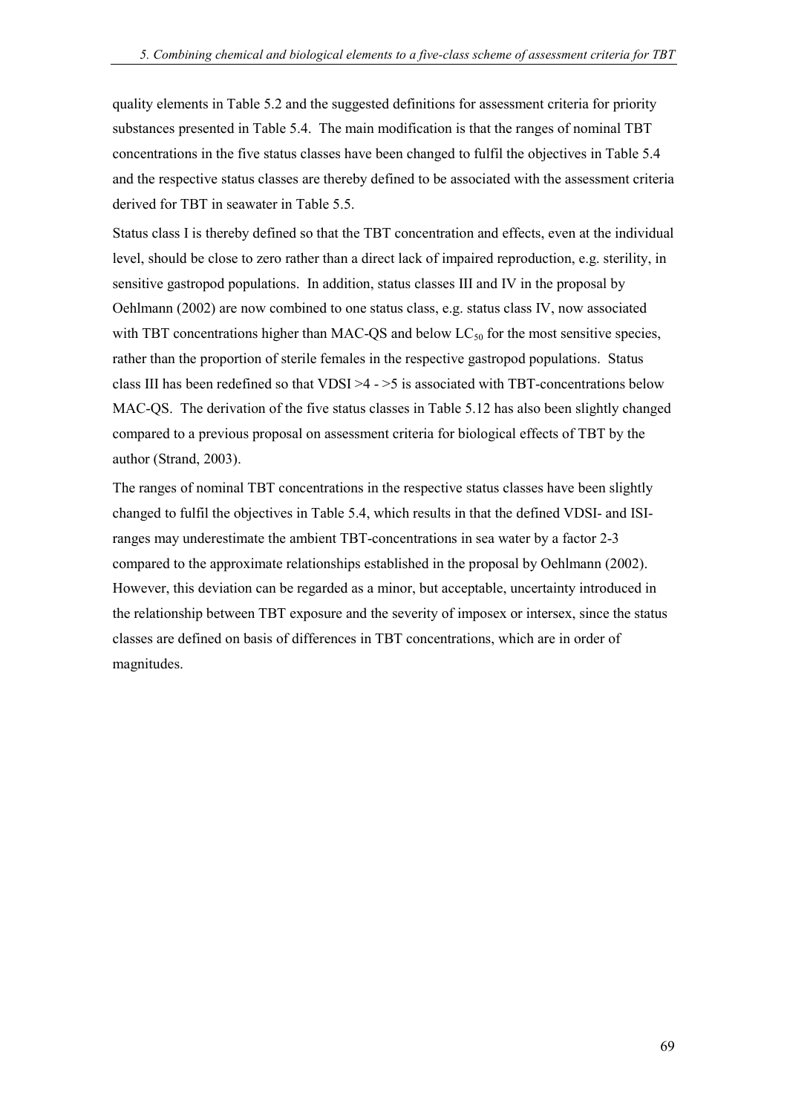quality elements in Table 5.2 and the suggested definitions for assessment criteria for priority substances presented in Table 5.4. The main modification is that the ranges of nominal TBT concentrations in the five status classes have been changed to fulfil the objectives in Table 5.4 and the respective status classes are thereby defined to be associated with the assessment criteria derived for TBT in seawater in Table 5.5.

Status class I is thereby defined so that the TBT concentration and effects, even at the individual level, should be close to zero rather than a direct lack of impaired reproduction, e.g. sterility, in sensitive gastropod populations. In addition, status classes III and IV in the proposal by Oehlmann (2002) are now combined to one status class, e.g. status class IV, now associated with TBT concentrations higher than MAC-QS and below  $LC_{50}$  for the most sensitive species, rather than the proportion of sterile females in the respective gastropod populations. Status class III has been redefined so that VDSI  $>4$  -  $>5$  is associated with TBT-concentrations below MAC-QS. The derivation of the five status classes in Table 5.12 has also been slightly changed compared to a previous proposal on assessment criteria for biological effects of TBT by the author (Strand, 2003).

The ranges of nominal TBT concentrations in the respective status classes have been slightly changed to fulfil the objectives in Table 5.4, which results in that the defined VDSI- and ISIranges may underestimate the ambient TBT-concentrations in sea water by a factor 2-3 compared to the approximate relationships established in the proposal by Oehlmann (2002). However, this deviation can be regarded as a minor, but acceptable, uncertainty introduced in the relationship between TBT exposure and the severity of imposex or intersex, since the status classes are defined on basis of differences in TBT concentrations, which are in order of magnitudes.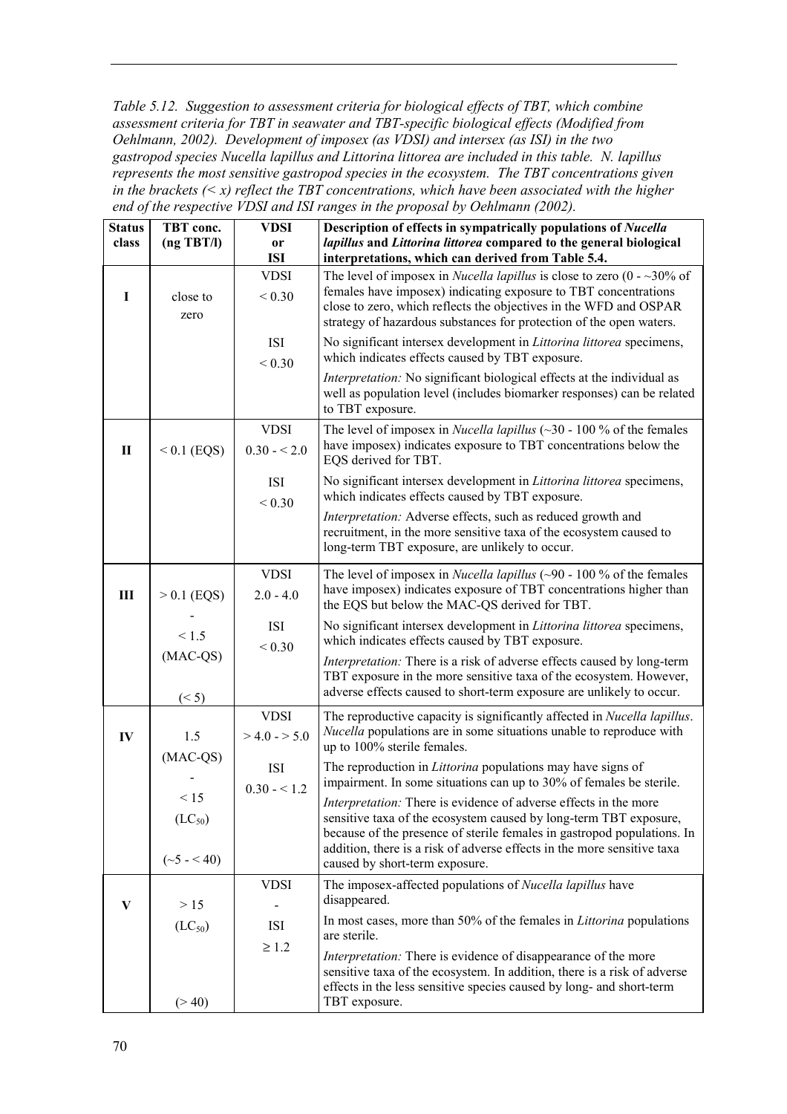*Table 5.12. Suggestion to assessment criteria for biological effects of TBT, which combine assessment criteria for TBT in seawater and TBT-specific biological effects (Modified from Oehlmann, 2002). Development of imposex (as VDSI) and intersex (as ISI) in the two gastropod species Nucella lapillus and Littorina littorea are included in this table. N. lapillus represents the most sensitive gastropod species in the ecosystem. The TBT concentrations given in the brackets (< x) reflect the TBT concentrations, which have been associated with the higher end of the respective VDSI and ISI ranges in the proposal by Oehlmann (2002).*

| <b>Status</b><br>class | TBT conc.<br>(ng TBT/I) | <b>VDSI</b><br>0r        | Description of effects in sympatrically populations of Nucella<br>lapillus and Littorina littorea compared to the general biological                                 |
|------------------------|-------------------------|--------------------------|----------------------------------------------------------------------------------------------------------------------------------------------------------------------|
|                        |                         | <b>ISI</b>               | interpretations, which can derived from Table 5.4.                                                                                                                   |
|                        |                         | <b>VDSI</b>              | The level of imposex in <i>Nucella lapillus</i> is close to zero $(0 -30\% \text{ of }$<br>females have imposex) indicating exposure to TBT concentrations           |
| I                      | close to                | ${}< 0.30$               | close to zero, which reflects the objectives in the WFD and OSPAR                                                                                                    |
|                        | zero                    |                          | strategy of hazardous substances for protection of the open waters.                                                                                                  |
|                        |                         | <b>ISI</b>               | No significant intersex development in <i>Littorina littorea</i> specimens,                                                                                          |
|                        |                         | ${}< 0.30$               | which indicates effects caused by TBT exposure.                                                                                                                      |
|                        |                         |                          | Interpretation: No significant biological effects at the individual as<br>well as population level (includes biomarker responses) can be related<br>to TBT exposure. |
|                        |                         | <b>VDSI</b>              | The level of imposex in <i>Nucella lapillus</i> ( $\sim$ 30 - 100 % of the females                                                                                   |
| $\mathbf{I}$           | $< 0.1$ (EQS)           | $0.30 - 2.0$             | have imposex) indicates exposure to TBT concentrations below the<br>EQS derived for TBT.                                                                             |
|                        |                         | <b>ISI</b>               | No significant intersex development in Littorina littorea specimens,                                                                                                 |
|                        |                         | ${}< 0.30$               | which indicates effects caused by TBT exposure.                                                                                                                      |
|                        |                         |                          | Interpretation: Adverse effects, such as reduced growth and                                                                                                          |
|                        |                         |                          | recruitment, in the more sensitive taxa of the ecosystem caused to<br>long-term TBT exposure, are unlikely to occur.                                                 |
|                        |                         |                          |                                                                                                                                                                      |
|                        |                         | <b>VDSI</b>              | The level of imposex in <i>Nucella lapillus</i> ( $\sim$ 90 - 100 % of the females<br>have imposex) indicates exposure of TBT concentrations higher than             |
| $\mathbf{III}$         | $> 0.1$ (EQS)           | $2.0 - 4.0$              | the EQS but below the MAC-QS derived for TBT.                                                                                                                        |
|                        | < 1.5                   | <b>ISI</b><br>${}< 0.30$ | No significant intersex development in <i>Littorina littorea</i> specimens,<br>which indicates effects caused by TBT exposure.                                       |
|                        | $(MAC-QS)$              |                          | Interpretation: There is a risk of adverse effects caused by long-term                                                                                               |
|                        |                         |                          | TBT exposure in the more sensitive taxa of the ecosystem. However,<br>adverse effects caused to short-term exposure are unlikely to occur.                           |
|                        | (< 5)                   |                          |                                                                                                                                                                      |
|                        |                         | <b>VDSI</b>              | The reproductive capacity is significantly affected in Nucella lapillus.<br><i>Nucella</i> populations are in some situations unable to reproduce with               |
| IV                     | 1.5                     | $> 4.0 - 5.0$            | up to 100% sterile females.                                                                                                                                          |
|                        | $(MAC-QS)$              | ISI                      | The reproduction in <i>Littorina</i> populations may have signs of                                                                                                   |
|                        |                         | $0.30 - 1.2$             | impairment. In some situations can up to 30% of females be sterile.                                                                                                  |
|                        | < 15                    |                          | <i>Interpretation:</i> There is evidence of adverse effects in the more                                                                                              |
|                        | $(LC_{50})$             |                          | sensitive taxa of the ecosystem caused by long-term TBT exposure,<br>because of the presence of sterile females in gastropod populations. In                         |
|                        |                         |                          | addition, there is a risk of adverse effects in the more sensitive taxa                                                                                              |
|                        | $({\sim}5 - {\le}40)$   |                          | caused by short-term exposure.                                                                                                                                       |
|                        |                         | <b>VDSI</b>              | The imposex-affected populations of Nucella lapillus have                                                                                                            |
| V                      | >15                     |                          | disappeared.                                                                                                                                                         |
|                        | $(LC_{50})$             | ISI<br>$\geq 1.2$        | In most cases, more than 50% of the females in <i>Littorina</i> populations<br>are sterile.                                                                          |
|                        |                         |                          | <i>Interpretation:</i> There is evidence of disappearance of the more                                                                                                |
|                        |                         |                          | sensitive taxa of the ecosystem. In addition, there is a risk of adverse<br>effects in the less sensitive species caused by long- and short-term                     |
|                        | (> 40)                  |                          | TBT exposure.                                                                                                                                                        |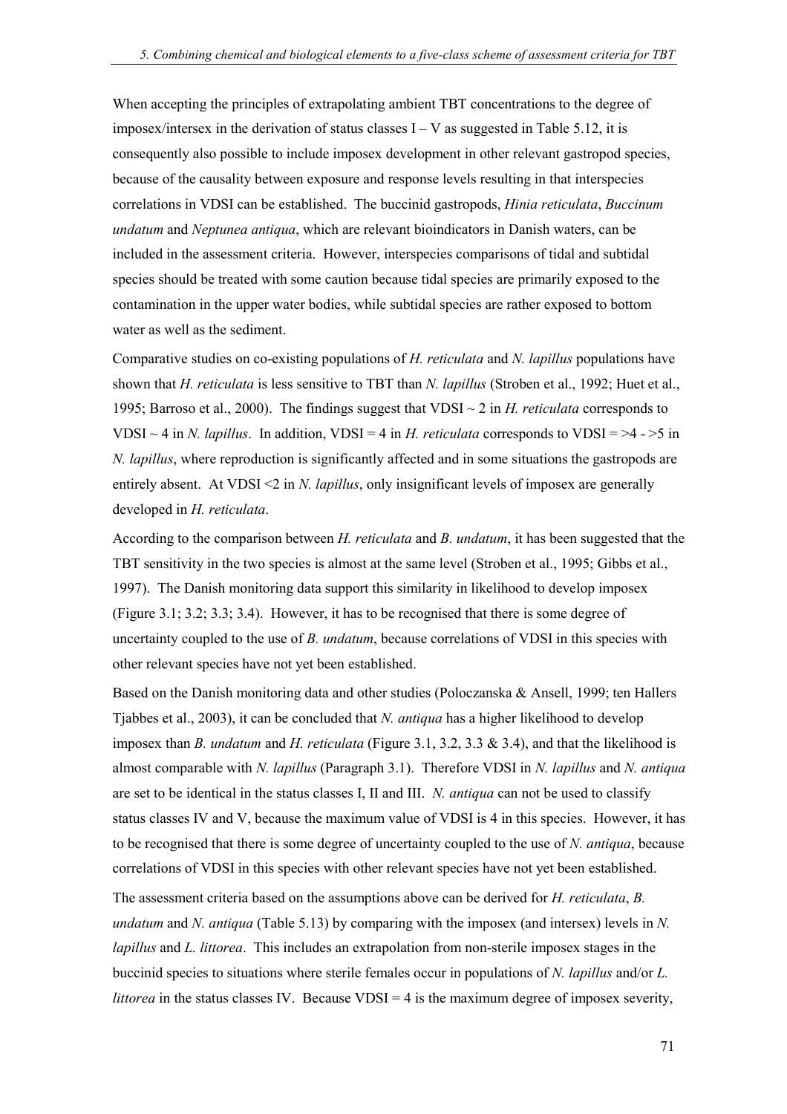When accepting the principles of extrapolating ambient TBT concentrations to the degree of imposex/intersex in the derivation of status classes  $I - V$  as suggested in Table 5.12, it is consequently also possible to include imposex development in other relevant gastropod species, because of the causality between exposure and response levels resulting in that interspecies correlations in VDSI can be established. The buccinid gastropods, *Hinia reticulata*, *Buccinum undatum* and *Neptunea antiqua*, which are relevant bioindicators in Danish waters, can be included in the assessment criteria. However, interspecies comparisons of tidal and subtidal species should be treated with some caution because tidal species are primarily exposed to the contamination in the upper water bodies, while subtidal species are rather exposed to bottom water as well as the sediment.

Comparative studies on co-existing populations of *H. reticulata* and *N. lapillus* populations have shown that *H. reticulata* is less sensitive to TBT than *N. lapillus* (Stroben et al., 1992; Huet et al., 1995; Barroso et al., 2000). The findings suggest that VDSI ~ 2 in *H. reticulata* corresponds to VDSI  $\sim$  4 in *N. lapillus.* In addition, VDSI = 4 in *H. reticulata* corresponds to VDSI =  $>4$  -  $>5$  in *N. lapillus*, where reproduction is significantly affected and in some situations the gastropods are entirely absent. At VDSI <2 in *N. lapillus*, only insignificant levels of imposex are generally developed in *H. reticulata*.

According to the comparison between *H. reticulata* and *B. undatum*, it has been suggested that the TBT sensitivity in the two species is almost at the same level (Stroben et al., 1995; Gibbs et al., 1997). The Danish monitoring data support this similarity in likelihood to develop imposex (Figure 3.1; 3.2; 3.3; 3.4). However, it has to be recognised that there is some degree of uncertainty coupled to the use of *B. undatum*, because correlations of VDSI in this species with other relevant species have not yet been established.

Based on the Danish monitoring data and other studies (Poloczanska & Ansell, 1999; ten Hallers Tjabbes et al., 2003), it can be concluded that *N. antiqua* has a higher likelihood to develop imposex than *B. undatum* and *H. reticulata* (Figure 3.1, 3.2, 3.3 & 3.4), and that the likelihood is almost comparable with *N. lapillus* (Paragraph 3.1). Therefore VDSI in *N. lapillus* and *N. antiqua* are set to be identical in the status classes I, II and III. *N. antiqua* can not be used to classify status classes IV and V, because the maximum value of VDSI is 4 in this species. However, it has to be recognised that there is some degree of uncertainty coupled to the use of *N. antiqua*, because correlations of VDSI in this species with other relevant species have not yet been established.

The assessment criteria based on the assumptions above can be derived for *H. reticulata*, *B. undatum* and *N. antiqua* (Table 5.13) by comparing with the imposex (and intersex) levels in *N. lapillus* and *L. littorea*. This includes an extrapolation from non-sterile imposex stages in the buccinid species to situations where sterile females occur in populations of *N. lapillus* and/or *L. littorea* in the status classes IV. Because  $VDSI = 4$  is the maximum degree of imposex severity,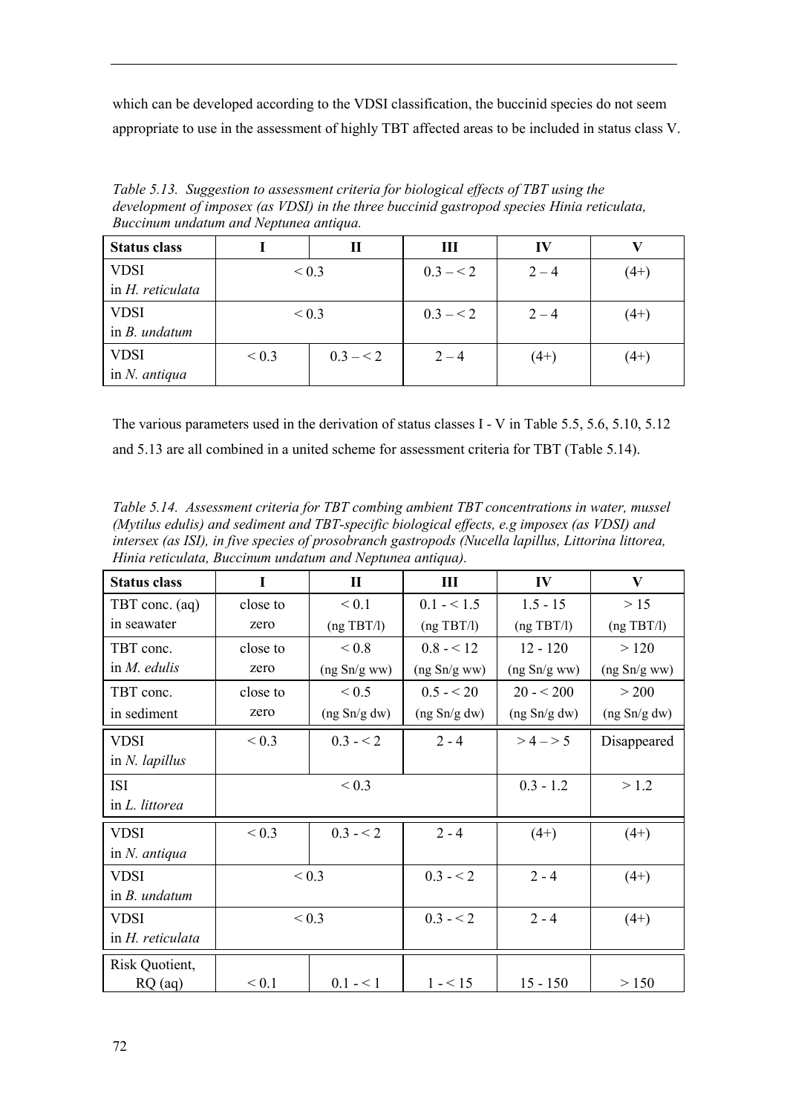which can be developed according to the VDSI classification, the buccinid species do not seem appropriate to use in the assessment of highly TBT affected areas to be included in status class V.

*Table 5.13. Suggestion to assessment criteria for biological effects of TBT using the development of imposex (as VDSI) in the three buccinid gastropod species Hinia reticulata, Buccinum undatum and Neptunea antiqua.*

| <b>Status class</b> | П          |           | Ш         | IV      |        |
|---------------------|------------|-----------|-----------|---------|--------|
| <b>VDSI</b>         | ${}_{0.3}$ |           | $0.3 - 2$ | $2 - 4$ | $(4+)$ |
| in H. reticulata    |            |           |           |         |        |
| <b>VDSI</b>         | ${}_{0.3}$ |           | $0.3 - 2$ | $2 - 4$ | $(4+)$ |
| in $B.$ undatum     |            |           |           |         |        |
| <b>VDSI</b>         | ${}_{0.3}$ | $0.3 - 2$ | $2 - 4$   | $(4+)$  | $(4+)$ |
| in $N$ . antiqua    |            |           |           |         |        |

The various parameters used in the derivation of status classes I - V in Table 5.5, 5.6, 5.10, 5.12 and 5.13 are all combined in a united scheme for assessment criteria for TBT (Table 5.14).

*Table 5.14. Assessment criteria for TBT combing ambient TBT concentrations in water, mussel (Mytilus edulis) and sediment and TBT-specific biological effects, e.g imposex (as VDSI) and intersex (as ISI), in five species of prosobranch gastropods (Nucella lapillus, Littorina littorea, Hinia reticulata, Buccinum undatum and Neptunea antiqua).*

| <b>Status class</b>     | I          | $\mathbf{I}$<br>Ш |              | IV           | V            |  |
|-------------------------|------------|-------------------|--------------|--------------|--------------|--|
| TBT conc. (aq)          | close to   | < 0.1             | $0.1 - 1.5$  | $1.5 - 15$   | >15          |  |
| in seawater             | zero       | (ng TBT/l)        | (ng TBT/l)   | (ng TBT/l)   | (ng TBT/l)   |  |
| TBT conc.               | close to   | ${}_{0.8}$        | $0.8 - 12$   | $12 - 120$   | >120         |  |
| in $M$ . edulis         | zero       | (ng Sn/g ww)      | (ng Sn/g ww) | (ng Sn/g ww) | (ng Sn/g ww) |  |
| TBT conc.               | close to   | ${}_{0.5}$        | $0.5 - 20$   | $20 - 5200$  | > 200        |  |
| in sediment             | zero       | (ng Sn/g dw)      | (ng Sn/g dw) | (ng Sn/g dw) | (ng Sn/g dw) |  |
| <b>VDSI</b>             | ${}_{0.3}$ | $0.3 - 2$         | $2 - 4$      | $>4 - 5$     | Disappeared  |  |
| in $N.$ lapillus        |            |                   |              |              |              |  |
| <b>ISI</b>              |            | ${}_{0.3}$        |              | $0.3 - 1.2$  | > 1.2        |  |
| in L. littorea          |            |                   |              |              |              |  |
| <b>VDSI</b>             | ${}_{0.3}$ | $0.3 - 2$         | $2 - 4$      | $(4+)$       | $(4+)$       |  |
| in $N$ . antiqua        |            |                   |              |              |              |  |
| <b>VDSI</b>             | ${}_{0.3}$ |                   | $0.3 - 2$    | $2 - 4$      | $(4+)$       |  |
| in $B$ . <i>undatum</i> |            |                   |              |              |              |  |
| <b>VDSI</b>             | ${}_{0.3}$ |                   | $0.3 - 2$    | $2 - 4$      | $(4+)$       |  |
| in H. reticulata        |            |                   |              |              |              |  |
| Risk Quotient,          |            |                   |              |              |              |  |
| $RQ$ (aq)               | ${}_{0.1}$ | $0.1 - 1$         | $1 - 5$      | $15 - 150$   | > 150        |  |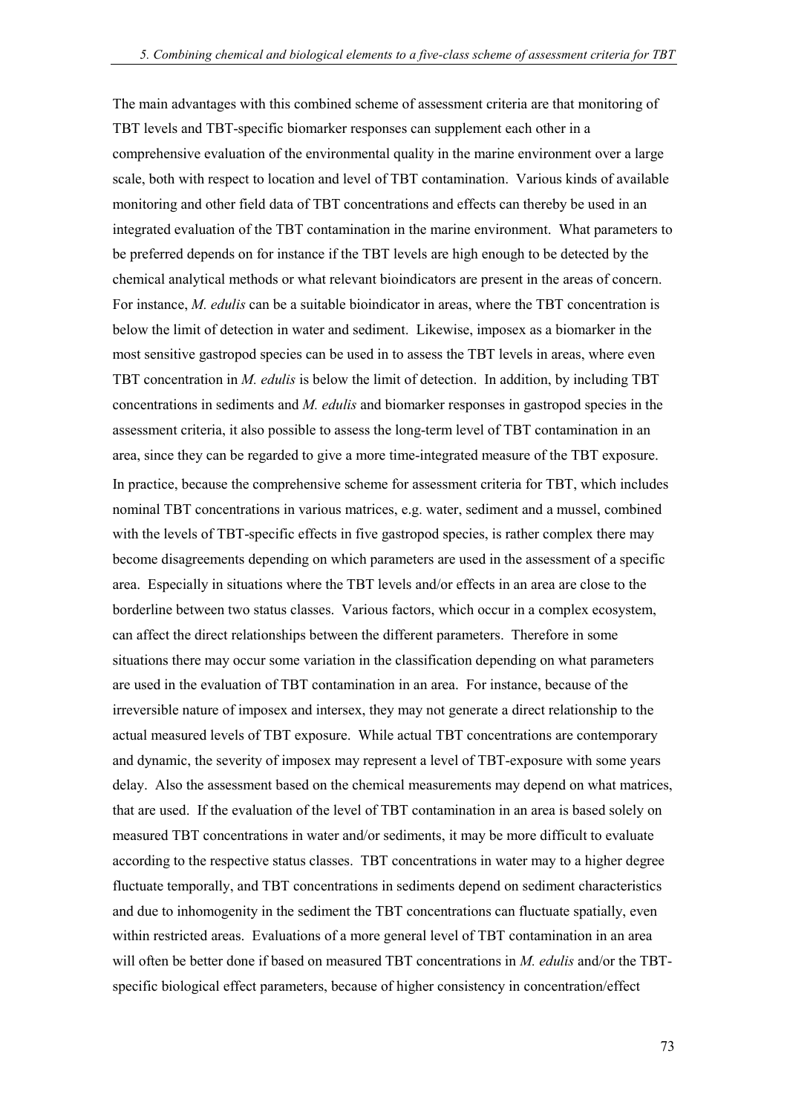The main advantages with this combined scheme of assessment criteria are that monitoring of TBT levels and TBT-specific biomarker responses can supplement each other in a comprehensive evaluation of the environmental quality in the marine environment over a large scale, both with respect to location and level of TBT contamination. Various kinds of available monitoring and other field data of TBT concentrations and effects can thereby be used in an integrated evaluation of the TBT contamination in the marine environment. What parameters to be preferred depends on for instance if the TBT levels are high enough to be detected by the chemical analytical methods or what relevant bioindicators are present in the areas of concern. For instance, *M. edulis* can be a suitable bioindicator in areas, where the TBT concentration is below the limit of detection in water and sediment. Likewise, imposex as a biomarker in the most sensitive gastropod species can be used in to assess the TBT levels in areas, where even TBT concentration in *M. edulis* is below the limit of detection. In addition, by including TBT concentrations in sediments and *M. edulis* and biomarker responses in gastropod species in the assessment criteria, it also possible to assess the long-term level of TBT contamination in an area, since they can be regarded to give a more time-integrated measure of the TBT exposure. In practice, because the comprehensive scheme for assessment criteria for TBT, which includes nominal TBT concentrations in various matrices, e.g. water, sediment and a mussel, combined with the levels of TBT-specific effects in five gastropod species, is rather complex there may become disagreements depending on which parameters are used in the assessment of a specific area. Especially in situations where the TBT levels and/or effects in an area are close to the borderline between two status classes. Various factors, which occur in a complex ecosystem, can affect the direct relationships between the different parameters. Therefore in some situations there may occur some variation in the classification depending on what parameters are used in the evaluation of TBT contamination in an area. For instance, because of the irreversible nature of imposex and intersex, they may not generate a direct relationship to the actual measured levels of TBT exposure. While actual TBT concentrations are contemporary and dynamic, the severity of imposex may represent a level of TBT-exposure with some years delay. Also the assessment based on the chemical measurements may depend on what matrices, that are used. If the evaluation of the level of TBT contamination in an area is based solely on measured TBT concentrations in water and/or sediments, it may be more difficult to evaluate according to the respective status classes. TBT concentrations in water may to a higher degree fluctuate temporally, and TBT concentrations in sediments depend on sediment characteristics and due to inhomogenity in the sediment the TBT concentrations can fluctuate spatially, even within restricted areas. Evaluations of a more general level of TBT contamination in an area will often be better done if based on measured TBT concentrations in *M. edulis* and/or the TBTspecific biological effect parameters, because of higher consistency in concentration/effect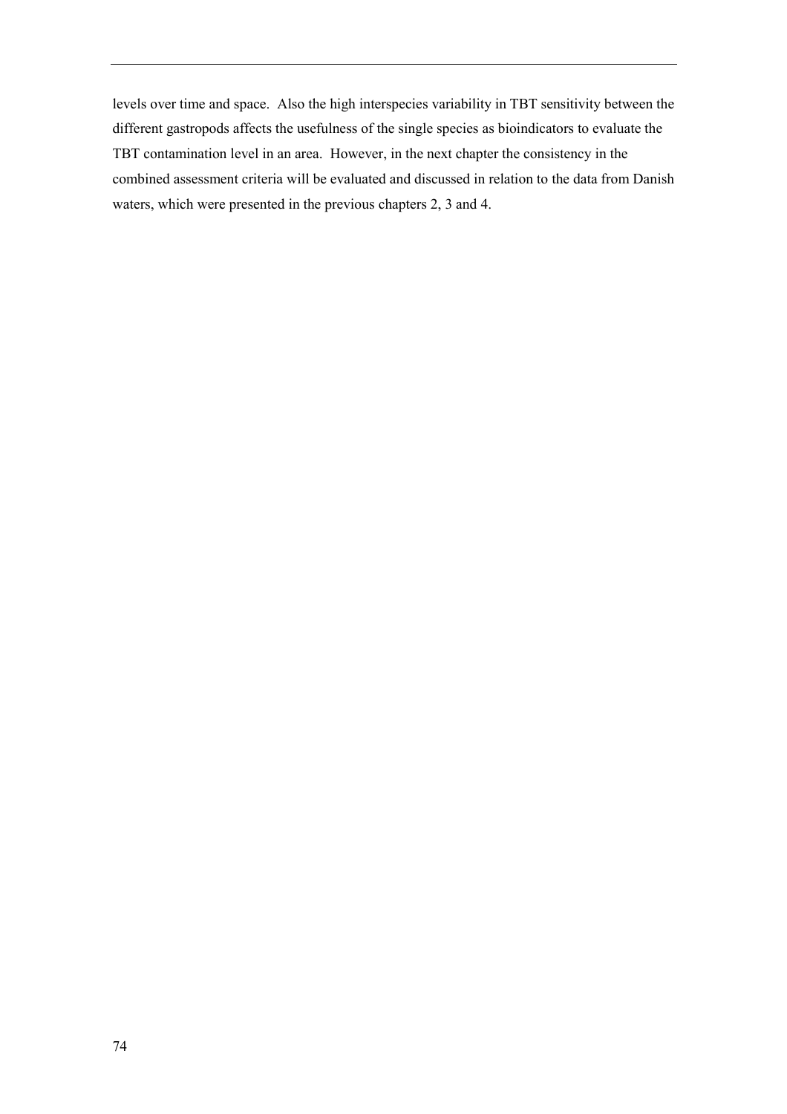levels over time and space. Also the high interspecies variability in TBT sensitivity between the different gastropods affects the usefulness of the single species as bioindicators to evaluate the TBT contamination level in an area. However, in the next chapter the consistency in the combined assessment criteria will be evaluated and discussed in relation to the data from Danish waters, which were presented in the previous chapters 2, 3 and 4.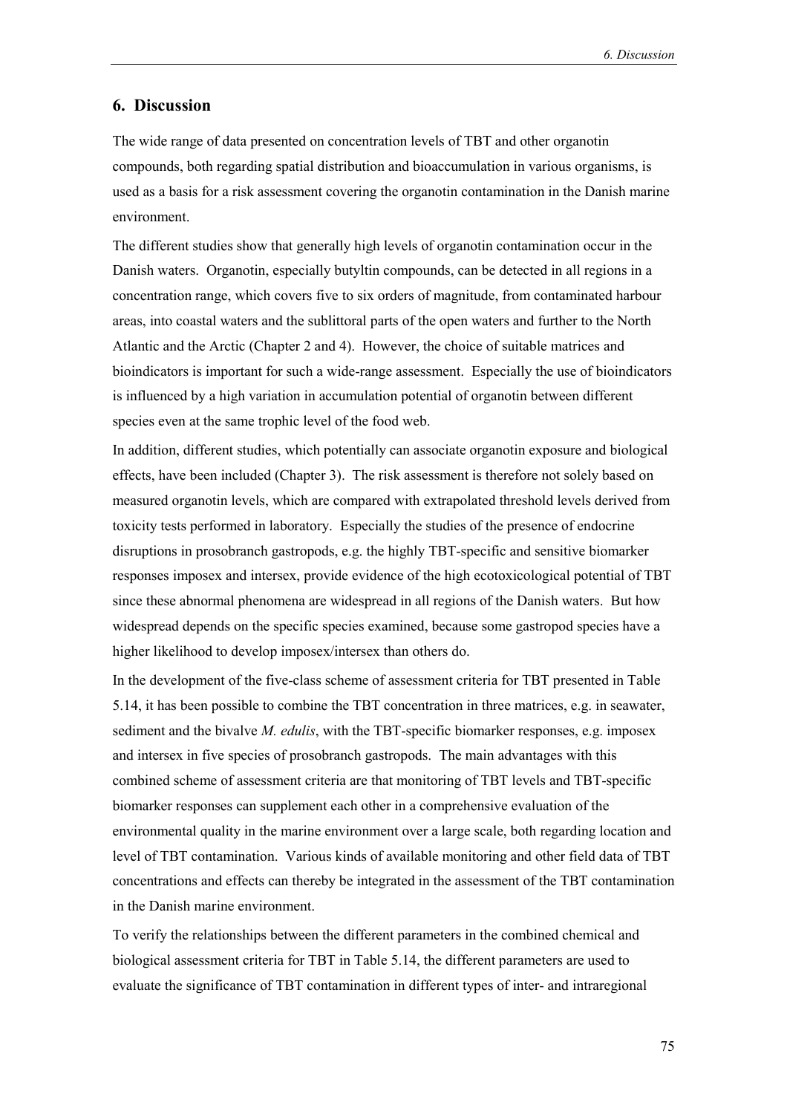### **6. Discussion**

The wide range of data presented on concentration levels of TBT and other organotin compounds, both regarding spatial distribution and bioaccumulation in various organisms, is used as a basis for a risk assessment covering the organotin contamination in the Danish marine environment.

The different studies show that generally high levels of organotin contamination occur in the Danish waters. Organotin, especially butyltin compounds, can be detected in all regions in a concentration range, which covers five to six orders of magnitude, from contaminated harbour areas, into coastal waters and the sublittoral parts of the open waters and further to the North Atlantic and the Arctic (Chapter 2 and 4). However, the choice of suitable matrices and bioindicators is important for such a wide-range assessment. Especially the use of bioindicators is influenced by a high variation in accumulation potential of organotin between different species even at the same trophic level of the food web.

In addition, different studies, which potentially can associate organotin exposure and biological effects, have been included (Chapter 3). The risk assessment is therefore not solely based on measured organotin levels, which are compared with extrapolated threshold levels derived from toxicity tests performed in laboratory. Especially the studies of the presence of endocrine disruptions in prosobranch gastropods, e.g. the highly TBT-specific and sensitive biomarker responses imposex and intersex, provide evidence of the high ecotoxicological potential of TBT since these abnormal phenomena are widespread in all regions of the Danish waters. But how widespread depends on the specific species examined, because some gastropod species have a higher likelihood to develop imposex/intersex than others do.

In the development of the five-class scheme of assessment criteria for TBT presented in Table 5.14, it has been possible to combine the TBT concentration in three matrices, e.g. in seawater, sediment and the bivalve *M. edulis*, with the TBT-specific biomarker responses, e.g. imposex and intersex in five species of prosobranch gastropods. The main advantages with this combined scheme of assessment criteria are that monitoring of TBT levels and TBT-specific biomarker responses can supplement each other in a comprehensive evaluation of the environmental quality in the marine environment over a large scale, both regarding location and level of TBT contamination. Various kinds of available monitoring and other field data of TBT concentrations and effects can thereby be integrated in the assessment of the TBT contamination in the Danish marine environment.

To verify the relationships between the different parameters in the combined chemical and biological assessment criteria for TBT in Table 5.14, the different parameters are used to evaluate the significance of TBT contamination in different types of inter- and intraregional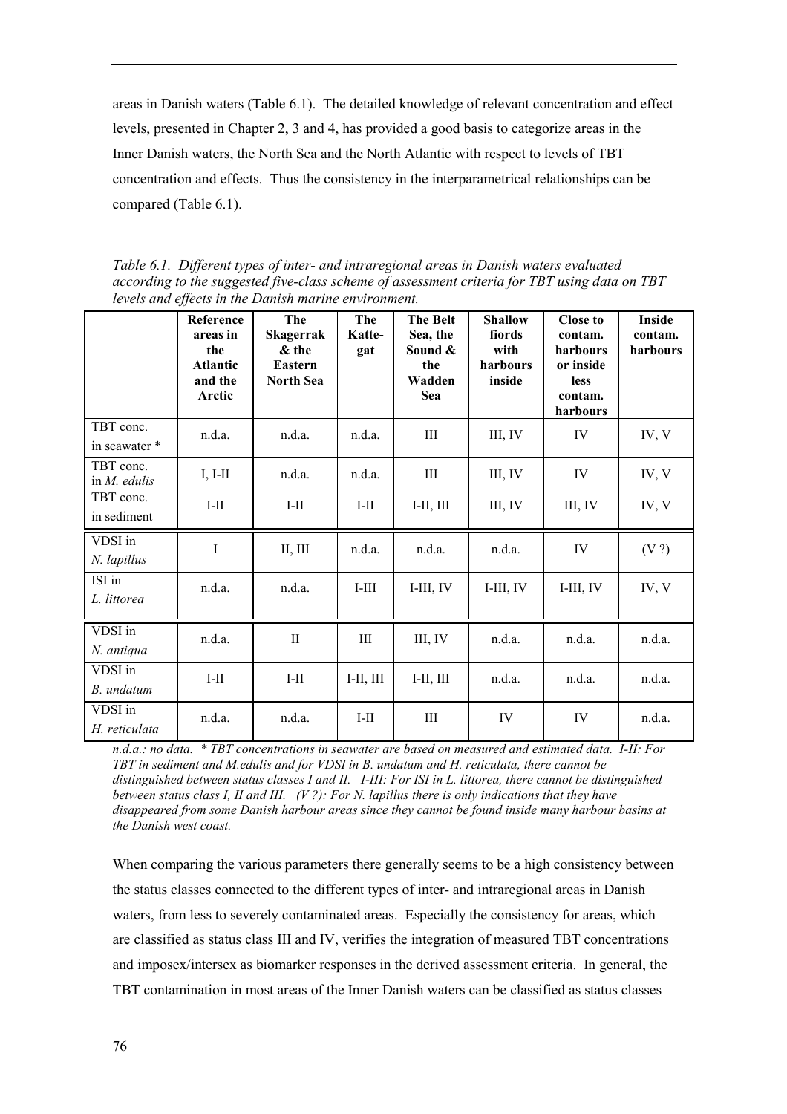areas in Danish waters (Table 6.1). The detailed knowledge of relevant concentration and effect levels, presented in Chapter 2, 3 and 4, has provided a good basis to categorize areas in the Inner Danish waters, the North Sea and the North Atlantic with respect to levels of TBT concentration and effects. Thus the consistency in the interparametrical relationships can be compared (Table 6.1).

*Table 6.1. Different types of inter- and intraregional areas in Danish waters evaluated according to the suggested five-class scheme of assessment criteria for TBT using data on TBT levels and effects in the Danish marine environment.*

|                              | <b>Reference</b><br>areas in<br>the<br><b>Atlantic</b><br>and the<br>Arctic | The<br><b>Skagerrak</b><br>& the<br><b>Eastern</b><br><b>North Sea</b> | The<br>Katte-<br>gat | <b>The Belt</b><br>Sea, the<br>Sound &<br>the<br>Wadden<br>Sea | <b>Shallow</b><br>fiords<br>with<br>harbours<br>inside | <b>Close to</b><br>contam.<br>harbours<br>or inside<br><b>less</b><br>contam.<br>harbours | Inside<br>contam.<br>harbours |
|------------------------------|-----------------------------------------------------------------------------|------------------------------------------------------------------------|----------------------|----------------------------------------------------------------|--------------------------------------------------------|-------------------------------------------------------------------------------------------|-------------------------------|
| TBT conc.<br>in seawater *   | n.d.a.                                                                      | n.d.a.                                                                 | n.d.a.               | Ш                                                              | III, IV                                                | IV                                                                                        | IV, V                         |
| TBT conc.<br>in $M$ . edulis | $I, I-II$                                                                   | n.d.a.                                                                 | n.d.a.               | III                                                            | III, IV                                                | IV                                                                                        | IV, V                         |
| TBT conc.<br>in sediment     | $I-II$                                                                      | $I-II$                                                                 | $I-II$               | $I-II, III$                                                    | III, IV                                                | III, IV                                                                                   | IV, V                         |
| VDSI in<br>N. lapillus       | $\rm I$                                                                     | II, III                                                                | n.d.a.               | n.d.a.                                                         | n.d.a.                                                 | IV                                                                                        | (V?)                          |
| ISI in<br>L. littorea        | n.d.a.                                                                      | n.d.a.                                                                 | $I-III$              | $I-III, IV$                                                    | $I$ -III, IV                                           | I-III, IV                                                                                 | IV, V                         |
| VDSI in<br>N. antiqua        | n.d.a.                                                                      | $\mathbf{I}$                                                           | III                  | III, IV                                                        | n.d.a.                                                 | n.d.a.                                                                                    | n.d.a.                        |
| VDSI in<br>B. undatum        | $I-II$                                                                      | $I-II$                                                                 | $I-II, III$          | $I-II, III$                                                    | n.d.a.                                                 | n.d.a.                                                                                    | n.d.a.                        |
| VDSI in<br>H. reticulata     | n.d.a.                                                                      | n.d.a.                                                                 | $\text{I-II}$        | $\rm III$                                                      | IV                                                     | IV                                                                                        | n.d.a.                        |

*n.d.a.: no data. \* TBT concentrations in seawater are based on measured and estimated data. I-II: For TBT in sediment and M.edulis and for VDSI in B. undatum and H. reticulata, there cannot be distinguished between status classes I and II. I-III: For ISI in L. littorea, there cannot be distinguished between status class I, II and III. (V ?): For N. lapillus there is only indications that they have disappeared from some Danish harbour areas since they cannot be found inside many harbour basins at the Danish west coast.*

When comparing the various parameters there generally seems to be a high consistency between the status classes connected to the different types of inter- and intraregional areas in Danish waters, from less to severely contaminated areas. Especially the consistency for areas, which are classified as status class III and IV, verifies the integration of measured TBT concentrations and imposex/intersex as biomarker responses in the derived assessment criteria. In general, the TBT contamination in most areas of the Inner Danish waters can be classified as status classes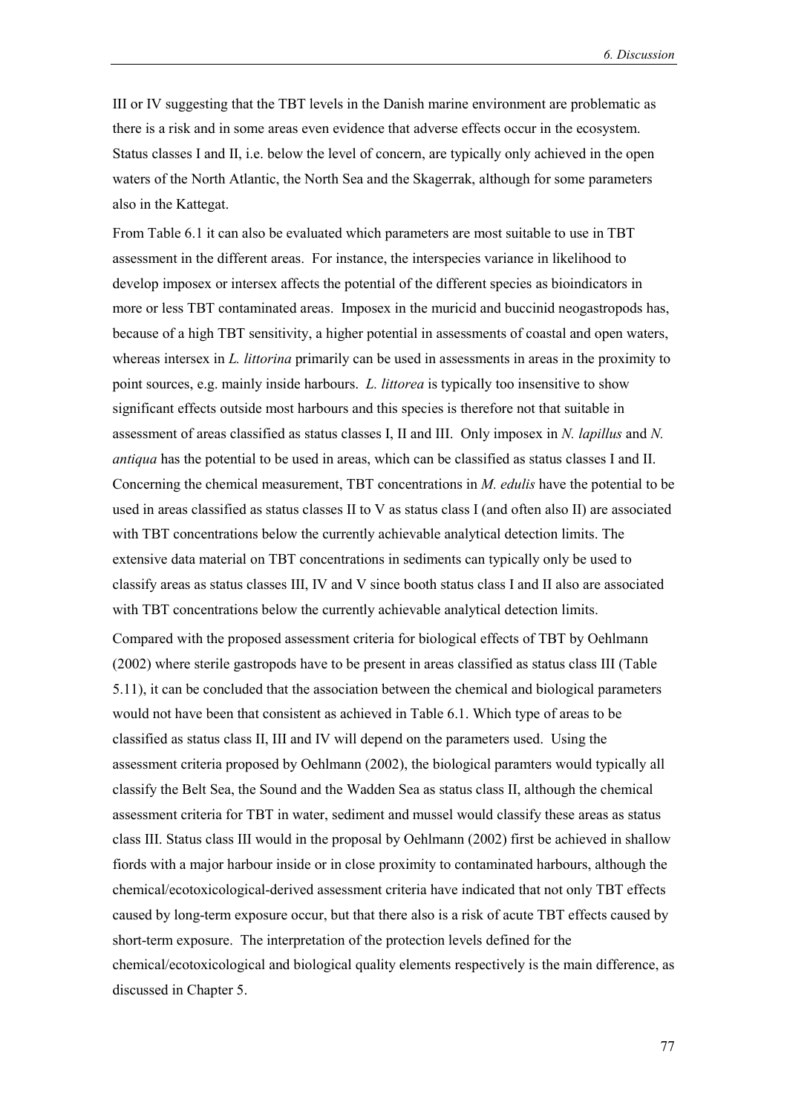III or IV suggesting that the TBT levels in the Danish marine environment are problematic as there is a risk and in some areas even evidence that adverse effects occur in the ecosystem. Status classes I and II, i.e. below the level of concern, are typically only achieved in the open waters of the North Atlantic, the North Sea and the Skagerrak, although for some parameters also in the Kattegat.

From Table 6.1 it can also be evaluated which parameters are most suitable to use in TBT assessment in the different areas. For instance, the interspecies variance in likelihood to develop imposex or intersex affects the potential of the different species as bioindicators in more or less TBT contaminated areas. Imposex in the muricid and buccinid neogastropods has, because of a high TBT sensitivity, a higher potential in assessments of coastal and open waters, whereas intersex in *L. littorina* primarily can be used in assessments in areas in the proximity to point sources, e.g. mainly inside harbours. *L. littorea* is typically too insensitive to show significant effects outside most harbours and this species is therefore not that suitable in assessment of areas classified as status classes I, II and III. Only imposex in *N. lapillus* and *N. antiqua* has the potential to be used in areas, which can be classified as status classes I and II. Concerning the chemical measurement, TBT concentrations in *M. edulis* have the potential to be used in areas classified as status classes II to V as status class I (and often also II) are associated with TBT concentrations below the currently achievable analytical detection limits. The extensive data material on TBT concentrations in sediments can typically only be used to classify areas as status classes III, IV and V since booth status class I and II also are associated with TBT concentrations below the currently achievable analytical detection limits.

Compared with the proposed assessment criteria for biological effects of TBT by Oehlmann (2002) where sterile gastropods have to be present in areas classified as status class III (Table 5.11), it can be concluded that the association between the chemical and biological parameters would not have been that consistent as achieved in Table 6.1. Which type of areas to be classified as status class II, III and IV will depend on the parameters used. Using the assessment criteria proposed by Oehlmann (2002), the biological paramters would typically all classify the Belt Sea, the Sound and the Wadden Sea as status class II, although the chemical assessment criteria for TBT in water, sediment and mussel would classify these areas as status class III. Status class III would in the proposal by Oehlmann (2002) first be achieved in shallow fiords with a major harbour inside or in close proximity to contaminated harbours, although the chemical/ecotoxicological-derived assessment criteria have indicated that not only TBT effects caused by long-term exposure occur, but that there also is a risk of acute TBT effects caused by short-term exposure. The interpretation of the protection levels defined for the chemical/ecotoxicological and biological quality elements respectively is the main difference, as discussed in Chapter 5.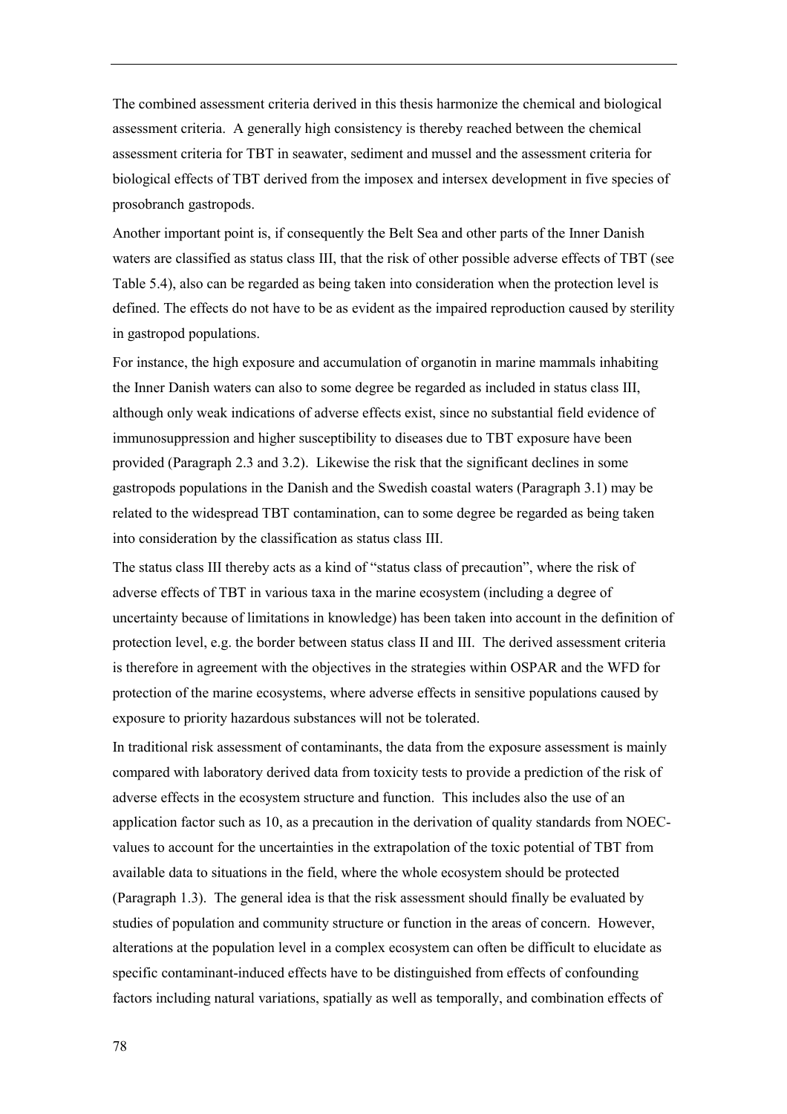The combined assessment criteria derived in this thesis harmonize the chemical and biological assessment criteria. A generally high consistency is thereby reached between the chemical assessment criteria for TBT in seawater, sediment and mussel and the assessment criteria for biological effects of TBT derived from the imposex and intersex development in five species of prosobranch gastropods.

Another important point is, if consequently the Belt Sea and other parts of the Inner Danish waters are classified as status class III, that the risk of other possible adverse effects of TBT (see Table 5.4), also can be regarded as being taken into consideration when the protection level is defined. The effects do not have to be as evident as the impaired reproduction caused by sterility in gastropod populations.

For instance, the high exposure and accumulation of organotin in marine mammals inhabiting the Inner Danish waters can also to some degree be regarded as included in status class III, although only weak indications of adverse effects exist, since no substantial field evidence of immunosuppression and higher susceptibility to diseases due to TBT exposure have been provided (Paragraph 2.3 and 3.2). Likewise the risk that the significant declines in some gastropods populations in the Danish and the Swedish coastal waters (Paragraph 3.1) may be related to the widespread TBT contamination, can to some degree be regarded as being taken into consideration by the classification as status class III.

The status class III thereby acts as a kind of "status class of precaution", where the risk of adverse effects of TBT in various taxa in the marine ecosystem (including a degree of uncertainty because of limitations in knowledge) has been taken into account in the definition of protection level, e.g. the border between status class II and III. The derived assessment criteria is therefore in agreement with the objectives in the strategies within OSPAR and the WFD for protection of the marine ecosystems, where adverse effects in sensitive populations caused by exposure to priority hazardous substances will not be tolerated.

In traditional risk assessment of contaminants, the data from the exposure assessment is mainly compared with laboratory derived data from toxicity tests to provide a prediction of the risk of adverse effects in the ecosystem structure and function. This includes also the use of an application factor such as 10, as a precaution in the derivation of quality standards from NOECvalues to account for the uncertainties in the extrapolation of the toxic potential of TBT from available data to situations in the field, where the whole ecosystem should be protected (Paragraph 1.3). The general idea is that the risk assessment should finally be evaluated by studies of population and community structure or function in the areas of concern. However, alterations at the population level in a complex ecosystem can often be difficult to elucidate as specific contaminant-induced effects have to be distinguished from effects of confounding factors including natural variations, spatially as well as temporally, and combination effects of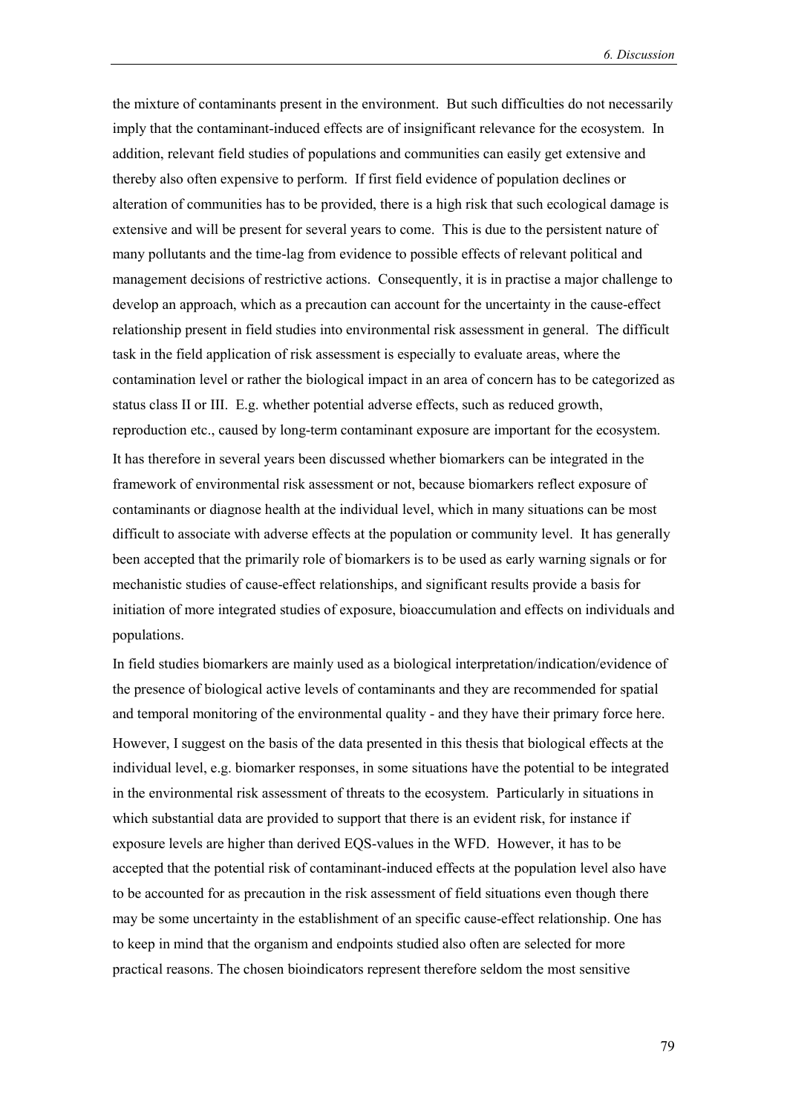the mixture of contaminants present in the environment. But such difficulties do not necessarily imply that the contaminant-induced effects are of insignificant relevance for the ecosystem. In addition, relevant field studies of populations and communities can easily get extensive and thereby also often expensive to perform. If first field evidence of population declines or alteration of communities has to be provided, there is a high risk that such ecological damage is extensive and will be present for several years to come. This is due to the persistent nature of many pollutants and the time-lag from evidence to possible effects of relevant political and management decisions of restrictive actions. Consequently, it is in practise a major challenge to develop an approach, which as a precaution can account for the uncertainty in the cause-effect relationship present in field studies into environmental risk assessment in general. The difficult task in the field application of risk assessment is especially to evaluate areas, where the contamination level or rather the biological impact in an area of concern has to be categorized as status class II or III. E.g. whether potential adverse effects, such as reduced growth, reproduction etc., caused by long-term contaminant exposure are important for the ecosystem. It has therefore in several years been discussed whether biomarkers can be integrated in the framework of environmental risk assessment or not, because biomarkers reflect exposure of contaminants or diagnose health at the individual level, which in many situations can be most difficult to associate with adverse effects at the population or community level. It has generally been accepted that the primarily role of biomarkers is to be used as early warning signals or for mechanistic studies of cause-effect relationships, and significant results provide a basis for initiation of more integrated studies of exposure, bioaccumulation and effects on individuals and populations.

In field studies biomarkers are mainly used as a biological interpretation/indication/evidence of the presence of biological active levels of contaminants and they are recommended for spatial and temporal monitoring of the environmental quality - and they have their primary force here. However, I suggest on the basis of the data presented in this thesis that biological effects at the individual level, e.g. biomarker responses, in some situations have the potential to be integrated in the environmental risk assessment of threats to the ecosystem. Particularly in situations in which substantial data are provided to support that there is an evident risk, for instance if exposure levels are higher than derived EQS-values in the WFD. However, it has to be accepted that the potential risk of contaminant-induced effects at the population level also have to be accounted for as precaution in the risk assessment of field situations even though there may be some uncertainty in the establishment of an specific cause-effect relationship. One has to keep in mind that the organism and endpoints studied also often are selected for more practical reasons. The chosen bioindicators represent therefore seldom the most sensitive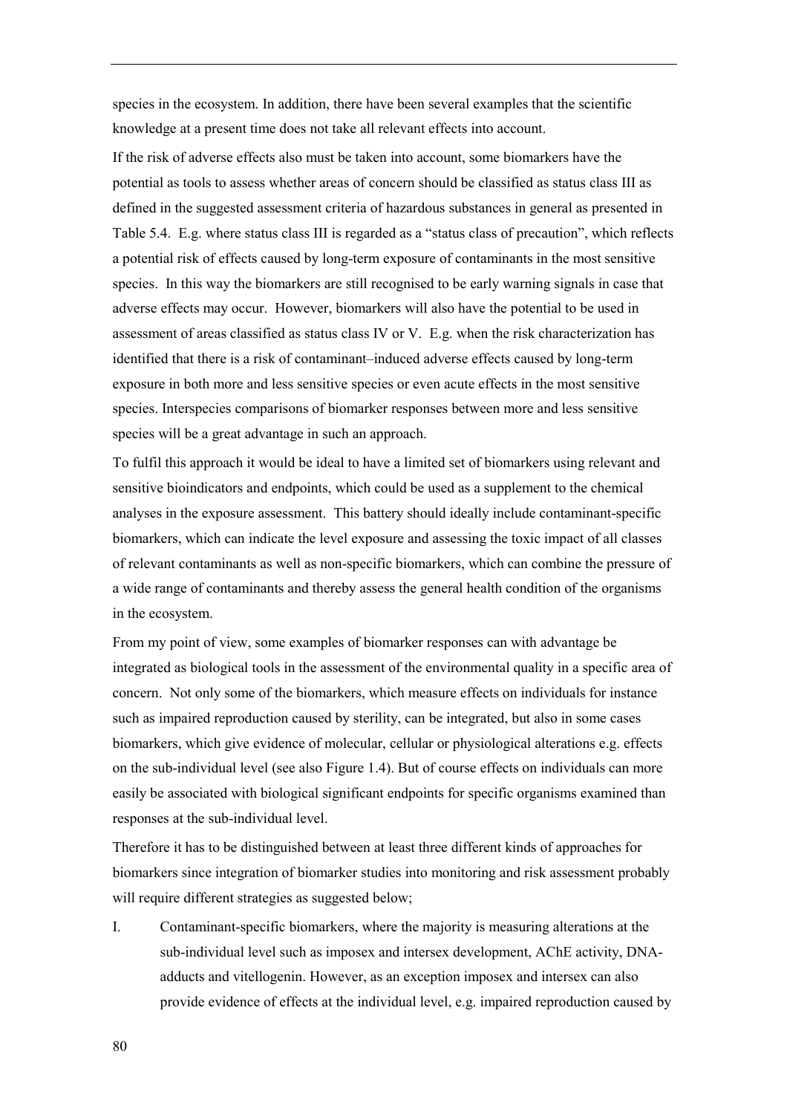species in the ecosystem. In addition, there have been several examples that the scientific knowledge at a present time does not take all relevant effects into account.

If the risk of adverse effects also must be taken into account, some biomarkers have the potential as tools to assess whether areas of concern should be classified as status class III as defined in the suggested assessment criteria of hazardous substances in general as presented in Table 5.4. E.g. where status class III is regarded as a "status class of precaution", which reflects a potential risk of effects caused by long-term exposure of contaminants in the most sensitive species. In this way the biomarkers are still recognised to be early warning signals in case that adverse effects may occur. However, biomarkers will also have the potential to be used in assessment of areas classified as status class IV or V. E.g. when the risk characterization has identified that there is a risk of contaminant—induced adverse effects caused by long-term exposure in both more and less sensitive species or even acute effects in the most sensitive species. Interspecies comparisons of biomarker responses between more and less sensitive species will be a great advantage in such an approach.

To fulfil this approach it would be ideal to have a limited set of biomarkers using relevant and sensitive bioindicators and endpoints, which could be used as a supplement to the chemical analyses in the exposure assessment. This battery should ideally include contaminant-specific biomarkers, which can indicate the level exposure and assessing the toxic impact of all classes of relevant contaminants as well as non-specific biomarkers, which can combine the pressure of a wide range of contaminants and thereby assess the general health condition of the organisms in the ecosystem.

From my point of view, some examples of biomarker responses can with advantage be integrated as biological tools in the assessment of the environmental quality in a specific area of concern. Not only some of the biomarkers, which measure effects on individuals for instance such as impaired reproduction caused by sterility, can be integrated, but also in some cases biomarkers, which give evidence of molecular, cellular or physiological alterations e.g. effects on the sub-individual level (see also Figure 1.4). But of course effects on individuals can more easily be associated with biological significant endpoints for specific organisms examined than responses at the sub-individual level.

Therefore it has to be distinguished between at least three different kinds of approaches for biomarkers since integration of biomarker studies into monitoring and risk assessment probably will require different strategies as suggested below;

I. Contaminant-specific biomarkers, where the majority is measuring alterations at the sub-individual level such as imposex and intersex development, AChE activity, DNAadducts and vitellogenin. However, as an exception imposex and intersex can also provide evidence of effects at the individual level, e.g. impaired reproduction caused by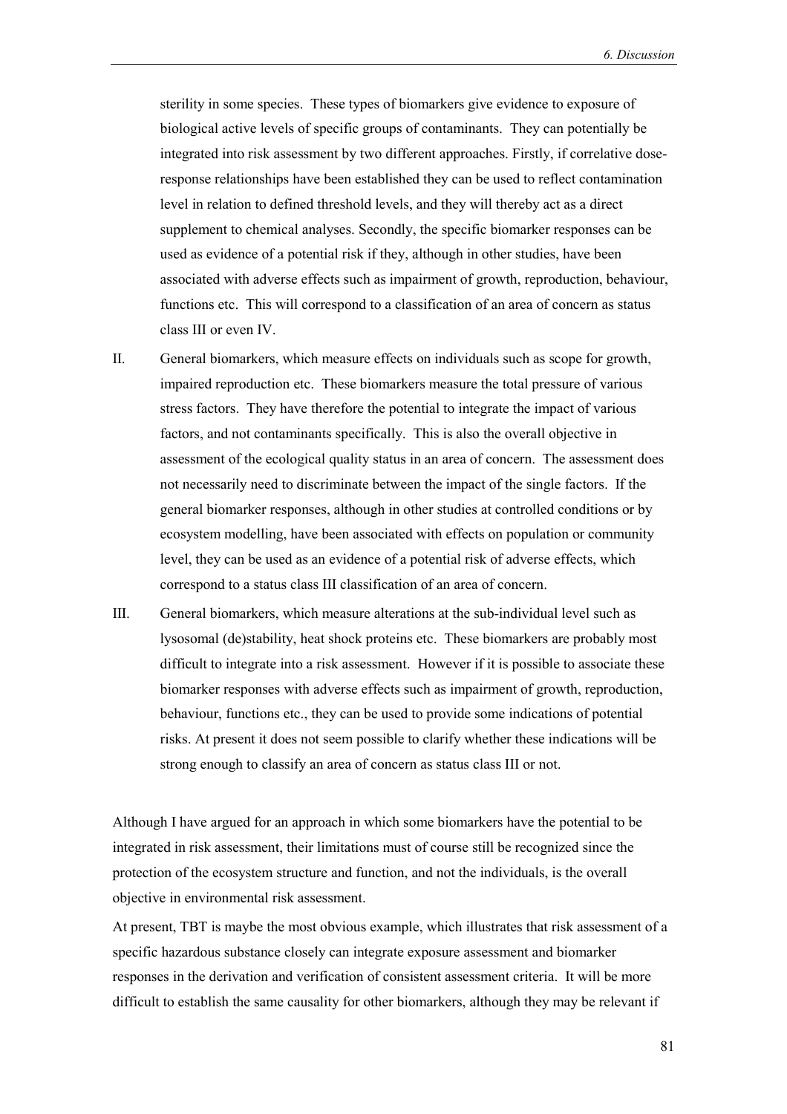sterility in some species. These types of biomarkers give evidence to exposure of biological active levels of specific groups of contaminants. They can potentially be integrated into risk assessment by two different approaches. Firstly, if correlative doseresponse relationships have been established they can be used to reflect contamination level in relation to defined threshold levels, and they will thereby act as a direct supplement to chemical analyses. Secondly, the specific biomarker responses can be used as evidence of a potential risk if they, although in other studies, have been associated with adverse effects such as impairment of growth, reproduction, behaviour, functions etc. This will correspond to a classification of an area of concern as status class III or even IV.

- II. General biomarkers, which measure effects on individuals such as scope for growth, impaired reproduction etc. These biomarkers measure the total pressure of various stress factors. They have therefore the potential to integrate the impact of various factors, and not contaminants specifically. This is also the overall objective in assessment of the ecological quality status in an area of concern. The assessment does not necessarily need to discriminate between the impact of the single factors. If the general biomarker responses, although in other studies at controlled conditions or by ecosystem modelling, have been associated with effects on population or community level, they can be used as an evidence of a potential risk of adverse effects, which correspond to a status class III classification of an area of concern.
- III. General biomarkers, which measure alterations at the sub-individual level such as lysosomal (de)stability, heat shock proteins etc. These biomarkers are probably most difficult to integrate into a risk assessment. However if it is possible to associate these biomarker responses with adverse effects such as impairment of growth, reproduction, behaviour, functions etc., they can be used to provide some indications of potential risks. At present it does not seem possible to clarify whether these indications will be strong enough to classify an area of concern as status class III or not.

Although I have argued for an approach in which some biomarkers have the potential to be integrated in risk assessment, their limitations must of course still be recognized since the protection of the ecosystem structure and function, and not the individuals, is the overall objective in environmental risk assessment.

At present, TBT is maybe the most obvious example, which illustrates that risk assessment of a specific hazardous substance closely can integrate exposure assessment and biomarker responses in the derivation and verification of consistent assessment criteria. It will be more difficult to establish the same causality for other biomarkers, although they may be relevant if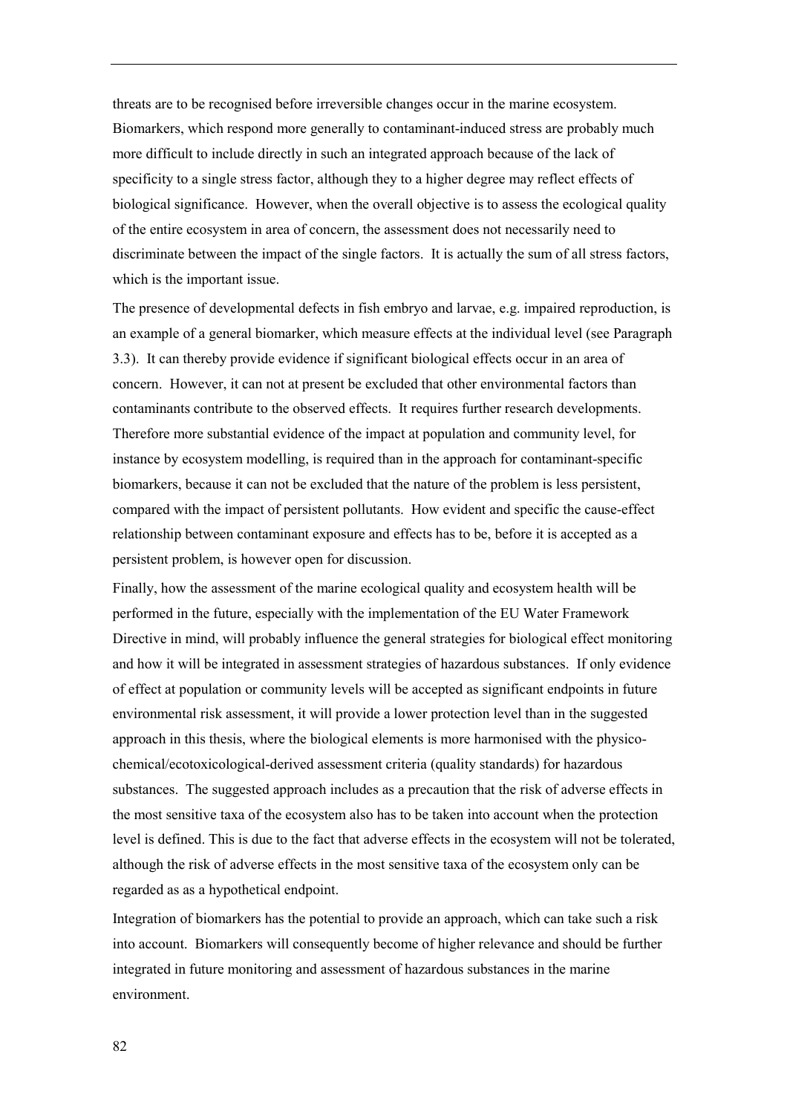threats are to be recognised before irreversible changes occur in the marine ecosystem. Biomarkers, which respond more generally to contaminant-induced stress are probably much more difficult to include directly in such an integrated approach because of the lack of specificity to a single stress factor, although they to a higher degree may reflect effects of biological significance. However, when the overall objective is to assess the ecological quality of the entire ecosystem in area of concern, the assessment does not necessarily need to discriminate between the impact of the single factors. It is actually the sum of all stress factors, which is the important issue.

The presence of developmental defects in fish embryo and larvae, e.g. impaired reproduction, is an example of a general biomarker, which measure effects at the individual level (see Paragraph 3.3). It can thereby provide evidence if significant biological effects occur in an area of concern. However, it can not at present be excluded that other environmental factors than contaminants contribute to the observed effects. It requires further research developments. Therefore more substantial evidence of the impact at population and community level, for instance by ecosystem modelling, is required than in the approach for contaminant-specific biomarkers, because it can not be excluded that the nature of the problem is less persistent, compared with the impact of persistent pollutants. How evident and specific the cause-effect relationship between contaminant exposure and effects has to be, before it is accepted as a persistent problem, is however open for discussion.

Finally, how the assessment of the marine ecological quality and ecosystem health will be performed in the future, especially with the implementation of the EU Water Framework Directive in mind, will probably influence the general strategies for biological effect monitoring and how it will be integrated in assessment strategies of hazardous substances. If only evidence of effect at population or community levels will be accepted as significant endpoints in future environmental risk assessment, it will provide a lower protection level than in the suggested approach in this thesis, where the biological elements is more harmonised with the physicochemical/ecotoxicological-derived assessment criteria (quality standards) for hazardous substances. The suggested approach includes as a precaution that the risk of adverse effects in the most sensitive taxa of the ecosystem also has to be taken into account when the protection level is defined. This is due to the fact that adverse effects in the ecosystem will not be tolerated, although the risk of adverse effects in the most sensitive taxa of the ecosystem only can be regarded as as a hypothetical endpoint.

Integration of biomarkers has the potential to provide an approach, which can take such a risk into account. Biomarkers will consequently become of higher relevance and should be further integrated in future monitoring and assessment of hazardous substances in the marine environment.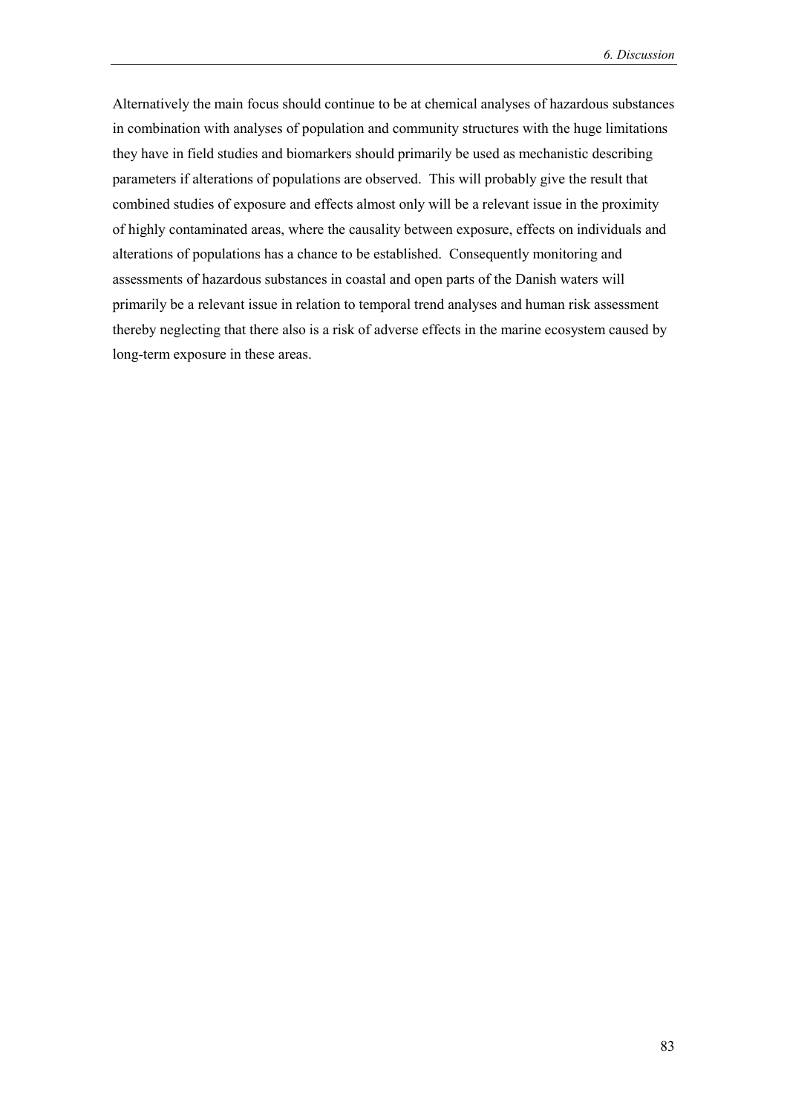Alternatively the main focus should continue to be at chemical analyses of hazardous substances in combination with analyses of population and community structures with the huge limitations they have in field studies and biomarkers should primarily be used as mechanistic describing parameters if alterations of populations are observed. This will probably give the result that combined studies of exposure and effects almost only will be a relevant issue in the proximity of highly contaminated areas, where the causality between exposure, effects on individuals and alterations of populations has a chance to be established. Consequently monitoring and assessments of hazardous substances in coastal and open parts of the Danish waters will primarily be a relevant issue in relation to temporal trend analyses and human risk assessment thereby neglecting that there also is a risk of adverse effects in the marine ecosystem caused by long-term exposure in these areas.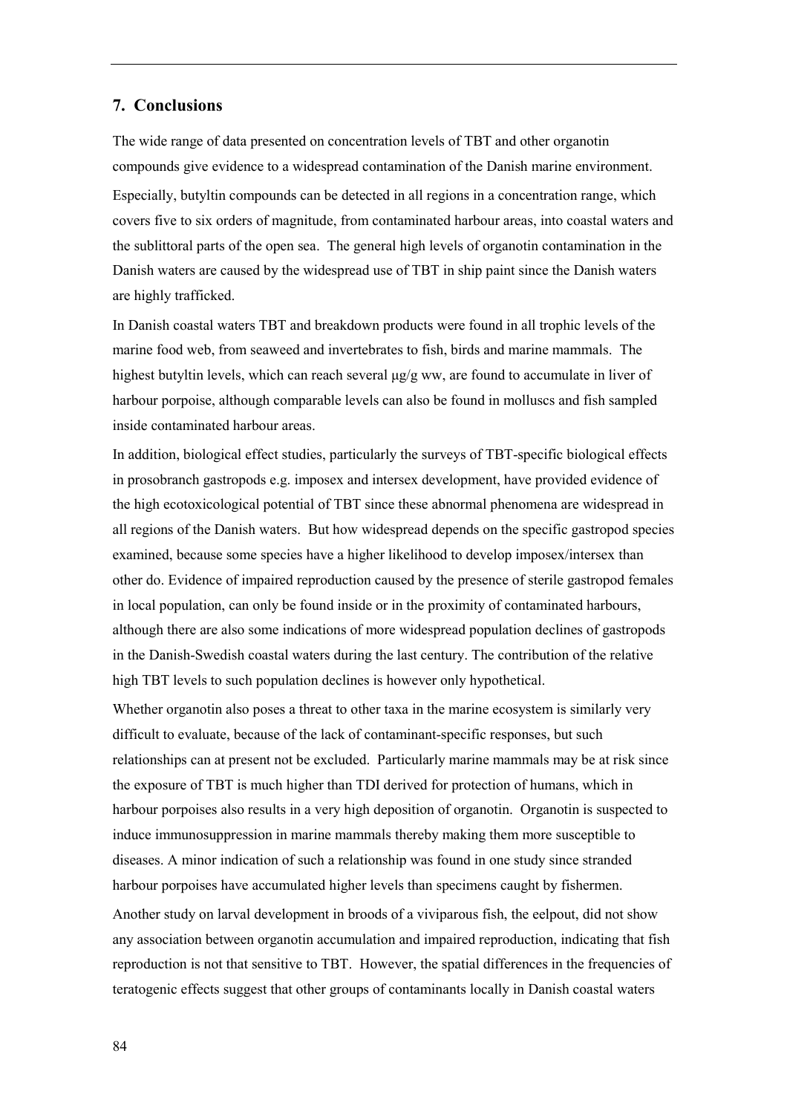## **7. Conclusions**

The wide range of data presented on concentration levels of TBT and other organotin compounds give evidence to a widespread contamination of the Danish marine environment. Especially, butyltin compounds can be detected in all regions in a concentration range, which covers five to six orders of magnitude, from contaminated harbour areas, into coastal waters and the sublittoral parts of the open sea. The general high levels of organotin contamination in the Danish waters are caused by the widespread use of TBT in ship paint since the Danish waters are highly trafficked.

In Danish coastal waters TBT and breakdown products were found in all trophic levels of the marine food web, from seaweed and invertebrates to fish, birds and marine mammals. The highest butyltin levels, which can reach several  $\mu$ g/g ww, are found to accumulate in liver of harbour porpoise, although comparable levels can also be found in molluscs and fish sampled inside contaminated harbour areas.

In addition, biological effect studies, particularly the surveys of TBT-specific biological effects in prosobranch gastropods e.g. imposex and intersex development, have provided evidence of the high ecotoxicological potential of TBT since these abnormal phenomena are widespread in all regions of the Danish waters. But how widespread depends on the specific gastropod species examined, because some species have a higher likelihood to develop imposex/intersex than other do. Evidence of impaired reproduction caused by the presence of sterile gastropod females in local population, can only be found inside or in the proximity of contaminated harbours, although there are also some indications of more widespread population declines of gastropods in the Danish-Swedish coastal waters during the last century. The contribution of the relative high TBT levels to such population declines is however only hypothetical.

Whether organotin also poses a threat to other taxa in the marine ecosystem is similarly very difficult to evaluate, because of the lack of contaminant-specific responses, but such relationships can at present not be excluded. Particularly marine mammals may be at risk since the exposure of TBT is much higher than TDI derived for protection of humans, which in harbour porpoises also results in a very high deposition of organotin. Organotin is suspected to induce immunosuppression in marine mammals thereby making them more susceptible to diseases. A minor indication of such a relationship was found in one study since stranded harbour porpoises have accumulated higher levels than specimens caught by fishermen. Another study on larval development in broods of a viviparous fish, the eelpout, did not show any association between organotin accumulation and impaired reproduction, indicating that fish reproduction is not that sensitive to TBT. However, the spatial differences in the frequencies of teratogenic effects suggest that other groups of contaminants locally in Danish coastal waters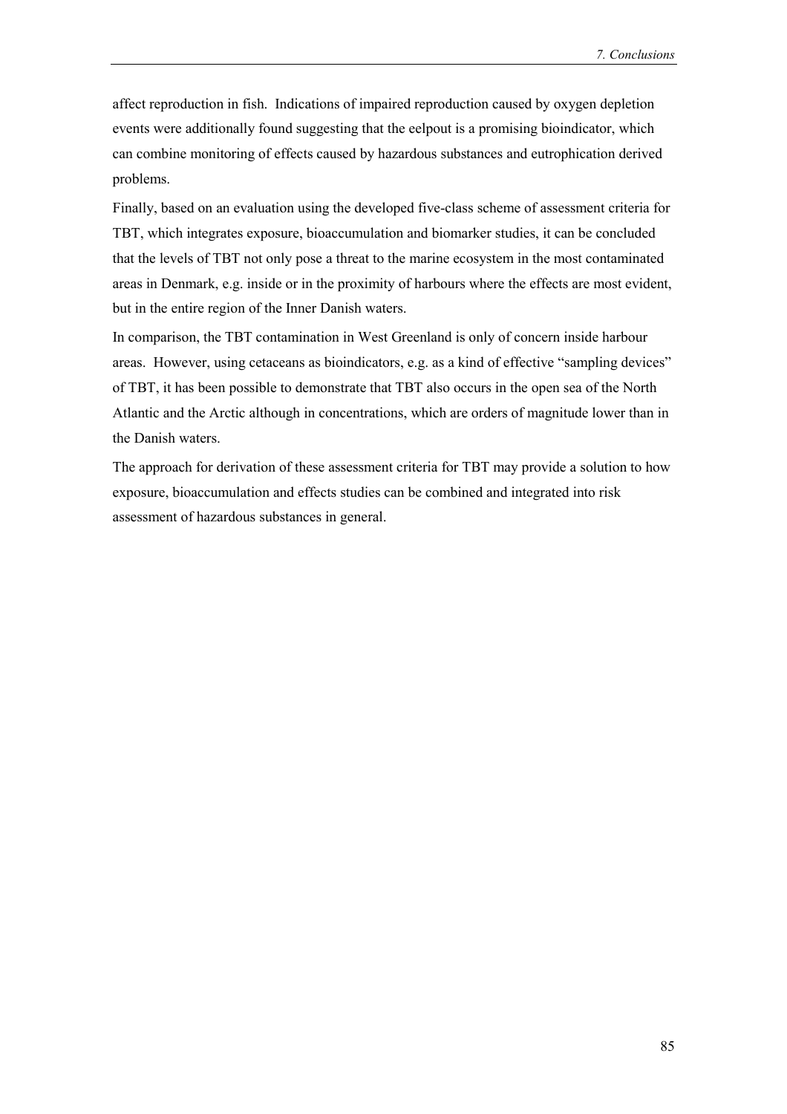affect reproduction in fish. Indications of impaired reproduction caused by oxygen depletion events were additionally found suggesting that the eelpout is a promising bioindicator, which can combine monitoring of effects caused by hazardous substances and eutrophication derived problems.

Finally, based on an evaluation using the developed five-class scheme of assessment criteria for TBT, which integrates exposure, bioaccumulation and biomarker studies, it can be concluded that the levels of TBT not only pose a threat to the marine ecosystem in the most contaminated areas in Denmark, e.g. inside or in the proximity of harbours where the effects are most evident, but in the entire region of the Inner Danish waters.

In comparison, the TBT contamination in West Greenland is only of concern inside harbour areas. However, using cetaceans as bioindicators, e.g. as a kind of effective "sampling devices" of TBT, it has been possible to demonstrate that TBT also occurs in the open sea of the North Atlantic and the Arctic although in concentrations, which are orders of magnitude lower than in the Danish waters.

The approach for derivation of these assessment criteria for TBT may provide a solution to how exposure, bioaccumulation and effects studies can be combined and integrated into risk assessment of hazardous substances in general.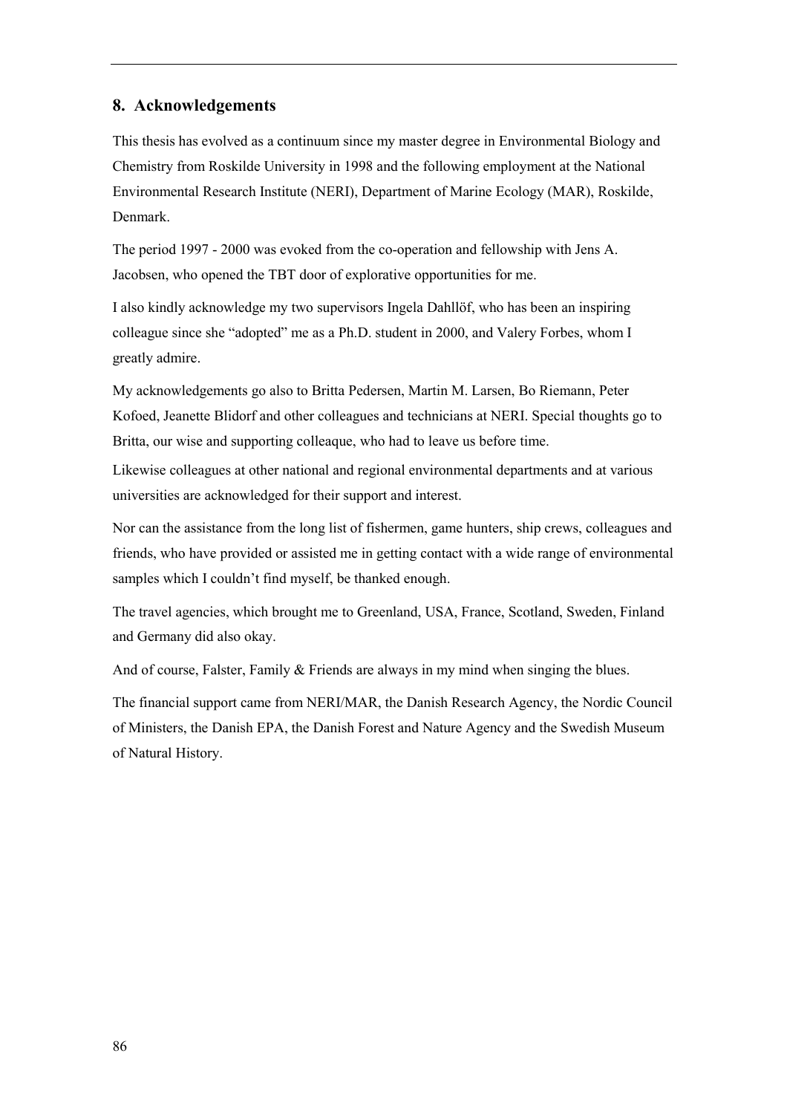# **8. Acknowledgements**

This thesis has evolved as a continuum since my master degree in Environmental Biology and Chemistry from Roskilde University in 1998 and the following employment at the National Environmental Research Institute (NERI), Department of Marine Ecology (MAR), Roskilde, Denmark.

The period 1997 - 2000 was evoked from the co-operation and fellowship with Jens A. Jacobsen, who opened the TBT door of explorative opportunities for me.

I also kindly acknowledge my two supervisors Ingela Dahllöf, who has been an inspiring colleague since she "adopted" me as a Ph.D. student in 2000, and Valery Forbes, whom I greatly admire.

My acknowledgements go also to Britta Pedersen, Martin M. Larsen, Bo Riemann, Peter Kofoed, Jeanette Blidorf and other colleagues and technicians at NERI. Special thoughts go to Britta, our wise and supporting colleaque, who had to leave us before time.

Likewise colleagues at other national and regional environmental departments and at various universities are acknowledged for their support and interest.

Nor can the assistance from the long list of fishermen, game hunters, ship crews, colleagues and friends, who have provided or assisted me in getting contact with a wide range of environmental samples which I couldn't find myself, be thanked enough.

The travel agencies, which brought me to Greenland, USA, France, Scotland, Sweden, Finland and Germany did also okay.

And of course, Falster, Family  $&$  Friends are always in my mind when singing the blues.

The financial support came from NERI/MAR, the Danish Research Agency, the Nordic Council of Ministers, the Danish EPA, the Danish Forest and Nature Agency and the Swedish Museum of Natural History.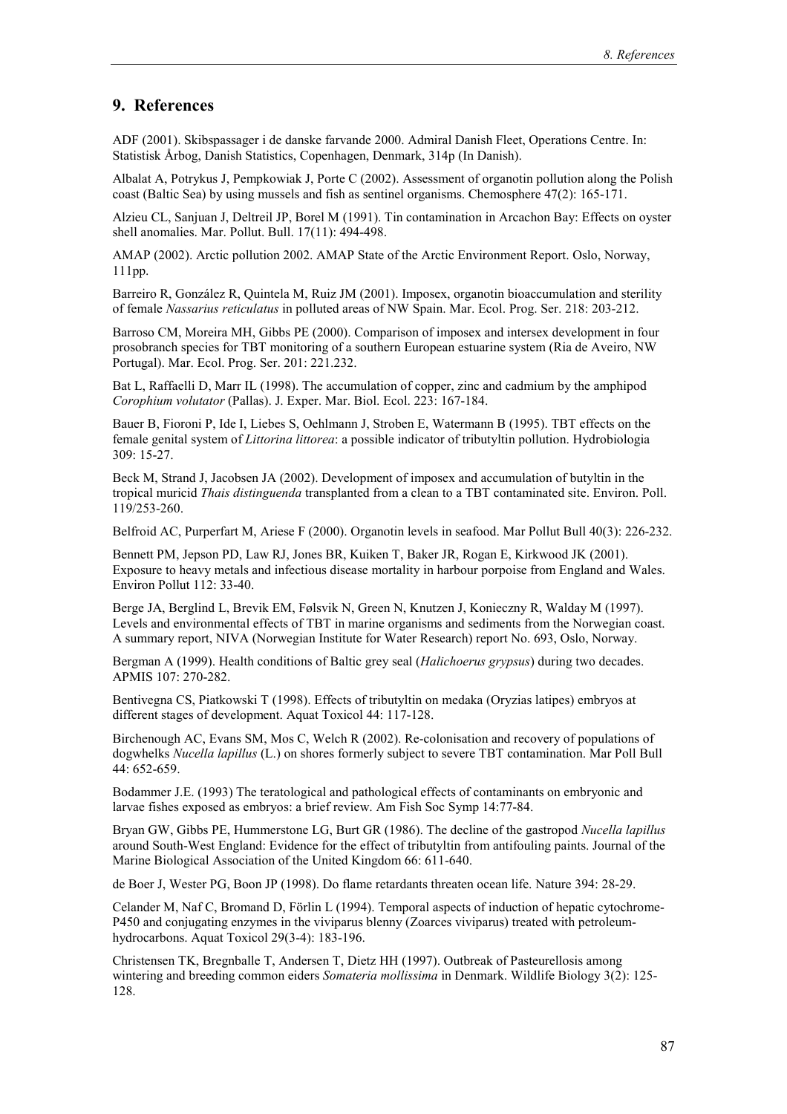#### **9. References**

ADF (2001). Skibspassager i de danske farvande 2000. Admiral Danish Fleet, Operations Centre. In: Statistisk Årbog, Danish Statistics, Copenhagen, Denmark, 314p (In Danish).

Albalat A, Potrykus J, Pempkowiak J, Porte C (2002). Assessment of organotin pollution along the Polish coast (Baltic Sea) by using mussels and fish as sentinel organisms. Chemosphere 47(2): 165-171.

Alzieu CL, Sanjuan J, Deltreil JP, Borel M (1991). Tin contamination in Arcachon Bay: Effects on oyster shell anomalies. Mar. Pollut. Bull. 17(11): 494-498.

AMAP (2002). Arctic pollution 2002. AMAP State of the Arctic Environment Report. Oslo, Norway, 111pp.

Barreiro R, González R, Quintela M, Ruiz JM (2001). Imposex, organotin bioaccumulation and sterility of female *Nassarius reticulatus* in polluted areas of NW Spain. Mar. Ecol. Prog. Ser. 218: 203-212.

Barroso CM, Moreira MH, Gibbs PE (2000). Comparison of imposex and intersex development in four prosobranch species for TBT monitoring of a southern European estuarine system (Ria de Aveiro, NW Portugal). Mar. Ecol. Prog. Ser. 201: 221.232.

Bat L, Raffaelli D, Marr IL (1998). The accumulation of copper, zinc and cadmium by the amphipod *Corophium volutator* (Pallas). J. Exper. Mar. Biol. Ecol. 223: 167-184.

Bauer B, Fioroni P, Ide I, Liebes S, Oehlmann J, Stroben E, Watermann B (1995). TBT effects on the female genital system of *Littorina littorea*: a possible indicator of tributyltin pollution. Hydrobiologia 309: 15-27.

Beck M, Strand J, Jacobsen JA (2002). Development of imposex and accumulation of butyltin in the tropical muricid *Thais distinguenda* transplanted from a clean to a TBT contaminated site. Environ. Poll. 119/253-260.

Belfroid AC, Purperfart M, Ariese F (2000). Organotin levels in seafood. Mar Pollut Bull 40(3): 226-232.

Bennett PM, Jepson PD, Law RJ, Jones BR, Kuiken T, Baker JR, Rogan E, Kirkwood JK (2001). Exposure to heavy metals and infectious disease mortality in harbour porpoise from England and Wales. Environ Pollut 112: 33-40.

Berge JA, Berglind L, Brevik EM, Følsvik N, Green N, Knutzen J, Konieczny R, Walday M (1997). Levels and environmental effects of TBT in marine organisms and sediments from the Norwegian coast. A summary report, NIVA (Norwegian Institute for Water Research) report No. 693, Oslo, Norway.

Bergman A (1999). Health conditions of Baltic grey seal (*Halichoerus grypsus*) during two decades. APMIS 107: 270-282.

Bentivegna CS, Piatkowski T (1998). Effects of tributyltin on medaka (Oryzias latipes) embryos at different stages of development. Aquat Toxicol 44: 117-128.

Birchenough AC, Evans SM, Mos C, Welch R (2002). Re-colonisation and recovery of populations of dogwhelks *Nucella lapillus* (L.) on shores formerly subject to severe TBT contamination. Mar Poll Bull 44: 652-659.

Bodammer J.E. (1993) The teratological and pathological effects of contaminants on embryonic and larvae fishes exposed as embryos: a brief review. Am Fish Soc Symp 14:77-84.

Bryan GW, Gibbs PE, Hummerstone LG, Burt GR (1986). The decline of the gastropod *Nucella lapillus* around South-West England: Evidence for the effect of tributyltin from antifouling paints. Journal of the Marine Biological Association of the United Kingdom 66: 611-640.

de Boer J, Wester PG, Boon JP (1998). Do flame retardants threaten ocean life. Nature 394: 28-29.

Celander M, Naf C, Bromand D, Förlin L (1994). Temporal aspects of induction of hepatic cytochrome-P450 and conjugating enzymes in the viviparus blenny (Zoarces viviparus) treated with petroleumhydrocarbons. Aquat Toxicol 29(3-4): 183-196.

Christensen TK, Bregnballe T, Andersen T, Dietz HH (1997). Outbreak of Pasteurellosis among wintering and breeding common eiders *Somateria mollissima* in Denmark. Wildlife Biology 3(2): 125- 128.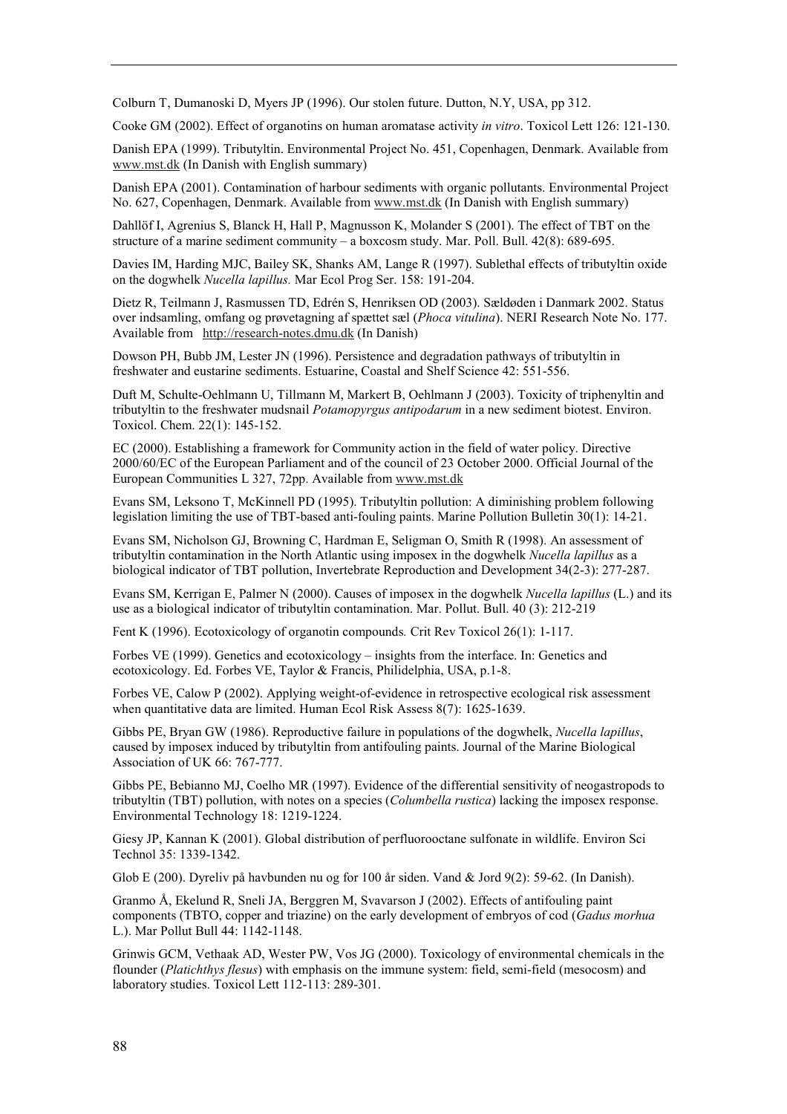Colburn T, Dumanoski D, Myers JP (1996). Our stolen future. Dutton, N.Y, USA, pp 312.

Cooke GM (2002). Effect of organotins on human aromatase activity *in vitro*. Toxicol Lett 126: 121-130.

Danish EPA (1999). Tributyltin. Environmental Project No. 451, Copenhagen, Denmark. Available from www.mst.dk (In Danish with English summary)

Danish EPA (2001). Contamination of harbour sediments with organic pollutants. Environmental Project No. 627, Copenhagen, Denmark. Available from www.mst.dk (In Danish with English summary)

Dahllöf I, Agrenius S, Blanck H, Hall P, Magnusson K, Molander S (2001). The effect of TBT on the structure of a marine sediment community  $-\alpha$  boxcosm study. Mar. Poll. Bull. 42(8): 689-695.

Davies IM, Harding MJC, Bailey SK, Shanks AM, Lange R (1997). Sublethal effects of tributyltin oxide on the dogwhelk *Nucella lapillus.* Mar Ecol Prog Ser. 158: 191-204.

Dietz R, Teilmann J, Rasmussen TD, Edrén S, Henriksen OD (2003). Sældøden i Danmark 2002. Status over indsamling, omfang og prøvetagning af spættet sæl (*Phoca vitulina*). NERI Research Note No. 177. Available from http://research-notes.dmu.dk (In Danish)

Dowson PH, Bubb JM, Lester JN (1996). Persistence and degradation pathways of tributyltin in freshwater and eustarine sediments. Estuarine, Coastal and Shelf Science 42: 551-556.

Duft M, Schulte-Oehlmann U, Tillmann M, Markert B, Oehlmann J (2003). Toxicity of triphenyltin and tributyltin to the freshwater mudsnail *Potamopyrgus antipodarum* in a new sediment biotest. Environ. Toxicol. Chem. 22(1): 145-152.

EC (2000). Establishing a framework for Community action in the field of water policy. Directive 2000/60/EC of the European Parliament and of the council of 23 October 2000. Official Journal of the European Communities L 327, 72pp. Available from www.mst.dk

Evans SM, Leksono T, McKinnell PD (1995). Tributyltin pollution: A diminishing problem following legislation limiting the use of TBT-based anti-fouling paints. Marine Pollution Bulletin 30(1): 14-21.

Evans SM, Nicholson GJ, Browning C, Hardman E, Seligman O, Smith R (1998). An assessment of tributyltin contamination in the North Atlantic using imposex in the dogwhelk *Nucella lapillus* as a biological indicator of TBT pollution, Invertebrate Reproduction and Development 34(2-3): 277-287.

Evans SM, Kerrigan E, Palmer N (2000). Causes of imposex in the dogwhelk *Nucella lapillus* (L.) and its use as a biological indicator of tributyltin contamination. Mar. Pollut. Bull. 40 (3): 212-219

Fent K (1996). Ecotoxicology of organotin compounds*.* Crit Rev Toxicol 26(1): 1-117.

Forbes VE (1999). Genetics and ecotoxicology – insights from the interface. In: Genetics and ecotoxicology. Ed. Forbes VE, Taylor & Francis, Philidelphia, USA, p.1-8.

Forbes VE, Calow P (2002). Applying weight-of-evidence in retrospective ecological risk assessment when quantitative data are limited. Human Ecol Risk Assess 8(7): 1625-1639.

Gibbs PE, Bryan GW (1986). Reproductive failure in populations of the dogwhelk, *Nucella lapillus*, caused by imposex induced by tributyltin from antifouling paints. Journal of the Marine Biological Association of UK 66: 767-777.

Gibbs PE, Bebianno MJ, Coelho MR (1997). Evidence of the differential sensitivity of neogastropods to tributyltin (TBT) pollution, with notes on a species (*Columbella rustica*) lacking the imposex response. Environmental Technology 18: 1219-1224.

Giesy JP, Kannan K (2001). Global distribution of perfluorooctane sulfonate in wildlife. Environ Sci Technol 35: 1339-1342.

Glob E (200). Dyreliv på havbunden nu og for 100 år siden. Vand & Jord 9(2): 59-62. (In Danish).

Granmo Å, Ekelund R, Sneli JA, Berggren M, Svavarson J (2002). Effects of antifouling paint components (TBTO, copper and triazine) on the early development of embryos of cod (*Gadus morhua* L.). Mar Pollut Bull 44: 1142-1148.

Grinwis GCM, Vethaak AD, Wester PW, Vos JG (2000). Toxicology of environmental chemicals in the flounder (*Platichthys flesus*) with emphasis on the immune system: field, semi-field (mesocosm) and laboratory studies. Toxicol Lett 112-113: 289-301.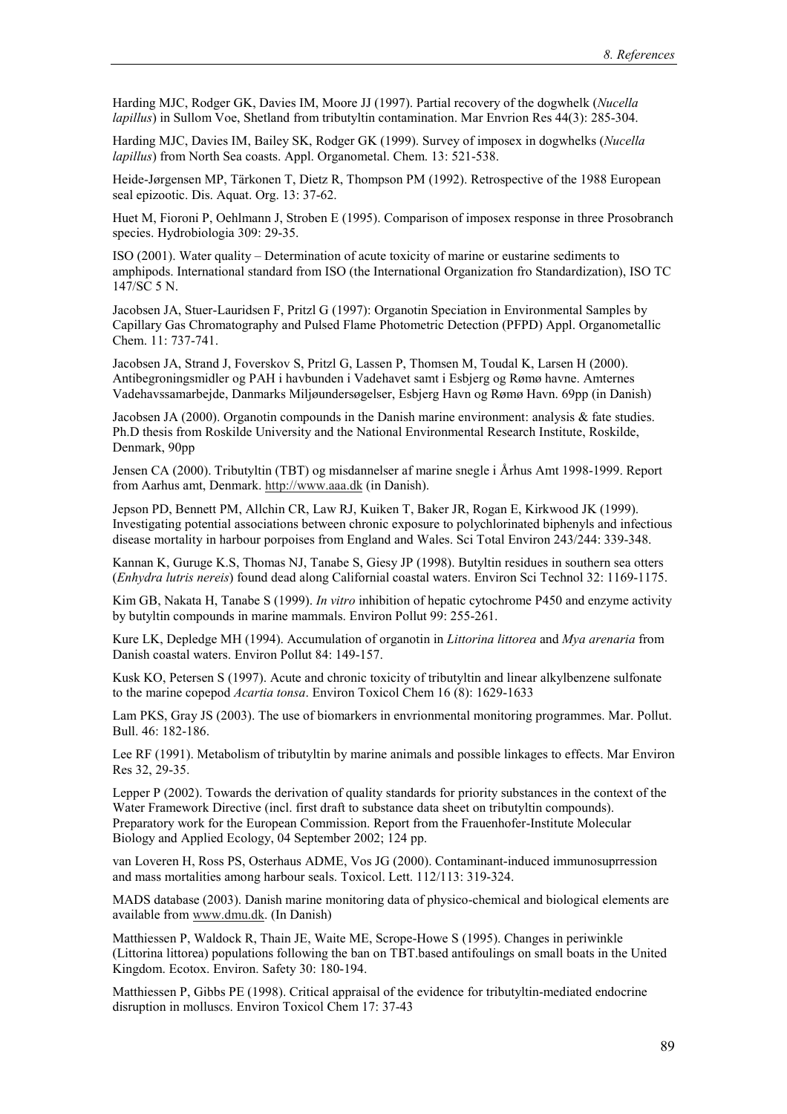Harding MJC, Rodger GK, Davies IM, Moore JJ (1997). Partial recovery of the dogwhelk (*Nucella lapillus*) in Sullom Voe, Shetland from tributyltin contamination. Mar Envrion Res 44(3): 285-304.

Harding MJC, Davies IM, Bailey SK, Rodger GK (1999). Survey of imposex in dogwhelks (*Nucella lapillus*) from North Sea coasts. Appl. Organometal. Chem. 13: 521-538.

Heide-Jørgensen MP, Tärkonen T, Dietz R, Thompson PM (1992). Retrospective of the 1988 European seal epizootic. Dis. Aquat. Org. 13: 37-62.

Huet M, Fioroni P, Oehlmann J, Stroben E (1995). Comparison of imposex response in three Prosobranch species. Hydrobiologia 309: 29-35.

ISO (2001). Water quality – Determination of acute toxicity of marine or eustarine sediments to amphipods. International standard from ISO (the International Organization fro Standardization), ISO TC 147/SC 5 N.

Jacobsen JA, Stuer-Lauridsen F, Pritzl G (1997): Organotin Speciation in Environmental Samples by Capillary Gas Chromatography and Pulsed Flame Photometric Detection (PFPD) Appl. Organometallic Chem. 11: 737-741.

Jacobsen JA, Strand J, Foverskov S, Pritzl G, Lassen P, Thomsen M, Toudal K, Larsen H (2000). Antibegroningsmidler og PAH i havbunden i Vadehavet samt i Esbjerg og Rømø havne. Amternes Vadehavssamarbejde, Danmarks Miljøundersøgelser, Esbjerg Havn og Rømø Havn. 69pp (in Danish)

Jacobsen JA (2000). Organotin compounds in the Danish marine environment: analysis & fate studies. Ph.D thesis from Roskilde University and the National Environmental Research Institute, Roskilde, Denmark, 90pp

Jensen CA (2000). Tributyltin (TBT) og misdannelser af marine snegle i Århus Amt 1998-1999. Report from Aarhus amt, Denmark. http://www.aaa.dk (in Danish).

Jepson PD, Bennett PM, Allchin CR, Law RJ, Kuiken T, Baker JR, Rogan E, Kirkwood JK (1999). Investigating potential associations between chronic exposure to polychlorinated biphenyls and infectious disease mortality in harbour porpoises from England and Wales. Sci Total Environ 243/244: 339-348.

Kannan K, Guruge K.S, Thomas NJ, Tanabe S, Giesy JP (1998). Butyltin residues in southern sea otters (*Enhydra lutris nereis*) found dead along Californial coastal waters. Environ Sci Technol 32: 1169-1175.

Kim GB, Nakata H, Tanabe S (1999). *In vitro* inhibition of hepatic cytochrome P450 and enzyme activity by butyltin compounds in marine mammals. Environ Pollut 99: 255-261.

Kure LK, Depledge MH (1994). Accumulation of organotin in *Littorina littorea* and *Mya arenaria* from Danish coastal waters. Environ Pollut 84: 149-157.

Kusk KO, Petersen S (1997). Acute and chronic toxicity of tributyltin and linear alkylbenzene sulfonate to the marine copepod *Acartia tonsa*. Environ Toxicol Chem 16 (8): 1629-1633

Lam PKS, Gray JS (2003). The use of biomarkers in envrionmental monitoring programmes. Mar. Pollut. Bull. 46: 182-186.

Lee RF (1991). Metabolism of tributyltin by marine animals and possible linkages to effects. Mar Environ Res 32, 29-35.

Lepper P (2002). Towards the derivation of quality standards for priority substances in the context of the Water Framework Directive (incl. first draft to substance data sheet on tributyltin compounds). Preparatory work for the European Commission. Report from the Frauenhofer-Institute Molecular Biology and Applied Ecology, 04 September 2002; 124 pp.

van Loveren H, Ross PS, Osterhaus ADME, Vos JG (2000). Contaminant-induced immunosuprression and mass mortalities among harbour seals. Toxicol. Lett. 112/113: 319-324.

MADS database (2003). Danish marine monitoring data of physico-chemical and biological elements are available from www.dmu.dk. (In Danish)

Matthiessen P, Waldock R, Thain JE, Waite ME, Scrope-Howe S (1995). Changes in periwinkle (Littorina littorea) populations following the ban on TBT.based antifoulings on small boats in the United Kingdom. Ecotox. Environ. Safety 30: 180-194.

Matthiessen P, Gibbs PE (1998). Critical appraisal of the evidence for tributyltin-mediated endocrine disruption in molluscs. Environ Toxicol Chem 17: 37-43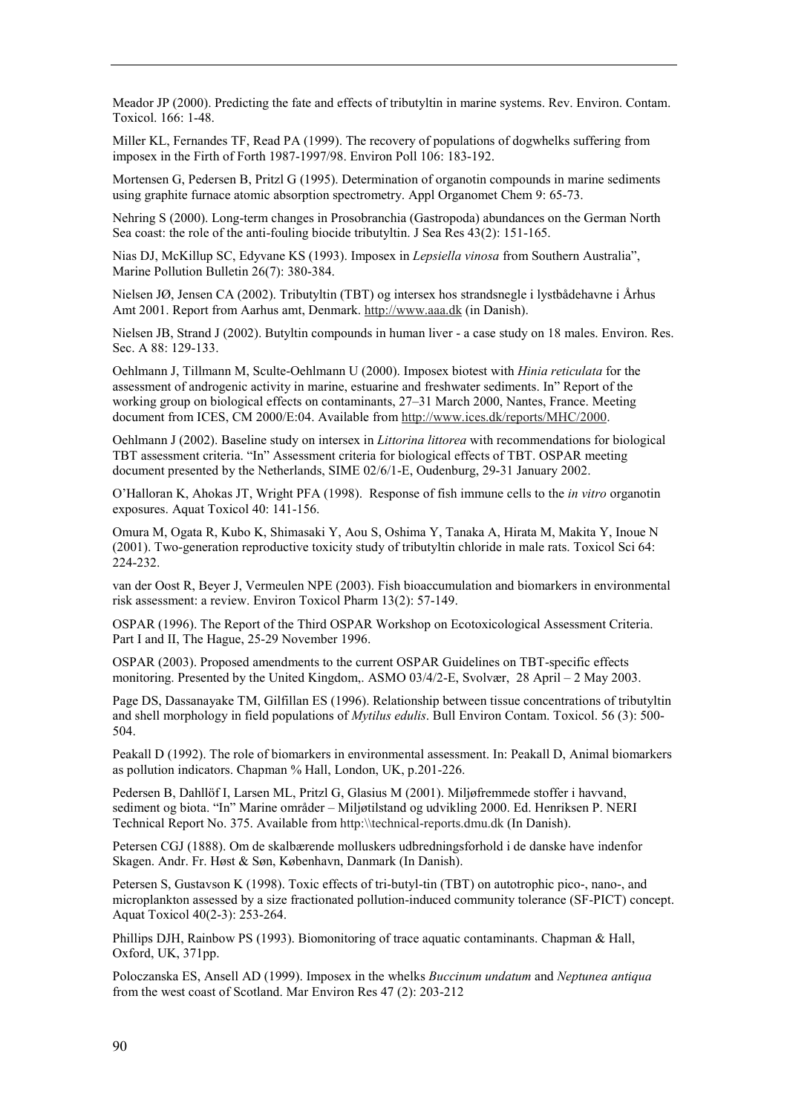Meador JP (2000). Predicting the fate and effects of tributyltin in marine systems. Rev. Environ. Contam. Toxicol. 166: 1-48.

Miller KL, Fernandes TF, Read PA (1999). The recovery of populations of dogwhelks suffering from imposex in the Firth of Forth 1987-1997/98. Environ Poll 106: 183-192.

Mortensen G, Pedersen B, Pritzl G (1995). Determination of organotin compounds in marine sediments using graphite furnace atomic absorption spectrometry. Appl Organomet Chem 9: 65-73.

Nehring S (2000). Long-term changes in Prosobranchia (Gastropoda) abundances on the German North Sea coast: the role of the anti-fouling biocide tributyltin. J Sea Res 43(2): 151-165.

Nias DJ, McKillup SC, Edyvane KS (1993). Imposex in *Lepsiella vinosa* from Southern Australiaî, Marine Pollution Bulletin 26(7): 380-384.

Nielsen JØ, Jensen CA (2002). Tributyltin (TBT) og intersex hos strandsnegle i lystbådehavne i Århus Amt 2001. Report from Aarhus amt, Denmark. http://www.aaa.dk (in Danish).

Nielsen JB, Strand J (2002). Butyltin compounds in human liver - a case study on 18 males. Environ. Res. Sec. A 88: 129-133.

Oehlmann J, Tillmann M, Sculte-Oehlmann U (2000). Imposex biotest with *Hinia reticulata* for the assessment of androgenic activity in marine, estuarine and freshwater sediments. Inî Report of the working group on biological effects on contaminants, 27–31 March 2000, Nantes, France. Meeting document from ICES, CM 2000/E:04. Available from http://www.ices.dk/reports/MHC/2000.

Oehlmann J (2002). Baseline study on intersex in *Littorina littorea* with recommendations for biological TBT assessment criteria. "In" Assessment criteria for biological effects of TBT. OSPAR meeting document presented by the Netherlands, SIME 02/6/1-E, Oudenburg, 29-31 January 2002.

OíHalloran K, Ahokas JT, Wright PFA (1998). Response of fish immune cells to the *in vitro* organotin exposures. Aquat Toxicol 40: 141-156.

Omura M, Ogata R, Kubo K, Shimasaki Y, Aou S, Oshima Y, Tanaka A, Hirata M, Makita Y, Inoue N (2001). Two-generation reproductive toxicity study of tributyltin chloride in male rats. Toxicol Sci 64: 224-232.

van der Oost R, Beyer J, Vermeulen NPE (2003). Fish bioaccumulation and biomarkers in environmental risk assessment: a review. Environ Toxicol Pharm 13(2): 57-149.

OSPAR (1996). The Report of the Third OSPAR Workshop on Ecotoxicological Assessment Criteria. Part I and II, The Hague, 25-29 November 1996.

OSPAR (2003). Proposed amendments to the current OSPAR Guidelines on TBT-specific effects monitoring. Presented by the United Kingdom,. ASMO  $03/4/2$ -E, Svolvær, 28 April – 2 May 2003.

Page DS, Dassanayake TM, Gilfillan ES (1996). Relationship between tissue concentrations of tributyltin and shell morphology in field populations of *Mytilus edulis*. Bull Environ Contam. Toxicol. 56 (3): 500- 504.

Peakall D (1992). The role of biomarkers in environmental assessment. In: Peakall D, Animal biomarkers as pollution indicators. Chapman % Hall, London, UK, p.201-226.

Pedersen B, Dahllöf I, Larsen ML, Pritzl G, Glasius M (2001). Miljøfremmede stoffer i havvand, sediment og biota. "In" Marine områder – Miljøtilstand og udvikling 2000. Ed. Henriksen P. NERI Technical Report No. 375. Available from http:\\technical-reports.dmu.dk (In Danish).

Petersen CGJ (1888). Om de skalbærende molluskers udbredningsforhold i de danske have indenfor Skagen. Andr. Fr. Høst & Søn, København, Danmark (In Danish).

Petersen S, Gustavson K (1998). Toxic effects of tri-butyl-tin (TBT) on autotrophic pico-, nano-, and microplankton assessed by a size fractionated pollution-induced community tolerance (SF-PICT) concept. Aquat Toxicol 40(2-3): 253-264.

Phillips DJH, Rainbow PS (1993). Biomonitoring of trace aquatic contaminants. Chapman & Hall, Oxford, UK, 371pp.

Poloczanska ES, Ansell AD (1999). Imposex in the whelks *Buccinum undatum* and *Neptunea antiqua* from the west coast of Scotland. Mar Environ Res 47 (2): 203-212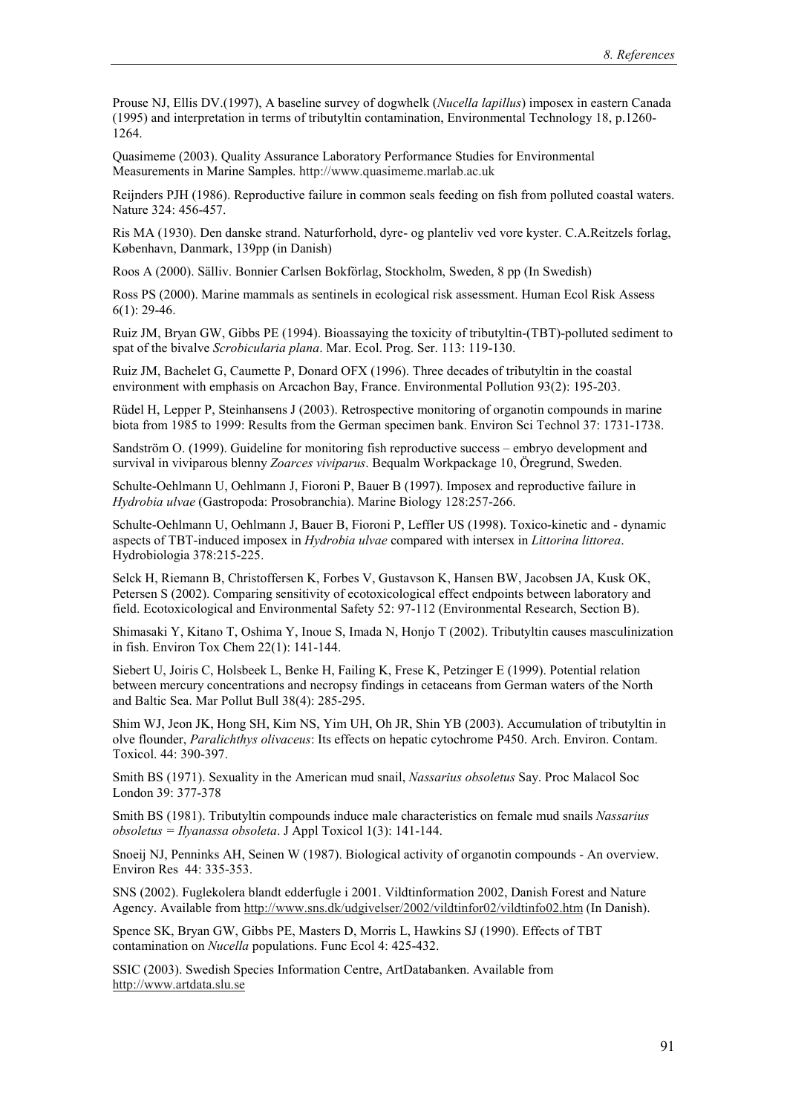Prouse NJ, Ellis DV.(1997), A baseline survey of dogwhelk (*Nucella lapillus*) imposex in eastern Canada (1995) and interpretation in terms of tributyltin contamination, Environmental Technology 18, p.1260- 1264.

Quasimeme (2003). Quality Assurance Laboratory Performance Studies for Environmental Measurements in Marine Samples. http://www.quasimeme.marlab.ac.uk

Reijnders PJH (1986). Reproductive failure in common seals feeding on fish from polluted coastal waters. Nature 324: 456-457.

Ris MA (1930). Den danske strand. Naturforhold, dyre- og planteliv ved vore kyster. C.A.Reitzels forlag, København, Danmark, 139pp (in Danish)

Roos A (2000). Sälliv. Bonnier Carlsen Bokförlag, Stockholm, Sweden, 8 pp (In Swedish)

Ross PS (2000). Marine mammals as sentinels in ecological risk assessment. Human Ecol Risk Assess 6(1): 29-46.

Ruiz JM, Bryan GW, Gibbs PE (1994). Bioassaying the toxicity of tributyltin-(TBT)-polluted sediment to spat of the bivalve *Scrobicularia plana*. Mar. Ecol. Prog. Ser. 113: 119-130.

Ruiz JM, Bachelet G, Caumette P, Donard OFX (1996). Three decades of tributyltin in the coastal environment with emphasis on Arcachon Bay, France. Environmental Pollution 93(2): 195-203.

Rüdel H, Lepper P, Steinhansens J (2003). Retrospective monitoring of organotin compounds in marine biota from 1985 to 1999: Results from the German specimen bank. Environ Sci Technol 37: 1731-1738.

Sandström O. (1999). Guideline for monitoring fish reproductive success – embryo development and survival in viviparous blenny *Zoarces viviparus*. Bequalm Workpackage 10, Öregrund, Sweden.

Schulte-Oehlmann U, Oehlmann J, Fioroni P, Bauer B (1997). Imposex and reproductive failure in *Hydrobia ulvae* (Gastropoda: Prosobranchia). Marine Biology 128:257-266.

Schulte-Oehlmann U, Oehlmann J, Bauer B, Fioroni P, Leffler US (1998). Toxico-kinetic and - dynamic aspects of TBT-induced imposex in *Hydrobia ulvae* compared with intersex in *Littorina littorea*. Hydrobiologia 378:215-225.

Selck H, Riemann B, Christoffersen K, Forbes V, Gustavson K, Hansen BW, Jacobsen JA, Kusk OK, Petersen S (2002). Comparing sensitivity of ecotoxicological effect endpoints between laboratory and field. Ecotoxicological and Environmental Safety 52: 97-112 (Environmental Research, Section B).

Shimasaki Y, Kitano T, Oshima Y, Inoue S, Imada N, Honjo T (2002). Tributyltin causes masculinization in fish. Environ Tox Chem 22(1): 141-144.

Siebert U, Joiris C, Holsbeek L, Benke H, Failing K, Frese K, Petzinger E (1999). Potential relation between mercury concentrations and necropsy findings in cetaceans from German waters of the North and Baltic Sea. Mar Pollut Bull 38(4): 285-295.

Shim WJ, Jeon JK, Hong SH, Kim NS, Yim UH, Oh JR, Shin YB (2003). Accumulation of tributyltin in olve flounder, *Paralichthys olivaceus*: Its effects on hepatic cytochrome P450. Arch. Environ. Contam. Toxicol. 44: 390-397.

Smith BS (1971). Sexuality in the American mud snail, *Nassarius obsoletus* Say. Proc Malacol Soc London 39: 377-378

Smith BS (1981). Tributyltin compounds induce male characteristics on female mud snails *Nassarius obsoletus = Ilyanassa obsoleta*. J Appl Toxicol 1(3): 141-144.

Snoeij NJ, Penninks AH, Seinen W (1987). Biological activity of organotin compounds - An overview. Environ Res 44: 335-353.

SNS (2002). Fuglekolera blandt edderfugle i 2001. Vildtinformation 2002, Danish Forest and Nature Agency. Available from http://www.sns.dk/udgivelser/2002/vildtinfor02/vildtinfo02.htm (In Danish).

Spence SK, Bryan GW, Gibbs PE, Masters D, Morris L, Hawkins SJ (1990). Effects of TBT contamination on *Nucella* populations. Func Ecol 4: 425-432.

SSIC (2003). Swedish Species Information Centre, ArtDatabanken. Available from http://www.artdata.slu.se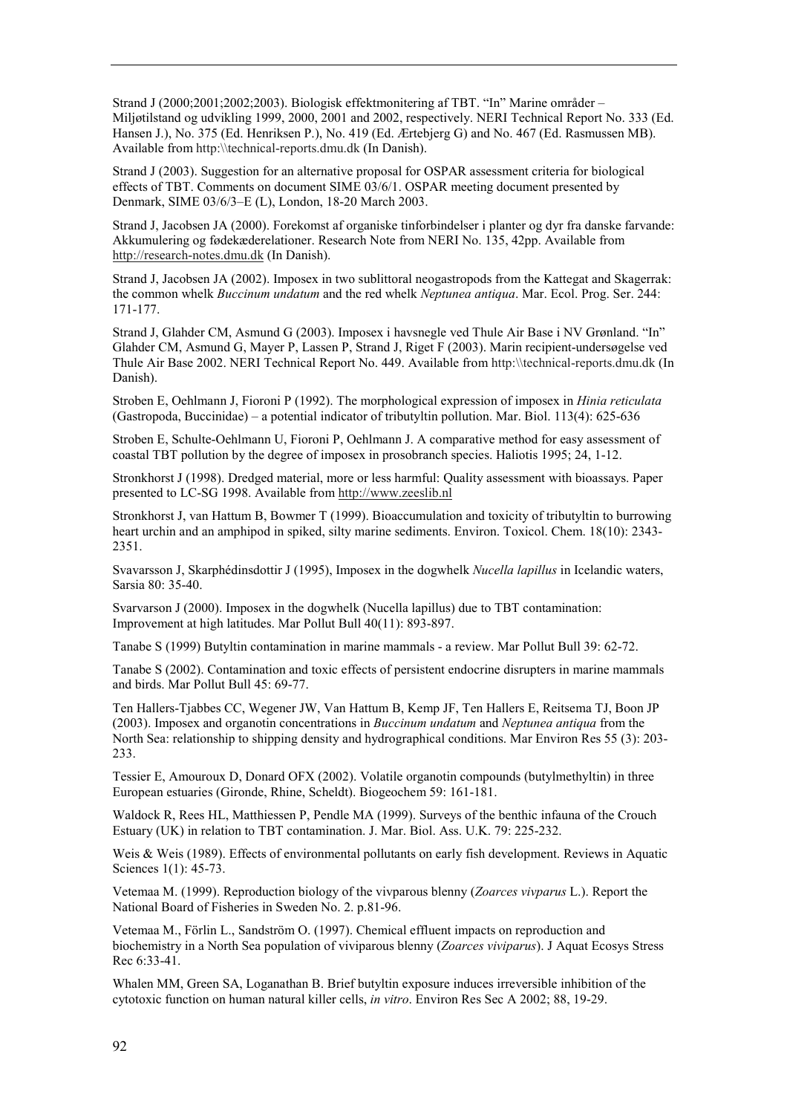Strand J (2000;2001;2002;2003). Biologisk effektmonitering af TBT. "In" Marine områder  $-$ Miljøtilstand og udvikling 1999, 2000, 2001 and 2002, respectively. NERI Technical Report No. 333 (Ed. Hansen J.), No. 375 (Ed. Henriksen P.), No. 419 (Ed. Ærtebjerg G) and No. 467 (Ed. Rasmussen MB). Available from http:\\technical-reports.dmu.dk (In Danish).

Strand J (2003). Suggestion for an alternative proposal for OSPAR assessment criteria for biological effects of TBT. Comments on document SIME 03/6/1. OSPAR meeting document presented by Denmark, SIME 03/6/3-E (L), London, 18-20 March 2003.

Strand J, Jacobsen JA (2000). Forekomst af organiske tinforbindelser i planter og dyr fra danske farvande: Akkumulering og fødekæderelationer. Research Note from NERI No. 135, 42pp. Available from http://research-notes.dmu.dk (In Danish).

Strand J, Jacobsen JA (2002). Imposex in two sublittoral neogastropods from the Kattegat and Skagerrak: the common whelk *Buccinum undatum* and the red whelk *Neptunea antiqua*. Mar. Ecol. Prog. Ser. 244: 171-177.

Strand J, Glahder CM, Asmund G (2003). Imposex i havsnegle ved Thule Air Base i NV Grønland. "In" Glahder CM, Asmund G, Mayer P, Lassen P, Strand J, Riget F (2003). Marin recipient-undersøgelse ved Thule Air Base 2002. NERI Technical Report No. 449. Available from http:\\technical-reports.dmu.dk (In Danish).

Stroben E, Oehlmann J, Fioroni P (1992). The morphological expression of imposex in *Hinia reticulata* (Gastropoda, Buccinidae) – a potential indicator of tributyltin pollution. Mar. Biol. 113(4):  $625-636$ 

Stroben E, Schulte-Oehlmann U, Fioroni P, Oehlmann J. A comparative method for easy assessment of coastal TBT pollution by the degree of imposex in prosobranch species. Haliotis 1995; 24, 1-12.

Stronkhorst J (1998). Dredged material, more or less harmful: Quality assessment with bioassays. Paper presented to LC-SG 1998. Available from http://www.zeeslib.nl

Stronkhorst J, van Hattum B, Bowmer T (1999). Bioaccumulation and toxicity of tributyltin to burrowing heart urchin and an amphipod in spiked, silty marine sediments. Environ. Toxicol. Chem. 18(10): 2343- 2351.

Svavarsson J, Skarphédinsdottir J (1995), Imposex in the dogwhelk *Nucella lapillus* in Icelandic waters, Sarsia 80: 35-40.

Svarvarson J (2000). Imposex in the dogwhelk (Nucella lapillus) due to TBT contamination: Improvement at high latitudes. Mar Pollut Bull 40(11): 893-897.

Tanabe S (1999) Butyltin contamination in marine mammals - a review. Mar Pollut Bull 39: 62-72.

Tanabe S (2002). Contamination and toxic effects of persistent endocrine disrupters in marine mammals and birds. Mar Pollut Bull 45: 69-77.

Ten Hallers-Tjabbes CC, Wegener JW, Van Hattum B, Kemp JF, Ten Hallers E, Reitsema TJ, Boon JP (2003). Imposex and organotin concentrations in *Buccinum undatum* and *Neptunea antiqua* from the North Sea: relationship to shipping density and hydrographical conditions. Mar Environ Res 55 (3): 203- 233.

Tessier E, Amouroux D, Donard OFX (2002). Volatile organotin compounds (butylmethyltin) in three European estuaries (Gironde, Rhine, Scheldt). Biogeochem 59: 161-181.

Waldock R, Rees HL, Matthiessen P, Pendle MA (1999). Surveys of the benthic infauna of the Crouch Estuary (UK) in relation to TBT contamination. J. Mar. Biol. Ass. U.K. 79: 225-232.

Weis & Weis (1989). Effects of environmental pollutants on early fish development. Reviews in Aquatic Sciences 1(1): 45-73.

Vetemaa M. (1999). Reproduction biology of the vivparous blenny (*Zoarces vivparus* L.). Report the National Board of Fisheries in Sweden No. 2. p.81-96.

Vetemaa M., Förlin L., Sandström O. (1997). Chemical effluent impacts on reproduction and biochemistry in a North Sea population of viviparous blenny (*Zoarces viviparus*). J Aquat Ecosys Stress Rec 6:33-41.

Whalen MM, Green SA, Loganathan B. Brief butyltin exposure induces irreversible inhibition of the cytotoxic function on human natural killer cells, *in vitro*. Environ Res Sec A 2002; 88, 19-29.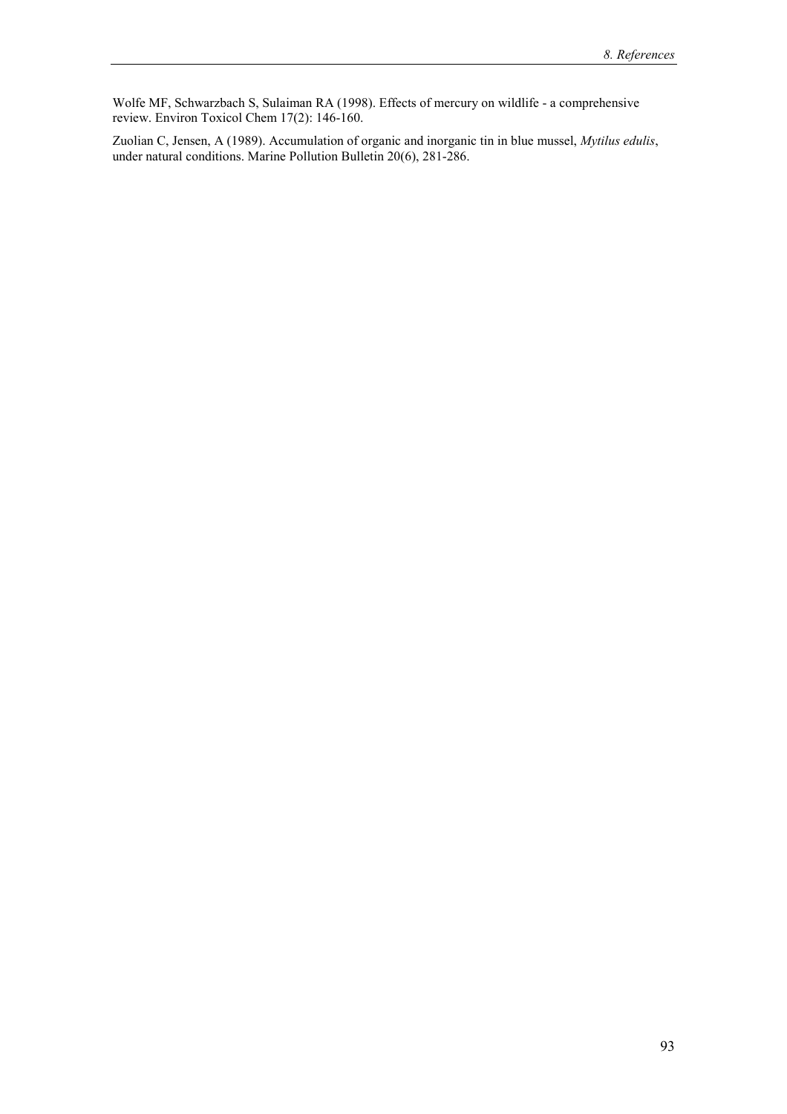Wolfe MF, Schwarzbach S, Sulaiman RA (1998). Effects of mercury on wildlife - a comprehensive review. Environ Toxicol Chem 17(2): 146-160.

Zuolian C, Jensen, A (1989). Accumulation of organic and inorganic tin in blue mussel, *Mytilus edulis*, under natural conditions. Marine Pollution Bulletin 20(6), 281-286.